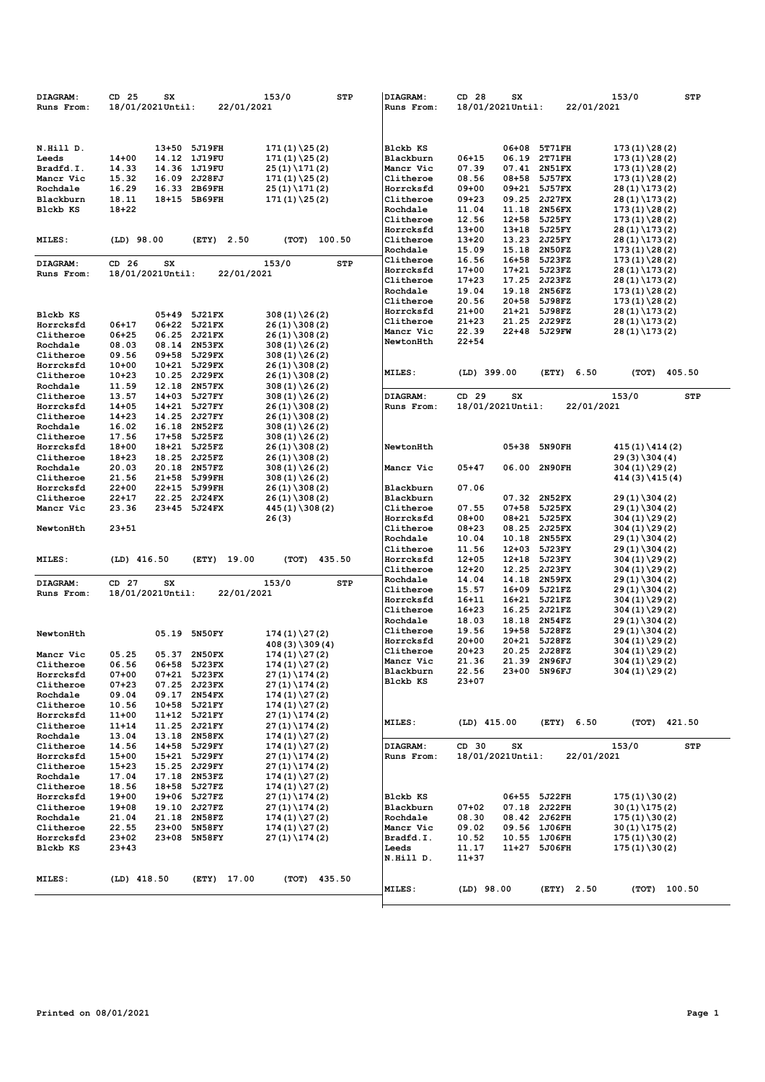| DIAGRAM:      | $CD$ 25          | SX        |                | 153/0            | <b>STP</b> | DIAGRAM:      | CD 28            | SX        |               | 153/0            | STP          |
|---------------|------------------|-----------|----------------|------------------|------------|---------------|------------------|-----------|---------------|------------------|--------------|
| Runs From:    | 18/01/2021Until: |           | 22/01/2021     |                  |            | Runs From:    | 18/01/2021Until: |           |               | 22/01/2021       |              |
|               |                  |           |                |                  |            |               |                  |           |               |                  |              |
|               |                  |           |                |                  |            |               |                  |           |               |                  |              |
|               |                  |           |                |                  |            |               |                  |           |               |                  |              |
| N.Hill D.     |                  |           | 13+50 5J19FH   | 171 (1) \25 (2)  |            | Blckb KS      |                  | $06 + 08$ | 5T71FH        | $173(1)\128(2)$  |              |
| Leeds         | $14 + 00$        |           | 14.12 1J19FU   | 171 (1) \25 (2)  |            | Blackburn     | $06 + 15$        | 06.19     | 2T71FH        | $173(1)\28(2)$   |              |
| Bradfd.I.     | 14.33            |           | 14.36 1J19FU   | 25(1)\171(2)     |            | Mancr Vic     | 07.39            |           | 07.41 2N51FX  | $173(1)\28(2)$   |              |
| Mancr Vic     | 15.32            |           | 16.09 2J28FJ   | $171(1)\25(2)$   |            | Clitheroe     | 08.56            | 08+58     | 5J57FX        | $173(1)\28(2)$   |              |
| Rochdale      | 16.29            |           | 16.33 2B69FH   | 25 (1) \171 (2)  |            | Horrcksfd     | $09 + 00$        | 09+21     | 5J57FX        | 28(1)\173(2)     |              |
| Blackburn     | 18.11            |           | 18+15 5B69FH   | $171(1)\25(2)$   |            | Clitheroe     | $09 + 23$        | 09.25     | 2J27FX        | 28(1)\173(2)     |              |
| Blckb KS      | 18+22            |           |                |                  |            | Rochdale      | 11.04            | 11.18     | 2N56FX        | $173(1)\28(2)$   |              |
|               |                  |           |                |                  |            | Clitheroe     | 12.56            | $12 + 58$ | 5J25FY        | $173(1)\ 28(2)$  |              |
|               |                  |           |                |                  |            | Horrcksfd     | $13+00$          | $13 + 18$ | 5J25FY        | $28(1)\173(2)$   |              |
| MILES:        | $(LD)$ 98.00     |           | 2.50<br>(ETY)  | (TOT)            | 100.50     | Clitheroe     | $13 + 20$        | 13.23     | 2J25FY        | 28(1)\173(2)     |              |
|               |                  |           |                |                  |            | Rochdale      | 15.09            | 15.18     | 2N50FZ        | $173(1)\ 28(2)$  |              |
| DIAGRAM:      | CD 26            | SX        |                | 153/0            | <b>STP</b> | Clitheroe     | 16.56            | 16+58     | 5J23FZ        | $173(1)\ 28(2)$  |              |
| Runs From:    | 18/01/2021Until: |           | 22/01/2021     |                  |            | Horrcksfd     | $17 + 00$        | $17 + 21$ | 5J23FZ        | 28(1)\173(2)     |              |
|               |                  |           |                |                  |            | Clitheroe     | $17 + 23$        | 17.25     | 2J23FZ        | 28(1)\173(2)     |              |
|               |                  |           |                |                  |            | Rochdale      | 19.04            | 19.18     | 2N56FZ        | $173(1)\ 28(2)$  |              |
|               |                  |           |                |                  |            | Clitheroe     | 20.56            | $20 + 58$ | 5J98FZ        | $173(1)\28(2)$   |              |
| Blckb KS      |                  |           | 05+49 5J21FX   | 308(1)\26(2)     |            | Horrcksfd     | $21+00$          |           | 21+21 5J98FZ  | 28(1)\173(2)     |              |
| Horrcksfd     | 06+17            | 06+22     | <b>5J21FX</b>  | 26(1)\308(2)     |            | Clitheroe     | $21 + 23$        | 21.25     | 2J29FZ        | 28(1)\173(2)     |              |
| Clitheroe     | 06+25            | 06.25     | <b>2J21FX</b>  | 26(1)\308(2)     |            | Mancr Vic     | 22.39            | 22+48     | <b>5J29FW</b> | 28 (1) \173 (2)  |              |
| Rochdale      | 08.03            | 08.14     | <b>2N53FX</b>  | $308(1)\126(2)$  |            | NewtonHth     | $22 + 54$        |           |               |                  |              |
| Clitheroe     | 09.56            | $09 + 58$ | 5J29FX         | $308(1)\26(2)$   |            |               |                  |           |               |                  |              |
| Horrcksfd     | $10 + 00$        |           | 10+21 5J29FX   | 26(1)\308(2)     |            |               |                  |           |               |                  |              |
| Clitheroe     | $10 + 23$        | 10.25     | 2J29FX         | 26(1)\308(2)     |            | MILES:        | $(LD)$ 399.00    |           | (ETY)         | 6.50<br>(TOT)    | 405.50       |
| Rochdale      | 11.59            | 12.18     | 2N57FX         | 308(1)\26(2)     |            |               |                  |           |               |                  |              |
| Clitheroe     | 13.57            | $14 + 03$ | 5J27FY         | 308 (1) \26 (2)  |            | DIAGRAM:      | CD 29            | SX        |               | 153/0            | STP          |
| Horrcksfd     | 14+05            | 14+21     | 5J27FY         | 26(1)\308(2)     |            | Runs From:    | 18/01/2021Until: |           |               | 22/01/2021       |              |
| Clitheroe     | $14 + 23$        | 14.25     | 2J27FY         | 26(1)\308(2)     |            |               |                  |           |               |                  |              |
| Rochdale      | 16.02            | 16.18     | 2N52FZ         | 308 (1) \26 (2)  |            |               |                  |           |               |                  |              |
| Clitheroe     | 17.56            | $17 + 58$ | 5J25FZ         | 308 (1) \26 (2)  |            |               |                  |           |               |                  |              |
| Horrcksfd     | 18+00            | 18+21     | 5J25FZ         | 26(1)\308(2)     |            | NewtonHth     |                  | $05 + 38$ | <b>5N90FH</b> | $415(1)\ 414(2)$ |              |
| Clitheroe     | 18+23            | 18.25     | 2J25FZ         | 26(1)\308(2)     |            |               |                  |           |               | $29(3)\ 304(4)$  |              |
| Rochdale      | 20.03            | 20.18     | 2N57FZ         | $308(1)\26(2)$   |            | Mancr Vic     | $05 + 47$        | 06.00     | <b>2N90FH</b> | $304(1)\29(2)$   |              |
| Clitheroe     | 21.56            | $21 + 58$ | 5J99FH         | 308 (1) \26 (2)  |            |               |                  |           |               | $414(3)\ 415(4)$ |              |
| Horrcksfd     | $22+00$          | $22+15$   | <b>5J99FH</b>  | 26(1)\308(2)     |            | Blackburn     | 07.06            |           |               |                  |              |
| Clitheroe     | 22+17            |           | 22.25 2J24FX   | 26(1)\308(2)     |            | Blackburn     |                  | 07.32     | 2N52FX        | $29(1)\304(2)$   |              |
| Mancr Vic     | 23.36            |           | 23+45 5J24FX   | 445(1)\308(2)    |            | Clitheroe     | 07.55            | $07 + 58$ | 5J25FX        | $29(1)\ 304(2)$  |              |
|               |                  |           |                | 26 (3)           |            | Horrcksfd     | $08 + 00$        | 08+21     | 5J25FX        | $304(1)\129(2)$  |              |
| NewtonHth     | 23+51            |           |                |                  |            | Clitheroe     | $08 + 23$        | 08.25     | 2J25FX        | $304(1)\29(2)$   |              |
|               |                  |           |                |                  |            | Rochdale      | 10.04            | 10.18     | 2N55FX        | $29(1)\304(2)$   |              |
|               |                  |           |                |                  |            | Clitheroe     | 11.56            | 12+03     | 5J23FY        | $29(1)\ 304(2)$  |              |
| MILES:        | $(LD)$ 416.50    |           | 19.00<br>(ETY) | (TOT)            | 435.50     | Horrcksfd     | $12 + 05$        | $12 + 18$ | 5J23FY        | $304(1)\29(2)$   |              |
|               |                  |           |                |                  |            | Clitheroe     | $12 + 20$        | 12.25     | <b>2J23FY</b> | $304(1)\29(2)$   |              |
|               |                  |           |                |                  |            | Rochdale      | 14.04            | 14.18     | <b>2N59FX</b> | $29(1)\304(2)$   |              |
| DIAGRAM:      | CD 27            | SX        |                | 153/0            | <b>STP</b> | Clitheroe     | 15.57            | $16 + 09$ | 5J21FZ        | $29(1)\ 304(2)$  |              |
| Runs From:    | 18/01/2021Until: |           | 22/01/2021     |                  |            | Horrcksfd     | $16 + 11$        |           | 16+21 5J21FZ  | $304(1)\129(2)$  |              |
|               |                  |           |                |                  |            | Clitheroe     | $16 + 23$        | 16.25     | 2J21FZ        | $304(1)\29(2)$   |              |
|               |                  |           |                |                  |            | Rochdale      | 18.03            | 18.18     | 2N54FZ        | $29(1)\ 304(2)$  |              |
|               |                  |           |                |                  |            | Clitheroe     | 19.56            | 19+58     | 5J28FZ        | $29(1)\304(2)$   |              |
| NewtonHth     |                  | 05.19     | 5N50FY         | $174(1)\27(2)$   |            | Horrcksfd     | $20 + 00$        | 20+21     | 5J28FZ        | $304(1)\29(2)$   |              |
|               |                  |           |                | 408 (3) \309 (4) |            | Clitheroe     | $20 + 23$        | 20.25     | 2J28FZ        | 304 (1) \29 (2)  |              |
| Mancr Vic     | 05.25            |           | 05.37 2N50FX   | 174 (1) \27 (2)  |            | Mancr Vic     | 21.36            | 21.39     | 2N96FJ        | $304(1)\29(2)$   |              |
| Clitheroe     | 06.56            | 06+58     | 5J23FX         | 174 (1) \27 (2)  |            | Blackburn     | 22.56            |           | 23+00 5N96FJ  | 304 (1) \29 (2)  |              |
| Horrcksfd     | $07 + 00$        |           | 07+21 5J23FX   | 27 (1) \174 (2)  |            | Blckb KS      | 23+07            |           |               |                  |              |
| Clitheroe     | $07 + 23$        |           | 07.25 2J23FX   | 27(1)\174(2)     |            |               |                  |           |               |                  |              |
| Rochdale      | 09.04            |           | 09.17 2N54FX   | 174 (1) \27 (2)  |            |               |                  |           |               |                  |              |
| Clitheroe     | 10.56            |           | 10+58 5J21FY   | $174(1)\27(2)$   |            |               |                  |           |               |                  |              |
| Horrcksfd     | 11+00            |           | 11+12 5J21FY   | 27 (1) \174 (2)  |            | MILES:        | (LD) 415.00      |           | (ETY) 6.50    |                  | (TOT) 421.50 |
| Clitheroe     | $11 + 14$        |           | 11.25 2J21FY   | 27 (1) \174 (2)  |            |               |                  |           |               |                  |              |
| Rochdale      | 13.04            |           | 13.18 2N58FX   | $174(1)\27(2)$   |            |               |                  |           |               |                  |              |
| Clitheroe     | 14.56            | $14 + 58$ | 5J29FY         | 174 (1) \27 (2)  |            | DIAGRAM:      | CD 30            | SX        |               | 153/0            | STP          |
| Horrcksfd     | $15+00$          |           | 15+21 5J29FY   | 27(1)\174(2)     |            | Runs From:    | 18/01/2021Until: |           |               | 22/01/2021       |              |
| Clitheroe     | $15 + 23$        |           | 15.25 2J29FY   | $27(1)\174(2)$   |            |               |                  |           |               |                  |              |
| Rochdale      | 17.04            | 17.18     | 2N53FZ         | $174(1)\27(2)$   |            |               |                  |           |               |                  |              |
| Clitheroe     | 18.56            | $18 + 58$ | 5J27FZ         | $174(1)\27(2)$   |            |               |                  |           |               |                  |              |
| Horrcksfd     | 19+00            |           | 19+06 5J27FZ   | 27 (1) \174 (2)  |            | Blckb KS      |                  |           | 06+55 5J22FH  | $175(1)\130(2)$  |              |
| Clitheroe     | $19 + 08$        |           | 19.10 2J27FZ   | 27 (1) \174 (2)  |            | Blackburn     | $07 + 02$        |           | 07.18 2J22FH  | $30(1)\175(2)$   |              |
| Rochdale      | 21.04            | 21.18     | 2N58FZ         | 174 (1) \27 (2)  |            | Rochdale      | 08.30            |           | 08.42 2J62FH  | $175(1)\130(2)$  |              |
| Clitheroe     | 22.55            | $23+00$   | 5N58FY         | 174 (1) \27 (2)  |            | Mancr Vic     | 09.02            |           | 09.56 1J06FH  | $30(1)\175(2)$   |              |
| Horrcksfd     | 23+02            | $23+08$   | 5N58FY         | 27 (1) \174 (2)  |            | Bradfd.I.     | 10.52            |           | 10.55 1J06FH  | $175(1)\130(2)$  |              |
| Blckb KS      | 23+43            |           |                |                  |            | Leeds         | 11.17            |           | 11+27 5J06FH  | $175(1)\130(2)$  |              |
|               |                  |           |                |                  |            | N.Hill D.     | 11+37            |           |               |                  |              |
|               |                  |           |                |                  |            |               |                  |           |               |                  |              |
| <b>MILES:</b> | $(LD)$ 418.50    |           | 17.00<br>(ETY) | (TOT)            | 435.50     |               |                  |           |               |                  |              |
|               |                  |           |                |                  |            | <b>MILES:</b> | $(LD)$ 98.00     |           | (ETY) 2.50    |                  | (TOT) 100.50 |
|               |                  |           |                |                  |            |               |                  |           |               |                  |              |
|               |                  |           |                |                  |            |               |                  |           |               |                  |              |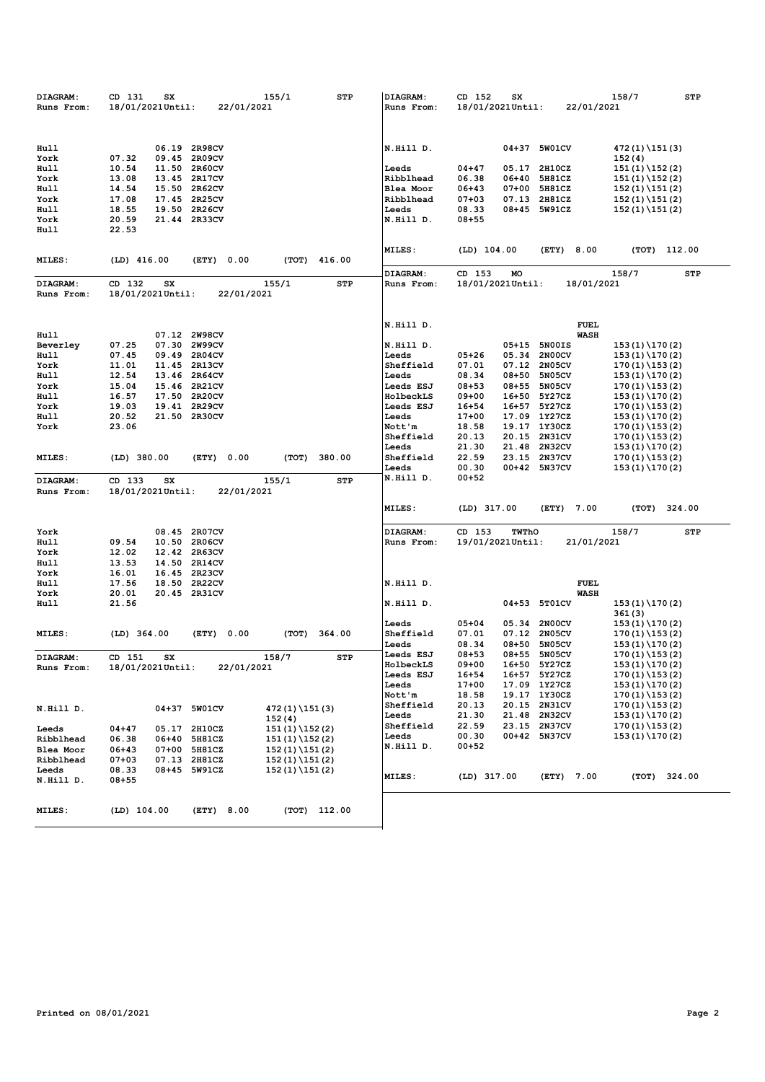| DIAGRAM:<br>Runs From: | CD 131<br>SX<br>18/01/2021Until: | 22/01/2021                    | 155/1                     | STP        | <b>DIAGRAM:</b><br>Runs From: | CD 152<br>18/01/2021Until: | SX           |                              | 22/01/2021                 | 158/7                              | STP          |
|------------------------|----------------------------------|-------------------------------|---------------------------|------------|-------------------------------|----------------------------|--------------|------------------------------|----------------------------|------------------------------------|--------------|
|                        |                                  |                               |                           |            |                               |                            |              |                              |                            |                                    |              |
| Hull<br>York           | 07.32<br>09.45                   | 06.19 2R98CV<br>2R09CV        |                           |            | N.Hill D.                     |                            |              | 04+37 5W01CV                 |                            | $472(1)\151(3)$<br>152(4)          |              |
| Hull                   | 10.54<br>11.50                   | 2R60CV                        |                           |            | Leeds                         | $04 + 47$                  |              | 05.17 2H10CZ                 |                            | $151(1)\152(2)$                    |              |
| York                   | 13.08<br>13.45                   | <b>2R17CV</b>                 |                           |            | Ribblhead                     | 06.38                      |              | 06+40 5H81CZ                 |                            | $151(1)\152(2)$                    |              |
| Hull                   | 14.54<br>15.50                   | 2R62CV                        |                           |            | Blea Moor                     | $06 + 43$                  |              | 07+00 5H81CZ                 |                            | $152(1)\151(2)$                    |              |
| York                   | 17.08<br>17.45                   | 2R25CV                        |                           |            | Ribblhead                     | $07 + 03$                  |              | 07.13 2H81CZ                 |                            | $152(1)\151(2)$                    |              |
| Hull                   | 18.55                            | 19.50 2R26CV                  |                           |            | Leeds                         | 08.33                      |              | 08+45 5W91CZ                 |                            | $152(1)\151(2)$                    |              |
| York                   | 20.59                            | 21.44 2R33CV                  |                           |            | N.Hill D.                     | $08 + 55$                  |              |                              |                            |                                    |              |
| Hull                   | 22.53                            |                               |                           |            |                               |                            |              |                              |                            |                                    |              |
| <b>MILES:</b>          | $(LD)$ 416.00                    | (ETY)<br>0.00                 | (TOT)                     | 416.00     | <b>MILES:</b>                 | $(LD)$ 104.00              |              | (ETY)                        | 8.00                       |                                    | (TOT) 112.00 |
| DIAGRAM:               | CD 132<br>SX                     |                               | 155/1                     | <b>STP</b> | <b>DIAGRAM:</b><br>Runs From: | CD 153<br>18/01/2021Until: | MO           |                              | 18/01/2021                 | 158/7                              | STP          |
| Runs From:             | 18/01/2021Until:                 | 22/01/2021                    |                           |            |                               |                            |              |                              |                            |                                    |              |
|                        |                                  | 07.12 2W98CV                  |                           |            | N.Hill D.                     |                            |              |                              | <b>FUEL</b><br><b>WASH</b> |                                    |              |
| Hull<br>Beverley       | 07.30<br>07.25                   | <b>2W99CV</b>                 |                           |            | N.Hill D.                     |                            |              | 05+15 5N00IS                 |                            | $153(1)\170(2)$                    |              |
| Hull                   | 09.49<br>07.45                   | <b>2R04CV</b>                 |                           |            | Leeds                         | $05 + 26$                  |              | 05.34 2N00CV                 |                            | $153(1)\170(2)$                    |              |
| York                   | 11.01<br>11.45                   | 2R13CV                        |                           |            | Sheffield                     | 07.01                      |              | 07.12 2N05CV                 |                            | $170(1)\153(2)$                    |              |
| Hull                   | 12.54                            | 13.46 2R64CV                  |                           |            | Leeds                         | 08.34                      | 08+50        | <b>5N05CV</b>                |                            | $153(1)\170(2)$                    |              |
| York                   | 15.04                            | 15.46 2R21CV                  |                           |            | Leeds ESJ                     | $08 + 53$                  | 08+55        | 5N05CV                       |                            | $170(1)\153(2)$                    |              |
| Hull                   | 16.57                            | 17.50 2R20CV                  |                           |            | HolbeckLS                     | $09 + 00$                  | 16+50        | 5Y27CZ                       |                            | $153(1)\170(2)$                    |              |
| York                   | 19.03                            | 19.41 2R29CV<br>21.50 2R30CV  |                           |            | Leeds ESJ                     | $16 + 54$<br>$17+00$       |              | 16+57 5Y27CZ<br>17.09 1Y27CZ |                            | $170(1)\153(2)$                    |              |
| Hull<br>York           | 20.52<br>23.06                   |                               |                           |            | Leeds<br>Nott'm               | 18.58                      |              | 19.17 1Y30CZ                 |                            | $153(1)\170(2)$<br>$170(1)\153(2)$ |              |
|                        |                                  |                               |                           |            | Sheffield                     | 20.13                      |              | 20.15 2N31CV                 |                            | $170(1)\153(2)$                    |              |
|                        |                                  |                               |                           |            | Leeds                         | 21.30                      | 21.48        | <b>2N32CV</b>                |                            | $153(1)\170(2)$                    |              |
| <b>MILES:</b>          | $(LD)$ 380.00                    | (ETY)<br>0.00                 | (TOT)                     | 380.00     | Sheffield                     | 22.59                      | 23.15        | <b>2N37CV</b>                |                            | $170(1)\153(2)$                    |              |
|                        |                                  |                               |                           |            | Leeds                         | 00.30                      |              | 00+42 5N37CV                 |                            | $153(1)\170(2)$                    |              |
| DIAGRAM:               | CD 133<br>SX                     |                               | 155/1                     | STP        | N.Hill D.                     | $00 + 52$                  |              |                              |                            |                                    |              |
| Runs From:             | 18/01/2021Until:                 | 22/01/2021                    |                           |            |                               |                            |              |                              |                            |                                    |              |
|                        |                                  |                               |                           |            | MILES:                        | $(LD)$ 317.00              |              | (ETY) 7.00                   |                            |                                    | (TOT) 324.00 |
|                        |                                  |                               |                           |            |                               |                            |              |                              |                            |                                    |              |
| York                   |                                  | 08.45 2R07CV                  |                           |            | DIAGRAM:                      | CD 153                     | <b>TWThO</b> |                              |                            | 158/7                              | STP          |
| Hull                   | 09.54                            | 10.50 2R06CV                  |                           |            | Runs From:                    | 19/01/2021Until:           |              |                              | 21/01/2021                 |                                    |              |
| York                   | 12.02                            | 12.42 2R63CV                  |                           |            |                               |                            |              |                              |                            |                                    |              |
| Hull                   | 13.53<br>14.50                   | 2R14CV                        |                           |            |                               |                            |              |                              |                            |                                    |              |
| York                   | 16.01                            | 16.45 2R23CV                  |                           |            |                               |                            |              |                              |                            |                                    |              |
| Hull<br>York           | 17.56<br>18.50<br>20.01          | <b>2R22CV</b><br>20.45 2R31CV |                           |            | N.Hill D.                     |                            |              |                              | FUEL<br><b>WASH</b>        |                                    |              |
| Hull                   | 21.56                            |                               |                           |            | N.Hill D.                     |                            |              | 04+53 5T01CV                 |                            | $153(1)\170(2)$                    |              |
|                        |                                  |                               |                           |            |                               |                            |              |                              |                            | 361(3)                             |              |
|                        |                                  |                               |                           |            | Leeds                         | $05 + 04$                  |              | 05.34 2N00CV                 |                            | $153(1)\170(2)$                    |              |
| <b>MILES:</b>          | $(LD)$ 364.00                    | (ETY)<br>0.00                 | (TOT)                     | 364.00     | Sheffield                     | 07.01                      |              | 07.12 2N05CV                 |                            | $170(1)\153(2)$                    |              |
|                        |                                  |                               |                           |            | Leeds                         | 08.34                      | 08+50        | 5N05CV                       |                            | $153(1)\170(2)$                    |              |
| DIAGRAM:               | CD 151<br>SX                     |                               | 158/7                     | <b>STP</b> | Leeds ESJ                     | $08 + 53$                  |              | 08+55 5N05CV                 |                            | $170(1)\153(2)$                    |              |
| Runs From:             | 18/01/2021Until:                 | 22/01/2021                    |                           |            | HolbeckLS<br>Leeds ESJ        | $09+00$                    | 16+50        | 5Y27CZ                       |                            | $153(1)\170(2)$<br>$170(1)\153(2)$ |              |
|                        |                                  |                               |                           |            | Leeds                         | 16+54<br>$17+00$           |              | 16+57 5Y27CZ<br>17.09 1Y27CZ |                            | $153(1)\170(2)$                    |              |
|                        |                                  |                               |                           |            | Nott'm                        | 18.58                      |              | 19.17 1Y30CZ                 |                            | $170(1)\153(2)$                    |              |
|                        |                                  | 04+37 5W01CV                  |                           |            | Sheffield                     | 20.13                      |              | 20.15 2N31CV                 |                            | $170(1)\153(2)$                    |              |
| N.Hill D.              |                                  |                               | $472(1)\151(3)$<br>152(4) |            | Leeds                         | 21.30                      |              | 21.48 2N32CV                 |                            | $153(1)\170(2)$                    |              |
| Leeds                  | $04 + 47$                        | 05.17 2H10CZ                  | $151(1)\152(2)$           |            | Sheffield                     | 22.59                      |              | 23.15 2N37CV                 |                            | $170(1)\153(2)$                    |              |
| Ribblhead              | 06.38                            | 06+40 5H81CZ                  | $151(1)\152(2)$           |            | Leeds                         | 00.30                      |              | 00+42 5N37CV                 |                            | $153(1)\170(2)$                    |              |
| Blea Moor              | 06+43                            | 07+00 5H81CZ                  | $152(1)\151(2)$           |            | N.Hill D.                     | $00 + 52$                  |              |                              |                            |                                    |              |
| Ribblhead              | $07 + 03$                        | 07.13 2H81CZ                  | $152(1)\151(2)$           |            |                               |                            |              |                              |                            |                                    |              |
| Leeds                  | 08.33                            | 08+45 5W91CZ                  | $152(1)\151(2)$           |            | MILES:                        | $(LD)$ 317.00              |              | (ETY) 7.00                   |                            |                                    | (TOT) 324.00 |
| N.Hill D.              | $08 + 55$                        |                               |                           |            |                               |                            |              |                              |                            |                                    |              |
| MILES:                 | $(LD)$ 104.00                    | (ETY) 8.00                    | (TOT) 112.00              |            |                               |                            |              |                              |                            |                                    |              |
|                        |                                  |                               |                           |            |                               |                            |              |                              |                            |                                    |              |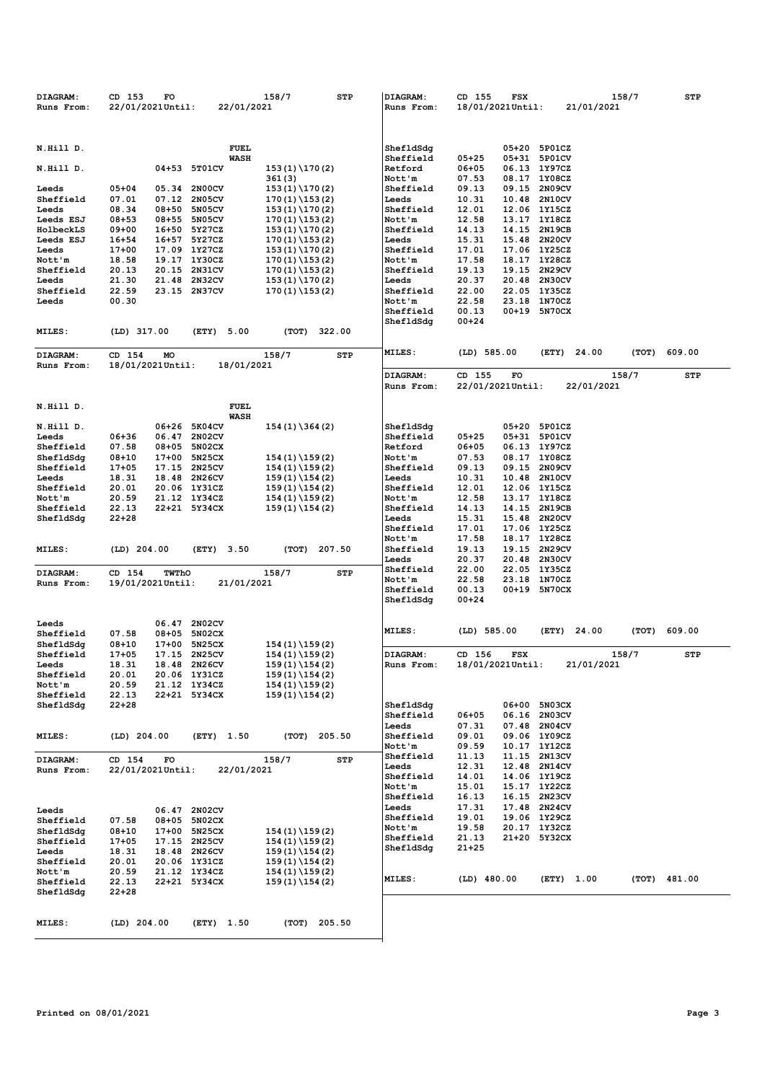| DIAGRAM:               | CD 153             | FO                      |                            | 158/7                              | <b>STP</b> | DIAGRAM:            | CD 155           | FSX        |                               |            | 158/7 | <b>STP</b> |  |
|------------------------|--------------------|-------------------------|----------------------------|------------------------------------|------------|---------------------|------------------|------------|-------------------------------|------------|-------|------------|--|
| Runs From:             | 22/01/2021Until:   |                         | 22/01/2021                 |                                    |            | Runs From:          | 18/01/2021Until: |            |                               | 21/01/2021 |       |            |  |
|                        |                    |                         |                            |                                    |            |                     |                  |            |                               |            |       |            |  |
|                        |                    |                         |                            |                                    |            |                     |                  |            |                               |            |       |            |  |
| N.Hill D.              |                    |                         | <b>FUEL</b>                |                                    |            | ShefldSdg           |                  |            | 05+20 5P01CZ                  |            |       |            |  |
|                        |                    |                         | WASH                       |                                    |            | Sheffield           | $05 + 25$        |            | 05+31 5P01CV                  |            |       |            |  |
| N.Hill D.              |                    | 04+53 5T01CV            |                            | $153(1)\170(2)$                    |            | Retford             | 06+05            |            | 06.13 1Y97CZ                  |            |       |            |  |
| Leeds                  | $05 + 04$          | 05.34                   | 2N00CV                     | 361(3)                             |            | Nott'm<br>Sheffield | 07.53<br>09.13   | 09.15      | 08.17 1Y08CZ<br><b>2N09CV</b> |            |       |            |  |
| Sheffield              | 07.01              | 07.12                   | <b>2N05CV</b>              | $153(1)\170(2)$<br>$170(1)\153(2)$ |            | Leeds               | 10.31            |            | 10.48 2N10CV                  |            |       |            |  |
| Leeds                  | 08.34              | $08 + 50$               | 5N05CV                     | $153(1)\170(2)$                    |            | Sheffield           | 12.01            |            | 12.06 1Y15CZ                  |            |       |            |  |
| Leeds ESJ              | 08+53              | $08 + 55$               | 5N05CV                     | $170(1)\153(2)$                    |            | Nott'm              | 12.58            | 13.17      | 1Y18CZ                        |            |       |            |  |
| HolbeckLS              | $09 + 00$          | $16 + 50$               | 5Y27CZ                     | $153(1)\170(2)$                    |            | Sheffield           | 14.13            |            | 14.15 2N19CB                  |            |       |            |  |
| Leeds ESJ              | $16 + 54$          | 16+57 5Y27CZ            |                            | $170(1)\153(2)$                    |            | Leeds               | 15.31            |            | 15.48 2N20CV                  |            |       |            |  |
| Leeds                  | $17+00$            | 17.09 1Y27CZ            |                            | $153(1)\170(2)$                    |            | Sheffield           | 17.01            |            | 17.06 1Y25CZ                  |            |       |            |  |
| Nott'm                 | 18.58              | 19.17 1Y30CZ            |                            | $170(1)\153(2)$                    |            | Nott'm              | 17.58            |            | 18.17 1Y28CZ                  |            |       |            |  |
| Sheffield              | 20.13              | 20.15 2N31CV            |                            | $170(1)\153(2)$                    |            | Sheffield           | 19.13            |            | 19.15 2N29CV                  |            |       |            |  |
| Leeds<br>Sheffield     | 21.30<br>22.59     | 21.48<br>23.15 2N37CV   | 2N32CV                     | $153(1)\170(2)$<br>$170(1)\153(2)$ |            | Leeds<br>Sheffield  | 20.37<br>22.00   | 20.48      | <b>2N30CV</b><br>22.05 1Y35CZ |            |       |            |  |
| Leeds                  | 00.30              |                         |                            |                                    |            | Nott'm              | 22.58            |            | 23.18 1N70CZ                  |            |       |            |  |
|                        |                    |                         |                            |                                    |            | Sheffield           | 00.13            |            | 00+19 5N70CX                  |            |       |            |  |
|                        |                    |                         |                            |                                    |            | ShefldSdg           | 00+24            |            |                               |            |       |            |  |
| <b>MILES:</b>          | $(LD)$ 317.00      |                         | (ETY)<br>5.00              | (TOT)                              | 322.00     |                     |                  |            |                               |            |       |            |  |
|                        |                    |                         |                            |                                    |            |                     |                  |            |                               |            |       |            |  |
| DIAGRAM:               | CD 154             | MO                      |                            | 158/7                              | <b>STP</b> | MILES:              | $(LD)$ 585.00    |            | (ETY)                         | 24.00      | (TOT) | 609.00     |  |
| Runs From:             | 18/01/2021Until:   |                         | 18/01/2021                 |                                    |            |                     |                  |            |                               |            |       |            |  |
|                        |                    |                         |                            |                                    |            | DIAGRAM:            | CD 155           | FO         |                               |            | 158/7 | <b>STP</b> |  |
|                        |                    |                         |                            |                                    |            | Runs From:          | 22/01/2021Until: |            |                               | 22/01/2021 |       |            |  |
|                        |                    |                         |                            |                                    |            |                     |                  |            |                               |            |       |            |  |
| N.Hill D.              |                    |                         | <b>FUEL</b><br><b>WASH</b> |                                    |            |                     |                  |            |                               |            |       |            |  |
| N.Hill D.              |                    | 06+26 5K04CV            |                            | $154(1)\364(2)$                    |            | ShefldSdg           |                  |            | 05+20 5P01CZ                  |            |       |            |  |
| Leeds                  | 06+36              | 06.47 2N02CV            |                            |                                    |            | Sheffield           | 05+25            |            | 05+31 5P01CV                  |            |       |            |  |
| Sheffield              | 07.58              | 08+05                   | 5N02CX                     |                                    |            | Retford             | 06+05            |            | 06.13 1Y97CZ                  |            |       |            |  |
| ShefldSdg              | 08+10              | $17+00$                 | 5N25CX                     | $154(1)\159(2)$                    |            | Nott'm              | 07.53            |            | 08.17 1Y08CZ                  |            |       |            |  |
| Sheffield              | $17+05$            | 17.15                   | <b>2N25CV</b>              | $154(1)\159(2)$                    |            | Sheffield           | 09.13            |            | 09.15 2N09CV                  |            |       |            |  |
| Leeds                  | 18.31              | 18.48                   | 2N26CV                     | $159(1)\154(2)$                    |            | Leeds               | 10.31            | 10.48      | <b>2N10CV</b>                 |            |       |            |  |
| Sheffield              | 20.01              | 20.06 1Y31CZ            |                            | $159(1)\154(2)$                    |            | Sheffield           | 12.01            |            | 12.06 1Y15CZ                  |            |       |            |  |
| Nott'm                 | 20.59              | 21.12 1Y34CZ            |                            | $154(1)\159(2)$                    |            | Nott'm              | 12.58            |            | 13.17 1Y18CZ                  |            |       |            |  |
| Sheffield              | 22.13              | 22+21 5Y34CX            |                            | $159(1)\154(2)$                    |            | Sheffield           | 14.13            |            | 14.15 2N19CB                  |            |       |            |  |
| ShefldSdg              | 22+28              |                         |                            |                                    |            | Leeds<br>Sheffield  | 15.31<br>17.01   |            | 15.48 2N20CV<br>17.06 1Y25CZ  |            |       |            |  |
|                        |                    |                         |                            |                                    |            | Nott'm              | 17.58            |            | 18.17 1Y28CZ                  |            |       |            |  |
| <b>MILES:</b>          | $(LD)$ 204.00      |                         | (ETY)<br>3.50              | (TOT)                              | 207.50     | Sheffield           | 19.13            | 19.15      | <b>2N29CV</b>                 |            |       |            |  |
|                        |                    |                         |                            |                                    |            | Leeds               | 20.37            |            | 20.48 2N30CV                  |            |       |            |  |
| DIAGRAM:               | CD 154             | TWThO                   |                            | 158/7                              | <b>STP</b> | Sheffield           | 22.00            |            | 22.05 1Y35CZ                  |            |       |            |  |
| Runs From:             | 19/01/2021Until:   |                         | 21/01/2021                 |                                    |            | Nott'm              | 22.58            |            | 23.18 1N70CZ                  |            |       |            |  |
|                        |                    |                         |                            |                                    |            | Sheffield           | 00.13            |            | 00+19 5N70CX                  |            |       |            |  |
|                        |                    |                         |                            |                                    |            | ShefldSdg           | $00 + 24$        |            |                               |            |       |            |  |
|                        |                    |                         |                            |                                    |            |                     |                  |            |                               |            |       |            |  |
| Leeds                  |                    | 06.47                   | <b>2N02CV</b>              |                                    |            | MILES:              | (LD) 585.00      |            | (ETY) 24.00                   |            | (TOT) | 609.00     |  |
| Sheffield              | 07.58              | 08+05                   | 5N02CX                     |                                    |            |                     |                  |            |                               |            |       |            |  |
| ShefldSdg<br>Sheffield | 08+10<br>$17 + 05$ | $17+00$<br>17.15 2N25CV | 5N25CX                     | $154(1)\159(2)$<br>$154(1)\159(2)$ |            | DIAGRAM:            | CD 156           | <b>FSX</b> |                               |            | 158/7 | <b>STP</b> |  |
| Leeds                  | 18.31              | 18.48 2N26CV            |                            | $159(1)$ \154(2)                   |            | Runs From:          | 18/01/2021Until: |            |                               | 21/01/2021 |       |            |  |
| Sheffield              | 20.01              | 20.06 1Y31CZ            |                            | $159(1)\154(2)$                    |            |                     |                  |            |                               |            |       |            |  |
| Nott'm                 | 20.59              | 21.12 1Y34CZ            |                            | $154(1)\159(2)$                    |            |                     |                  |            |                               |            |       |            |  |
| Sheffield              | 22.13              | 22+21 5Y34CX            |                            | $159(1)\154(2)$                    |            |                     |                  |            |                               |            |       |            |  |
| ShefldSdg              | 22+28              |                         |                            |                                    |            | ShefldSdq           |                  |            | 06+00 5N03CX                  |            |       |            |  |
|                        |                    |                         |                            |                                    |            | Sheffield           | 06+05            |            | 06.16 2N03CV                  |            |       |            |  |
|                        |                    |                         |                            |                                    |            | Leeds               | 07.31            |            | 07.48 2N04CV                  |            |       |            |  |
| MILES:                 | $(LD)$ 204.00      |                         | (ETY) 1.50                 | (TOT) 205.50                       |            | Sheffield           | 09.01            |            | 09.06 1Y09CZ                  |            |       |            |  |
|                        |                    |                         |                            |                                    |            | Nott'm              | 09.59            |            | 10.17 1Y12CZ                  |            |       |            |  |
| DIAGRAM:               | CD 154             | FO                      |                            | 158/7                              | STP        | Sheffield<br>Leeds  | 11.13<br>12.31   |            | 11.15 2N13CV<br>12.48 2N14CV  |            |       |            |  |
| Runs From:             | 22/01/2021Until:   |                         | 22/01/2021                 |                                    |            | Sheffield           | 14.01            |            | 14.06 1Y19CZ                  |            |       |            |  |
|                        |                    |                         |                            |                                    |            | Nott'm              | 15.01            |            | 15.17 1Y22CZ                  |            |       |            |  |
|                        |                    |                         |                            |                                    |            | Sheffield           | 16.13            |            | 16.15 2N23CV                  |            |       |            |  |
| Leeds                  |                    | 06.47 2N02CV            |                            |                                    |            | Leeds               | 17.31            |            | 17.48 2N24CV                  |            |       |            |  |
| Sheffield              | 07.58              | 08+05 5N02CX            |                            |                                    |            | Sheffield           | 19.01            |            | 19.06 1Y29CZ                  |            |       |            |  |
| ShefldSdg              | 08+10              | 17+00 5N25CX            |                            | $154(1)\159(2)$                    |            | Nott'm              | 19.58            |            | 20.17 1Y32CZ                  |            |       |            |  |
| Sheffield              | $17+05$            | 17.15 2N25CV            |                            | $154(1)\159(2)$                    |            | Sheffield           | 21.13            |            | 21+20 5Y32CX                  |            |       |            |  |
| Leeds                  | 18.31              | 18.48 2N26CV            |                            | $159(1)\154(2)$                    |            | ShefldSdg           | 21+25            |            |                               |            |       |            |  |
| Sheffield              | 20.01              | 20.06 1Y31CZ            |                            | $159(1)\154(2)$                    |            |                     |                  |            |                               |            |       |            |  |
| Nott'm                 | 20.59              | 21.12 1Y34CZ            |                            | $154(1)\159(2)$                    |            | MILES:              |                  |            |                               |            |       |            |  |
| Sheffield              | 22.13              | 22+21 5Y34CX            |                            | $159(1)\154(2)$                    |            |                     | $(LD)$ 480.00    |            | (ETY) 1.00                    |            | (ТОТ) | 481.00     |  |
| ShefldSdg              | 22+28              |                         |                            |                                    |            |                     |                  |            |                               |            |       |            |  |
|                        |                    |                         |                            |                                    |            |                     |                  |            |                               |            |       |            |  |
|                        |                    |                         |                            |                                    |            |                     |                  |            |                               |            |       |            |  |
| MILES:                 | $(LD)$ 204.00      |                         | (ETY) 1.50                 | (TOT) 205.50                       |            |                     |                  |            |                               |            |       |            |  |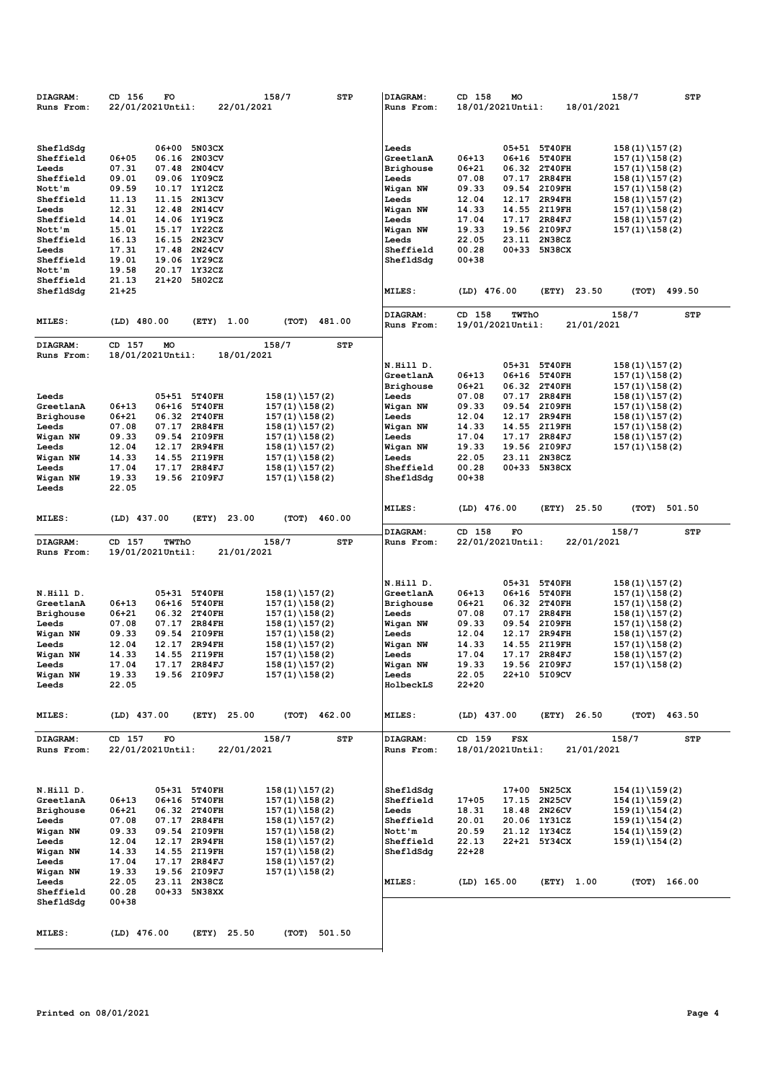| DIAGRAM:               | CD 156           | FO             |                              | 158/7                              | STP    | DIAGRAM:               | CD 158             | MO             |                              |            | 158/7                              | <b>STP</b>     |
|------------------------|------------------|----------------|------------------------------|------------------------------------|--------|------------------------|--------------------|----------------|------------------------------|------------|------------------------------------|----------------|
| Runs From:             | 22/01/2021Until: |                | 22/01/2021                   |                                    |        | Runs From:             | 18/01/2021Until:   |                |                              | 18/01/2021 |                                    |                |
|                        |                  |                |                              |                                    |        |                        |                    |                |                              |            |                                    |                |
|                        |                  |                |                              |                                    |        |                        |                    |                |                              |            |                                    |                |
| ShefldSdg              |                  | 06+00          | 5N03CX                       |                                    |        | Leeds                  |                    |                | 05+51 5T40FH                 |            | $158(1)\157(2)$                    |                |
| Sheffield              | 06+05            | 06.16          | <b>2N03CV</b>                |                                    |        | GreetlanA              | 06+13              | 06+16          | <b>5T40FH</b>                |            | $157(1)\158(2)$                    |                |
| Leeds                  | 07.31            | 07.48          | <b>2N04CV</b>                |                                    |        | Brighouse              | $06 + 21$          |                | 06.32 2T40FH                 |            | $157(1)\158(2)$                    |                |
| Sheffield              | 09.01            |                | 09.06 1Y09CZ                 |                                    |        | Leeds                  | 07.08              | 07.17          | 2R84FH                       |            | $158(1)\157(2)$                    |                |
| Nott'm<br>Sheffield    | 09.59<br>11.13   | 10.17<br>11.15 | 1Y12CZ<br><b>2N13CV</b>      |                                    |        | Wigan NW<br>Leeds      | 09.33<br>12.04     | 09.54<br>12.17 | 2109FH<br>2R94FH             |            | $157(1)\158(2)$<br>$158(1)\157(2)$ |                |
| Leeds                  | 12.31            | 12.48          | <b>2N14CV</b>                |                                    |        | Wigan NW               | 14.33              |                | 14.55 2I19FH                 |            | $157(1)\158(2)$                    |                |
| Sheffield              | 14.01            | 14.06          | 1Y19CZ                       |                                    |        | Leeds                  | 17.04              | 17.17          | 2R84FJ                       |            | $158(1)\157(2)$                    |                |
| Nott'm                 | 15.01            | 15.17          | 1Y22CZ                       |                                    |        | Wigan NW               | 19.33              | 19.56          | 2109FJ                       |            | $157(1)\158(2)$                    |                |
| Sheffield              | 16.13            | 16.15          | <b>2N23CV</b>                |                                    |        | Leeds                  | 22.05              | 23.11          | <b>2N38CZ</b>                |            |                                    |                |
| Leeds                  | 17.31            | 17.48          | <b>2N24CV</b>                |                                    |        | Sheffield              | 00.28              | 00+33          | <b>5N38CX</b>                |            |                                    |                |
| Sheffield<br>Nott'm    | 19.01<br>19.58   | 19.06          | 1Y29CZ<br>20.17 1Y32CZ       |                                    |        | ShefldSdg              | $00 + 38$          |                |                              |            |                                    |                |
| Sheffield              | 21.13            |                | 21+20 5H02CZ                 |                                    |        |                        |                    |                |                              |            |                                    |                |
| ShefldSdg              | 21+25            |                |                              |                                    |        | MILES:                 | $(LD)$ 476.00      |                | (ETY)                        | 23.50      | (TOT)                              | 499.50         |
|                        |                  |                |                              |                                    |        |                        |                    |                |                              |            |                                    |                |
|                        |                  |                |                              |                                    |        | DIAGRAM:               | CD 158             | <b>TWThO</b>   |                              |            | 158/7                              | STP            |
| MILES:                 | $(LD)$ 480.00    |                | (ETY) 1.00                   | (TOT)                              | 481.00 | Runs From:             | 19/01/2021Until:   |                |                              | 21/01/2021 |                                    |                |
|                        |                  |                |                              |                                    |        |                        |                    |                |                              |            |                                    |                |
| DIAGRAM:               | CD 157           | MO             |                              | 158/7                              | STP    |                        |                    |                |                              |            |                                    |                |
| Runs From:             | 18/01/2021Until: |                | 18/01/2021                   |                                    |        |                        |                    |                |                              |            |                                    |                |
|                        |                  |                |                              |                                    |        | N.Hill D.              |                    |                | 05+31 5T40FH<br>06+16 5T40FH |            | $158(1)\157(2)$                    |                |
|                        |                  |                |                              |                                    |        | GreetlanA<br>Brighouse | 06+13<br>$06 + 21$ | 06.32          | <b>2T40FH</b>                |            | $157(1)\158(2)$<br>$157(1)\158(2)$ |                |
| Leeds                  |                  |                | 05+51 5T40FH                 | $158(1)\157(2)$                    |        | Leeds                  | 07.08              |                | 07.17 2R84FH                 |            | $158(1)\157(2)$                    |                |
| GreetlanA              | 06+13            | 06+16          | <b>5T40FH</b>                | $157(1)\158(2)$                    |        | Wigan NW               | 09.33              | 09.54          | 2109FH                       |            | $157(1)\158(2)$                    |                |
| Brighouse              | 06+21            | 06.32          | <b>2T40FH</b>                | $157(1)\158(2)$                    |        | Leeds                  | 12.04              | 12.17          | <b>2R94FH</b>                |            | $158(1)\157(2)$                    |                |
| Leeds                  | 07.08            |                | 07.17 2R84FH                 | $158(1)\157(2)$                    |        | Wigan NW               | 14.33              |                | 14.55 2I19FH                 |            | $157(1)\158(2)$                    |                |
| Wigan NW               | 09.33            | 09.54          | 2109FH                       | $157(1)\158(2)$                    |        | Leeds                  | 17.04              | 17.17          | 2R84FJ                       |            | $158(1)\157(2)$                    |                |
| Leeds                  | 12.04            | 12.17          | 2R94FH                       | $158(1)\157(2)$                    |        | Wigan NW               | 19.33              | 19.56          | 2109FJ                       |            | $157(1)\158(2)$                    |                |
| Wigan NW               | 14.33            |                | 14.55 2I19FH                 | $157(1)\158(2)$                    |        | Leeds                  | 22.05              | 23.11          | 2N38CZ                       |            |                                    |                |
| Leeds                  | 17.04<br>19.33   |                | 17.17 2R84FJ<br>19.56 2I09FJ | $158(1)\157(2)$                    |        | Sheffield<br>ShefldSdg | 00.28<br>$00 + 38$ |                | 00+33 5N38CX                 |            |                                    |                |
| Wigan NW<br>Leeds      | 22.05            |                |                              | $157(1)\158(2)$                    |        |                        |                    |                |                              |            |                                    |                |
|                        |                  |                |                              |                                    |        |                        |                    |                |                              |            |                                    |                |
|                        |                  |                |                              |                                    |        | MILES:                 | $(LD)$ 476.00      |                | (ETY)                        | 25.50      | (ТОТ)                              | 501.50         |
| <b>MILES:</b>          | $(LD)$ 437.00    |                | (ETY) 23.00                  | (TOT)                              | 460.00 |                        |                    |                |                              |            |                                    |                |
|                        |                  |                |                              |                                    |        | DIAGRAM:               | CD 158             | FO             |                              |            | 158/7                              | <b>STP</b>     |
| DIAGRAM:               | CD 157           | <b>TWThO</b>   |                              | 158/7                              | STP    | Runs From:             | 22/01/2021Until:   |                |                              | 22/01/2021 |                                    |                |
|                        |                  |                | 21/01/2021                   |                                    |        |                        |                    |                |                              |            |                                    |                |
| Runs From:             | 19/01/2021Until: |                |                              |                                    |        |                        |                    |                |                              |            |                                    |                |
|                        |                  |                |                              |                                    |        |                        |                    |                |                              |            |                                    |                |
|                        |                  |                |                              |                                    |        |                        |                    |                |                              |            |                                    |                |
|                        |                  |                |                              |                                    |        | N.Hill D.              |                    |                | 05+31 5T40FH                 |            | $158(1)\157(2)$                    |                |
| N.Hill D.              |                  |                | 05+31 5T40FH                 | $158(1)\157(2)$                    |        | GreetlanA              | 06+13              | 06+16<br>06.32 | <b>5T40FH</b>                |            | $157(1)\158(2)$                    |                |
| GreetlanA<br>Brighouse | 06+13<br>06+21   | 06+16          | 5T40FH<br>06.32 2T40FH       | $157(1)\158(2)$<br>$157(1)\158(2)$ |        | Brighouse<br>Leeds     | $06 + 21$<br>07.08 | 07.17          | <b>2T40FH</b><br>2R84FH      |            | $157(1)\158(2)$<br>$158(1)\157(2)$ |                |
| Leeds                  | 07.08            |                | 07.17 2R84FH                 | $158(1)\157(2)$                    |        | Wigan NW               | 09.33              | 09.54          | 2109FH                       |            | $157(1)\158(2)$                    |                |
| Wigan NW               | 09.33            |                | 09.54 2I09FH                 | $157(1)\158(2)$                    |        | Leeds                  | 12.04              | 12.17          | 2R94FH                       |            | $158(1)\157(2)$                    |                |
| Leeds                  | 12.04            | 12.17          | 2R94FH                       | $158(1)\157(2)$                    |        | Wigan NW               | 14.33              | 14.55          | 2119FH                       |            | $157(1)\158(2)$                    |                |
| Wigan NW               | 14.33            |                | 14.55 2I19FH                 | $157(1)\158(2)$                    |        | Leeds                  | 17.04              | 17.17          | 2R84FJ                       |            | $158(1)\157(2)$                    |                |
| Leeds                  | 17.04            |                | 17.17 2R84FJ                 | $158(1)$ \157(2)                   |        | Wigan NW               | 19.33              |                | 19.56 2I09FJ                 |            | $157(1)\158(2)$                    |                |
| Wigan NW               | 19.33            |                | 19.56 2I09FJ                 | $157(1)\158(2)$                    |        | Leeds                  | 22.05              |                | 22+10 5I09CV                 |            |                                    |                |
| Leeds                  | 22.05            |                |                              |                                    |        | HolbeckLS              | $22+20$            |                |                              |            |                                    |                |
|                        |                  |                |                              |                                    |        |                        |                    |                |                              |            |                                    |                |
| <b>MILES:</b>          | $(LD)$ 437.00    |                | (ETY) 25.00                  | $(TOT)$ 462.00                     |        | MILES:                 | (LD) 437.00        |                | (ETY) 26.50                  |            |                                    | (TOT) 463.50   |
|                        |                  |                |                              |                                    |        |                        |                    |                |                              |            |                                    |                |
| DIAGRAM:               | CD 157           | FO             |                              | 158/7                              | STP    | DIAGRAM:               | CD 159             | FSX            |                              |            | 158/7                              | STP            |
| Runs From:             | 22/01/2021Until: |                | 22/01/2021                   |                                    |        | Runs From:             | 18/01/2021Until:   |                |                              | 21/01/2021 |                                    |                |
|                        |                  |                |                              |                                    |        |                        |                    |                |                              |            |                                    |                |
|                        |                  |                |                              |                                    |        |                        |                    |                |                              |            |                                    |                |
|                        |                  |                |                              |                                    |        |                        |                    |                |                              |            |                                    |                |
| N.Hill D.<br>GreetlanA | 06+13            |                | 05+31 5T40FH<br>06+16 5T40FH | $158(1)\157(2)$<br>$157(1)\158(2)$ |        | ShefldSdg<br>Sheffield | $17+05$            |                | 17+00 5N25CX<br>17.15 2N25CV |            | $154(1)\159(2)$<br>$154(1)\159(2)$ |                |
| Brighouse              | 06+21            |                | 06.32 2T40FH                 | $157(1)\158(2)$                    |        | Leeds                  | 18.31              |                | 18.48 2N26CV                 |            | $159(1)\154(2)$                    |                |
| Leeds                  | 07.08            |                | 07.17 2R84FH                 | $158(1)\157(2)$                    |        | Sheffield              | 20.01              |                | 20.06 1Y31CZ                 |            | $159(1)\154(2)$                    |                |
| Wigan NW               | 09.33            |                | 09.54 2I09FH                 | $157(1)\158(2)$                    |        | Nott'm                 | 20.59              |                | 21.12 1Y34CZ                 |            | $154(1)\159(2)$                    |                |
| Leeds                  | 12.04            |                | 12.17 2R94FH                 | $158(1)\157(2)$                    |        | Sheffield              | 22.13              |                | 22+21 5Y34CX                 |            | $159(1)\154(2)$                    |                |
| Wigan NW               | 14.33            |                | 14.55 2I19FH                 | $157(1)\158(2)$                    |        | ShefldSdg              | $22+28$            |                |                              |            |                                    |                |
| Leeds                  | 17.04            |                | 17.17 2R84FJ                 | $158(1)\157(2)$                    |        |                        |                    |                |                              |            |                                    |                |
| Wigan NW               | 19.33            |                | 19.56 2I09FJ                 | $157(1)\158(2)$                    |        |                        |                    |                |                              |            |                                    |                |
| Leeds                  | 22.05            |                | 23.11 2N38CZ                 |                                    |        | MILES:                 | $(LD)$ 165.00      |                | (ETY) 1.00                   |            |                                    | $(TOT)$ 166.00 |
| Sheffield<br>ShefldSdg | 00.28<br>00+38   |                | 00+33 5N38XX                 |                                    |        |                        |                    |                |                              |            |                                    |                |
|                        |                  |                |                              |                                    |        |                        |                    |                |                              |            |                                    |                |
|                        |                  |                |                              |                                    |        |                        |                    |                |                              |            |                                    |                |
| MILES:                 | $(LD)$ 476.00    |                | (ETY) 25.50                  | (ТОТ)                              | 501.50 |                        |                    |                |                              |            |                                    |                |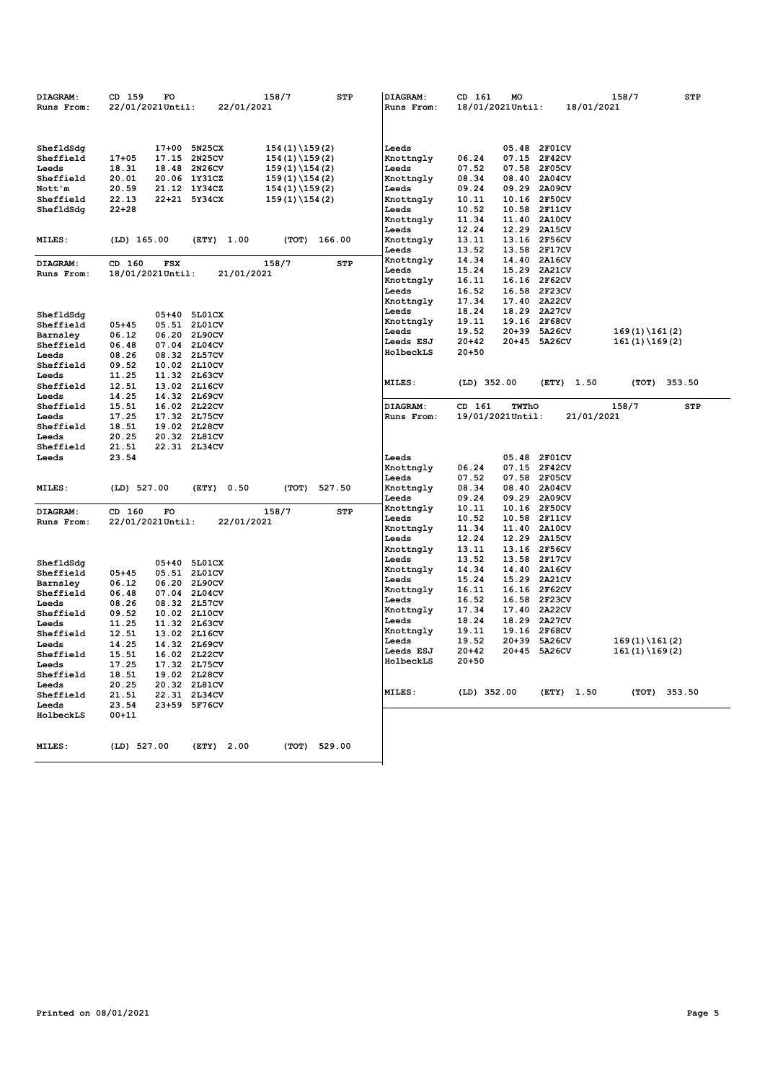| DIAGRAM:<br>Runs From: | CD 159<br><b>FO</b><br>22/01/2021Until: | 22/01/2021              | 158/7            | <b>STP</b> | DIAGRAM:<br>Runs From: | CD 161<br>18/01/2021Until: | MO                     |                  | 18/01/2021 | 158/7           | <b>STP</b> |
|------------------------|-----------------------------------------|-------------------------|------------------|------------|------------------------|----------------------------|------------------------|------------------|------------|-----------------|------------|
|                        |                                         |                         |                  |            |                        |                            |                        |                  |            |                 |            |
| ShefldSdg              | 17+00                                   | 5N25CX                  | $154(1)\159(2)$  |            | Leeds                  |                            | 05.48 2F01CV           |                  |            |                 |            |
| Sheffield              | $17 + 05$<br>17.15                      | <b>2N25CV</b>           | $154(1)\159(2)$  |            | Knottngly              | 06.24                      | 07.15                  | <b>2F42CV</b>    |            |                 |            |
| Leeds                  | 18.31<br>18.48                          | <b>2N26CV</b>           | $159(1)$ \154(2) |            | Leeds                  | 07.52                      | 07.58                  | <b>2F05CV</b>    |            |                 |            |
| Sheffield              | 20.01                                   | 20.06 1Y31CZ            | $159(1)$ \154(2) |            | Knottngly              | 08.34                      | 08.40                  | <b>2A04CV</b>    |            |                 |            |
| Nott'm                 | 20.59<br>21.12<br>22.13                 | 1Y34CZ<br>22+21 5Y34CX  | $154(1)\159(2)$  |            | Leeds                  | 09.24<br>10.11             | 09.29<br>10.16 2F50CV  | 2A09CV           |            |                 |            |
| Sheffield              | $22 + 28$                               |                         | $159(1)\154(2)$  |            | Knottngly              | 10.52                      | 10.58                  | <b>2F11CV</b>    |            |                 |            |
| ShefldSdg              |                                         |                         |                  |            | Leeds<br>Knottngly     | 11.34                      | 11.40                  | <b>2A10CV</b>    |            |                 |            |
|                        |                                         |                         |                  |            | Leeds                  | 12.24                      | 12.29                  | <b>2A15CV</b>    |            |                 |            |
| MILES:                 | $(LD)$ 165.00                           | (ETY)<br>1.00           | (TOT)            | 166.00     | Knottngly              | 13.11                      | 13.16 2F56CV           |                  |            |                 |            |
|                        |                                         |                         |                  |            | Leeds                  | 13.52                      | 13.58                  | <b>2F17CV</b>    |            |                 |            |
| DIAGRAM:               | CD 160<br><b>FSX</b>                    |                         | 158/7            | <b>STP</b> | Knottngly              | 14.34                      | 14.40                  | <b>2A16CV</b>    |            |                 |            |
| Runs From:             | 18/01/2021Until:                        | 21/01/2021              |                  |            | Leeds                  | 15.24                      | 15.29                  | <b>2A21CV</b>    |            |                 |            |
|                        |                                         |                         |                  |            | Knottngly              | 16.11                      | 16.16 2F62CV           |                  |            |                 |            |
|                        |                                         |                         |                  |            | Leeds                  | 16.52                      | 16.58                  | <b>2F23CV</b>    |            |                 |            |
|                        |                                         |                         |                  |            | Knottngly              | 17.34                      | 17.40                  | <b>2A22CV</b>    |            |                 |            |
| ShefldSdg              | $05 + 40$                               | 5L01CX                  |                  |            | Leeds                  | 18.24                      | 18.29                  | 2A27CV           |            |                 |            |
| Sheffield              | 05.51<br>$05 + 45$                      | 2L01CV                  |                  |            | Knottngly              | 19.11                      | 19.16                  | <b>2F68CV</b>    |            |                 |            |
| Barnsley               | 06.12<br>06.20                          | 2L90CV                  |                  |            | Leeds                  | 19.52<br>$20 + 42$         | $20 + 39$<br>$20 + 45$ | 5A26CV<br>5A26CV |            | $169(1)\161(2)$ |            |
| Sheffield              | 06.48<br>07.04                          | <b>2L04CV</b>           |                  |            | Leeds ESJ<br>HolbeckLS | $20 + 50$                  |                        |                  |            | $161(1)\169(2)$ |            |
| Leeds                  | 08.32<br>08.26                          | <b>2157CV</b>           |                  |            |                        |                            |                        |                  |            |                 |            |
| Sheffield              | 10.02<br>09.52                          | 2L10CV                  |                  |            |                        |                            |                        |                  |            |                 |            |
| Leeds<br>Sheffield     | 11.25<br>11.32<br>12.51<br>13.02        | 2L63CV<br>2L16CV        |                  |            | MILES:                 | $(LD)$ 352.00              |                        | (ETY) 1.50       |            | (TOT)           | 353.50     |
| Leeds                  | 14.25<br>14.32                          | 2L69CV                  |                  |            |                        |                            |                        |                  |            |                 |            |
| Sheffield              | 15.51<br>16.02                          | <b>2L22CV</b>           |                  |            | DIAGRAM:               | CD 161                     | TWThO                  |                  |            | 158/7           | <b>STP</b> |
| Leeds                  | 17.25<br>17.32                          | <b>2L75CV</b>           |                  |            | <b>Runs From:</b>      | 19/01/2021Until:           |                        |                  | 21/01/2021 |                 |            |
| Sheffield              | 18.51<br>19.02                          | <b>2L28CV</b>           |                  |            |                        |                            |                        |                  |            |                 |            |
| Leeds                  | 20.25<br>20.32                          | 2L81CV                  |                  |            |                        |                            |                        |                  |            |                 |            |
| Sheffield              | 21.51<br>22.31                          | 2L34CV                  |                  |            |                        |                            |                        |                  |            |                 |            |
| Leeds                  | 23.54                                   |                         |                  |            | Leeds                  |                            | 05.48                  | 2F01CV           |            |                 |            |
|                        |                                         |                         |                  |            | Knottngly              | 06.24                      | 07.15 2F42CV           |                  |            |                 |            |
|                        |                                         |                         |                  |            | Leeds                  | 07.52                      | 07.58 2F05CV<br>08.40  | <b>2A04CV</b>    |            |                 |            |
| MILES:                 | (LD) 527.00                             | (ETY)<br>0.50           | (TOT)            | 527.50     | Knottngly<br>Leeds     | 08.34<br>09.24             | 09.29                  | <b>2A09CV</b>    |            |                 |            |
|                        |                                         |                         |                  |            | Knottngly              | 10.11                      | 10.16 2F50CV           |                  |            |                 |            |
| DIAGRAM:<br>Runs From: | CD 160<br>FO<br>22/01/2021Until:        | 22/01/2021              | 158/7            | <b>STP</b> | Leeds                  | 10.52                      | 10.58                  | 2F11CV           |            |                 |            |
|                        |                                         |                         |                  |            | Knottngly              | 11.34                      | 11.40                  | <b>2A10CV</b>    |            |                 |            |
|                        |                                         |                         |                  |            | Leeds                  | 12.24                      | 12.29 2A15CV           |                  |            |                 |            |
|                        |                                         |                         |                  |            | Knottngly              | 13.11                      | 13.16 2F56CV           |                  |            |                 |            |
| ShefldSdg              | $05 + 40$                               | 5L01CX                  |                  |            | Leeds                  | 13.52                      | 13.58                  | 2F17CV           |            |                 |            |
| Sheffield              | $05 + 45$<br>05.51                      | 2L01CV                  |                  |            | Knottngly              | 14.34                      | 14.40 2A16CV           |                  |            |                 |            |
| Barnsley               | 06.20<br>06.12                          | 2L90CV                  |                  |            | Leeds                  | 15.24                      | 15.29 2A21CV           |                  |            |                 |            |
| Sheffield              | 06.48<br>07.04                          | 2L04CV                  |                  |            | Knottngly              | 16.11                      | 16.16 2F62CV           |                  |            |                 |            |
| Leeds                  | 08.26<br>08.32                          | 2L57CV                  |                  |            | Leeds                  | 16.52<br>17.34             | 16.58<br>17.40 2A22CV  | 2F23CV           |            |                 |            |
| Sheffield              | 09.52<br>10.02                          | <b>2L10CV</b>           |                  |            | Knottngly<br>Leeds     | 18.24                      | 18.29 2A27CV           |                  |            |                 |            |
| Leeds                  | 11.25<br>11.32                          | 2L63CV                  |                  |            | Knottngly              | 19.11                      | 19.16                  | <b>2F68CV</b>    |            |                 |            |
| Sheffield<br>Leeds     | 12.51<br>13.02<br>14.25<br>14.32        | <b>2L16CV</b><br>2L69CV |                  |            | Leeds                  | 19.52                      | $20 + 39$              | 5A26CV           |            | $169(1)\161(2)$ |            |
| Sheffield              | 15.51<br>16.02                          | <b>2L22CV</b>           |                  |            | <b>Leeds ESJ</b>       | $20 + 42$                  | 20+45                  | 5A26CV           |            | $161(1)\169(2)$ |            |
| Leeds                  | 17.25                                   | 17.32 2L75CV            |                  |            | HolbeckLS              | $20 + 50$                  |                        |                  |            |                 |            |
| Sheffield              | 18.51<br>19.02                          | 2L28CV                  |                  |            |                        |                            |                        |                  |            |                 |            |
| Leeds                  | 20.25<br>20.32                          | 2L81CV                  |                  |            |                        |                            |                        |                  |            |                 |            |
| Sheffield              | 21.51<br>22.31                          | <b>2L34CV</b>           |                  |            | <b>MILES:</b>          | $(LD)$ 352.00              |                        | (ETY) 1.50       |            | (TOT)           | 353.50     |
| Leeds                  | 23.54<br>$23 + 59$                      | <b>5F76CV</b>           |                  |            |                        |                            |                        |                  |            |                 |            |
| HolbeckLS              | $00 + 11$                               |                         |                  |            |                        |                            |                        |                  |            |                 |            |
|                        |                                         |                         |                  |            |                        |                            |                        |                  |            |                 |            |
| MILES:                 | (LD) 527.00                             | (ETY)<br>2.00           | (TOT)            | 529.00     |                        |                            |                        |                  |            |                 |            |
|                        |                                         |                         |                  |            |                        |                            |                        |                  |            |                 |            |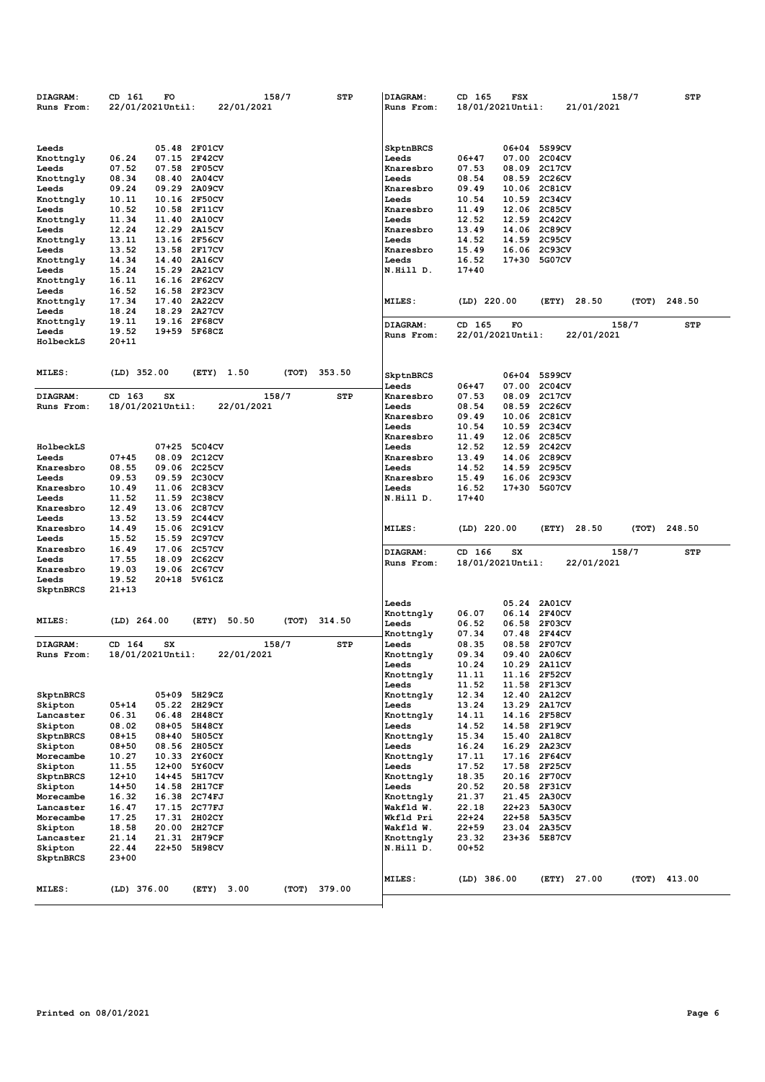| DIAGRAM:<br>Runs From:                                                                                                                                                                                      | CD 161<br>FO<br>22/01/2021Until:                                                                                                                                                                                                                                                                                                                                                                                                                         | 158/7<br>22/01/2021                  | STP           | DIAGRAM:<br>Runs From:                                                                                                                                                                                    | CD 165<br><b>FSX</b><br>18/01/2021Until:                                                                                                                                       | 158/7<br>21/01/2021                                                                                                                                                                                                                                          | <b>STP</b>                    |
|-------------------------------------------------------------------------------------------------------------------------------------------------------------------------------------------------------------|----------------------------------------------------------------------------------------------------------------------------------------------------------------------------------------------------------------------------------------------------------------------------------------------------------------------------------------------------------------------------------------------------------------------------------------------------------|--------------------------------------|---------------|-----------------------------------------------------------------------------------------------------------------------------------------------------------------------------------------------------------|--------------------------------------------------------------------------------------------------------------------------------------------------------------------------------|--------------------------------------------------------------------------------------------------------------------------------------------------------------------------------------------------------------------------------------------------------------|-------------------------------|
| Leeds<br>Knottngly<br>Leeds<br>Knottngly<br>Leeds<br>Knottngly<br>Leeds<br>Knottngly<br>Leeds<br>Knottngly<br>Leeds<br>Knottngly<br>Leeds<br>Knottngly<br>Leeds                                             | 05.48 2F01CV<br>06.24<br>07.15<br>2F42CV<br>2F05CV<br>07.52<br>07.58<br>08.34<br>08.40<br><b>2A04CV</b><br>09.24<br><b>2A09CV</b><br>09.29<br><b>2F50CV</b><br>10.11<br>10.16<br>10.52<br>10.58<br>2F11CV<br>11.34<br><b>2A10CV</b><br>11.40<br>12.24<br>12.29<br><b>2A15CV</b><br>13.16 2F56CV<br>13.11<br>13.52<br>13.58<br>2F17CV<br>14.34<br>14.40<br><b>2A16CV</b><br>15.24<br>15.29 2A21CV<br>2F62CV<br>16.11<br>16.16<br>16.52<br>16.58<br>2F23CV |                                      |               | SkptnBRCS<br>Leeds<br>Knaresbro<br>Leeds<br>Knaresbro<br>Leeds<br>Knaresbro<br>Leeds<br>Knaresbro<br>Leeds<br>Knaresbro<br>Leeds<br>N.Hill D.                                                             | 06+47<br>07.00<br>07.53<br>08.09<br>08.54<br>08.59<br>09.49<br>10.54<br>11.49<br>12.52<br>12.59<br>13.49<br>14.52<br>14.59<br>15.49<br>16.06<br>16.52<br>$17 + 40$             | 06+04 5S99CV<br><b>2C04CV</b><br>2C17CV<br>2C26CV<br>10.06 2C81CV<br>10.59 2C34CV<br>12.06 2C85CV<br><b>2C42CV</b><br>14.06 2C89CV<br>2C95CV<br>2C93CV<br>17+30 5G07CV                                                                                       |                               |
| Knottngly<br>Leeds<br>Knottngly<br>Leeds                                                                                                                                                                    | 17.34<br>17.40<br><b>2A22CV</b><br>18.24<br><b>2A27CV</b><br>18.29<br>19.11<br>19.16<br>2F68CV<br>19.52<br>19+59 5F68CZ                                                                                                                                                                                                                                                                                                                                  |                                      |               | <b>MILES:</b><br>DIAGRAM:                                                                                                                                                                                 | $(LD)$ 220.00<br>CD 165<br>FO                                                                                                                                                  | (ETY) 28.50<br>158/7                                                                                                                                                                                                                                         | (TOT)<br>248.50<br>STP        |
| <b>HolbeckLS</b>                                                                                                                                                                                            | $20 + 11$                                                                                                                                                                                                                                                                                                                                                                                                                                                |                                      |               | Runs From:                                                                                                                                                                                                | 22/01/2021Until:                                                                                                                                                               | 22/01/2021                                                                                                                                                                                                                                                   |                               |
| MILES:<br><b>DIAGRAM:</b><br>Runs From:                                                                                                                                                                     | $(LD)$ 352.00<br>(ETY)<br>CD 163<br>SX<br>18/01/2021Until:                                                                                                                                                                                                                                                                                                                                                                                               | 1.50<br>(ТОТ)<br>158/7<br>22/01/2021 | 353.50<br>STP | SkptnBRCS<br>Leeds<br>Knaresbro<br>Leeds<br>Knaresbro<br>Leeds                                                                                                                                            | 06+04<br>$06 + 47$<br>07.00<br>07.53<br>08.09<br>08.54<br>08.59<br>09.49<br>10.06<br>10.54<br>10.59                                                                            | 5S99CV<br><b>2C04CV</b><br>2C17CV<br><b>2C26CV</b><br>2C81CV<br>2C34CV                                                                                                                                                                                       |                               |
| HolbeckLS<br>Leeds<br>Knaresbro<br>Leeds<br>Knaresbro<br>Leeds<br>Knaresbro<br>Leeds                                                                                                                        | $07 + 25$<br>5C04CV<br>$07 + 45$<br>08.09 2C12CV<br>08.55<br>09.06<br>2C25CV<br>09.53<br><b>2C30CV</b><br>09.59<br>10.49<br>11.06 2C83CV<br>11.52<br>11.59<br>2C38CV<br>12.49<br>13.06<br>2C87CV<br>13.52<br>13.59<br>2C44CV                                                                                                                                                                                                                             |                                      |               | Knaresbro<br>Leeds<br>Knaresbro<br>Leeds<br>Knaresbro<br>Leeds<br>N.Hill D.                                                                                                                               | 11.49<br>12.52<br>13.49<br>14.52<br>14.59<br>15.49<br>16.52<br>17+30<br>$17 + 40$                                                                                              | 12.06 2C85CV<br>12.59 2C42CV<br>14.06 2C89CV<br>2C95CV<br>16.06 2C93CV<br>5G07CV                                                                                                                                                                             |                               |
| Knaresbro<br>Leeds<br>Knaresbro<br>Leeds<br>Knaresbro<br>Leeds                                                                                                                                              | 14.49<br>15.06 2C91CV<br>15.52<br>15.59 2C97CV<br>16.49<br>17.06 2C57CV<br>17.55<br>18.09<br>2C62CV<br>19.03<br>19.06<br>2C67CV<br>19.52<br>$20 + 18$<br>5V61CZ                                                                                                                                                                                                                                                                                          |                                      |               | MILES:<br><b>DIAGRAM:</b><br>Runs From:                                                                                                                                                                   | $(LD)$ 220.00<br>CD 166<br>SX<br>18/01/2021Until:                                                                                                                              | (ETY)<br>28.50<br>158/7<br>22/01/2021                                                                                                                                                                                                                        | 248.50<br>(TOT)<br><b>STP</b> |
| SkptnBRCS<br>MILES:                                                                                                                                                                                         | $21 + 13$<br>$(LD)$ 264.00<br>(ETY)                                                                                                                                                                                                                                                                                                                                                                                                                      | 50.50<br>(TOT)                       | 314.50        | Leeds<br>Knottngly<br>Leeds<br>Knottngly                                                                                                                                                                  | 06.07<br>06.14<br>06.52<br>06.58<br>07.34<br>07.48                                                                                                                             | 05.24 2A01CV<br><b>2F40CV</b><br>2F03CV<br>2F44CV                                                                                                                                                                                                            |                               |
| DIAGRAM:<br>Runs From:                                                                                                                                                                                      | CD 164<br>SX<br>18/01/2021Until:                                                                                                                                                                                                                                                                                                                                                                                                                         | 158/7<br>22/01/2021                  | STP           | Leeds<br>Knottngly<br>Leeds<br>Knottngly<br>Leeds                                                                                                                                                         | 08.35<br>08.58<br>09.34<br>09.40<br>10.24<br>11.11<br>11.52                                                                                                                    | 2F07CV<br>2A06CV<br>10.29 2A11CV<br>11.16 2F52CV<br>11.58 2F13CV                                                                                                                                                                                             |                               |
| SkptnBRCS<br>Skipton<br>Lancaster<br>Skipton<br>SkptnBRCS<br>Skipton<br>Morecambe<br>Skipton<br>SkptnBRCS<br>Skipton<br>Morecambe<br>Lancaster<br>Morecambe<br>Skipton<br>Lancaster<br>Skipton<br>SkptnBRCS | 05+09 5H29CZ<br>05+14<br>05.22 2H29CY<br>06.31<br>06.48 2H48CY<br>08.02<br>08+05 5H48CY<br>08+15<br>$08 + 40$<br><b>5H05CY</b><br>08+50<br>08.56 2H05CY<br>10.27<br>10.33 2Y60CY<br>11.55<br>5Y60CV<br>$12+00$<br>$12 + 10$<br>14+45 5H17CV<br>$14 + 50$<br>14.58 2H17CF<br>16.32<br>16.38 2C74FJ<br>16.47<br>17.15 2C77FJ<br>17.25<br>17.31 2H02CY<br>18.58<br>20.00 2H27CF<br>21.31 2H79CF<br>21.14<br>22.44<br>22+50 5H98CV<br>$23+00$                |                                      |               | Knottngly<br>Leeds<br>Knottngly<br>Leeds<br>Knottngly<br>Leeds<br>Knottngly<br>Leeds<br>Knottngly<br>Leeds<br>Knottngly<br>Wakfld W.<br>Wkfld Pri<br>Wakfld W.<br>Knottngly<br>N.Hill D.<br><b>MILES:</b> | 12.34<br>12.40<br>13.24<br>14.11<br>14.52<br>15.34<br>16.24<br>17.11<br>17.52<br>18.35<br>20.52<br>21.37<br>22.18<br>$22 + 24$<br>$22 + 59$<br>23.32<br>00+52<br>$(LD)$ 386.00 | <b>2A12CV</b><br>13.29 2A17CV<br>14.16 2F58CV<br>14.58 2F19CV<br>15.40 2A18CV<br>16.29 2A23CV<br>17.16 2F64CV<br>17.58 2F25CV<br>20.16 2F70CV<br>20.58 2F31CV<br>21.45 2A30CV<br>22+23 5A30CV<br>22+58 5A35CV<br>23.04 2A35CV<br>23+36 5E87CV<br>(ETY) 27.00 | $(TOT)$ 413.00                |
| <b>MILES:</b>                                                                                                                                                                                               | (LD) 376.00                                                                                                                                                                                                                                                                                                                                                                                                                                              | (ETY) 3.00                           | (TOT) 379.00  |                                                                                                                                                                                                           |                                                                                                                                                                                |                                                                                                                                                                                                                                                              |                               |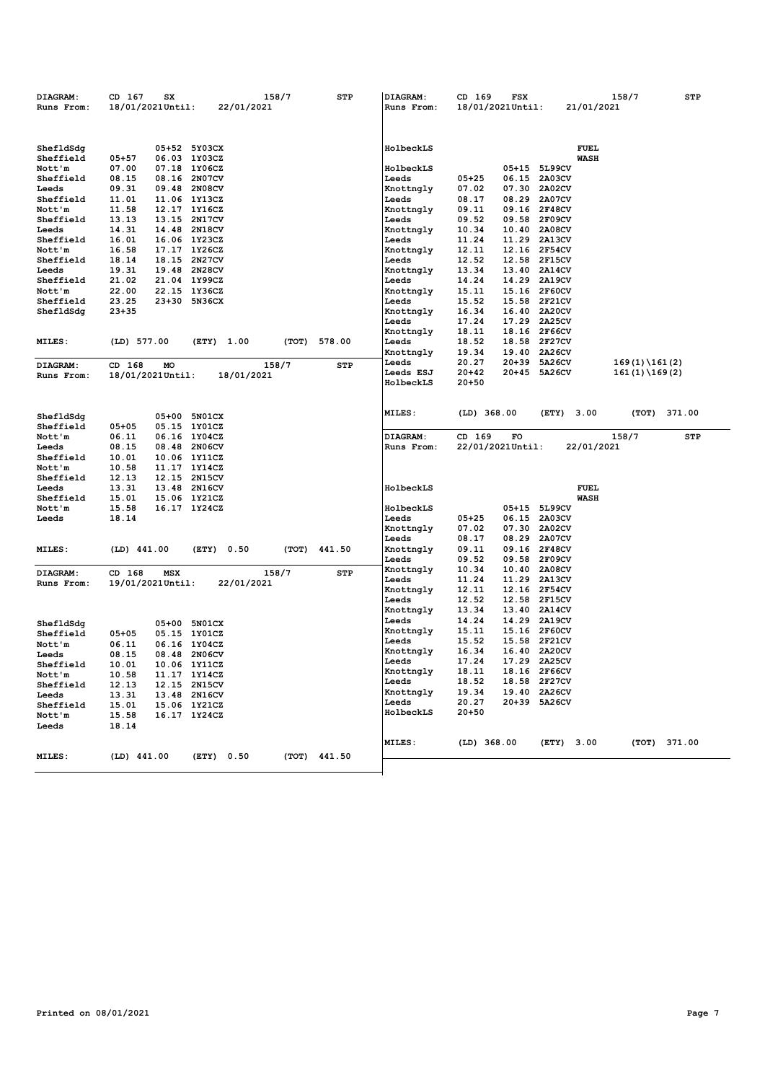| <b>DIAGRAM:</b> | CD 167<br>SX              |               | 158/7 | <b>STP</b>   | DIAGRAM:      | CD 169              | <b>FSX</b> |               |             | 158/7           | STP          |
|-----------------|---------------------------|---------------|-------|--------------|---------------|---------------------|------------|---------------|-------------|-----------------|--------------|
| Runs From:      | 18/01/2021Until:          | 22/01/2021    |       |              | Runs From:    | $18/01/2021$ Until: |            |               | 21/01/2021  |                 |              |
|                 |                           |               |       |              |               |                     |            |               |             |                 |              |
|                 |                           |               |       |              |               |                     |            |               |             |                 |              |
|                 |                           |               |       |              |               |                     |            |               |             |                 |              |
| ShefldSdg       | 05+52                     | 5Y03CX        |       |              | HolbeckLS     |                     |            |               | FUEL        |                 |              |
| Sheffield       | $05 + 57$<br>06.03 1Y03CZ |               |       |              |               |                     |            |               | <b>WASH</b> |                 |              |
| Nott'm          | 07.00<br>07.18            | 1Y06CZ        |       |              | HolbeckLS     |                     | 05+15      | 5L99CV        |             |                 |              |
| Sheffield       | 08.15<br>08.16            | <b>2N07CV</b> |       |              | Leeds         | $05 + 25$           | 06.15      | 2A03CV        |             |                 |              |
| Leeds           | 09.31<br>09.48            | <b>2N08CV</b> |       |              | Knottngly     | 07.02               | 07.30      | <b>2A02CV</b> |             |                 |              |
| Sheffield       | 11.01<br>11.06 1Y13CZ     |               |       |              | Leeds         | 08.17               | 08.29      | <b>2A07CV</b> |             |                 |              |
| Nott'm          | 11.58<br>12.17 1Y16CZ     |               |       |              | Knottngly     | 09.11               | 09.16      | <b>2F48CV</b> |             |                 |              |
| Sheffield       | 13.13<br>13.15 2N17CV     |               |       |              | Leeds         | 09.52               | 09.58      | <b>2F09CV</b> |             |                 |              |
| Leeds           | 14.31<br>14.48            | <b>2N18CV</b> |       |              | Knottngly     | 10.34               | 10.40      | <b>2A08CV</b> |             |                 |              |
| Sheffield       | 16.01<br>16.06 1Y23CZ     |               |       |              | Leeds         | 11.24               | 11.29      | <b>2A13CV</b> |             |                 |              |
| Nott'm          | 16.58<br>17.17 1Y26CZ     |               |       |              | Knottngly     | 12.11               |            | 12.16 2F54CV  |             |                 |              |
| Sheffield       | 18.14<br>18.15 2N27CV     |               |       |              | Leeds         | 12.52               | 12.58      | <b>2F15CV</b> |             |                 |              |
| Leeds           | 19.31<br>19.48            | <b>2N28CV</b> |       |              | Knottngly     | 13.34               | 13.40      | <b>2A14CV</b> |             |                 |              |
| Sheffield       | 21.02<br>21.04 1Y99CZ     |               |       |              | Leeds         | 14.24               |            | 14.29 2A19CV  |             |                 |              |
| Nott'm          | 22.00<br>22.15 1Y36CZ     |               |       |              | Knottngly     | 15.11               | 15.16      | <b>2F60CV</b> |             |                 |              |
| Sheffield       | 23.25<br>$23 + 30$        | <b>5N36CX</b> |       |              | Leeds         | 15.52               | 15.58      | <b>2F21CV</b> |             |                 |              |
| ShefldSdg       | $23 + 35$                 |               |       |              | Knottngly     | 16.34               |            | 16.40 2A20CV  |             |                 |              |
|                 |                           |               |       |              | Leeds         | 17.24               |            | 17.29 2A25CV  |             |                 |              |
|                 |                           |               |       |              | Knottngly     | 18.11               | 18.16      | <b>2F66CV</b> |             |                 |              |
| <b>MILES:</b>   | (LD) 577.00               | (ETY)<br>1.00 | (TOT) | 578.00       | Leeds         | 18.52               | 18.58      | <b>2F27CV</b> |             |                 |              |
|                 |                           |               |       |              | Knottngly     | 19.34               | 19.40      | <b>2A26CV</b> |             |                 |              |
|                 |                           |               |       |              | Leeds         | 20.27               | $20 + 39$  | <b>5A26CV</b> |             | $169(1)\161(2)$ |              |
| DIAGRAM:        | CD 168<br>МO              |               | 158/7 | <b>STP</b>   | Leeds ESJ     | $20 + 42$           |            | 20+45 5A26CV  |             | $161(1)\169(2)$ |              |
| Runs From:      | 18/01/2021Until:          | 18/01/2021    |       |              | HolbeckLS     | 20+50               |            |               |             |                 |              |
|                 |                           |               |       |              |               |                     |            |               |             |                 |              |
|                 |                           |               |       |              |               |                     |            |               |             |                 |              |
|                 |                           |               |       |              | <b>MILES:</b> | $(LD)$ 368.00       |            | (ETY)         | 3.00        | (TOT)           | 371.00       |
| ShefldSdg       | 05+00 5N01CX              |               |       |              |               |                     |            |               |             |                 |              |
| Sheffield       | $05 + 05$<br>05.15 1Y01CZ |               |       |              |               |                     |            |               |             |                 |              |
|                 |                           |               |       |              |               |                     |            |               |             |                 |              |
| Nott'm          | 06.11<br>06.16 1Y04CZ     |               |       |              | DIAGRAM:      | CD 169              | FO         |               |             | 158/7           | STP          |
| Leeds           | 08.15<br>08.48            | <b>2N06CV</b> |       |              | Runs From:    | 22/01/2021Until:    |            |               | 22/01/2021  |                 |              |
| Sheffield       | 10.01<br>10.06 1Y11CZ     |               |       |              |               |                     |            |               |             |                 |              |
| Nott'm          | 10.58<br>11.17 1Y14CZ     |               |       |              |               |                     |            |               |             |                 |              |
| Sheffield       | 12.13<br>12.15 2N15CV     |               |       |              |               |                     |            |               |             |                 |              |
| Leeds           | 13.31<br>13.48            | <b>2N16CV</b> |       |              | HolbeckLS     |                     |            |               | FUEL        |                 |              |
| Sheffield       | 15.01<br>15.06 1Y21CZ     |               |       |              |               |                     |            |               | <b>WASH</b> |                 |              |
| Nott'm          | 15.58<br>16.17 1Y24CZ     |               |       |              | HolbeckLS     |                     |            | 05+15 5L99CV  |             |                 |              |
|                 |                           |               |       |              |               |                     |            |               |             |                 |              |
| Leeds           | 18.14                     |               |       |              | Leeds         | $05 + 25$           | 06.15      | <b>2A03CV</b> |             |                 |              |
|                 |                           |               |       |              | Knottngly     | 07.02               | 07.30      | <b>2A02CV</b> |             |                 |              |
|                 |                           |               |       |              | Leeds         | 08.17               | 08.29      | <b>2A07CV</b> |             |                 |              |
| <b>MILES:</b>   | $(LD)$ 441.00             | (ETY)<br>0.50 | (TOT) | 441.50       | Knottngly     | 09.11               | 09.16      | <b>2F48CV</b> |             |                 |              |
|                 |                           |               |       |              | Leeds         | 09.52               | 09.58      | <b>2F09CV</b> |             |                 |              |
| DIAGRAM:        | MSX<br>CD 168             |               | 158/7 | <b>STP</b>   | Knottngly     | 10.34               | 10.40      | <b>2A08CV</b> |             |                 |              |
| Runs From:      | 19/01/2021Until:          | 22/01/2021    |       |              | Leeds         | 11.24               |            | 11.29 2A13CV  |             |                 |              |
|                 |                           |               |       |              | Knottngly     | 12.11               |            | 12.16 2F54CV  |             |                 |              |
|                 |                           |               |       |              | Leeds         | 12.52               | 12.58      | <b>2F15CV</b> |             |                 |              |
|                 |                           |               |       |              | Knottngly     | 13.34               | 13.40      | <b>2A14CV</b> |             |                 |              |
| ShefldSdg       | $05+00$                   | 5N01CX        |       |              | Leeds         | 14.24               |            | 14.29 2A19CV  |             |                 |              |
| Sheffield       | $05 + 05$<br>05.15 1Y01CZ |               |       |              | Knottngly     | 15.11               |            | 15.16 2F60CV  |             |                 |              |
| Nott'm          | 06.11<br>06.16 1Y04CZ     |               |       |              | Leeds         | 15.52               | 15.58      | 2F21CV        |             |                 |              |
| Leeds           | 08.15<br>08.48            | <b>2N06CV</b> |       |              | Knottngly     | 16.34               |            | 16.40 2A20CV  |             |                 |              |
| Sheffield       | 10.01                     |               |       |              | Leeds         | 17.24               |            | 17.29 2A25CV  |             |                 |              |
|                 | 10.06 1Y11CZ              |               |       |              | Knottngly     | 18.11               |            | 18.16 2F66CV  |             |                 |              |
| Nott'm          | 10.58<br>11.17 1Y14CZ     |               |       |              | Leeds         | 18.52               |            | 18.58 2F27CV  |             |                 |              |
| Sheffield       | 12.13<br>12.15 2N15CV     |               |       |              | Knottngly     | 19.34               |            | 19.40 2A26CV  |             |                 |              |
| Leeds           | 13.31<br>13.48 2N16CV     |               |       |              | Leeds         | 20.27               |            | 20+39 5A26CV  |             |                 |              |
| Sheffield       | 15.01<br>15.06 1Y21CZ     |               |       |              | HolbeckLS     | $20 + 50$           |            |               |             |                 |              |
| Nott'm          | 15.58<br>16.17 1Y24CZ     |               |       |              |               |                     |            |               |             |                 |              |
| Leeds           | 18.14                     |               |       |              |               |                     |            |               |             |                 |              |
|                 |                           |               |       |              | MILES:        | $(LD)$ 368.00       |            | (ETY) 3.00    |             |                 | (TOT) 371.00 |
|                 |                           |               |       |              |               |                     |            |               |             |                 |              |
| <b>MILES:</b>   | $(LD)$ 441.00             | (ETY) 0.50    |       | (TOT) 441.50 |               |                     |            |               |             |                 |              |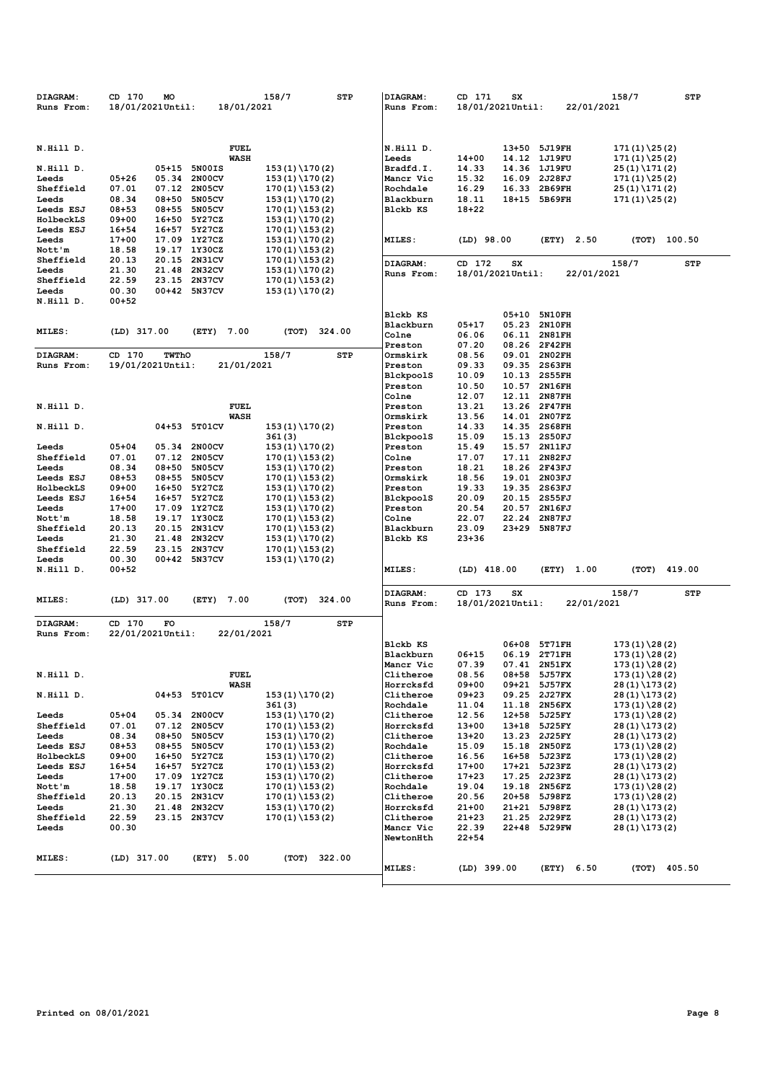| <b>DIAGRAM:</b><br>Runs From: | CD 170<br>MO<br>18/01/2021Until:         | 18/01/2021             | 158/7<br><b>STP</b>                | DIAGRAM:<br>Runs From:        | CD 171<br>SX<br>18/01/2021Until: |                              | 158/7<br>22/01/2021                | <b>STP</b>   |
|-------------------------------|------------------------------------------|------------------------|------------------------------------|-------------------------------|----------------------------------|------------------------------|------------------------------------|--------------|
| N.Hill D.                     |                                          | <b>FUEL</b>            |                                    | N.Hill D.                     |                                  | 13+50 5J19FH                 | 171 (1) \25 (2)                    |              |
|                               |                                          | <b>WASH</b>            |                                    | Leeds                         | $14 + 00$                        | 14.12 1J19FU                 | $171(1)\25(2)$                     |              |
| N.Hill D.                     | 05+15                                    | 5N00IS                 | 153(1)\170(2)                      | Bradfd.I.                     | 14.33                            | 14.36 1J19FU                 | 25(1)\171(2)                       |              |
| Leeds                         | $05 + 26$<br>05.34                       | <b>2N00CV</b>          | 153(1)\170(2)                      | Mancr Vic                     | 15.32                            | 16.09 2J28FJ                 | 171 (1) \25 (2)                    |              |
| Sheffield                     | 07.01<br>07.12                           | <b>2N05CV</b>          | $170(1)\153(2)$                    | Rochdale                      | 16.29                            | 16.33 2B69FH                 | 25(1)\171(2)                       |              |
| Leeds                         | 08.34<br>08+50<br>$08 + 53$<br>$08 + 55$ | 5N05CV<br>5N05CV       | 153(1)\170(2)                      | Blackburn<br>Blckb KS         | 18.11<br>18+22                   | 18+15 5B69FH                 | 171 (1) \25 (2)                    |              |
| Leeds ESJ<br>HolbeckLS        | $09 + 00$<br>$16 + 50$                   | 5Y27CZ                 | $170(1)\153(2)$<br>$153(1)\170(2)$ |                               |                                  |                              |                                    |              |
| Leeds ESJ                     | $16 + 54$                                | 16+57 5Y27CZ           | $170(1)\153(2)$                    |                               |                                  |                              |                                    |              |
| Leeds                         | $17+00$                                  | 17.09 1Y27CZ           | 153(1)\170(2)                      | MILES:                        | $(LD)$ 98.00                     | (ETY) 2.50                   | (TOT)                              | 100.50       |
| Nott'm                        | 18.58                                    | 19.17 1Y30CZ           | $170(1)\153(2)$                    |                               |                                  |                              |                                    |              |
| Sheffield                     | 20.13                                    | 20.15 2N31CV           | $170(1)\153(2)$                    | DIAGRAM:                      | CD 172<br>SX                     |                              | 158/7                              | <b>STP</b>   |
| Leeds                         | 21.30                                    | 21.48 2N32CV           | 153(1)\170(2)                      | Runs From:                    | 18/01/2021Until:                 |                              | 22/01/2021                         |              |
| Sheffield<br>Leeds            | 22.59<br>23.15<br>00.30                  | 2N37CV<br>00+42 5N37CV | $170(1)\153(2)$                    |                               |                                  |                              |                                    |              |
| N.Hill D.                     | 00+52                                    |                        | 153 (1) \170 (2)                   |                               |                                  |                              |                                    |              |
|                               |                                          |                        |                                    | Blckb KS                      |                                  | 05+10<br>5N10FH              |                                    |              |
|                               |                                          |                        |                                    | Blackburn                     | 05+17                            | 05.23 2N10FH                 |                                    |              |
| MILES:                        | $(LD)$ 317.00                            | 7.00<br>(ETY)          | (TOT)<br>324.00                    | Colne                         | 06.06                            | 06.11 2N81FH                 |                                    |              |
|                               |                                          |                        |                                    | Preston                       | 07.20                            | 08.26 2F42FH                 |                                    |              |
| DIAGRAM:                      | CD 170                                   | TWThO                  | 158/7<br><b>STP</b>                | Ormskirk                      | 08.56                            | 09.01 2N02FH                 |                                    |              |
| Runs From:                    | 19/01/2021Until:                         | 21/01/2021             |                                    | Preston                       | 09.33                            | 09.35 2S63FH                 |                                    |              |
|                               |                                          |                        |                                    | <b>BlckpoolS</b>              | 10.09                            | 10.13 2S55FH                 |                                    |              |
|                               |                                          |                        |                                    | Preston<br>Colne              | 10.50<br>12.07                   | 10.57 2N16FH<br>12.11 2N87FH |                                    |              |
| N.Hill D.                     |                                          | <b>FUEL</b>            |                                    | Preston                       | 13.21                            | 13.26 2F47FH                 |                                    |              |
|                               |                                          | <b>WASH</b>            |                                    | Ormskirk                      | 13.56                            | 14.01 2N07FZ                 |                                    |              |
| N.Hill D.                     | 04+53                                    | 5T01CV                 | 153(1)\170(2)                      | Preston                       | 14.33                            | 14.35 2S68FH                 |                                    |              |
|                               |                                          |                        | 361 (3)                            | <b>BlckpoolS</b>              | 15.09                            | 15.13 2S50FJ                 |                                    |              |
| Leeds                         | $05 + 04$<br>05.34                       | <b>2N00CV</b>          | 153(1)\170(2)                      | Preston                       | 15.49                            | 15.57 2N11FJ                 |                                    |              |
| Sheffield                     | 07.01<br>07.12                           | <b>2N05CV</b>          | $170(1)\153(2)$                    | Colne                         | 17.07                            | 17.11 2N82FJ                 |                                    |              |
| Leeds                         | 08.34<br>$08 + 50$                       | 5N05CV                 | $153(1)\170(2)$                    | Preston                       | 18.21                            | 18.26 2F43FJ                 |                                    |              |
| Leeds ESJ                     | 08+53<br>$08 + 55$                       | 5N05CV                 | $170(1)\153(2)$                    | Ormskirk                      | 18.56                            | 19.01 2N03FJ                 |                                    |              |
| HolbeckLS<br>Leeds ESJ        | $09 + 00$<br>16+50<br>$16 + 54$          | 5Y27CZ<br>16+57 5Y27CZ | $153(1)\170(2)$                    | Preston<br><b>BlckpoolS</b>   | 19.33<br>20.09                   | 19.35 2S63FJ<br>20.15 2S55FJ |                                    |              |
| Leeds                         | $17+00$                                  | 17.09 1Y27CZ           | $170(1)\153(2)$<br>153(1)\170(2)   | Preston                       | 20.54                            | 20.57<br>2N16FJ              |                                    |              |
| Nott'm                        | 18.58                                    | 19.17 1Y30CZ           | $170(1)\153(2)$                    | Colne                         | 22.07                            | 2N87FJ<br>22.24              |                                    |              |
| Sheffield                     | 20.13<br>20.15                           | <b>2N31CV</b>          | $170(1)\153(2)$                    | Blackburn                     | 23.09                            | 23+29<br>5N87FJ              |                                    |              |
| Leeds                         | 21.30<br>21.48                           | 2N32CV                 | 153 (1) \170 (2)                   | Blckb KS                      | 23+36                            |                              |                                    |              |
| Sheffield                     | 22.59                                    | 23.15 2N37CV           | $170(1)\153(2)$                    |                               |                                  |                              |                                    |              |
| Leeds                         | 00.30                                    | 00+42 5N37CV           | $153(1)\170(2)$                    |                               |                                  |                              |                                    |              |
| N.Hill D.                     | 00+52                                    |                        |                                    | <b>MILES:</b>                 | $(LD)$ 418.00                    | (ETY) 1.00                   | (TOT)                              | 419.00       |
| MILES:                        | $(LD)$ 317.00                            | 7.00<br>(ETY)          | (TOT)<br>324.00                    | <b>DIAGRAM:</b><br>Runs From: | CD 173<br>SX<br>18/01/2021Until: |                              | 158/7<br>22/01/2021                | STP          |
|                               |                                          |                        |                                    |                               |                                  |                              |                                    |              |
| DIAGRAM:                      | CD 170<br>FO                             |                        | 158/7<br>STP                       |                               |                                  |                              |                                    |              |
| Runs From:                    | 22/01/2021Until:                         | 22/01/2021             |                                    | Blckb KS                      |                                  | 06+08 5T71FH                 | $173(1)\ 28(2)$                    |              |
|                               |                                          |                        |                                    | Blackburn                     | 06+15                            | 06.19<br>2T71FH              | $173(1)\28(2)$                     |              |
|                               |                                          |                        |                                    | Mancr Vic                     | 07.39                            | 07.41 2N51FX                 | 173 (1) \28 (2)                    |              |
| N.Hill D.                     |                                          | <b>FUEL</b>            |                                    | Clitheroe                     | 08.56                            | 08+58 5J57FX                 | 173 (1) \28 (2)                    |              |
|                               |                                          | <b>WASH</b>            |                                    | Horrcksfd                     | $09+00$                          | 09+21 5J57FX                 | 28 (1) \173 (2)                    |              |
| N.Hill D.                     |                                          | 04+53 5T01CV           | $153(1)\170(2)$                    | Clitheroe                     | 09+23                            | 09.25 2J27FX                 | 28 (1) \173 (2)                    |              |
|                               |                                          |                        | 361 (3)                            | Rochdale                      | 11.04                            | 11.18 2N56FX                 | 173 (1) \28 (2)                    |              |
| Leeds                         | $05 + 04$<br>05.34                       | <b>2N00CV</b>          | $153(1)\170(2)$                    | Clitheroe                     | 12.56                            | 12+58 5J25FY                 | $173(1)\28(2)$                     |              |
| Sheffield<br>Leeds            | 07.01<br>08.34<br>08+50                  | 07.12 2N05CV<br>5N05CV | 170(1)\153(2)<br>$153(1)\170(2)$   | Horrcksfd<br>Clitheroe        | $13+00$<br>13+20                 | 13+18 5J25FY<br>13.23 2J25FY | 28 (1) \173 (2)<br>28 (1) \173 (2) |              |
| Leeds ESJ                     | $08 + 53$<br>08+55                       | <b>5N05CV</b>          | $170(1)\153(2)$                    | Rochdale                      | 15.09                            | 15.18 2N50FZ                 | $173(1)$ \28(2)                    |              |
| HolbeckLS                     | $09 + 00$                                | 16+50 5Y27CZ           | $153(1)\170(2)$                    | Clitheroe                     | 16.56                            | 16+58 5J23FZ                 | 173 (1) \28 (2)                    |              |
| Leeds ESJ                     | 16+54                                    | 16+57 5Y27CZ           | $170(1)\153(2)$                    | Horrcksfd                     | $17+00$                          | 17+21 5J23FZ                 | 28 (1) \173 (2)                    |              |
| Leeds                         | $17+00$                                  | 17.09 1Y27CZ           | 153(1)\170(2)                      | Clitheroe                     | $17+23$                          | 17.25 2J23FZ                 | 28(1)\173(2)                       |              |
| Nott'm                        | 18.58                                    | 19.17 1Y30CZ           | $170(1)\153(2)$                    | Rochdale                      | 19.04                            | 19.18 2N56FZ                 | $173(1)\28(2)$                     |              |
| Sheffield                     | 20.13                                    | 20.15 2N31CV           | 170(1)\153(2)                      | Clitheroe                     | 20.56                            | 20+58 5J98FZ                 | $173(1)\28(2)$                     |              |
| Leeds                         | 21.30                                    | 21.48 2N32CV           | $153(1)\170(2)$                    | Horrcksfd                     | 21+00                            | 21+21 5J98FZ                 | 28 (1) \173 (2)                    |              |
| Sheffield                     | 22.59                                    | 23.15 2N37CV           | 170(1)\153(2)                      | Clitheroe                     | $21+23$                          | 21.25 2J29FZ                 | 28(1)\173(2)                       |              |
| Leeds                         | 00.30                                    |                        |                                    | Mancr Vic                     | 22.39                            | 22+48 5J29FW                 | 28 (1) \173 (2)                    |              |
|                               |                                          |                        |                                    | NewtonHth                     | 22+54                            |                              |                                    |              |
| <b>MILES:</b>                 | $(LD)$ 317.00                            | (ETY)<br>5.00          | 322.00<br>(ТОТ)                    |                               |                                  |                              |                                    |              |
|                               |                                          |                        |                                    | <b>MILES:</b>                 | $(LD)$ 399.00                    | (ETY) 6.50                   |                                    | (TOT) 405.50 |
|                               |                                          |                        |                                    |                               |                                  |                              |                                    |              |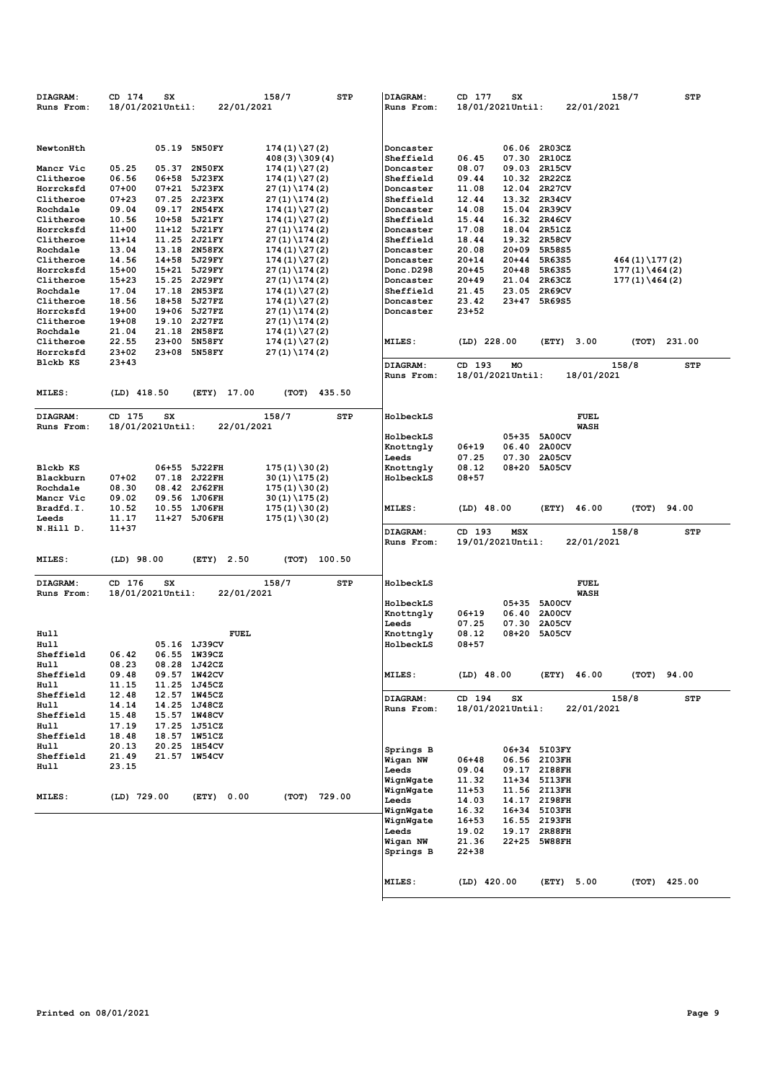| DIAGRAM:        | CD 174           | SX        |                | 158/7            | STP    | DIAGRAM:   | CD 177<br>SX       |               |             | 158/7            | STP          |
|-----------------|------------------|-----------|----------------|------------------|--------|------------|--------------------|---------------|-------------|------------------|--------------|
| Runs From:      | 18/01/2021Until: |           | 22/01/2021     |                  |        | Runs From: | 18/01/2021Until:   |               | 22/01/2021  |                  |              |
|                 |                  |           |                |                  |        |            |                    |               |             |                  |              |
|                 |                  |           |                |                  |        |            |                    |               |             |                  |              |
|                 |                  |           |                |                  |        |            |                    |               |             |                  |              |
| NewtonHth       |                  | 05.19     | <b>5N50FY</b>  | $174(1)\27(2)$   |        | Doncaster  | 06.06              | <b>2R03CZ</b> |             |                  |              |
|                 |                  |           |                | $408(3)\ 309(4)$ |        | Sheffield  | 06.45<br>07.30     | 2R10CZ        |             |                  |              |
| Mancr Vic       | 05.25            | 05.37     | <b>2N50FX</b>  | $174(1)\27(2)$   |        | Doncaster  | 08.07<br>09.03     | <b>2R15CV</b> |             |                  |              |
| Clitheroe       | 06.56            | 06+58     | 5J23FX         | $174(1)\27(2)$   |        | Sheffield  | 09.44<br>10.32     | 2R22CZ        |             |                  |              |
| Horrcksfd       | $07 + 00$        |           | 07+21 5J23FX   | $27(1)\174(2)$   |        | Doncaster  | 11.08              | 12.04 2R27CV  |             |                  |              |
| Clitheroe       | $07 + 23$        |           | 07.25 2J23FX   | $27(1)\174(2)$   |        | Sheffield  | 12.44              | 13.32 2R34CV  |             |                  |              |
| Rochdale        | 09.04            | 09.17     | 2N54FX         | $174(1)\27(2)$   |        | Doncaster  | 14.08<br>15.04     | <b>2R39CV</b> |             |                  |              |
| Clitheroe       | 10.56            | $10 + 58$ | 5J21FY         | $174(1)\27(2)$   |        | Sheffield  | 15.44              | 16.32 2R46CV  |             |                  |              |
| Horrcksfd       | $11+00$          |           | 11+12 5J21FY   | $27(1)\174(2)$   |        | Doncaster  | 17.08<br>18.04     | 2R51CZ        |             |                  |              |
| Clitheroe       | $11 + 14$        |           | 11.25 2J21FY   | $27(1)\174(2)$   |        | Sheffield  | 18.44<br>19.32     | 2R58CV        |             |                  |              |
| Rochdale        | 13.04            | 13.18     | 2N58FX         | $174(1)\27(2)$   |        | Doncaster  | 20.08<br>20+09     | 5R58S5        |             |                  |              |
| Clitheroe       | 14.56            | 14+58     | 5J29FY         | $174(1)\27(2)$   |        | Doncaster  | $20 + 14$<br>20+44 | 5R63S5        |             | $464(1)\177(2)$  |              |
| Horrcksfd       | $15+00$          |           | 15+21 5J29FY   |                  |        | Donc.D298  | $20 + 45$<br>20+48 | 5R63S5        |             |                  |              |
|                 |                  |           |                | $27(1)\174(2)$   |        |            | $20 + 49$          |               |             | $177(1)\ 464(2)$ |              |
| Clitheroe       | $15+23$          | 15.25     | <b>2J29FY</b>  | $27(1)\174(2)$   |        | Doncaster  | 21.04              | 2R63CZ        |             | $177(1)\ 464(2)$ |              |
| Rochdale        | 17.04            | 17.18     | 2N53FZ         | $174(1)\27(2)$   |        | Sheffield  | 21.45<br>23.05     | <b>2R69CV</b> |             |                  |              |
| Clitheroe       | 18.56            | $18 + 58$ | 5J27FZ         | $174(1)\27(2)$   |        | Doncaster  | 23.42              | 23+47 5R69S5  |             |                  |              |
| Horrcksfd       | $19+00$          | $19 + 06$ | <b>5J27FZ</b>  | $27(1)\174(2)$   |        | Doncaster  | 23+52              |               |             |                  |              |
| Clitheroe       | $19+08$          | 19.10     | 2J27FZ         | $27(1)\174(2)$   |        |            |                    |               |             |                  |              |
| Rochdale        | 21.04            | 21.18     | 2N58FZ         | $174(1)\27(2)$   |        |            |                    |               |             |                  |              |
| Clitheroe       | 22.55            | $23+00$   | 5N58FY         | $174(1)\27(2)$   |        | MILES:     | $(LD)$ 228.00      | (ETY)         | 3.00        | (TOT)            | 231.00       |
| Horrcksfd       | $23+02$          | 23+08     | 5N58FY         | $27(1)\174(2)$   |        |            |                    |               |             |                  |              |
| Blckb KS        | $23+43$          |           |                |                  |        | DIAGRAM:   | CD 193<br>MO       |               |             | 158/8            | STP          |
|                 |                  |           |                |                  |        | Runs From: | 18/01/2021Until:   |               | 18/01/2021  |                  |              |
|                 |                  |           |                |                  |        |            |                    |               |             |                  |              |
| <b>MILES:</b>   | (LD) 418.50      |           | (ETY)<br>17.00 | (TOT)            | 435.50 |            |                    |               |             |                  |              |
|                 |                  |           |                |                  |        |            |                    |               |             |                  |              |
| DIAGRAM:        | CD 175           | SX        |                | 158/7            | STP    | HolbeckLS  |                    |               | FUEL        |                  |              |
|                 | 18/01/2021Until: |           |                |                  |        |            |                    |               |             |                  |              |
| Runs From:      |                  |           | 22/01/2021     |                  |        |            |                    |               | <b>WASH</b> |                  |              |
|                 |                  |           |                |                  |        | HolbeckLS  | $05 + 35$          | 5A00CV        |             |                  |              |
|                 |                  |           |                |                  |        | Knottngly  | 06.40<br>06+19     | <b>2A00CV</b> |             |                  |              |
|                 |                  |           |                |                  |        | Leeds      | 07.25<br>07.30     | <b>2A05CV</b> |             |                  |              |
| Blckb KS        |                  | 06+55     | 5J22FH         | $175(1)\130(2)$  |        | Knottngly  | 08.12<br>08+20     | 5A05CV        |             |                  |              |
| Blackburn       | $07 + 02$        |           | 07.18 2J22FH   | $30(1)\175(2)$   |        | HolbeckLS  | 08+57              |               |             |                  |              |
| Rochdale        | 08.30            |           | 08.42 2J62FH   | $175(1)\130(2)$  |        |            |                    |               |             |                  |              |
| Mancr Vic       | 09.02            |           | 09.56 1J06FH   | $30(1)\175(2)$   |        |            |                    |               |             |                  |              |
| Bradfd.I.       | 10.52            |           | 10.55 1J06FH   | $175(1)\130(2)$  |        | MILES:     | $(LD)$ 48.00       | (ETY)         | 46.00       | (ТОТ)            | 94.00        |
| Leeds           | 11.17            |           | 11+27 5J06FH   | $175(1)\130(2)$  |        |            |                    |               |             |                  |              |
| N.Hill D.       | $11+37$          |           |                |                  |        | DIAGRAM:   | CD 193<br>MSX      |               |             | 158/8            | STP          |
|                 |                  |           |                |                  |        | Runs From: | 19/01/2021Until:   |               | 22/01/2021  |                  |              |
|                 |                  |           |                |                  |        |            |                    |               |             |                  |              |
| <b>MILES:</b>   | $(LD)$ 98.00     |           | (ETY) 2.50     | (TOT)            | 100.50 |            |                    |               |             |                  |              |
|                 |                  |           |                |                  |        |            |                    |               |             |                  |              |
|                 |                  |           |                |                  |        |            |                    |               |             |                  |              |
| <b>DIAGRAM:</b> | CD 176           | SX        |                | 158/7            | STP    | HolbeckLS  |                    |               | FUEL        |                  |              |
| Runs From:      | 18/01/2021Until: |           | 22/01/2021     |                  |        |            |                    |               |             |                  |              |
|                 |                  |           |                |                  |        |            |                    |               | <b>WASH</b> |                  |              |
|                 |                  |           |                |                  |        | HolbeckLS  | 05+35              | 5A00CV        |             |                  |              |
|                 |                  |           |                |                  |        | Knottngly  | 06+19<br>06.40     | <b>2A00CV</b> |             |                  |              |
| Hull            |                  |           |                |                  |        | Leeds      | 07.25<br>07.30     | <b>2A05CV</b> |             |                  |              |
|                 |                  |           | FUEL           |                  |        | Knottngly  | 08.12              | 08+20 5A05CV  |             |                  |              |
| Hull            |                  |           | 05.16 1J39CV   |                  |        | HolbeckLS  | 08+57              |               |             |                  |              |
| Sheffield       | 06.42            |           | 06.55 1W39CZ   |                  |        |            |                    |               |             |                  |              |
| Hull            | 08.23            |           | 08.28 1J42CZ   |                  |        |            |                    |               |             |                  |              |
| Sheffield       | 09.48            |           | 09.57 1W42CV   |                  |        | MILES:     | $(LD)$ 48.00       |               | (ETY) 46.00 |                  | (TOT) 94.00  |
| Hull            | 11.15            |           | 11.25 1J45CZ   |                  |        |            |                    |               |             |                  |              |
| Sheffield       | 12.48            |           | 12.57 1W45CZ   |                  |        |            |                    |               |             |                  |              |
| Hull            |                  |           | 14.25 1J48CZ   |                  |        | DIAGRAM:   | CD 194<br>SX       |               |             | 158/8            | <b>STP</b>   |
|                 | 14.14            |           |                |                  |        | Runs From: | 18/01/2021Until:   |               | 22/01/2021  |                  |              |
| Sheffield       | 15.48            |           | 15.57 1W48CV   |                  |        |            |                    |               |             |                  |              |
| Hull            | 17.19            |           | 17.25 1J51CZ   |                  |        |            |                    |               |             |                  |              |
| Sheffield       | 18.48            |           | 18.57 1W51CZ   |                  |        |            |                    |               |             |                  |              |
| Hull            | 20.13            |           | 20.25 1H54CV   |                  |        | Springs B  |                    | 06+34 5I03FY  |             |                  |              |
| Sheffield       | 21.49            |           | 21.57 1W54CV   |                  |        | Wigan NW   | 06+48              | 06.56 2I03FH  |             |                  |              |
| Hull            | 23.15            |           |                |                  |        | Leeds      | 09.04              | 09.17 2I88FH  |             |                  |              |
|                 |                  |           |                |                  |        | WignWgate  | 11.32              | 11+34 5I13FH  |             |                  |              |
|                 |                  |           |                |                  |        | WignWgate  | $11+53$            | 11.56 2I13FH  |             |                  |              |
| <b>MILES:</b>   | $(LD)$ 729.00    |           | (ETY) 0.00     | (TOT) 729.00     |        | Leeds      | 14.03              | 14.17 2I98FH  |             |                  |              |
|                 |                  |           |                |                  |        | WignWgate  | 16.32              | 16+34 5I03FH  |             |                  |              |
|                 |                  |           |                |                  |        | WignWgate  | $16 + 53$          | 16.55 2193FH  |             |                  |              |
|                 |                  |           |                |                  |        | Leeds      | 19.02              | 19.17 2R88FH  |             |                  |              |
|                 |                  |           |                |                  |        |            | 21.36              | 22+25 5W88FH  |             |                  |              |
|                 |                  |           |                |                  |        | Wigan NW   |                    |               |             |                  |              |
|                 |                  |           |                |                  |        | Springs B  | $22 + 38$          |               |             |                  |              |
|                 |                  |           |                |                  |        |            |                    |               |             |                  |              |
|                 |                  |           |                |                  |        |            |                    |               |             |                  |              |
|                 |                  |           |                |                  |        | MILES:     | $(LD)$ 420.00      |               | (ETY) 5.00  |                  | (TOT) 425.00 |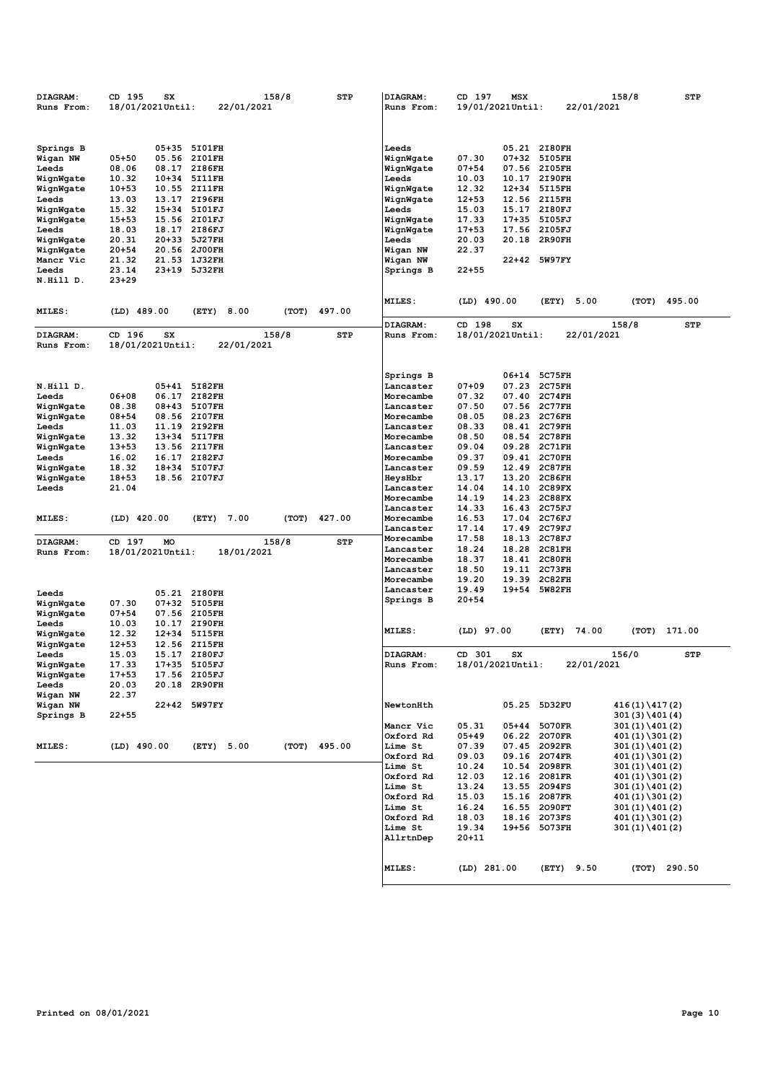| <b>DIAGRAM:</b>   | CD 195<br>SX                | 158/8         | STP             | DIAGRAM:        | CD 197<br>MSX           |                | 158/8<br>STP     |  |
|-------------------|-----------------------------|---------------|-----------------|-----------------|-------------------------|----------------|------------------|--|
| Runs From:        | 18/01/2021Until:            | 22/01/2021    |                 | Runs From:      | 19/01/2021Until:        | 22/01/2021     |                  |  |
|                   |                             |               |                 |                 |                         |                |                  |  |
|                   |                             |               |                 |                 |                         |                |                  |  |
|                   |                             |               |                 |                 |                         |                |                  |  |
| Springs B         | $05 + 35$                   | 5101FH        |                 | Leeds           |                         | 05.21 2I80FH   |                  |  |
| Wigan NW          | $05 + 50$                   | 05.56 2I01FH  |                 | WignWgate       | 07.30                   | 07+32 5I05FH   |                  |  |
| Leeds             | 08.06<br>08.17              | 2186FH        |                 | WignWgate       | 07+54<br>07.56          | 2105FH         |                  |  |
| WignWgate         | 10.32<br>$10 + 34$          | 5111FH        |                 | Leeds           | 10.03<br>10.17          | <b>2190FH</b>  |                  |  |
| WignWgate         | $10 + 53$                   | 10.55 2I11FH  |                 | WignWgate       | 12.32<br>$12 + 34$      | 5115FH         |                  |  |
| Leeds             | 13.03                       | 13.17 2I96FH  |                 | WignWgate       | $12 + 53$<br>12.56      | 2115FH         |                  |  |
|                   | 15.32<br>$15 + 34$          | 5101FJ        |                 |                 | 15.03<br>15.17          | 2I80FJ         |                  |  |
| WignWgate         | $15 + 53$                   | 15.56 2I01FJ  |                 | Leeds           | 17.33<br>$17 + 35$      | 5105FJ         |                  |  |
| WignWgate         |                             | 18.17 2I86FJ  |                 | WignWgate       | 17.56                   |                |                  |  |
| Leeds             | 18.03<br>$20 + 33$          | <b>5J27FH</b> |                 | WignWgate       | $17 + 53$               | 2I05FJ         |                  |  |
| WignWgate         | 20.31<br>$20 + 54$<br>20.56 | <b>2J00FH</b> |                 | Leeds           | 20.03<br>20.18<br>22.37 | <b>2R90FH</b>  |                  |  |
| WignWgate         | 21.32                       | 21.53 1J32FH  |                 | Wigan NW        |                         | 22+42 5W97FY   |                  |  |
| Mancr Vic         |                             | 23+19 5J32FH  |                 | Wigan NW        |                         |                |                  |  |
| Leeds             | 23.14<br>$23 + 29$          |               |                 | Springs B       | 22+55                   |                |                  |  |
| N.Hill D.         |                             |               |                 |                 |                         |                |                  |  |
|                   |                             |               |                 |                 |                         |                |                  |  |
|                   |                             |               |                 | MILES:          | $(LD)$ 490.00           | (ETY) 5.00     | (TOT)<br>495.00  |  |
| MILES:            | $(LD)$ 489.00               | 8.00<br>(ETY) | 497.00<br>(TOT) |                 |                         |                |                  |  |
|                   |                             |               |                 | <b>DIAGRAM:</b> | CD 198<br>SX            |                | 158/8<br>STP     |  |
| DIAGRAM:          | CD 196<br><b>SX</b>         | 158/8         | <b>STP</b>      | Runs From:      | 18/01/2021Until:        | 22/01/2021     |                  |  |
| Runs From:        | 18/01/2021Until:            | 22/01/2021    |                 |                 |                         |                |                  |  |
|                   |                             |               |                 |                 |                         |                |                  |  |
|                   |                             |               |                 |                 |                         |                |                  |  |
|                   |                             |               |                 | Springs B       | $06 + 14$               | 5C75FH         |                  |  |
| N.Hill D.         |                             | 05+41 5I82FH  |                 | Lancaster       | $07 + 09$<br>07.23      | 2C75FH         |                  |  |
| Leeds             | $06 + 08$                   | 06.17 2I82FH  |                 | Morecambe       | 07.32<br>07.40          | <b>2C74FH</b>  |                  |  |
| WignWgate         | 08.38<br>08+43              | 5107FH        |                 | Lancaster       | 07.50<br>07.56          | <b>2C77FH</b>  |                  |  |
| WignWgate         | 08+54                       | 08.56 2I07FH  |                 | Morecambe       | 08.05<br>08.23          | <b>2C76FH</b>  |                  |  |
| Leeds             | 11.03<br>11.19              | <b>2192FH</b> |                 | Lancaster       | 08.33<br>08.41          | <b>2C79FH</b>  |                  |  |
| WignWgate         | 13.32<br>13+34              | 5117FH        |                 | Morecambe       | 08.50<br>08.54          | 2C78FH         |                  |  |
| WignWgate         | $13 + 53$                   | 13.56 2I17FH  |                 | Lancaster       | 09.04<br>09.28          | 2C71FH         |                  |  |
| Leeds             | 16.02                       | 16.17 2I82FJ  |                 | Morecambe       | 09.37                   | 09.41 2C70FH   |                  |  |
|                   | 18.32                       | 5107FJ        |                 |                 | 09.59<br>12.49          | <b>2C87FH</b>  |                  |  |
| WignWgate         | 18+34                       |               |                 | Lancaster       |                         |                |                  |  |
| WignWgate         | $18 + 53$                   | 18.56 2I07FJ  |                 | HeysHbr         | 13.17<br>13.20          | 2C86FH         |                  |  |
| Leeds             | 21.04                       |               |                 | Lancaster       | 14.04                   | 14.10 2C89FX   |                  |  |
|                   |                             |               |                 | Morecambe       | 14.19<br>14.23          | <b>2C88FX</b>  |                  |  |
|                   |                             |               |                 | Lancaster       | 14.33<br>16.43          | 2C75FJ         |                  |  |
| MILES:            | $(LD)$ 420.00               | (ETY)<br>7.00 | (TOT)<br>427.00 | Morecambe       | 16.53<br>17.04          | 2C76FJ         |                  |  |
|                   |                             |               |                 | Lancaster       | 17.14<br>17.49          | 2C79FJ         |                  |  |
| DIAGRAM:          | CD 197<br>MO                | 158/8         | <b>STP</b>      | Morecambe       | 17.58                   | 18.13 2C78FJ   |                  |  |
| Runs From:        | 18/01/2021Until:            | 18/01/2021    |                 | Lancaster       | 18.24                   | 18.28 2C81FH   |                  |  |
|                   |                             |               |                 | Morecambe       | 18.37<br>18.41          | <b>2C80FH</b>  |                  |  |
|                   |                             |               |                 | Lancaster       | 18.50<br>19.11          | 2C73FH         |                  |  |
|                   |                             |               |                 | Morecambe       | 19.20<br>19.39          | <b>2C82FH</b>  |                  |  |
| Leeds             |                             | 05.21 2I80FH  |                 | Lancaster       | 19.49<br>19+54          | 5W82FH         |                  |  |
| WignWgate         | 07.30                       | 07+32 5I05FH  |                 | Springs B       | $20 + 54$               |                |                  |  |
| WignWgate         | $07 + 54$                   | 07.56 2I05FH  |                 |                 |                         |                |                  |  |
| Leeds             | 10.17<br>10.03              | <b>2190FH</b> |                 |                 |                         |                |                  |  |
| WignWgate         | 12.32<br>12+34              | 5115FH        |                 | MILES:          | $(LD)$ 97.00            | 74.00<br>(ETY) | (TOT)<br>171.00  |  |
| WignWgate         | $12 + 53$                   | 12.56 2I15FH  |                 |                 |                         |                |                  |  |
| Leeds             | 15.03                       | 15.17 2I80FJ  |                 | DIAGRAM:        | CD 301<br>SX            |                | 156/0<br>STP     |  |
| WignWgate         | 17.33                       | 17+35 5105FJ  |                 | Runs From:      | 18/01/2021Until:        | 22/01/2021     |                  |  |
| WignWgate         | $17 + 53$                   | 17.56 2I05FJ  |                 |                 |                         |                |                  |  |
|                   | 20.03                       |               |                 |                 |                         |                |                  |  |
| Leeds<br>Wigan NW | 22.37                       | 20.18 2R90FH  |                 |                 |                         |                |                  |  |
|                   |                             |               |                 |                 |                         | 05.25 5D32FU   |                  |  |
| Wigan NW          |                             | 22+42 5W97FY  |                 | NewtonHth       |                         |                | $416(1)\ 417(2)$ |  |
| Springs B         | $22+55$                     |               |                 |                 |                         |                | $301(3)\1401(4)$ |  |
|                   |                             |               |                 | Mancr Vic       | 05.31                   | 05+44 5070FR   | $301(1)\ 401(2)$ |  |
|                   |                             |               |                 | Oxford Rd       | 05+49                   | 06.22 2070FR   | $401(1)\301(2)$  |  |
| MILES:            | $(LD)$ 490.00               | (ETY) 5.00    | $(TOT)$ 495.00  | Lime St         | 07.39                   | 07.45 2092FR   | $301(1)\ 401(2)$ |  |
|                   |                             |               |                 | Oxford Rd       | 09.03                   | 09.16 2074FR   | $401(1)\301(2)$  |  |
|                   |                             |               |                 | Lime St         | 10.24                   | 10.54 2098FR   | $301(1)\ 401(2)$ |  |
|                   |                             |               |                 | Oxford Rd       | 12.03                   | 12.16 2081FR   | $401(1)\301(2)$  |  |
|                   |                             |               |                 | Lime St         | 13.24                   | 13.55 2094FS   | $301(1)\ 401(2)$ |  |
|                   |                             |               |                 | Oxford Rd       | 15.03                   | 15.16 2087FR   | 401(1)\301(2)    |  |
|                   |                             |               |                 | Lime St         | 16.24                   | 16.55 2090FT   | $301(1)\ 401(2)$ |  |
|                   |                             |               |                 | Oxford Rd       | 18.03                   | 18.16 2073FS   | 401(1)\301(2)    |  |
|                   |                             |               |                 | Lime St         | 19.34                   | 19+56 5073FH   | 301(1)\401(2)    |  |
|                   |                             |               |                 | AllrtnDep       | 20+11                   |                |                  |  |
|                   |                             |               |                 |                 |                         |                |                  |  |
|                   |                             |               |                 |                 |                         |                |                  |  |
|                   |                             |               |                 | MILES:          | $(LD)$ 281.00           | (ETY) 9.50     | (TOT) 290.50     |  |
|                   |                             |               |                 |                 |                         |                |                  |  |
|                   |                             |               |                 |                 |                         |                |                  |  |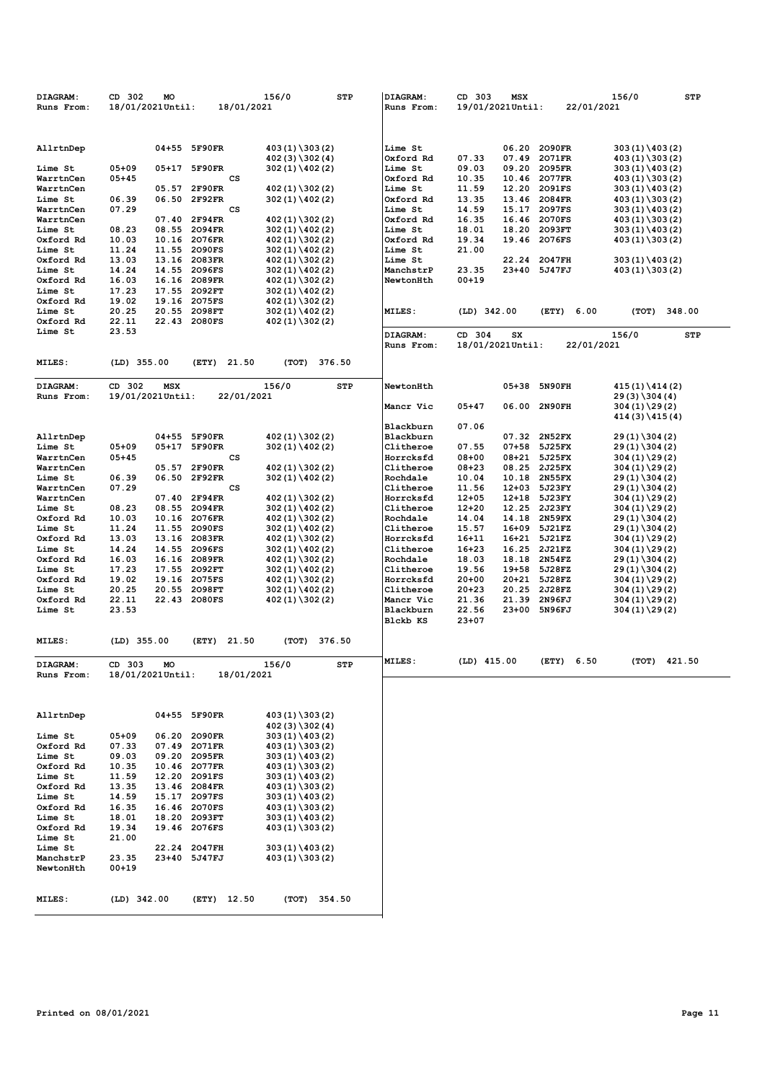| DIAGRAM:             | CD 302         | MO               |                  | 156/0                                | STP        | DIAGRAM:               | CD 303               | MSX                |                         |            | 156/0                                | STP    |
|----------------------|----------------|------------------|------------------|--------------------------------------|------------|------------------------|----------------------|--------------------|-------------------------|------------|--------------------------------------|--------|
| Runs From:           |                | 18/01/2021Until: | 18/01/2021       |                                      |            | Runs From:             | 19/01/2021Until:     |                    |                         | 22/01/2021 |                                      |        |
|                      |                |                  |                  |                                      |            |                        |                      |                    |                         |            |                                      |        |
|                      |                |                  |                  |                                      |            |                        |                      |                    |                         |            |                                      |        |
| AllrtnDep            |                | 04+55 5F90FR     |                  | 403(1)\303(2)                        |            | Lime St                |                      | 06.20              | 2090FR                  |            | $303(1)\ 403(2)$                     |        |
|                      |                |                  |                  | $402(3)\ 302(4)$                     |            | Oxford Rd              | 07.33                | 07.49              | 2071FR                  |            | $403(1)\ 303(2)$                     |        |
| Lime St              | $05 + 09$      | $05+17$          | 5F90FR           | $302(1)\ 402(2)$                     |            | Lime St                | 09.03                | 09.20              | 2095FR                  |            | $303(1)\ 403(2)$                     |        |
| WarrtnCen            | $05 + 45$      |                  | cs               |                                      |            | Oxford Rd              | 10.35                | 10.46              | 2077FR                  |            | 403 (1) \303 (2)                     |        |
| WarrtnCen            |                | 05.57            | 2F90FR           | 402 (1) \302 (2)                     |            | Lime St                | 11.59                | 12.20              | 2091FS                  |            | $303(1)\ 403(2)$                     |        |
| Lime St<br>WarrtnCen | 06.39<br>07.29 | 06.50            | 2F92FR<br>cs     | $302(1)\ 402(2)$                     |            | Oxford Rd<br>Lime St   | 13.35<br>14.59       | 13.46<br>15.17     | 2084FR<br>2097FS        |            | $403(1)\ 303(2)$                     |        |
| WarrtnCen            |                | 07.40            | 2F94FR           | $402(1)\ 302(2)$                     |            | Oxford Rd              | 16.35                | 16.46              | 2070FS                  |            | $303(1)\ 403(2)$<br>$403(1)\ 303(2)$ |        |
| Lime St              | 08.23          | 08.55 2094FR     |                  | $302(1)\ 402(2)$                     |            | Lime St                | 18.01                | 18.20              | 2093FT                  |            | 303 (1) \403 (2)                     |        |
| Oxford Rd            | 10.03          | 10.16 2076FR     |                  | 402 (1) \302 (2)                     |            | Oxford Rd              | 19.34                |                    | 19.46 2076FS            |            | 403 (1) \303 (2)                     |        |
| Lime St              | 11.24          | 11.55            | 2090FS           | $302(1)\ 402(2)$                     |            | Lime St                | 21.00                |                    |                         |            |                                      |        |
| Oxford Rd            | 13.03          | 13.16            | 2083FR           | 402 (1) \302 (2)                     |            | Lime St                |                      | 22.24              | 2047FH                  |            | 303 (1) \403 (2)                     |        |
| Lime St              | 14.24          | 14.55            | 2096FS           | $302(1)\ 402(2)$                     |            | ManchstrP              | 23.35                |                    | 23+40 5J47FJ            |            | 403 (1) \303 (2)                     |        |
| Oxford Rd            | 16.03          | 16.16            | 2089FR           | 402 (1) \302 (2)                     |            | NewtonHth              | $00 + 19$            |                    |                         |            |                                      |        |
| Lime St              | 17.23          | 17.55            | 2092FT           | 302 (1) \402 (2)                     |            |                        |                      |                    |                         |            |                                      |        |
| Oxford Rd            | 19.02          | 19.16            | 2075FS           | 402 (1) \302 (2)                     |            |                        |                      |                    |                         |            |                                      |        |
| Lime St              | 20.25<br>22.11 | 20.55<br>22.43   | 2098FT           | $302(1)\ 402(2)$                     |            | MILES:                 | $(LD)$ 342.00        |                    | (ETY)                   | 6.00       | (TOT)                                | 348.00 |
| Oxford Rd<br>Lime St | 23.53          |                  | 2080FS           | 402 (1) \302 (2)                     |            |                        |                      |                    |                         |            |                                      |        |
|                      |                |                  |                  |                                      |            | DIAGRAM:               | CD 304               | SX                 |                         |            | 156/0                                | STP    |
|                      |                |                  |                  |                                      |            | Runs From:             | 18/01/2021Until:     |                    |                         | 22/01/2021 |                                      |        |
| <b>MILES:</b>        | $(LD)$ 355.00  |                  | 21.50<br>(ETY)   | 376.50<br>(TOT)                      |            |                        |                      |                    |                         |            |                                      |        |
|                      |                |                  |                  |                                      |            |                        |                      |                    |                         |            |                                      |        |
| DIAGRAM:             | CD 302         | MSX              |                  | 156/0                                | STP        | NewtonHth              |                      | $05 + 38$          | <b>5N90FH</b>           |            | $415(1)\ 414(2)$                     |        |
| Runs From:           |                | 19/01/2021Until: | 22/01/2021       |                                      |            |                        |                      |                    |                         |            | $29(3)\ 304(4)$                      |        |
|                      |                |                  |                  |                                      |            | Mancr Vic              | $05 + 47$            | 06.00              | 2N90FH                  |            | $304(1)\29(2)$                       |        |
|                      |                |                  |                  |                                      |            |                        |                      |                    |                         |            | $414(3)\ 415(4)$                     |        |
|                      |                |                  |                  |                                      |            | Blackburn              | 07.06                |                    |                         |            |                                      |        |
| AllrtnDep            |                | $04 + 55$        | 5F90FR           | 402 (1) \302 (2)                     |            | Blackburn              |                      | 07.32              | 2N52FX                  |            | $29(1)\ 304(2)$                      |        |
| Lime St              | $05 + 09$      | $05 + 17$        | 5F90FR           | $302(1)\ 402(2)$                     |            | Clitheroe              | 07.55                | $07 + 58$          | 5J25FX                  |            | $29(1)\ 304(2)$                      |        |
| WarrtnCen            | $05 + 45$      |                  | cs               |                                      |            | Horrcksfd              | $08 + 00$            |                    | 08+21 5J25FX            |            | $304(1)\29(2)$                       |        |
| WarrtnCen            |                | 05.57            | 2F90FR           | $402(1)\ 302(2)$                     |            | Clitheroe              | $08 + 23$            | 08.25              | 2J25FX                  |            | $304(1)\129(2)$                      |        |
| Lime St              | 06.39          | 06.50            | 2F92FR           | $302(1)\ 402(2)$                     |            | Rochdale               | 10.04                | 10.18              | 2N55FX                  |            | $29(1)\304(2)$                       |        |
| WarrtnCen            | 07.29          |                  | cs               |                                      |            | Clitheroe              | 11.56                | 12+03              | 5J23FY                  |            | $29(1)\304(2)$                       |        |
| WarrtnCen<br>Lime St | 08.23          | 07.40<br>08.55   | 2F94FR<br>2094FR | $402(1)\ 302(2)$                     |            | Horrcksfd<br>Clitheroe | $12 + 05$<br>$12+20$ | $12 + 18$<br>12.25 | 5J23FY<br><b>2J23FY</b> |            | $304(1)\29(2)$                       |        |
| Oxford Rd            | 10.03          | 10.16            | 2076FR           | $302(1)\ 402(2)$<br>402 (1) \302 (2) |            | Rochdale               | 14.04                | 14.18              | <b>2N59FX</b>           |            | $304(1)\29(2)$<br>$29(1)\304(2)$     |        |
| Lime St              | 11.24          | 11.55            | 2090FS           | $302(1)\ 402(2)$                     |            | Clitheroe              | 15.57                | $16 + 09$          | 5J21FZ                  |            | $29(1)\ 304(2)$                      |        |
| Oxford Rd            | 13.03          | 13.16            | <b>2083FR</b>    | 402 (1) \302 (2)                     |            | Horrcksfd              | $16 + 11$            | 16+21              | 5J21FZ                  |            | $304(1)\29(2)$                       |        |
| Lime St              | 14.24          | 14.55            | 2096FS           | $302(1)\ 402(2)$                     |            | Clitheroe              | $16 + 23$            | 16.25              | 2J21FZ                  |            | $304(1)\29(2)$                       |        |
| Oxford Rd            | 16.03          | 16.16            | 2089FR           | 402 (1) \302 (2)                     |            | Rochdale               | 18.03                | 18.18              | 2N54FZ                  |            | $29(1)\304(2)$                       |        |
| Lime St              | 17.23          | 17.55            | 2092FT           | $302(1)\ 402(2)$                     |            | Clitheroe              | 19.56                | 19+58              | 5J28FZ                  |            | 29(1)\304(2)                         |        |
| Oxford Rd            | 19.02          | 19.16            | 2075FS           | 402 (1) \302 (2)                     |            | Horrcksfd              | $20+00$              | 20+21              | 5J28FZ                  |            | $304(1)\29(2)$                       |        |
| Lime St              | 20.25          | 20.55            | 2098FT           | $302(1)\ 402(2)$                     |            | Clitheroe              | $20 + 23$            | 20.25              | 2J28FZ                  |            | $304(1)\29(2)$                       |        |
| Oxford Rd            | 22.11          | 22.43 2080FS     |                  | 402 (1) \302 (2)                     |            | Mancr Vic              | 21.36                | 21.39              | 2N96FJ                  |            | 304 (1) \29 (2)                      |        |
| Lime St              | 23.53          |                  |                  |                                      |            | Blackburn              | 22.56                | 23+00              | <b>5N96FJ</b>           |            | $304(1)\129(2)$                      |        |
|                      |                |                  |                  |                                      |            | Blckb KS               | 23+07                |                    |                         |            |                                      |        |
|                      |                |                  |                  |                                      |            |                        |                      |                    |                         |            |                                      |        |
| MILES:               | $(LD)$ 355.00  |                  | 21.50<br>(ETY)   | (TOT)<br>376.50                      |            |                        |                      |                    |                         |            |                                      |        |
|                      |                |                  |                  |                                      |            | MILES:                 | $(LD)$ 415.00        |                    | (ETY)                   | 6.50       | (TOT)                                | 421.50 |
| DIAGRAM:             | CD 303         | МO               |                  | 156/0                                | <b>STP</b> |                        |                      |                    |                         |            |                                      |        |
| Runs From:           |                | 18/01/2021Until: | 18/01/2021       |                                      |            |                        |                      |                    |                         |            |                                      |        |
|                      |                |                  |                  |                                      |            |                        |                      |                    |                         |            |                                      |        |
|                      |                |                  |                  |                                      |            |                        |                      |                    |                         |            |                                      |        |
| AllrtnDep            |                | 04+55 5F90FR     |                  | $403(1)\ 303(2)$                     |            |                        |                      |                    |                         |            |                                      |        |
|                      |                |                  |                  | 402 (3) \302 (4)                     |            |                        |                      |                    |                         |            |                                      |        |
| Lime St              | $05 + 09$      | 06.20            | 2090FR           | $303(1)\ 403(2)$                     |            |                        |                      |                    |                         |            |                                      |        |
| Oxford Rd            | 07.33          | 07.49 2071FR     |                  | $403(1)\ 303(2)$                     |            |                        |                      |                    |                         |            |                                      |        |
| Lime St              | 09.03          | 09.20 2095FR     |                  | $303(1)\ 403(2)$                     |            |                        |                      |                    |                         |            |                                      |        |
| Oxford Rd            | 10.35          | 10.46 2077FR     |                  | $403(1)\ 303(2)$                     |            |                        |                      |                    |                         |            |                                      |        |
| Lime St              | 11.59          | 12.20            | 2091FS           | $303(1)\ 403(2)$                     |            |                        |                      |                    |                         |            |                                      |        |
| Oxford Rd            | 13.35          | 13.46 2084FR     |                  | $403(1)\ 303(2)$                     |            |                        |                      |                    |                         |            |                                      |        |
| Lime St              | 14.59          | 15.17 2097FS     |                  | $303(1)\ 403(2)$                     |            |                        |                      |                    |                         |            |                                      |        |
| Oxford Rd            | 16.35          | 16.46 2070FS     |                  | $403(1)\ 303(2)$                     |            |                        |                      |                    |                         |            |                                      |        |
| Lime St              | 18.01          | 18.20 2093FT     |                  | $303(1)\ 403(2)$                     |            |                        |                      |                    |                         |            |                                      |        |
| Oxford Rd            | 19.34          | 19.46 2076FS     |                  | $403(1)\ 303(2)$                     |            |                        |                      |                    |                         |            |                                      |        |
| Lime St<br>Lime St   | 21.00          | 22.24 2047FH     |                  | $303(1)\ 403(2)$                     |            |                        |                      |                    |                         |            |                                      |        |
| ManchstrP            | 23.35          | 23+40 5J47FJ     |                  | 403(1)\303(2)                        |            |                        |                      |                    |                         |            |                                      |        |
| NewtonHth            | 00+19          |                  |                  |                                      |            |                        |                      |                    |                         |            |                                      |        |
|                      |                |                  |                  |                                      |            |                        |                      |                    |                         |            |                                      |        |
|                      |                |                  |                  |                                      |            |                        |                      |                    |                         |            |                                      |        |
| <b>MILES:</b>        | $(LD)$ 342.00  |                  | (ETY) 12.50      | (TOT) 354.50                         |            |                        |                      |                    |                         |            |                                      |        |
|                      |                |                  |                  |                                      |            |                        |                      |                    |                         |            |                                      |        |
|                      |                |                  |                  |                                      |            |                        |                      |                    |                         |            |                                      |        |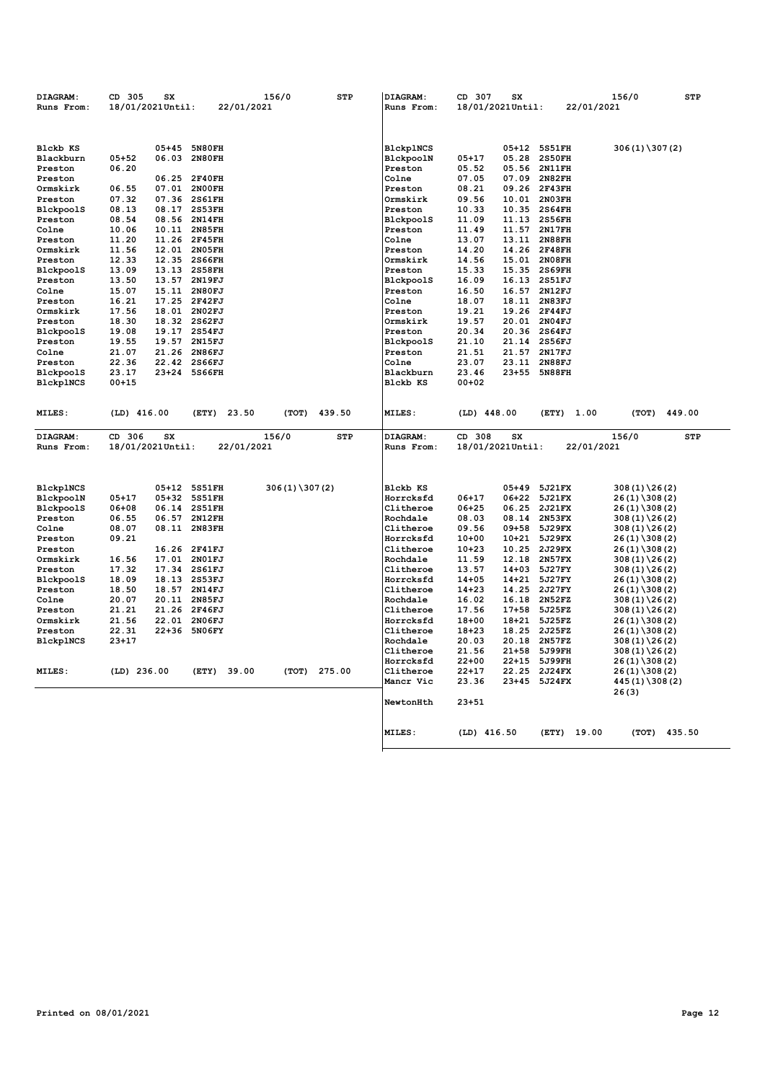| DIAGRAM:                             | CD 305<br>SX                           | 156/0                             | <b>STP</b> | DIAGRAM:               | CD 307         | SX                      |                                | 156/0                            | <b>STP</b> |
|--------------------------------------|----------------------------------------|-----------------------------------|------------|------------------------|----------------|-------------------------|--------------------------------|----------------------------------|------------|
| Runs From:                           | 18/01/2021Until:                       | 22/01/2021                        |            | Runs From:             |                | 18/01/2021Until:        | 22/01/2021                     |                                  |            |
|                                      |                                        |                                   |            |                        |                |                         |                                |                                  |            |
|                                      |                                        |                                   |            |                        |                |                         |                                |                                  |            |
| Blckb KS                             | $05 + 45$                              | <b>5N80FH</b>                     |            | BlckplNCS              |                | 05+12                   | 5S51FH                         | $306(1)\ 307(2)$                 |            |
| Blackburn                            | $05 + 52$<br>06.03                     | <b>2N80FH</b>                     |            | BlckpoolN              | 05+17          | 05.28                   | <b>2S50FH</b>                  |                                  |            |
| Preston                              | 06.20                                  |                                   |            | Preston                | 05.52          | 05.56                   | <b>2N11FH</b>                  |                                  |            |
| Preston                              | 06.25                                  | <b>2F40FH</b>                     |            | Colne                  | 07.05          | 07.09                   | <b>2N82FH</b>                  |                                  |            |
| Ormskirk                             | 06.55<br>07.01                         | 2N00FH                            |            | Preston                | 08.21          | 09.26                   | <b>2F43FH</b>                  |                                  |            |
| Preston                              | 07.32<br>07.36                         | <b>2S61FH</b>                     |            | Ormskirk               | 09.56          | 10.01                   | <b>2N03FH</b>                  |                                  |            |
| <b>BlckpoolS</b>                     | 08.13<br>08.17                         | 2S53FH                            |            | Preston                | 10.33          | 10.35                   | <b>2S64FH</b>                  |                                  |            |
| Preston                              | 08.54<br>08.56 2N14FH                  |                                   |            | <b>BlckpoolS</b>       | 11.09          | 11.13                   | <b>2S56FH</b>                  |                                  |            |
| Colne                                | 10.06<br>10.11                         | <b>2N85FH</b>                     |            | Preston                | 11.49          | 11.57                   | <b>2N17FH</b>                  |                                  |            |
| Preston                              | 11.20<br>11.26 2F45FH                  |                                   |            | Colne                  | 13.07          | 13.11                   | <b>2N88FH</b>                  |                                  |            |
| Ormskirk                             | 12.01<br>11.56                         | <b>2N05FH</b>                     |            | Preston                | 14.20          | 14.26                   | <b>2F48FH</b>                  |                                  |            |
| Preston<br><b>BlckpoolS</b>          | 12.33<br>12.35<br>13.09<br>13.13       | 2S66FH<br><b>2S58FH</b>           |            | Ormskirk<br>Preston    | 14.56<br>15.33 | 15.01<br>15.35          | <b>2N08FH</b><br><b>2S69FH</b> |                                  |            |
| Preston                              | 13.57<br>13.50                         | 2N19FJ                            |            | <b>BlckpoolS</b>       | 16.09          | 16.13 2S51FJ            |                                |                                  |            |
| Colne                                | 15.07<br>15.11                         | 2N80FJ                            |            | Preston                | 16.50          | 16.57                   | <b>2N12FJ</b>                  |                                  |            |
| Preston                              | 17.25<br>16.21                         | <b>2F42FJ</b>                     |            | Colne                  | 18.07          | 18.11                   | 2N83FJ                         |                                  |            |
| Ormskirk                             | 17.56<br>18.01 2N02FJ                  |                                   |            | Preston                | 19.21          | 19.26                   | 2F44FJ                         |                                  |            |
| Preston                              | 18.30<br>18.32                         | 2S62FJ                            |            | Ormskirk               | 19.57          | 20.01                   | 2N04FJ                         |                                  |            |
| <b>BlckpoolS</b>                     | 19.08<br>19.17                         | 2S54FJ                            |            | Preston                | 20.34          | 20.36                   | 2S64FJ                         |                                  |            |
| Preston                              | 19.57<br>19.55                         | 2N15FJ                            |            | <b>BlckpoolS</b>       | 21.10          | 21.14                   | 2S56FJ                         |                                  |            |
| Colne                                | 21.07<br>21.26                         | 2N86FJ                            |            | Preston                | 21.51          | 21.57                   | 2N17FJ                         |                                  |            |
| Preston                              | 22.36<br>22.42                         | 2S66FJ                            |            | Colne                  | 23.07          | 23.11                   | 2N88FJ                         |                                  |            |
| <b>BlckpoolS</b>                     | 23+24 5S66FH<br>23.17                  |                                   |            | Blackburn              | 23.46          | 23+55                   | 5N88FH                         |                                  |            |
| <b>BlckplNCS</b>                     | $00 + 15$                              |                                   |            | Blckb KS               | 00+02          |                         |                                |                                  |            |
| MILES:                               | $(LD)$ 416.00                          | (ETY)<br>23.50<br>(TOT)           | 439.50     | <b>MILES:</b>          | $(LD)$ 448.00  |                         | (ETY)<br>1.00                  | (TOT)                            | 449.00     |
|                                      |                                        |                                   |            |                        |                |                         |                                |                                  |            |
|                                      |                                        |                                   |            |                        |                |                         |                                |                                  |            |
| DIAGRAM:<br>Runs From:               | CD 306<br>SX<br>18/01/2021Until:       | 156/0<br>22/01/2021               | <b>STP</b> | DIAGRAM:<br>Runs From: | CD 308         | S X<br>18/01/2021Until: | 22/01/2021                     | 156/0                            | <b>STP</b> |
|                                      |                                        |                                   |            |                        |                |                         |                                |                                  |            |
|                                      |                                        |                                   |            |                        |                |                         |                                |                                  |            |
| <b>BlckplNCS</b>                     | 05+12 5S51FH<br>$05 + 17$<br>$05 + 32$ | $306(1)\ 307(2)$<br><b>5S51FH</b> |            | Blckb KS<br>Horrcksfd  | $06 + 17$      | 05+49<br>06+22          | 5J21FX<br>5J21FX               | $308(1)\26(2)$                   |            |
| <b>BlckpoolN</b><br><b>BlckpoolS</b> | $06 + 08$<br>06.14                     | 2S51FH                            |            | Clitheroe              | $06 + 25$      | 06.25                   | 2J21FX                         | $26(1)\308(2)$<br>$26(1)\308(2)$ |            |
| Preston                              | 06.55<br>06.57                         | <b>2N12FH</b>                     |            | Rochdale               | 08.03          | 08.14                   | <b>2N53FX</b>                  | $308(1)\126(2)$                  |            |
| Colne                                | 08.07<br>08.11 2N83FH                  |                                   |            | Clitheroe              | 09.56          | 09+58                   | 5J29FX                         | $308(1)\26(2)$                   |            |
| Preston                              | 09.21                                  |                                   |            | Horrcksfd              | $10 + 00$      | 10+21                   | 5J29FX                         | $26(1)\308(2)$                   |            |
| Preston                              | 16.26                                  | <b>2F41FJ</b>                     |            | Clitheroe              | $10+23$        | 10.25                   | 2J29FX                         | $26(1)\308(2)$                   |            |
| Ormskirk                             | 16.56<br>17.01 2N01FJ                  |                                   |            | Rochdale               | 11.59          | 12.18                   | 2N57FX                         | $308(1)\26(2)$                   |            |
| Preston                              | 17.32<br>17.34                         | 2S61FJ                            |            | Clitheroe              | 13.57          | $14 + 03$               | 5J27FY                         | $308(1)\26(2)$                   |            |
| <b>BlckpoolS</b>                     | 18.09<br>18.13                         | 2S53FJ                            |            | Horrcksfd              | $14 + 05$      | 14+21                   | 5J27FY                         | $26(1)\ 308(2)$                  |            |
| Preston                              | 18.50<br>18.57                         | 2N14FJ                            |            | Clitheroe              | $14 + 23$      | 14.25                   | 2J27FY                         | $26(1)\ 308(2)$                  |            |
| Colne                                | 20.07<br>20.11                         | 2N85FJ                            |            | Rochdale               | 16.02          | 16.18                   | 2N52FZ                         | $308(1)\126(2)$                  |            |
| Preston                              | 21.21<br>21.26                         | 2F46FJ                            |            | Clitheroe              | 17.56          | $17 + 58$               | 5J25FZ                         | $308(1)\26(2)$                   |            |
| Ormskirk                             | 21.56<br>22.01 2N06FJ                  |                                   |            | Horrcksfd              | $18 + 00$      | 18+21 5J25FZ            |                                | $26(1)\308(2)$                   |            |
| Preston                              | 22.31<br>$22 + 36$                     | <b>5N06FY</b>                     |            | Clitheroe              | $18 + 23$      | 18.25                   | 2J25FZ                         | $26(1)\ 308(2)$                  |            |
| <b>BlckplNCS</b>                     | 23+17                                  |                                   |            | Rochdale<br>Clitheroe  | 20.03<br>21.56 | 20.18<br>21+58          | 2N57FZ<br>5J99FH               | $308(1)\26(2)$                   |            |
|                                      |                                        |                                   |            | Horrcksfd              | $22+00$        | 22+15                   | 5J99FH                         | $308(1)\26(2)$                   |            |
| MILES:                               | $(LD)$ 236.00                          | 39.00<br>(ETY)<br>(ТОТ)           | 275.00     | Clitheroe              | $22 + 17$      | 22.25 2J24FX            |                                | $26(1)\308(2)$                   |            |
|                                      |                                        |                                   |            | Mancr Vic              | 23.36          | 23+45 5J24FX            |                                | $26(1)\ 308(2)$                  |            |
|                                      |                                        |                                   |            |                        |                |                         |                                | $445(1)\ 308(2)$<br>26(3)        |            |
|                                      |                                        |                                   |            | NewtonHth              | $23 + 51$      |                         |                                |                                  |            |
|                                      |                                        |                                   |            |                        |                |                         |                                |                                  |            |
|                                      |                                        |                                   |            | MILES:                 | $(LD)$ 416.50  |                         | (ETY) 19.00                    | (TOT)                            | 435.50     |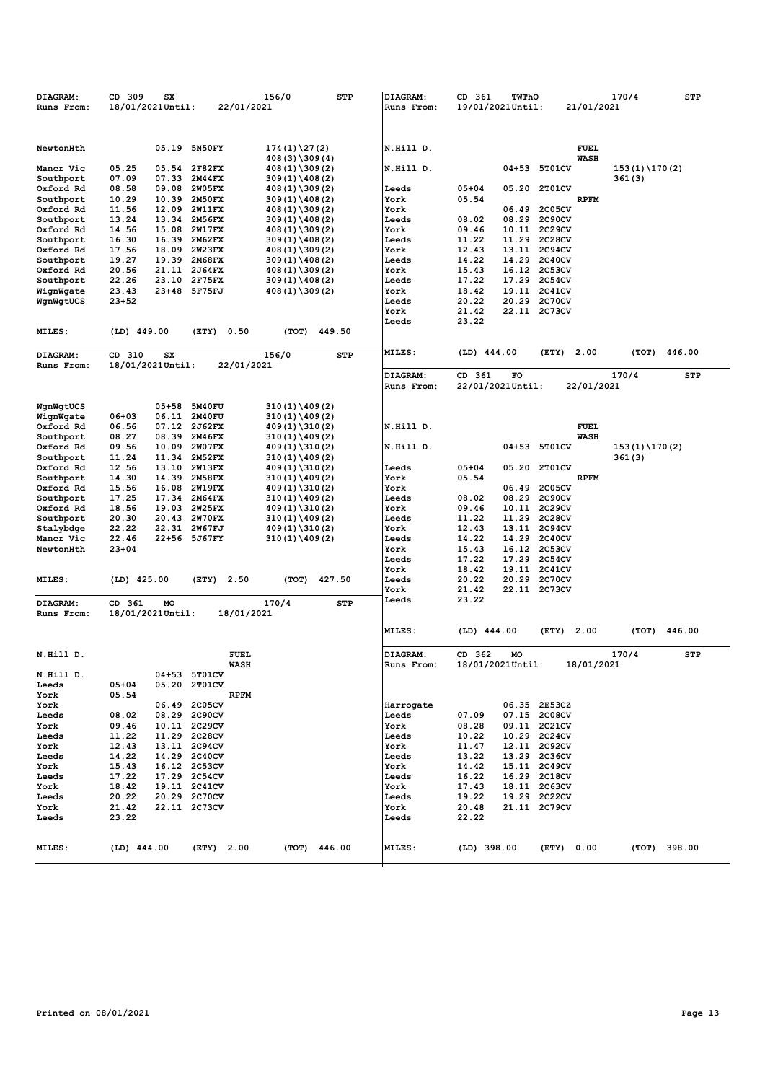| DIAGRAM:<br>Runs From: | CD 309<br>SX<br>18/01/2021Until: | 22/01/2021                     | 156/0                                | <b>STP</b> | DIAGRAM:<br>Runs From: | CD 361<br>19/01/2021Until: | <b>TWThO</b>                 |                              | 21/01/2021  | 170/4                     | STP            |
|------------------------|----------------------------------|--------------------------------|--------------------------------------|------------|------------------------|----------------------------|------------------------------|------------------------------|-------------|---------------------------|----------------|
|                        |                                  |                                |                                      |            |                        |                            |                              |                              |             |                           |                |
| NewtonHth              |                                  | 05.19 5N50FY                   | $174(1)\27(2)$                       |            | N.Hill D.              |                            |                              |                              | <b>FUEL</b> |                           |                |
| Mancr Vic              | 05.25<br>05.54                   | 2F82FX                         | $408(3)\ 309(4)$<br>$408(1)\ 309(2)$ |            | N.Hill D.              |                            | 04+53                        | 5T01CV                       | <b>WASH</b> | $153(1)\170(2)$           |                |
| Southport              | 07.09<br>07.33                   | 2M44FX                         | $309(1)\ 408(2)$                     |            |                        |                            |                              |                              |             | 361(3)                    |                |
| Oxford Rd              | 08.58<br>09.08                   | <b>2W05FX</b>                  | $408(1)\ 309(2)$                     |            | Leeds                  | $05 + 04$                  | 05.20                        | 2T01CV                       |             |                           |                |
| Southport              | 10.29<br>10.39                   | <b>2M50FX</b>                  | $309(1)\ 408(2)$                     |            | York                   | 05.54                      |                              |                              | <b>RPFM</b> |                           |                |
| Oxford Rd              | 11.56<br>12.09                   | <b>2W11FX</b>                  | $408(1)\ 309(2)$                     |            | York                   |                            | 06.49                        | 2C05CV                       |             |                           |                |
| Southport<br>Oxford Rd | 13.24<br>13.34<br>14.56<br>15.08 | 2M56FX<br><b>2W17FX</b>        | $309(1)\ 408(2)$<br>$408(1)\ 309(2)$ |            | Leeds<br>York          | 08.02<br>09.46             | 08.29<br>10.11 2C29CV        | <b>2C90CV</b>                |             |                           |                |
| Southport              | 16.30<br>16.39                   | 2M62FX                         | $309(1)\ 408(2)$                     |            | Leeds                  | 11.22                      | 11.29                        | 2C28CV                       |             |                           |                |
| Oxford Rd              | 17.56<br>18.09                   | <b>2W23FX</b>                  | $408(1)\ 309(2)$                     |            | York                   | 12.43                      | 13.11 2C94CV                 |                              |             |                           |                |
| Southport              | 19.27<br>19.39                   | 2M68FX                         | $309(1)\ 408(2)$                     |            | Leeds                  | 14.22                      | 14.29                        | <b>2C40CV</b>                |             |                           |                |
| Oxford Rd              | 20.56                            | 21.11 2J64FX                   | $408(1)\ 309(2)$                     |            | York                   | 15.43                      | 16.12 2C53CV                 |                              |             |                           |                |
| Southport              | 22.26<br>23.10                   | 2F75FX                         | $309(1)\ 408(2)$                     |            | Leeds                  | 17.22                      | 17.29 2C54CV                 |                              |             |                           |                |
| WignWgate              | 23.43<br>$23 + 48$               | <b>5F75FJ</b>                  | $408(1)\ 309(2)$                     |            | York                   | 18.42                      | 19.11                        | 2C41CV                       |             |                           |                |
| WgnWgtUCS              | $23 + 52$                        |                                |                                      |            | Leeds<br>York          | 20.22<br>21.42             | 20.29<br>22.11 2C73CV        | 2C70CV                       |             |                           |                |
|                        |                                  |                                |                                      |            | Leeds                  | 23.22                      |                              |                              |             |                           |                |
| <b>MILES:</b>          | $(LD)$ 449.00                    | 0.50<br>(ETY)                  | (ТОТ)                                | 449.50     |                        |                            |                              |                              |             |                           |                |
| DIAGRAM:<br>Runs From: | CD 310<br>SX<br>18/01/2021Until: | 22/01/2021                     | 156/0                                | <b>STP</b> | MILES:                 | (LD) 444.00                |                              | (ETY)                        | 2.00        | (TOT)                     | 446.00         |
|                        |                                  |                                |                                      |            | DIAGRAM:               | CD 361                     | FO                           |                              |             | 170/4                     | STP            |
|                        |                                  |                                |                                      |            | Runs From:             | 22/01/2021Until:           |                              |                              | 22/01/2021  |                           |                |
| WgnWgtUCS              | $05 + 58$                        | 5M40FU                         | $310(1)\1409(2)$                     |            |                        |                            |                              |                              |             |                           |                |
| WignWgate              | 06.11<br>$06 + 03$               | <b>2M40FU</b>                  | $310(1)\ 409(2)$                     |            |                        |                            |                              |                              |             |                           |                |
| Oxford Rd              | 06.56<br>07.12                   | 2J62FX                         | $409(1)\ 310(2)$                     |            | N.Hill D.              |                            |                              |                              | <b>FUEL</b> |                           |                |
| Southport              | 08.27<br>08.39                   | 2M46FX                         | $310(1)\1409(2)$                     |            |                        |                            |                              |                              | <b>WASH</b> |                           |                |
| Oxford Rd              | 09.56<br>10.09<br>11.24<br>11.34 | <b>2W07FX</b><br><b>2M52FX</b> | $409(1)\ 310(2)$                     |            | N.Hill D.              |                            | 04+53                        | 5T01CV                       |             | $153(1)\170(2)$<br>361(3) |                |
| Southport<br>Oxford Rd | 12.56<br>13.10                   | <b>2W13FX</b>                  | $310(1)\ 409(2)$<br>$409(1)\ 310(2)$ |            | Leeds                  | $05 + 04$                  | 05.20                        | 2T01CV                       |             |                           |                |
| Southport              | 14.30<br>14.39                   | 2M58FX                         | $310(1)\ 409(2)$                     |            | York                   | 05.54                      |                              |                              | <b>RPFM</b> |                           |                |
| Oxford Rd              | 15.56<br>16.08                   | <b>2W19FX</b>                  | $409(1)\ 310(2)$                     |            | York                   |                            | 06.49 2C05CV                 |                              |             |                           |                |
| Southport              | 17.25<br>17.34                   | 2M64FX                         | $310(1)\ 409(2)$                     |            | Leeds                  | 08.02                      | 08.29 2C90CV                 |                              |             |                           |                |
| Oxford Rd              | 18.56<br>19.03                   | <b>2W25FX</b>                  | $409(1)\ 310(2)$                     |            | York                   | 09.46                      | 10.11 2C29CV                 |                              |             |                           |                |
| Southport              | 20.30<br>20.43                   | <b>2W70FX</b>                  | $310(1)\ 409(2)$                     |            | Leeds                  | 11.22                      | 11.29                        | 2C28CV                       |             |                           |                |
| Stalybdge<br>Mancr Vic | 22.22<br>22.31<br>22.46          | 2W67FJ<br>22+56 5J67FY         | $409(1)\ 310(2)$<br>$310(1)\ 409(2)$ |            | York<br>Leeds          | 12.43<br>14.22             | 13.11 2C94CV<br>14.29 2C40CV |                              |             |                           |                |
| NewtonHth              | $23 + 04$                        |                                |                                      |            | York                   | 15.43                      |                              | 16.12 2C53CV                 |             |                           |                |
|                        |                                  |                                |                                      |            | Leeds                  | 17.22                      | 17.29                        | <b>2C54CV</b>                |             |                           |                |
|                        |                                  |                                |                                      |            | York                   | 18.42                      | 19.11 2C41CV                 |                              |             |                           |                |
| <b>MILES:</b>          | $(LD)$ 425.00                    | 2.50<br>(ETY)                  | (TOT)                                | 427.50     | Leeds                  | 20.22                      | 20.29                        | 2C70CV                       |             |                           |                |
|                        |                                  |                                |                                      |            | York                   | 21.42                      |                              | 22.11 2C73CV                 |             |                           |                |
| <b>DIAGRAM:</b>        | CD 361<br>MO                     |                                | 170/4                                | <b>STP</b> | Leeds                  | 23.22                      |                              |                              |             |                           |                |
| Runs From:             | 18/01/2021Until:                 | 18/01/2021                     |                                      |            |                        |                            |                              |                              |             |                           |                |
|                        |                                  |                                |                                      |            | MILES:                 | $(LD)$ 444.00              |                              | (ETY)                        | 2.00        | (TOT)                     | 446.00         |
| N.Hill D.              |                                  | FUEL<br><b>WASH</b>            |                                      |            | DIAGRAM:<br>Runs From: | CD 362<br>18/01/2021Until: | MO                           |                              | 18/01/2021  | 170/4                     | STP            |
| N.Hill D.              |                                  | 04+53 5T01CV                   |                                      |            |                        |                            |                              |                              |             |                           |                |
| Leeds                  | $05 + 04$                        | 05.20 2T01CV                   |                                      |            |                        |                            |                              |                              |             |                           |                |
| York                   | 05.54                            | <b>RPFM</b>                    |                                      |            |                        |                            |                              |                              |             |                           |                |
| York                   |                                  | 06.49 2C05CV                   |                                      |            | Harrogate              |                            | 06.35 2E53CZ                 |                              |             |                           |                |
| Leeds                  | 08.02                            | 08.29 2C90CV                   |                                      |            | Leeds                  | 07.09                      |                              | 07.15 2C08CV                 |             |                           |                |
| York<br>Leeds          | 09.46<br>11.22                   | 10.11 2C29CV<br>11.29 2C28CV   |                                      |            | York<br>Leeds          | 08.28<br>10.22             |                              | 09.11 2C21CV<br>10.29 2C24CV |             |                           |                |
| York                   | 12.43                            | 13.11 2C94CV                   |                                      |            | York                   | 11.47                      |                              | 12.11 2C92CV                 |             |                           |                |
| Leeds                  | 14.22                            | 14.29 2C40CV                   |                                      |            | Leeds                  | 13.22                      |                              | 13.29 2C36CV                 |             |                           |                |
| York                   | 15.43                            | 16.12 2C53CV                   |                                      |            | York                   | 14.42                      |                              | 15.11 2C49CV                 |             |                           |                |
| Leeds                  | 17.22                            | 17.29 2C54CV                   |                                      |            | Leeds                  | 16.22                      |                              | 16.29 2C18CV                 |             |                           |                |
| York                   | 18.42                            | 19.11 2C41CV                   |                                      |            | York                   | 17.43                      |                              | 18.11 2C63CV                 |             |                           |                |
| Leeds                  | 20.22                            | 20.29 2C70CV                   |                                      |            | Leeds                  | 19.22                      |                              | 19.29 2C22CV                 |             |                           |                |
| York<br>Leeds          | 21.42                            | 22.11 2C73CV                   |                                      |            | York                   | 20.48                      |                              | 21.11 2C79CV                 |             |                           |                |
|                        | 23.22                            |                                |                                      |            | Leeds                  | 22.22                      |                              |                              |             |                           |                |
| MILES:                 | $(LD)$ 444.00                    | (ETY) 2.00                     | (TOT) 446.00                         |            | MILES:                 | $(LD)$ 398.00              |                              | (ETY) 0.00                   |             |                           | $(TOT)$ 398.00 |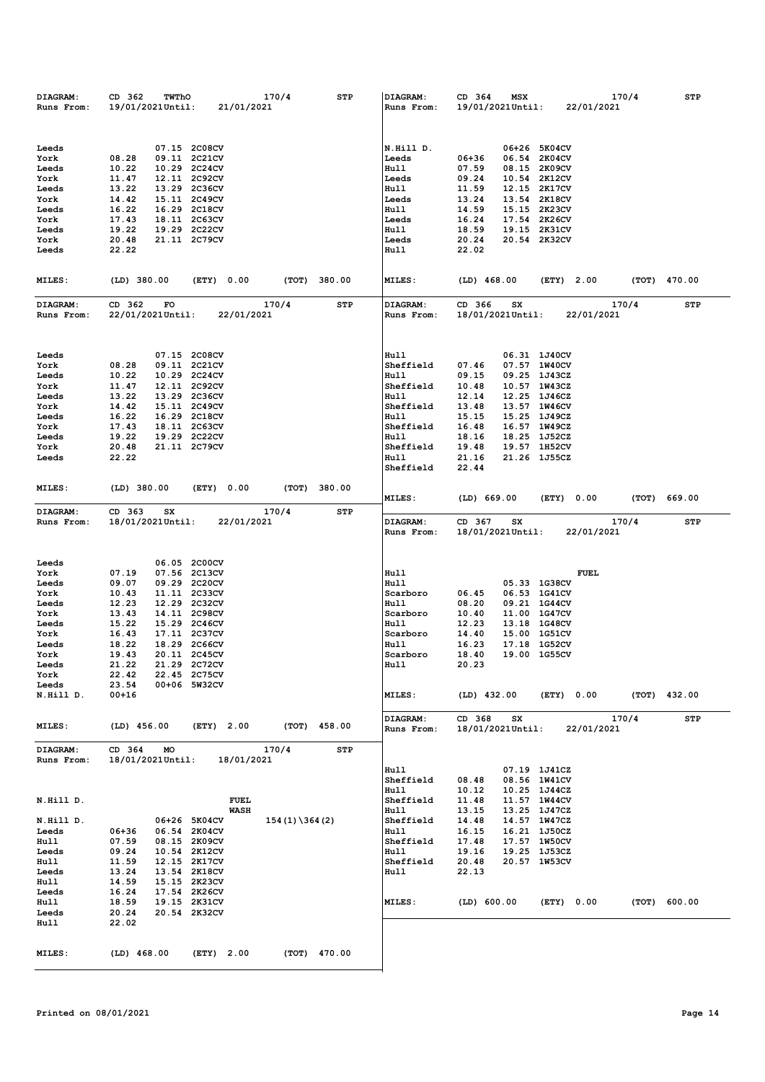| DIAGRAM:<br>Runs From:                                                                                      | CD 362<br>170/4<br>STP<br>TWThO<br>19/01/2021Until:<br>21/01/2021                                                                                                                                                                                                                                        | DIAGRAM:<br>Runs From:                                                                                                     | CD 364<br>170/4<br>STP<br>MSX<br>19/01/2021Until:<br>22/01/2021                                                                                                                                                                                                                                       |
|-------------------------------------------------------------------------------------------------------------|----------------------------------------------------------------------------------------------------------------------------------------------------------------------------------------------------------------------------------------------------------------------------------------------------------|----------------------------------------------------------------------------------------------------------------------------|-------------------------------------------------------------------------------------------------------------------------------------------------------------------------------------------------------------------------------------------------------------------------------------------------------|
| Leeds<br>York<br>Leeds<br>York<br>Leeds<br>York<br>Leeds<br>York<br>Leeds<br>York<br>Leeds<br><b>MILES:</b> | 07.15 2C08CV<br>08.28<br>09.11 2C21CV<br>10.29 2C24CV<br>10.22<br>12.11 2C92CV<br>11.47<br>13.22<br>13.29 2C36CV<br>14.42<br>15.11 2C49CV<br>16.22<br>16.29 2C18CV<br>17.43<br>18.11 2C63CV<br>19.22<br>19.29 2C22CV<br>20.48<br>21.11 2C79CV<br>22.22<br>380.00<br>$(LD)$ 380.00<br>(ETY) 0.00<br>(ТОТ) | N.Hill D.<br>Leeds<br>Hull<br>Leeds<br>Hull<br>Leeds<br>Hull<br>Leeds<br>Hull<br>Leeds<br>Hull<br><b>MILES:</b>            | 06+26 5K04CV<br>06.54 2K04CV<br>06+36<br>08.15 2K09CV<br>07.59<br>09.24<br>10.54 2K12CV<br>11.59<br>12.15 2K17CV<br>13.24<br>13.54 2K18CV<br>14.59<br>15.15 2K23CV<br>16.24<br>17.54 2K26CV<br>18.59<br>19.15 2K31CV<br>20.24<br>20.54 2K32CV<br>22.02<br>(TOT) 470.00<br>$(LD)$ 468.00<br>(ETY) 2.00 |
| DIAGRAM:<br>Runs From:                                                                                      | CD 362<br>FO<br>170/4<br>STP<br>22/01/2021Until:<br>22/01/2021                                                                                                                                                                                                                                           | DIAGRAM:<br>Runs From:                                                                                                     | CD 366<br>SX<br>170/4<br>STP<br>18/01/2021Until:<br>22/01/2021                                                                                                                                                                                                                                        |
| Leeds<br>York<br>Leeds<br>York<br>Leeds<br>York<br>Leeds<br>York<br>Leeds<br>York<br>Leeds<br><b>MILES:</b> | 07.15 2C08CV<br>08.28<br>09.11 2C21CV<br>10.22<br>10.29 2C24CV<br>12.11 2C92CV<br>11.47<br>13.22<br>13.29 2C36CV<br>14.42<br>15.11 2C49CV<br>16.22<br>16.29 2C18CV<br>18.11 2C63CV<br>17.43<br>19.22<br>19.29 2C22CV<br>20.48<br>21.11 2C79CV<br>22.22<br>$(LD)$ 380.00<br>(ETY) 0.00<br>$(TOT)$ 380.00  | Hull<br>Sheffield<br>Hull<br>Sheffield<br>Hull<br>Sheffield<br>Hull<br>Sheffield<br>Hull<br>Sheffield<br>Hull<br>Sheffield | 06.31 1J40CV<br>07.46<br>07.57 1W40CV<br>09.15<br>09.25 1J43CZ<br>10.48<br>10.57 1W43CZ<br>12.14<br>12.25 1J46CZ<br>13.57 1W46CV<br>13.48<br>15.15<br>15.25 1J49CZ<br>16.48<br>16.57 1W49CZ<br>18.25 1J52CZ<br>18.16<br>19.48<br>19.57 1H52CV<br>21.16<br>21.26 1J55CZ<br>22.44                       |
| DIAGRAM:<br>Runs From:                                                                                      | CD 363<br>170/4<br><b>STP</b><br>SX<br>18/01/2021Until:<br>22/01/2021                                                                                                                                                                                                                                    | <b>MILES:</b><br><b>DIAGRAM:</b><br>Runs From:                                                                             | (LD) 669.00<br>(ETY) 0.00<br>(ТОТ)<br>669.00<br>CD 367<br>170/4<br><b>STP</b><br>SX<br>18/01/2021Until:<br>22/01/2021                                                                                                                                                                                 |
| Leeds<br>York<br>Leeds<br>York<br>Leeds<br>York<br>Leeds<br>York<br>Leeds<br>York<br>Leeds                  | 06.05 2C00CV<br>07.19<br>07.56 2C13CV<br>09.07<br>09.29 2C20CV<br>11.11 2C33CV<br>10.43<br>12.23<br>12.29 2C32CV<br>14.11 2C98CV<br>13.43<br>15.22<br>15.29 2C46CV<br>16.43<br>17.11 2C37CV<br>18.22<br>18.29 2C66CV<br>19.43<br>20.11 2C45CV<br>21.22<br>21.29 2C72CV                                   | Hull<br>Hull<br>Scarboro<br>Hull<br>Scarboro<br>Hull<br>Scarboro<br>Hull<br>Scarboro<br>Hull                               | <b>FUEL</b><br>05.33 1G38CV<br>06.53 1G41CV<br>06.45<br>08.20<br>09.21 1G44CV<br>10.40<br>11.00 1G47CV<br>12.23<br>13.18 1G48CV<br>15.00 1G51CV<br>14.40<br>16.23<br>17.18 1G52CV<br>19.00 1G55CV<br>18.40<br>20.23                                                                                   |
| York<br>Leeds<br>N.Hill D.                                                                                  | 22.42<br>22.45 2C75CV<br>23.54<br>00+06 5W32CV<br>$00 + 16$                                                                                                                                                                                                                                              | <b>MILES:</b>                                                                                                              | (LD) 432.00<br>(ETY) 0.00<br>(TOT) 432.00                                                                                                                                                                                                                                                             |
| <b>MILES:</b>                                                                                               | $(LD)$ 456.00<br>(ETY) 2.00<br>(TOT) 458.00                                                                                                                                                                                                                                                              | DIAGRAM:<br>Runs From:                                                                                                     | CD 368<br>170/4<br>SX<br>STP<br>18/01/2021Until:<br>22/01/2021                                                                                                                                                                                                                                        |
| DIAGRAM:<br>Runs From:                                                                                      | CD 364<br>170/4<br>MO<br>STP<br>18/01/2021Until:<br>18/01/2021                                                                                                                                                                                                                                           | Hull<br>Sheffield<br>Hull                                                                                                  | 07.19 1J41CZ<br>08.48<br>08.56 1W41CV<br>10.12<br>10.25 1J44CZ                                                                                                                                                                                                                                        |
| N.Hill D.<br>N.Hill D.<br>Leeds<br>Hull<br>Leeds<br>Hull<br>Leeds<br>Hull<br>Leeds<br>Hull<br>Leeds<br>Hull | <b>FUEL</b><br><b>WASH</b><br>06+26 5K04CV<br>$154(1)\364(2)$<br>06+36<br>06.54 2K04CV<br>07.59<br>08.15 2K09CV<br>09.24<br>10.54 2K12CV<br>11.59<br>12.15 2K17CV<br>13.24<br>13.54 2K18CV<br>14.59<br>15.15 2K23CV<br>16.24<br>17.54 2K26CV<br>18.59<br>19.15 2K31CV<br>20.24<br>20.54 2K32CV<br>22.02  | Sheffield<br>Hull<br>Sheffield<br>Hull<br>Sheffield<br>Hull<br>Sheffield<br>Hull<br><b>MILES:</b>                          | 11.48<br>11.57 1W44CV<br>13.15<br>13.25 1J47CZ<br>14.48<br>14.57 1W47CZ<br>16.15<br>16.21 1J50CZ<br>17.48<br>17.57 1W50CV<br>19.16<br>19.25 1J53CZ<br>20.48<br>20.57 1W53CV<br>22.13<br>(LD) 600.00<br>(ETY) 0.00<br>(TOT) 600.00                                                                     |
| <b>MILES:</b>                                                                                               | $(LD)$ 468.00<br>(ETY) 2.00<br>(TOT) 470.00                                                                                                                                                                                                                                                              |                                                                                                                            |                                                                                                                                                                                                                                                                                                       |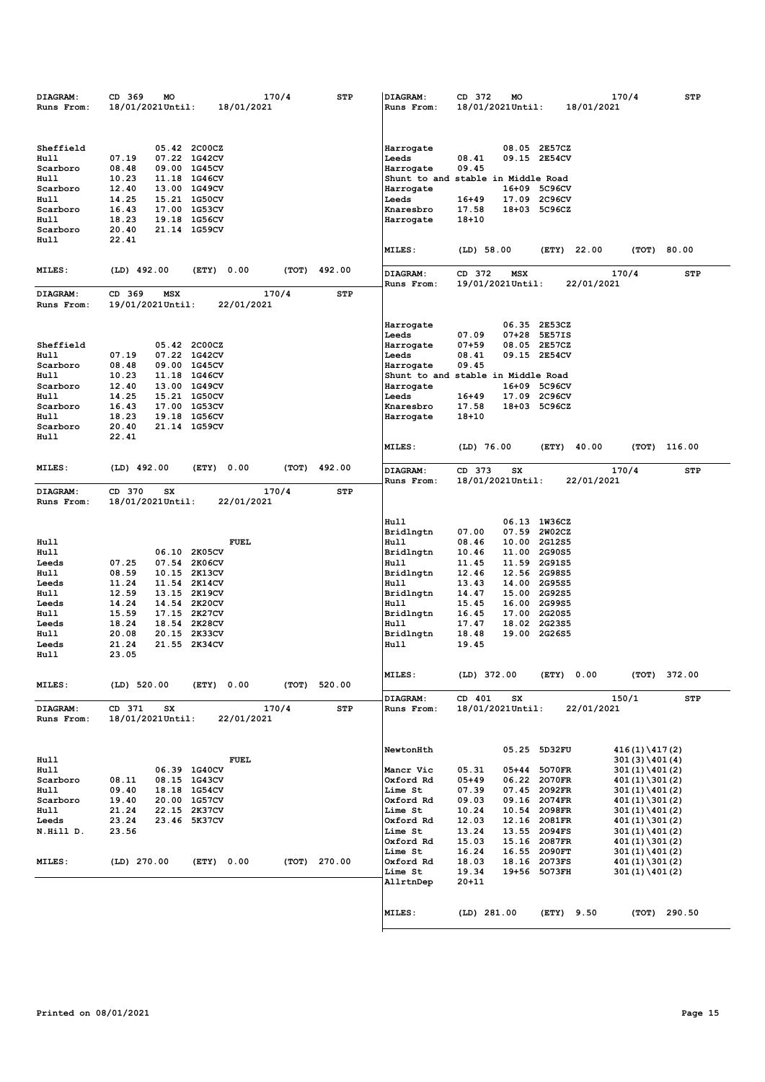| DIAGRAM:<br>Runs From: | CD 369<br>MO<br>18/01/2021Until: | 18/01/2021                   | 170/4 | <b>STP</b>   | DIAGRAM:<br>Runs From: | CD 372<br>MO<br>18/01/2021Until:   |                              | 170/4<br>18/01/2021                  | <b>STP</b>   |
|------------------------|----------------------------------|------------------------------|-------|--------------|------------------------|------------------------------------|------------------------------|--------------------------------------|--------------|
|                        |                                  |                              |       |              |                        |                                    |                              |                                      |              |
| Sheffield              |                                  | 05.42 2C00CZ                 |       |              | Harrogate              |                                    | 08.05 2E57CZ                 |                                      |              |
| Hull<br>Scarboro       | 07.19<br>08.48                   | 07.22 1G42CV<br>09.00 1G45CV |       |              | Leeds                  | 08.41<br>09.45                     | 09.15 2E54CV                 |                                      |              |
| Hull                   | 10.23                            | 11.18 1G46CV                 |       |              | Harrogate              | Shunt to and stable in Middle Road |                              |                                      |              |
| Scarboro               | 12.40<br>13.00                   | <b>1G49CV</b>                |       |              | Harrogate              |                                    | 16+09 5C96CV                 |                                      |              |
| Hull                   | 14.25                            | 15.21 1G50CV                 |       |              | Leeds                  | $16 + 49$                          | 17.09 2C96CV                 |                                      |              |
| Scarboro               | 16.43                            | 17.00 1G53CV                 |       |              | Knaresbro              | 17.58                              | 18+03 5C96CZ                 |                                      |              |
| Hull                   | 18.23<br>19.18                   | <b>1G56CV</b>                |       |              | Harrogate              | $18 + 10$                          |                              |                                      |              |
| Scarboro               | 20.40                            | 21.14 1G59CV                 |       |              |                        |                                    |                              |                                      |              |
| Hull                   | 22.41                            |                              |       |              | MILES:                 | $(LD)$ 58.00                       | 22.00<br>(ETY)               | (TOT)                                | 80.00        |
| MILES:                 | (LD) 492.00                      | (ETY) 0.00                   | (TOT) | 492.00       | DIAGRAM:               | CD 372<br>MSX                      |                              | 170/4                                | STP          |
| DIAGRAM:               | CD 369<br>MSX                    |                              | 170/4 | <b>STP</b>   | Runs From:             | 19/01/2021Until:                   |                              | 22/01/2021                           |              |
| Runs From:             | 19/01/2021Until:                 | 22/01/2021                   |       |              |                        |                                    |                              |                                      |              |
|                        |                                  |                              |       |              | Harrogate              |                                    | 06.35 2E53CZ                 |                                      |              |
|                        |                                  |                              |       |              | Leeds                  | 07.09                              | 07+28 5E57IS                 |                                      |              |
| Sheffield              |                                  | 05.42 2C00CZ                 |       |              | Harrogate              | $07 + 59$                          | 08.05 2E57CZ                 |                                      |              |
| Hull                   | 07.19                            | 07.22 1G42CV                 |       |              | Leeds                  | 08.41                              | 09.15 2E54CV                 |                                      |              |
| Scarboro               | 08.48                            | 09.00 1G45CV                 |       |              | Harrogate              | 09.45                              |                              |                                      |              |
| Hull                   | 10.23<br>12.40                   | 11.18 1G46CV<br>13.00 1G49CV |       |              |                        | Shunt to and stable in Middle Road | 16+09 5C96CV                 |                                      |              |
| Scarboro<br>Hull       | 14.25                            | 15.21 1G50CV                 |       |              | Harrogate<br>Leeds     | $16 + 49$                          | 17.09 2C96CV                 |                                      |              |
| Scarboro               | 16.43<br>17.00                   | <b>1G53CV</b>                |       |              | Knaresbro              | 17.58                              | 18+03 5C96CZ                 |                                      |              |
| Hull                   | 18.23                            | 19.18 1G56CV                 |       |              | Harrogate              | $18 + 10$                          |                              |                                      |              |
| Scarboro               | 20.40                            | 21.14 1G59CV                 |       |              |                        |                                    |                              |                                      |              |
| Hull                   | 22.41                            |                              |       |              |                        |                                    |                              |                                      |              |
|                        |                                  |                              |       |              | MILES:                 | $(LD)$ 76.00                       | (ETY)<br>40.00               |                                      | (TOT) 116.00 |
| <b>MILES:</b>          | $(LD)$ 492.00                    | 0.00<br>(ETY)                | (TOT) | 492.00       | DIAGRAM:               | CD 373<br><b>SX</b>                |                              | 170/4                                | STP          |
| <b>DIAGRAM:</b>        | CD 370<br>SX                     |                              | 170/4 | STP          | Runs From:             | 18/01/2021Until:                   |                              | 22/01/2021                           |              |
| Runs From:             | 18/01/2021Until:                 | 22/01/2021                   |       |              |                        |                                    |                              |                                      |              |
|                        |                                  |                              |       |              | Hull                   |                                    | 06.13 1W36CZ                 |                                      |              |
|                        |                                  |                              |       |              | Bridlngtn              | 07.00                              | 07.59 2W02CZ                 |                                      |              |
| Hull                   |                                  | <b>FUEL</b>                  |       |              | Hull                   | 08.46                              | 10.00 2G12S5                 |                                      |              |
| Hull                   |                                  | 06.10 2K05CV                 |       |              | Bridlngtn              | 10.46                              | 11.00 2G90S5                 |                                      |              |
| Leeds                  | 07.25                            | 07.54 2K06CV                 |       |              | Hull                   | 11.45                              | 11.59 2G91S5                 |                                      |              |
| Hull                   | 08.59                            | 10.15 2K13CV                 |       |              | Bridlngtn              | 12.46                              | 12.56 2G98S5                 |                                      |              |
| Leeds<br>Hull          | 11.24<br>12.59                   | 11.54 2K14CV<br>13.15 2K19CV |       |              | Hull<br>Bridlngtn      | 13.43<br>14.47                     | 14.00 2G95S5<br>15.00 2G92S5 |                                      |              |
| Leeds                  | 14.24                            | 14.54 2K20CV                 |       |              | Hull                   | 15.45                              | 16.00 2G99S5                 |                                      |              |
| Hull                   | 15.59                            | 17.15 2K27CV                 |       |              | Bridlngtn              | 16.45                              | 17.00 2G20S5                 |                                      |              |
| Leeds                  | 18.24                            | 18.54 2K28CV                 |       |              | Hull                   | 17.47                              | 18.02 2G23S5                 |                                      |              |
| Hull                   | 20.08                            | 20.15 2K33CV                 |       |              | Bridlngtn              | 18.48                              | 19.00 2G26S5                 |                                      |              |
| Leeds                  | 21.24                            | 21.55 2K34CV                 |       |              | Hull                   | 19.45                              |                              |                                      |              |
| Hull                   | 23.05                            |                              |       |              |                        |                                    |                              |                                      |              |
|                        |                                  |                              |       |              | MILES:                 | (LD) 372.00                        | (ETY) 0.00                   |                                      | (TOT) 372.00 |
| <b>MILES:</b>          | $(LD)$ 520.00                    | (ETY) 0.00                   |       | (TOT) 520.00 | <b>DIAGRAM:</b>        | CD 401<br>SX                       |                              | 150/1                                | STP          |
| DIAGRAM:               | CD 371<br>SX                     |                              | 170/4 | STP          | Runs From:             | 18/01/2021Until:                   |                              | 22/01/2021                           |              |
| Runs From:             | 18/01/2021Until:                 | 22/01/2021                   |       |              |                        |                                    |                              |                                      |              |
|                        |                                  |                              |       |              |                        |                                    |                              |                                      |              |
|                        |                                  |                              |       |              |                        |                                    |                              |                                      |              |
| Hull                   |                                  | <b>FUEL</b>                  |       |              | NewtonHth              |                                    | 05.25 5D32FU                 | $416(1)\ 417(2)$<br>$301(3)\1401(4)$ |              |
| Hull                   |                                  | 06.39 1G40CV                 |       |              | Mancr Vic              | 05.31                              | 05+44 5070FR                 | $301(1)\ 401(2)$                     |              |
| Scarboro               | 08.11                            | 08.15 1G43CV                 |       |              | Oxford Rd              | $05 + 49$                          | 06.22 2070FR                 | $401(1)\ 301(2)$                     |              |
| Hull                   | 09.40                            | 18.18 1G54CV                 |       |              | Lime St                | 07.39                              | 07.45 2092FR                 | $301(1)\ 401(2)$                     |              |
| Scarboro               | 19.40                            | 20.00 1G57CV                 |       |              | Oxford Rd              | 09.03                              | 09.16 2074FR                 | 401(1)\301(2)                        |              |
| Hull                   | 21.24                            | 22.15 2K37CV                 |       |              | Lime St                | 10.24                              | 10.54 2098FR                 | $301(1)\ 401(2)$                     |              |
| Leeds                  | 23.24                            | 23.46 5K37CV                 |       |              | Oxford Rd              | 12.03<br>12.16                     | 2081FR                       | $401(1)\ 301(2)$                     |              |
| N.Hill D.              | 23.56                            |                              |       |              | Lime St                | 13.24                              | 13.55 2094FS                 | 301(1)\401(2)                        |              |
|                        |                                  |                              |       |              | Oxford Rd              | 15.03                              | 15.16 2087FR                 | 401(1)\301(2)                        |              |
|                        |                                  |                              |       |              | Lime St                | 16.24                              | 16.55 2090FT                 | 301 (1) \401 (2)                     |              |
| MILES:                 | (LD) 270.00                      | (ETY) 0.00                   |       | (TOT) 270.00 | Oxford Rd              | 18.03                              | 18.16 2073FS                 | 401(1)\301(2)                        |              |
|                        |                                  |                              |       |              | Lime St<br>AllrtnDep   | 19.34<br>$20 + 11$                 | 19+56 5073FH                 | 301(1)\401(2)                        |              |
|                        |                                  |                              |       |              |                        |                                    |                              |                                      |              |
|                        |                                  |                              |       |              |                        |                                    |                              |                                      |              |
|                        |                                  |                              |       |              | MILES:                 | $(LD)$ 281.00                      | (ETY) 9.50                   |                                      | (TOT) 290.50 |
|                        |                                  |                              |       |              |                        |                                    |                              |                                      |              |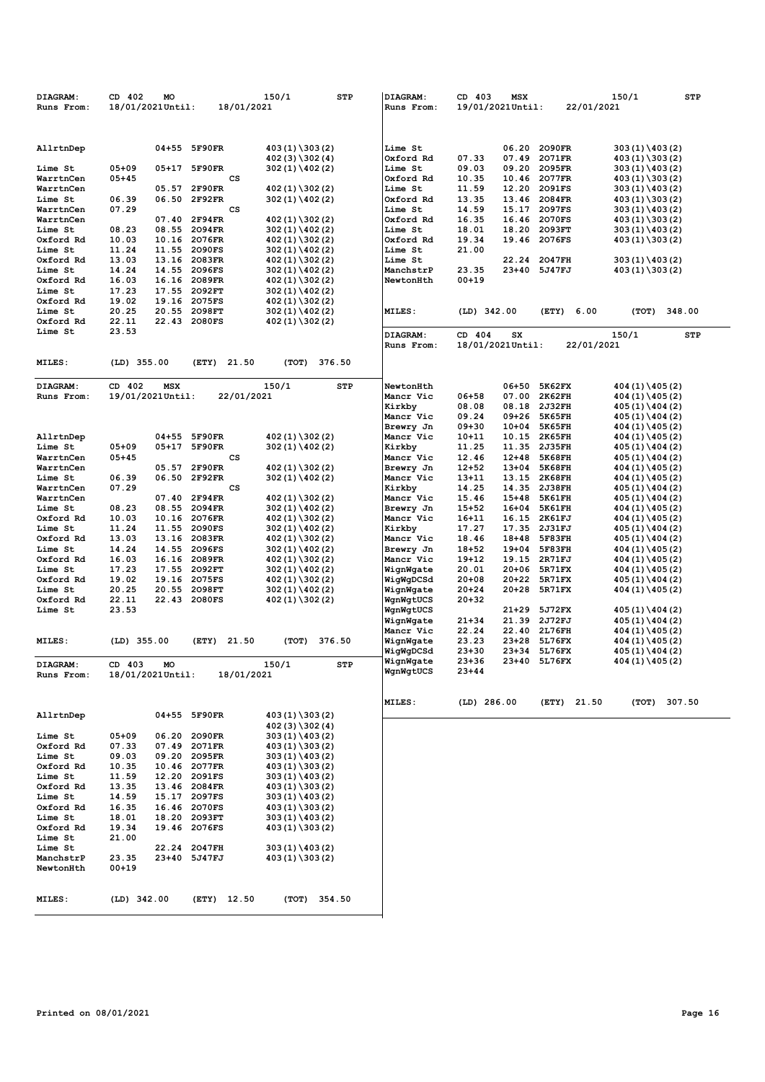| DIAGRAM:   | CD 402                     | MO                  |             | 150/1                             | STP        | DIAGRAM:               | CD 403           | MSX              |                        |            | 150/1                                | STP          |
|------------|----------------------------|---------------------|-------------|-----------------------------------|------------|------------------------|------------------|------------------|------------------------|------------|--------------------------------------|--------------|
| Runs From: | 18/01/2021Until:           |                     | 18/01/2021  |                                   |            | Runs From:             | 19/01/2021Until: |                  |                        | 22/01/2021 |                                      |              |
|            |                            |                     |             |                                   |            |                        |                  |                  |                        |            |                                      |              |
|            |                            |                     |             |                                   |            |                        |                  |                  |                        |            |                                      |              |
| AllrtnDep  |                            | 04+55 5F90FR        |             | 403(1)\303(2)                     |            | Lime St<br>Oxford Rd   |                  | 07.49            | 06.20 2090FR           |            | $303(1)\ 403(2)$                     |              |
| Lime St    | $05 + 09$                  | 5F90FR<br>05+17     |             | 402 (3) \302 (4)<br>302(1)\402(2) |            | Lime St                | 07.33<br>09.03   | 09.20            | 2071FR<br>2095FR       |            | $403(1)\ 303(2)$<br>$303(1)\ 403(2)$ |              |
| WarrtnCen  | 05+45                      |                     | cs          |                                   |            | Oxford Rd              | 10.35            | 10.46            | 2077FR                 |            | $403(1)\ 303(2)$                     |              |
| WarrtnCen  |                            | 05.57<br>2F90FR     |             | 402 (1) \302 (2)                  |            | Lime St                | 11.59            | 12.20            | 2091FS                 |            | $303(1)\ 403(2)$                     |              |
| Lime St    | 06.39                      | 06.50<br>2F92FR     |             | 302(1)\402(2)                     |            | Oxford Rd              | 13.35            |                  | 13.46 2084FR           |            | $403(1)\ 303(2)$                     |              |
| WarrtnCen  | 07.29                      |                     | cs          |                                   |            | Lime St                | 14.59            | 15.17            | 2097FS                 |            | $303(1)\ 403(2)$                     |              |
| WarrtnCen  |                            | 07.40<br>2F94FR     |             | 402 (1) \302 (2)                  |            | Oxford Rd              | 16.35            | 16.46            | 2070FS                 |            | $403(1)\ 303(2)$                     |              |
| Lime St    | 08.23                      | 08.55<br>2094FR     |             | 302(1)\402(2)                     |            | Lime St                | 18.01            | 18.20            | 2093FT                 |            | $303(1)\ 403(2)$                     |              |
| Oxford Rd  | 10.03                      | 10.16 2076FR        |             | 402(1)\302(2)                     |            | Oxford Rd              | 19.34            |                  | 19.46 2076FS           |            | $403(1)\ 303(2)$                     |              |
| Lime St    | 11.24                      | 2090FS<br>11.55     |             | 302 (1) \402 (2)                  |            | Lime St                | 21.00            |                  |                        |            |                                      |              |
| Oxford Rd  | 13.03                      | 13.16<br>2083FR     |             | $402(1)\ 302(2)$                  |            | Lime St                |                  | 22.24            | 2047FH                 |            | $303(1)\ 403(2)$                     |              |
| Lime St    | 14.24                      | 14.55<br>2096FS     |             | 302 (1) \402 (2)                  |            | ManchstrP              | 23.35            |                  | 23+40 5J47FJ           |            | $403(1)\ 303(2)$                     |              |
| Oxford Rd  | 16.03                      | 2089FR<br>16.16     |             | 402 (1) \302 (2)                  |            | NewtonHth              | $00 + 19$        |                  |                        |            |                                      |              |
| Lime St    | 17.23                      | 17.55<br>2092FT     |             | 302(1)\402(2)                     |            |                        |                  |                  |                        |            |                                      |              |
| Oxford Rd  | 19.02                      | 19.16 2075FS        |             | 402 (1) \302 (2)                  |            |                        |                  |                  |                        |            |                                      |              |
| Lime St    | 20.25                      | 2098FT<br>20.55     |             | 302 (1) \402 (2)                  |            | <b>MILES:</b>          | $(LD)$ 342.00    |                  | (ETY)                  | 6.00       | (TOT)                                | 348.00       |
| Oxford Rd  | 22.11                      | 22.43<br>2080FS     |             | 402(1)\302(2)                     |            |                        |                  |                  |                        |            |                                      |              |
| Lime St    | 23.53                      |                     |             |                                   |            | DIAGRAM:               | CD 404           | SX               |                        |            | 150/1                                | STP          |
|            |                            |                     |             |                                   |            | Runs From:             | 18/01/2021Until: |                  |                        | 22/01/2021 |                                      |              |
| MILES:     | $(LD)$ 355.00              | (ETY)               | 21.50       | (TOT)<br>376.50                   |            |                        |                  |                  |                        |            |                                      |              |
|            |                            |                     |             |                                   |            |                        |                  |                  |                        |            |                                      |              |
|            |                            |                     |             |                                   |            |                        |                  |                  |                        |            |                                      |              |
| DIAGRAM:   | CD 402<br>19/01/2021Until: | MSX                 | 22/01/2021  | 150/1                             | <b>STP</b> | NewtonHth              |                  | 07.00            | 06+50 5K62FX<br>2K62FH |            | $404(1)\ 405(2)$                     |              |
| Runs From: |                            |                     |             |                                   |            | Mancr Vic<br>Kirkby    | 06+58<br>08.08   |                  | 08.18 2J32FH           |            | $404(1)\ 405(2)$<br>$405(1)\ 404(2)$ |              |
|            |                            |                     |             |                                   |            | Mancr Vic              | 09.24            |                  | 09+26 5K65FH           |            | $405(1)\ 404(2)$                     |              |
|            |                            |                     |             |                                   |            | Brewry Jn              | 09+30            | 10+04            | 5K65FH                 |            | $404(1)\ 405(2)$                     |              |
| AllrtnDep  |                            | 5F90FR<br>$04 + 55$ |             | $402(1)\ 302(2)$                  |            | Mancr Vic              | $10 + 11$        | 10.15            | 2K65FH                 |            | $404(1)\ 405(2)$                     |              |
| Lime St    | 05+09                      | 05+17<br>5F90FR     |             | 302(1)\402(2)                     |            | Kirkby                 | 11.25            |                  | 11.35 2J35FH           |            | $405(1)\ 404(2)$                     |              |
| WarrtnCen  | $05 + 45$                  |                     | cs          |                                   |            | Mancr Vic              | 12.46            | $12 + 48$        | 5K68FH                 |            | $405(1)\ 404(2)$                     |              |
| WarrtnCen  |                            | 05.57<br>2F90FR     |             | 402 (1) \302 (2)                  |            | Brewry Jn              | $12 + 52$        | 13+04            | 5K68FH                 |            | $404(1)\ 405(2)$                     |              |
| Lime St    | 06.39                      | 06.50<br>2F92FR     |             | 302(1)\402(2)                     |            | Mancr Vic              | 13+11            |                  | 13.15 2K68FH           |            | $404(1)\ 405(2)$                     |              |
| WarrtnCen  | 07.29                      |                     | cs          |                                   |            | Kirkby                 | 14.25            |                  | 14.35 2J38FH           |            | $405(1)\ 404(2)$                     |              |
| WarrtnCen  |                            | 2F94FR<br>07.40     |             | 402 (1) \302 (2)                  |            | Mancr Vic              | 15.46            | 15+48            | 5K61FH                 |            | $405(1)\ 404(2)$                     |              |
| Lime St    | 08.23                      | 08.55<br>2094FR     |             | 302 (1) \402 (2)                  |            | Brewry Jn              | $15 + 52$        | 16+04            | 5K61FH                 |            | $404(1)\ 405(2)$                     |              |
| Oxford Rd  | 10.03                      | 10.16 2076FR        |             | 402(1)\302(2)                     |            | Mancr Vic              | 16+11            | 16.15            | 2K61FJ                 |            | $404(1)\ 405(2)$                     |              |
| Lime St    | 11.24                      | 11.55<br>2090FS     |             | 302(1)\402(2)                     |            | Kirkby                 | 17.27            | 17.35            | 2J31FJ                 |            | $405(1)\ 404(2)$                     |              |
| Oxford Rd  | 13.03                      | 13.16 2083FR        |             | 402(1)\302(2)                     |            | Mancr Vic              | 18.46            | 18+48            | 5F83FH                 |            | $405(1)\ 404(2)$                     |              |
| Lime St    | 14.24                      | 14.55 2096FS        |             | 302(1)\402(2)                     |            | Brewry Jn              | 18+52            | $19 + 04$        | 5F83FH                 |            | $404(1)\ 405(2)$                     |              |
| Oxford Rd  | 16.03                      | 16.16<br>2089FR     |             | 402(1)\302(2)                     |            | Mancr Vic              | 19+12            | 19.15            | 2R71FJ                 |            | $404(1)\ 405(2)$                     |              |
| Lime St    | 17.23                      | 17.55<br>2092FT     |             | 302 (1) \402 (2)                  |            | WignWgate              | 20.01            | 20+06            | 5R71FX                 |            | $404(1)\ 405(2)$                     |              |
| Oxford Rd  | 19.02                      | 2075FS<br>19.16     |             | 402 (1) \302 (2)                  |            | WigWgDCSd              | $20 + 08$        | 20+22            | 5R71FX                 |            | $405(1)\ 404(2)$                     |              |
| Lime St    | 20.25                      | 2098FT<br>20.55     |             | 302(1)\402(2)                     |            | WignWgate              | $20 + 24$        | $20 + 28$        | 5R71FX                 |            | $404(1)\ 405(2)$                     |              |
| Oxford Rd  | 22.11                      | 22.43 2080FS        |             | 402(1)\302(2)                     |            | WgnWgtUCS              | $20 + 32$        |                  |                        |            |                                      |              |
| Lime St    | 23.53                      |                     |             |                                   |            | WgnWgtUCS<br>WignWgate | $21 + 34$        | $21+29$<br>21.39 | 5J72FX<br>2J72FJ       |            | $405(1)\ 404(2)$<br>$405(1)\ 404(2)$ |              |
|            |                            |                     |             |                                   |            | Mancr Vic              | 22.24            |                  | 22.40 2L76FH           |            | $404(1)\ 405(2)$                     |              |
| MILES:     | $(LD)$ 355.00              | (ETY)               | 21.50       | (TOT)<br>376.50                   |            | WignWgate              | 23.23            |                  | 23+28 5L76FX           |            | $404(1)\ 405(2)$                     |              |
|            |                            |                     |             |                                   |            | WigWgDCSd              | $23 + 30$        | 23+34            | 5L76FX                 |            | $405(1)\ 404(2)$                     |              |
| DIAGRAM:   | CD 403                     | MO                  |             |                                   |            | WignWgate              | $23 + 36$        | 23+40            | 5L76FX                 |            | $404(1)\ 405(2)$                     |              |
| Runs From: | 18/01/2021Until:           |                     | 18/01/2021  | 150/1                             | STP        | WgnWgtUCS              | 23+44            |                  |                        |            |                                      |              |
|            |                            |                     |             |                                   |            |                        |                  |                  |                        |            |                                      |              |
|            |                            |                     |             |                                   |            |                        |                  |                  |                        |            |                                      |              |
|            |                            |                     |             |                                   |            | MILES:                 | $(LD)$ 286.00    |                  | (ETY) 21.50            |            |                                      | (TOT) 307.50 |
| AllrtnDep  |                            | 04+55 5F90FR        |             | 403(1)\303(2)                     |            |                        |                  |                  |                        |            |                                      |              |
|            |                            |                     |             | 402 (3) \302 (4)                  |            |                        |                  |                  |                        |            |                                      |              |
| Lime St    | 05+09                      | 06.20 2090FR        |             | $303(1)\ 403(2)$                  |            |                        |                  |                  |                        |            |                                      |              |
| Oxford Rd  | 07.33                      | 07.49 2071FR        |             | 403(1)\303(2)                     |            |                        |                  |                  |                        |            |                                      |              |
| Lime St    | 09.03                      | 09.20 2095FR        |             | 303(1)\403(2)                     |            |                        |                  |                  |                        |            |                                      |              |
| Oxford Rd  | 10.35                      | 10.46 2077FR        |             | 403(1)\303(2)                     |            |                        |                  |                  |                        |            |                                      |              |
| Lime St    | 11.59                      | 12.20 2091FS        |             | $303(1)\ 403(2)$                  |            |                        |                  |                  |                        |            |                                      |              |
| Oxford Rd  | 13.35                      | 13.46 2084FR        |             | $403(1)\ 303(2)$                  |            |                        |                  |                  |                        |            |                                      |              |
| Lime St    | 14.59                      | 15.17 2097FS        |             | 303(1)\403(2)                     |            |                        |                  |                  |                        |            |                                      |              |
| Oxford Rd  | 16.35                      | 16.46 2070FS        |             | $403(1)\ 303(2)$                  |            |                        |                  |                  |                        |            |                                      |              |
| Lime St    | 18.01                      | 18.20 2093FT        |             | $303(1)\ 403(2)$                  |            |                        |                  |                  |                        |            |                                      |              |
| Oxford Rd  | 19.34                      | 19.46 2076FS        |             | 403(1)\303(2)                     |            |                        |                  |                  |                        |            |                                      |              |
| Lime St    | 21.00                      |                     |             |                                   |            |                        |                  |                  |                        |            |                                      |              |
| Lime St    |                            | 22.24 2047FH        |             | 303(1)\403(2)                     |            |                        |                  |                  |                        |            |                                      |              |
| ManchstrP  | 23.35                      | 23+40 5J47FJ        |             | $403(1)\ 303(2)$                  |            |                        |                  |                  |                        |            |                                      |              |
| NewtonHth  | 00+19                      |                     |             |                                   |            |                        |                  |                  |                        |            |                                      |              |
|            |                            |                     |             |                                   |            |                        |                  |                  |                        |            |                                      |              |
| MILES:     | $(LD)$ 342.00              |                     | (ETY) 12.50 | (TOT) 354.50                      |            |                        |                  |                  |                        |            |                                      |              |
|            |                            |                     |             |                                   |            |                        |                  |                  |                        |            |                                      |              |
|            |                            |                     |             |                                   |            |                        |                  |                  |                        |            |                                      |              |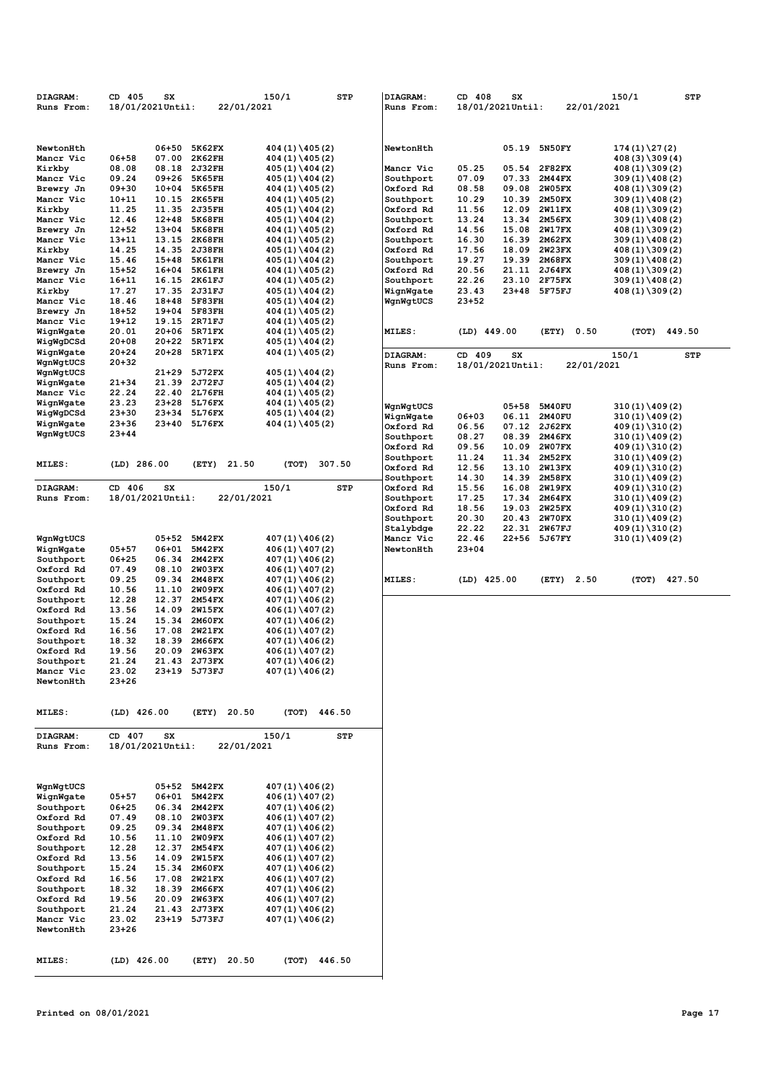| <b>DIAGRAM:</b>        | CD 405           | sx        |                | 150/1            | STP    |
|------------------------|------------------|-----------|----------------|------------------|--------|
| Runs From:             | 18/01/2021Until: |           | 22/01/2021     |                  |        |
|                        |                  |           |                |                  |        |
| NewtonHth              |                  | 06+50     | 5K62FX         | 404 (1) \405 (2) |        |
| Mancr Vic              | 06+58            | 07.00     | 2K62FH         | $404(1)\ 405(2)$ |        |
| Kirkby                 | 08.08            | 08.18     | 2J32FH         | 405(1)\404(2)    |        |
| Mancr Vic              | 09.24            | 09+26     | 5K65FH         | 405(1)\404(2)    |        |
| Brewry Jn              | 09+30            | 10+04     | 5K65FH         | 404 (1) \405 (2) |        |
| Mancr Vic              | 10+11            | 10.15     | 2K65FH         | 404 (1) \405 (2) |        |
| Kirkby                 | 11.25            | 11.35     | 2J35FH         | 405(1)\404(2)    |        |
| Mancr Vic              | 12.46            | $12 + 48$ | 5K68FH         | 405(1)\404(2)    |        |
| Brewry Jn              | 12+52            | $13 + 04$ | 5K68FH         | 404 (1) \405 (2) |        |
| Mancr Vic              | 13+11            | 13.15     | 2K68FH         | $404(1)\ 405(2)$ |        |
| Kirkby                 | 14.25            | 14.35     | 2J38FH         | 405(1)\404(2)    |        |
| Mancr Vic              | 15.46            | 15+48     | 5K61FH         | 405(1)\404(2)    |        |
| Brewry Jn              | 15+52            | 16+04     | 5K61FH         | 404 (1) \405 (2) |        |
| Mancr Vic              | 16+11            | 16.15     | 2K61FJ         | 404(1)\405(2)    |        |
| Kirkby                 | 17.27            | 17.35     | 2J31FJ         | 405(1)\404(2)    |        |
| Mancr Vic              | 18.46            | 18+48     | 5F83FH         | 405(1)\404(2)    |        |
| Brewry Jn              | 18+52            | 19+04     | 5F83FH         | 404(1)\405(2)    |        |
| Mancr Vic              | 19+12            | 19.15     | 2R71FJ         | 404 (1) \405 (2) |        |
| WignWgate              | 20.01            | 20+06     | 5R71FX         | 404 (1) \405 (2) |        |
| WiqWqDCSd              | 20+08            | 20+22     | 5R71FX         | 405(1)\404(2)    |        |
| WignWgate              | 20+24            | $20 + 28$ | 5R71FX         | 404 (1) \405 (2) |        |
| WgnWgtUCS              | 20+32            |           |                |                  |        |
| WgnWgtUCS              |                  | $21 + 29$ | 5J72FX         | $405(1)\ 404(2)$ |        |
| WignWgate              | 21+34            | 21.39     | 2J72FJ         | 405(1)\404(2)    |        |
| Mancr Vic              | 22.24            | 22.40     | <b>2L76FH</b>  | 404 (1) \405 (2) |        |
| WignWgate              | 23.23            | 23+28     | 5L76FX         | $404(1)\ 405(2)$ |        |
| WigWgDCSd              | 23+30            | 23+34     | 5L76FX         | 405(1)\404(2)    |        |
| WignWgate              | 23+36            | 23+40     | 5L76FX         | $404(1)\ 405(2)$ |        |
| WgnWgtUCS              | 23+44            |           |                |                  |        |
|                        |                  |           |                |                  |        |
| <b>MILES:</b>          | (LD)<br>286.00   |           | (ETY)<br>21.50 | (TOT)            | 307.50 |
|                        |                  |           |                |                  |        |
| DIAGRAM:               | 406<br>CD        | SX.       |                | 150/1            | STP    |
| Runs From:             | 18/01/2021Until: |           | 22/01/2021     |                  |        |
|                        |                  |           |                |                  |        |
|                        |                  |           |                |                  |        |
|                        |                  |           |                |                  |        |
|                        |                  |           |                |                  |        |
| WgnWgtUCS              |                  | 05+52     | 5M42FX         | 407(1)\406(2)    |        |
| WignWgate              | 05+57            | 06+01     | 5M42FX         | $406(1)\ 407(2)$ |        |
| Southport              | 06+25            | 06.34     | 2M42FX         | 407(1)\406(2)    |        |
| Oxford Rd              | 07.49            | 08.10     | <b>2W03FX</b>  | 406(1)\407(2)    |        |
| Southport              | 09.25            | 09.34     | 2M48FX         | 407(1)\406(2)    |        |
| Oxford Rd              | 10.56            | 11.10     | 2W09FX         | 406(1)\407(2)    |        |
| Southport              | 12.28            | 12.37     | 2M54FX         | 407(1)\406(2)    |        |
| Oxford Rd              | 13.56            | 14.09     | 2W15FX         | 406(1)\407(2)    |        |
|                        |                  | 15.34     | 2M60FX         | $407(1)\ 406(2)$ |        |
| Southport<br>Oxford Rd | 15.24<br>16.56   | 17.08     | <b>2W21FX</b>  | 406(1)\407(2)    |        |
| Southport              | 18.32            | 18.39     | 2M66FX         | $407(1)\ 406(2)$ |        |
| Oxford Rd              | 19.56            | 20.09     | <b>2W63FX</b>  | 406(1)\407(2)    |        |
| Southport              | 21.24            | 21.43     | 2J73FX         | 407(1)\406(2)    |        |
| Mancr Vic              | 23.02            | 23+19     | 5J73FJ         | 407(1)\406(2)    |        |
| NewtonHth              | $23 + 26$        |           |                |                  |        |
|                        |                  |           |                |                  |        |
|                        |                  |           |                |                  |        |
| <b>MILES:</b>          | (LD)             | 426.00    | 20.50<br>(ETY) | (ТОТ)            | 446.50 |
|                        |                  |           |                |                  |        |
| DIAGRAM:               | CD 407           | SX        |                | 150/1            | STP    |
| Runs From:             | 18/01/2021Until: |           | 22/01/2021     |                  |        |
|                        |                  |           |                |                  |        |
|                        |                  |           |                |                  |        |
|                        |                  |           |                |                  |        |
| WgnWgtUCS              |                  | $05 + 52$ | 5M42FX         | $407(1)\ 406(2)$ |        |
| WignWgate              | 05+57            | 06+01     | 5M42FX         | 406(1)\407(2)    |        |
| Southport              | 06+25            | 06.34     | 2M42FX         | $407(1)\ 406(2)$ |        |
| Oxford Rd              | 07.49            | 08.10     | 2W03FX         | $406(1)\ 407(2)$ |        |
| Southport              | 09.25            | 09.34     | 2M48FX         | 407(1)\406(2)    |        |
| Oxford Rd              | 10.56            | 11.10     | 2W09FX         | 406(1)\407(2)    |        |
| Southport              | 12.28            | 12.37     | 2M54FX         | 407(1)\406(2)    |        |
| Oxford Rd              | 13.56            | 14.09     | 2W15FX         | $406(1)\ 407(2)$ |        |
| Southport              | 15.24            | 15.34     | 2M60FX         | 407(1)\406(2)    |        |
| Oxford Rd              | 16.56            | 17.08     | 2W21FX         | 406(1)\407(2)    |        |
| Southport              | 18.32            | 18.39     | 2M66FX         | $407(1)\ 406(2)$ |        |
| Oxford Rd              | 19.56            | 20.09     | 2W63FX         | 406(1)\407(2)    |        |
| Southport              | 21.24            | 21.43     | 2J73FX         | 407(1)\406(2)    |        |
| Mancr Vic              | 23.02            | 23+19     | 5J73FJ         | 407(1)\406(2)    |        |
| NewtonHth              | $23 + 26$        |           |                |                  |        |
|                        |                  |           |                |                  |        |
| <b>MILES:</b>          | $(LD)$ 426.00    |           | (ETY)<br>20.50 | (ТОТ)            | 446.50 |

| <b>DIAGRAM:</b>        | CD 408           | SX    |                  |            | 150/1                             | <b>STP</b> |
|------------------------|------------------|-------|------------------|------------|-----------------------------------|------------|
| Runs From:             | 18/01/2021Until: |       |                  | 22/01/2021 |                                   |            |
|                        |                  |       |                  |            |                                   |            |
|                        |                  |       |                  |            |                                   |            |
| NewtonHth              |                  | 05.19 | 5N50FY           |            | 174 (1) \27 (2)                   |            |
|                        |                  |       |                  |            | 408 (3) \309 (4)                  |            |
| Mancr Vic              | 05.25            | 05.54 | 2F82FX           |            | 408(1)\309(2)                     |            |
| Southport              | 07.09            | 07.33 | 2M44FX           |            | $309(1)\ 408(2)$                  |            |
| Oxford Rd              | 08.58            | 09.08 | 2W05FX           |            | 408 (1) \309 (2)                  |            |
| Southport              | 10.29            | 10.39 | 2M50FX           |            | $309(1)\ 408(2)$                  |            |
| Oxford Rd              | 11.56            | 12.09 | 2W11FX           |            | 408(1)\309(2)                     |            |
| Southport              | 13.24            | 13.34 | 2M56FX           |            | $309(1)\ 408(2)$                  |            |
| Oxford Rd              | 14.56            | 15.08 | 2W17FX           |            | 408 (1) \309 (2)                  |            |
| Southport              | 16.30            | 16.39 | 2M62FX           |            | $309(1)\ 408(2)$                  |            |
| Oxford Rd              | 17.56            | 18.09 | 2W23FX           |            | $408(1)\ 309(2)$                  |            |
| Southport              | 19.27            | 19.39 | 2M68FX           |            | $309(1)\ 408(2)$                  |            |
| Oxford Rd              | 20.56            | 21.11 | 2J64FX           |            | 408(1)\309(2)                     |            |
| Southport              | 22.26            | 23.10 | 2F75FX           |            | $309(1)\ 408(2)$                  |            |
| WignWgate              | 23.43            | 23+48 | 5F75FJ           |            | $408(1)\ 309(2)$                  |            |
| WgnWgtUCS              | 23+52            |       |                  |            |                                   |            |
|                        |                  |       |                  |            |                                   |            |
|                        |                  |       |                  |            |                                   |            |
| <b>MILES:</b>          | $(LD)$ 449.00    |       | (ETY)            | 0.50       | (TOT)                             | 449.50     |
| <b>DIAGRAM:</b>        | CD 409           | SX    |                  |            | 150/1                             | <b>STP</b> |
| <b>Runs From:</b>      | 18/01/2021Until: |       |                  | 22/01/2021 |                                   |            |
|                        |                  |       |                  |            |                                   |            |
|                        |                  |       |                  |            |                                   |            |
| WgnWgtUCS              |                  | 05+58 | 5M40FU           |            | $310(1)\ 409(2)$                  |            |
| WignWgate              | 06+03            | 06.11 | 2M40FU           |            | $310(1)\ 409(2)$                  |            |
| Oxford Rd              | 06.56            | 07.12 | 2J62FX           |            |                                   |            |
|                        |                  | 08.39 | 2M46FX           |            | $409(1)\ 310(2)$                  |            |
| Southport<br>Oxford Rd | 08.27<br>09.56   | 10.09 | <b>2W07FX</b>    |            | $310(1)\ 409(2)$<br>409(1)\310(2) |            |
| Southport              | 11.24            | 11.34 | 2M52FX           |            |                                   |            |
| Oxford Rd              | 12.56            | 13.10 |                  |            | $310(1)\ 409(2)$                  |            |
|                        | 14.30            | 14.39 | 2W13FX<br>2M58FX |            | 409(1)\310(2)                     |            |
| Southport<br>Oxford Rd | 15.56            |       |                  |            | $310(1)\ 409(2)$                  |            |
|                        |                  | 16.08 | 2W19FX           |            | 409(1)\310(2)                     |            |
| Southport<br>Oxford Rd | 17.25            | 17.34 | 2M64FX           |            | $310(1)\ 409(2)$                  |            |
|                        | 18.56            | 19.03 | 2W25FX           |            | 409(1)\310(2)                     |            |
| Southport              | 20.30            | 20.43 | 2W70FX           |            | $310(1)\ 409(2)$                  |            |
| Stalybdge              | 22.22            | 22.31 | 2W67FJ           |            | 409(1)\310(2)                     |            |
| Mancr Vic              | 22.46            | 22+56 | 5J67FY           |            | 310(1)\409(2)                     |            |
| NewtonHth              | $23 + 04$        |       |                  |            |                                   |            |
|                        |                  |       |                  |            |                                   |            |
| <b>MILES:</b>          | $(LD)$ 425.00    |       | (ETY)            | 2.50       | (TOT)                             | 427.50     |
|                        |                  |       |                  |            |                                   |            |
|                        |                  |       |                  |            |                                   |            |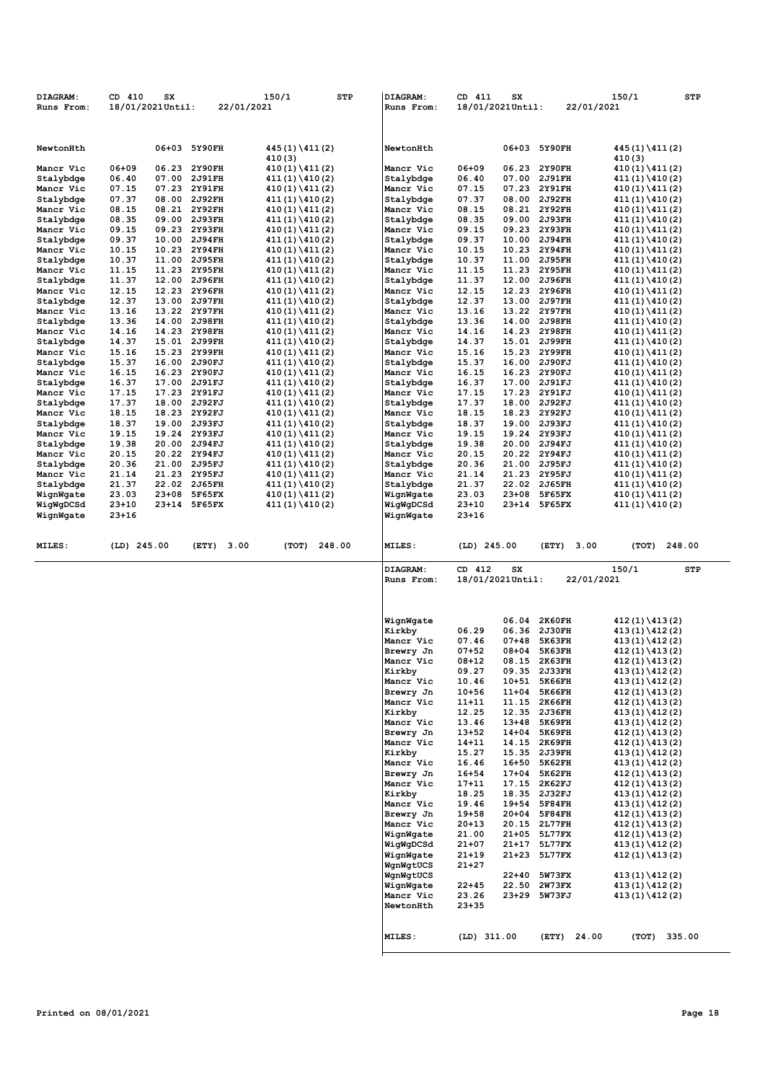| DIAGRAM:               | CD 410           | SX             |                         | 150/1                                | <b>STP</b> | DIAGRAM:               | CD 411                  | SX        |                              | 150/1                                | STP                  |
|------------------------|------------------|----------------|-------------------------|--------------------------------------|------------|------------------------|-------------------------|-----------|------------------------------|--------------------------------------|----------------------|
| Runs From:             | 18/01/2021Until: |                | 22/01/2021              |                                      |            | Runs From:             | 18/01/2021Until:        |           |                              | 22/01/2021                           |                      |
|                        |                  |                |                         |                                      |            |                        |                         |           |                              |                                      |                      |
|                        |                  |                |                         |                                      |            |                        |                         |           |                              |                                      |                      |
| NewtonHth              |                  | 06+03          | 5Y90FH                  | $445(1)\ 411(2)$                     |            | NewtonHth              |                         |           | 06+03 5Y90FH                 | $445(1)\ 411(2)$                     |                      |
|                        |                  |                |                         | 410(3)                               |            |                        |                         |           |                              | 410(3)                               |                      |
| Mancr Vic              | $06 + 09$        | 06.23          | 2Y90FH                  | $410(1)\ 411(2)$                     |            | Mancr Vic              | $06 + 09$               | 06.23     | <b>2Y90FH</b>                | $410(1)\ 411(2)$                     |                      |
| Stalybdge              | 06.40            | 07.00          | 2J91FH                  | $411(1)\ 410(2)$                     |            | Stalybdge              | 06.40                   | 07.00     | <b>2J91FH</b>                | $411(1)\ 410(2)$                     |                      |
| Mancr Vic<br>Stalybdge | 07.15<br>07.37   | 07.23<br>08.00 | 2Y91FH<br><b>2J92FH</b> | $410(1)\ 411(2)$<br>$411(1)\ 410(2)$ |            | Mancr Vic<br>Stalybdge | 07.15<br>07.37          |           | 07.23 2Y91FH<br>08.00 2J92FH | $410(1)\ 411(2)$<br>$411(1)\ 410(2)$ |                      |
| Mancr Vic              | 08.15            |                | 08.21 2Y92FH            | $410(1)\ 411(2)$                     |            | Mancr Vic              | 08.15                   |           | 08.21 2Y92FH                 | $410(1)\ 411(2)$                     |                      |
| Stalybdge              | 08.35            | 09.00          | 2J93FH                  | $411(1)\ 410(2)$                     |            | Stalybdge              | 08.35                   |           | 09.00 2J93FH                 | $411(1)\ 410(2)$                     |                      |
| Mancr Vic              | 09.15            | 09.23          | 2Y93FH                  | $410(1)\ 411(2)$                     |            | Mancr Vic              | 09.15                   |           | 09.23 2Y93FH                 | $410(1)\ 411(2)$                     |                      |
| Stalybdge              | 09.37            | 10.00          | <b>2J94FH</b>           | $411(1)\ 410(2)$                     |            | Stalybdge              | 09.37                   |           | 10.00 2J94FH                 | $411(1)\ 410(2)$                     |                      |
| Mancr Vic              | 10.15            | 10.23          | 2Y94FH                  | $410(1)\ 411(2)$                     |            | Mancr Vic              | 10.15                   | 10.23     | 2Y94FH                       | $410(1)\ 411(2)$                     |                      |
| Stalybdge              | 10.37            | 11.00          | 2J95FH                  | $411(1)\ 410(2)$                     |            | Stalybdge              | 10.37                   |           | 11.00 2J95FH                 | $411(1)\ 410(2)$                     |                      |
| Mancr Vic<br>Stalybdge | 11.15<br>11.37   | 11.23<br>12.00 | 2Y95FH<br><b>2J96FH</b> | $410(1)\ 411(2)$<br>$411(1)\ 410(2)$ |            | Mancr Vic<br>Stalybdge | 11.15<br>11.37          |           | 11.23 2Y95FH<br>12.00 2J96FH | $410(1)\ 411(2)$<br>$411(1)\ 410(2)$ |                      |
| Mancr Vic              | 12.15            | 12.23          | 2Y96FH                  | $410(1)\ 411(2)$                     |            | Mancr Vic              | 12.15                   |           | 12.23 2Y96FH                 | $410(1)\ 411(2)$                     |                      |
| Stalybdge              | 12.37            | 13.00          | 2J97FH                  | $411(1)\ 410(2)$                     |            | Stalybdge              | 12.37                   |           | 13.00 2J97FH                 | $411(1)\ 410(2)$                     |                      |
| Mancr Vic              | 13.16            |                | 13.22 2Y97FH            | $410(1)\ 411(2)$                     |            | Mancr Vic              | 13.16                   |           | 13.22 2Y97FH                 | $410(1)\ 411(2)$                     |                      |
| Stalybdge              | 13.36            | 14.00          | 2J98FH                  | $411(1)\ 410(2)$                     |            | Stalybdge              | 13.36                   | 14.00     | <b>2J98FH</b>                | $411(1)\ 410(2)$                     |                      |
| Mancr Vic              | 14.16            | 14.23          | 2Y98FH                  | $410(1)\ 411(2)$                     |            | Mancr Vic              | 14.16                   |           | 14.23 2Y98FH                 | $410(1)\141(2)$                      |                      |
| Stalybdge              | 14.37            |                | 15.01 2J99FH            | $411(1)\ 410(2)$                     |            | Stalybdge              | 14.37                   |           | 15.01 2J99FH                 | $411(1)\ 410(2)$                     |                      |
| Mancr Vic              | 15.16<br>15.37   | 15.23          | 2Y99FH                  | $410(1)\ 411(2)$                     |            | Mancr Vic              | 15.16<br>15.37          |           | 15.23 2Y99FH<br>16.00 2J90FJ | $410(1)\ 411(2)$                     |                      |
| Stalybdge<br>Mancr Vic | 16.15            | 16.00          | 2J90FJ<br>16.23 2Y90FJ  | $411(1)\ 410(2)$<br>$410(1)\ 411(2)$ |            | Stalybdge<br>Mancr Vic | 16.15                   |           | 16.23 2Y90FJ                 | $411(1)\ 410(2)$<br>$410(1)\ 411(2)$ |                      |
| Stalybdge              | 16.37            | 17.00          | 2J91FJ                  | $411(1)\ 410(2)$                     |            | Stalybdge              | 16.37                   |           | 17.00 2J91FJ                 | $411(1)\ 410(2)$                     |                      |
| Mancr Vic              | 17.15            | 17.23          | 2Y91FJ                  | $410(1)\ 411(2)$                     |            | Mancr Vic              | 17.15                   | 17.23     | 2Y91FJ                       | $410(1)\141(2)$                      |                      |
| Stalybdge              | 17.37            | 18.00          | 2J92FJ                  | $411(1)\ 410(2)$                     |            | Stalybdge              | 17.37                   |           | 18.00 2J92FJ                 | $411(1)\ 410(2)$                     |                      |
| Mancr Vic              | 18.15            |                | 18.23 2Y92FJ            | $410(1)\ 411(2)$                     |            | Mancr Vic              | 18.15                   |           | 18.23 2Y92FJ                 | $410(1)\ 411(2)$                     |                      |
| Stalybdge              | 18.37            | 19.00          | 2J93FJ                  | $411(1)\ 410(2)$                     |            | Stalybdge              | 18.37                   | 19.00     | 2J93FJ                       | $411(1)\ 410(2)$                     |                      |
| Mancr Vic              | 19.15            |                | 19.24 2Y93FJ            | $410(1)\ 411(2)$                     |            | Mancr Vic              | 19.15                   |           | 19.24 2Y93FJ                 | $410(1)\ 411(2)$                     |                      |
| Stalybdge<br>Mancr Vic | 19.38<br>20.15   | 20.22          | 20.00 2J94FJ<br>2Y94FJ  | $411(1)\ 410(2)$                     |            | Stalybdge<br>Mancr Vic | 19.38<br>20.15          |           | 20.00 2J94FJ<br>20.22 2Y94FJ | $411(1)\ 410(2)$<br>$410(1)\ 411(2)$ |                      |
| Stalybdge              | 20.36            | 21.00          | 2J95FJ                  | $410(1)\ 411(2)$<br>$411(1)\ 410(2)$ |            | Stalybdge              | 20.36                   | 21.00     | 2J95FJ                       | $411(1)\ 410(2)$                     |                      |
| Mancr Vic              | 21.14            |                | 21.23 2Y95FJ            | $410(1)\ 411(2)$                     |            | Mancr Vic              | 21.14                   |           | 21.23 2Y95FJ                 | $410(1)\ 411(2)$                     |                      |
| Stalybdge              | 21.37            | 22.02          | 2J65FH                  | $411(1)\1410(2)$                     |            | Stalybdge              | 21.37                   |           | 22.02 2J65FH                 | $411(1)\ 410(2)$                     |                      |
| WignWgate              | 23.03            | $23+08$        | 5F65FX                  | $410(1)\ 411(2)$                     |            | WignWgate              | 23.03                   | $23+08$   | 5F65FX                       | $410(1)\141(2)$                      |                      |
| WigWgDCSd              | $23+10$          | 23+14          | 5F65FX                  | $411(1)\ 410(2)$                     |            | WigWgDCSd              | 23+10                   |           | 23+14 5F65FX                 | $411(1)\ 410(2)$                     |                      |
| WignWgate              | $23 + 16$        |                |                         |                                      |            | WignWgate              | $23 + 16$               |           |                              |                                      |                      |
| MILES:                 | $(LD)$ 245.00    |                | 3.00<br>(ETY)           | (TOT)                                | 248.00     | MILES:<br>DIAGRAM:     | $(LD)$ 245.00<br>CD 412 | SX        | (ETY)<br>3.00                | (TOT)<br>150/1                       | 248.00<br><b>STP</b> |
|                        |                  |                |                         |                                      |            | Runs From:             | 18/01/2021Until:        |           |                              | 22/01/2021                           |                      |
|                        |                  |                |                         |                                      |            |                        |                         | 06.04     | <b>2K60FH</b>                |                                      |                      |
|                        |                  |                |                         |                                      |            | WignWgate<br>Kirkby    | 06.29                   |           | 06.36 2J30FH                 | $412(1)\ 413(2)$<br>$413(1)\ 412(2)$ |                      |
|                        |                  |                |                         |                                      |            | Mancr Vic              | 07.46                   | $07 + 48$ | 5K63FH                       | $413(1)\ 412(2)$                     |                      |
|                        |                  |                |                         |                                      |            | Brewry Jn              | $07 + 52$               | 08+04     | 5K63FH                       | $412(1)\ 413(2)$                     |                      |
|                        |                  |                |                         |                                      |            | Mancr Vic              | $08 + 12$               |           | 08.15 2K63FH                 | $412(1)\ 413(2)$                     |                      |
|                        |                  |                |                         |                                      |            | Kirkby                 | 09.27                   |           | 09.35 2J33FH                 | 413(1)\412(2)                        |                      |
|                        |                  |                |                         |                                      |            | Mancr Vic              | 10.46                   |           | 10+51 5K66FH                 | $413(1)\ 412(2)$                     |                      |
|                        |                  |                |                         |                                      |            |                        |                         |           |                              |                                      |                      |
|                        |                  |                |                         |                                      |            | Brewry Jn              | $10 + 56$               |           | 11+04 5K66FH                 | $412(1)\ 413(2)$                     |                      |
|                        |                  |                |                         |                                      |            | Mancr Vic<br>Kirkby    | 11+11                   |           | 11.15 2K66FH                 | $412(1)\ 413(2)$                     |                      |
|                        |                  |                |                         |                                      |            |                        | 12.25                   |           | 12.35 2J36FH                 | $413(1)\ 412(2)$                     |                      |
|                        |                  |                |                         |                                      |            | Mancr Vic<br>Brewry Jn | 13.46<br>$13 + 52$      |           | 13+48 5K69FH<br>14+04 5K69FH | $413(1)\ 412(2)$<br>$412(1)\ 413(2)$ |                      |
|                        |                  |                |                         |                                      |            | Mancr Vic              | $14 + 11$               |           | 14.15 2K69FH                 | $412(1)\ 413(2)$                     |                      |
|                        |                  |                |                         |                                      |            | Kirkby                 | 15.27                   |           | 15.35 2J39FH                 | $413(1)\ 412(2)$                     |                      |
|                        |                  |                |                         |                                      |            | Mancr Vic              | 16.46                   |           | 16+50 5K62FH                 | $413(1)\ 412(2)$                     |                      |
|                        |                  |                |                         |                                      |            | Brewry Jn              | $16 + 54$               |           | 17+04 5K62FH                 | $412(1)\ 413(2)$                     |                      |
|                        |                  |                |                         |                                      |            | Mancr Vic              | $17 + 11$               |           | 17.15 2K62FJ                 | $412(1)\ 413(2)$                     |                      |
|                        |                  |                |                         |                                      |            | Kirkby                 | 18.25                   |           | 18.35 2J32FJ                 | $413(1)\ 412(2)$                     |                      |
|                        |                  |                |                         |                                      |            | Mancr Vic<br>Brewry Jn | 19.46<br>$19 + 58$      |           | 19+54 5F84FH<br>20+04 5F84FH | $413(1)\ 412(2)$                     |                      |
|                        |                  |                |                         |                                      |            | Mancr Vic              | 20+13                   |           | 20.15 2L77FH                 | $412(1)\ 413(2)$<br>$412(1)\ 413(2)$ |                      |
|                        |                  |                |                         |                                      |            | WignWgate              | 21.00                   |           | 21+05 5L77FX                 | $412(1)\ 413(2)$                     |                      |
|                        |                  |                |                         |                                      |            | WigWgDCSd              | 21+07                   |           | 21+17 5L77FX                 | $413(1)\ 412(2)$                     |                      |
|                        |                  |                |                         |                                      |            | WignWgate              | $21 + 19$               |           | 21+23 5L77FX                 | $412(1)\ 413(2)$                     |                      |
|                        |                  |                |                         |                                      |            | WgnWgtUCS              | $21 + 27$               |           |                              |                                      |                      |
|                        |                  |                |                         |                                      |            | WgnWgtUCS              |                         |           | 22+40 5W73FX                 | $413(1)\ 412(2)$                     |                      |
|                        |                  |                |                         |                                      |            | WignWgate              | $22 + 45$               |           | 22.50 2W73FX                 | $413(1)\ 412(2)$                     |                      |
|                        |                  |                |                         |                                      |            | Mancr Vic<br>NewtonHth | 23.26<br>23+35          |           | 23+29 5W73FJ                 | $413(1)\ 412(2)$                     |                      |
|                        |                  |                |                         |                                      |            |                        |                         |           |                              |                                      |                      |
|                        |                  |                |                         |                                      |            | <b>MILES:</b>          | $(LD)$ 311.00           |           | (ETY) 24.00                  | (ТОТ)                                | 335.00               |

 $\overline{\phantom{a}}$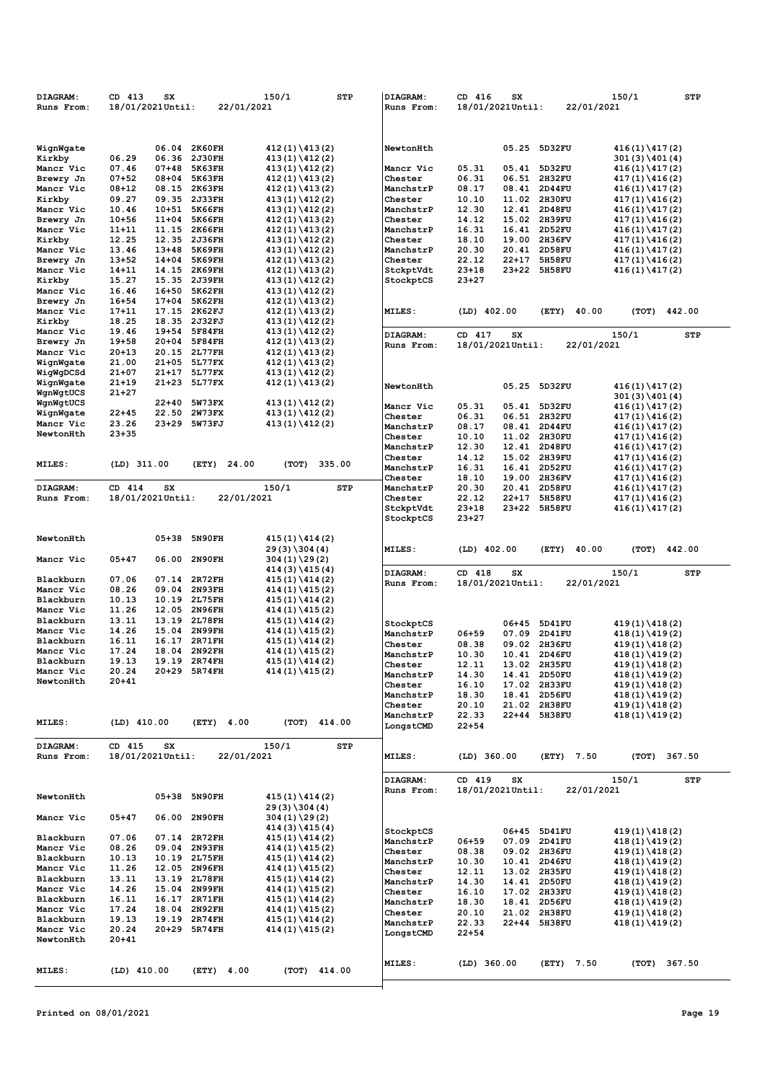| DIAGRAM:               | CD 413                 | SX                    |                  | 150/1                                | STP | DIAGRAM:               | CD 416             | SX               |                               |            | 150/1                                | STP    |
|------------------------|------------------------|-----------------------|------------------|--------------------------------------|-----|------------------------|--------------------|------------------|-------------------------------|------------|--------------------------------------|--------|
| Runs From:             | 18/01/2021Until:       |                       | 22/01/2021       |                                      |     | Runs From:             | 18/01/2021Until:   |                  |                               | 22/01/2021 |                                      |        |
|                        |                        |                       |                  |                                      |     |                        |                    |                  |                               |            |                                      |        |
|                        |                        |                       |                  |                                      |     |                        |                    |                  |                               |            |                                      |        |
| WignWgate<br>Kirkby    | 06.29                  | 06.04 2K60FH<br>06.36 | 2J30FH           | $412(1)\ 413(2)$<br>413 (1) \412 (2) |     | NewtonHth              |                    |                  | 05.25 5D32FU                  |            | $416(1)\ 417(2)$<br>301 (3) \401 (4) |        |
| Mancr Vic              | 07.46                  | $07 + 48$             | 5K63FH           | $413(1)\ 412(2)$                     |     | Mancr Vic              | 05.31              |                  | 05.41 5D32FU                  |            | 416(1)\417(2)                        |        |
| Brewry Jn              | 07+52                  | 08+04                 | 5K63FH           | $412(1)\ 413(2)$                     |     | Chester                | 06.31              |                  | 06.51 2H32FU                  |            | $417(1)\ 416(2)$                     |        |
| Mancr Vic              | 08+12                  | 08.15                 | 2K63FH           | $412(1)\ 413(2)$                     |     | ManchstrP              | 08.17              |                  | 08.41 2D44FU                  |            | $416(1)\ 417(2)$                     |        |
| Kirkby                 | 09.27                  | 09.35                 | 2J33FH           | $413(1)\ 412(2)$                     |     | Chester                | 10.10              |                  | 11.02 2H30FU                  |            | 417(1)\416(2)                        |        |
| Mancr Vic              | 10.46                  | $10 + 51$<br>$11+04$  | 5K66FH<br>5K66FH | $413(1)\ 412(2)$                     |     | ManchstrP              | 12.30              | 12.41<br>15.02   | 2D48FU                        |            | $416(1)\ 417(2)$                     |        |
| Brewry Jn<br>Mancr Vic | $10 + 56$<br>$11 + 11$ | 11.15                 | 2K66FH           | $412(1)\ 413(2)$<br>$412(1)\ 413(2)$ |     | Chester<br>ManchstrP   | 14.12<br>16.31     |                  | <b>2H39FU</b><br>16.41 2D52FU |            | 417(1)\416(2)<br>416(1)\417(2)       |        |
| Kirkby                 | 12.25                  | 12.35                 | 2J36FH           | $413(1)\ 412(2)$                     |     | Chester                | 18.10              | 19.00            | <b>2H36FV</b>                 |            | $417(1)\ 416(2)$                     |        |
| Mancr Vic              | 13.46                  | $13 + 48$             | 5K69FH           | $413(1)\ 412(2)$                     |     | ManchstrP              | 20.30              |                  | 20.41 2D58FU                  |            | $416(1)\ 417(2)$                     |        |
| Brewry Jn              | $13 + 52$              | $14 + 04$             | 5K69FH           | $412(1)\ 413(2)$                     |     | Chester                | 22.12              | 22+17            | <b>5H58FU</b>                 |            | 417(1)\416(2)                        |        |
| Mancr Vic              | $14 + 11$              | 14.15                 | 2K69FH           | $412(1)\ 413(2)$                     |     | StckptVdt              | 23+18              | 23+22            | <b>5H58FU</b>                 |            | 416(1)\417(2)                        |        |
| Kirkby                 | 15.27                  | 15.35                 | 2J39FH           | $413(1)\ 412(2)$                     |     | StockptCS              | 23+27              |                  |                               |            |                                      |        |
| Mancr Vic              | 16.46                  | $16 + 50$             | 5K62FH           | $413(1)\ 412(2)$                     |     |                        |                    |                  |                               |            |                                      |        |
| Brewry Jn              | $16 + 54$<br>$17 + 11$ | $17 + 04$<br>17.15    | 5K62FH<br>2K62FJ | $412(1)\ 413(2)$                     |     | MILES:                 | $(LD)$ 402.00      |                  |                               | 40.00      | (TOT)                                | 442.00 |
| Mancr Vic<br>Kirkby    | 18.25                  | 18.35 2J32FJ          |                  | $412(1)\ 413(2)$<br>$413(1)\ 412(2)$ |     |                        |                    |                  | (ETY)                         |            |                                      |        |
| Mancr Vic              | 19.46                  | $19 + 54$             | 5F84FH           | $413(1)\ 412(2)$                     |     |                        |                    |                  |                               |            |                                      |        |
| Brewry Jn              | $19 + 58$              | $20 + 04$             | 5F84FH           | $412(1)\ 413(2)$                     |     | DIAGRAM:               | CD 417             | SX               |                               |            | 150/1                                | STP    |
| Mancr Vic              | $20 + 13$              | 20.15                 | 2L77FH           | $412(1)\ 413(2)$                     |     | Runs From:             | 18/01/2021Until:   |                  |                               | 22/01/2021 |                                      |        |
| WignWgate              | 21.00                  | $21+05$               | 5L77FX           | $412(1)\ 413(2)$                     |     |                        |                    |                  |                               |            |                                      |        |
| WigWgDCSd              | $21 + 07$              | $21+17$               | 5L77FX           | $413(1)\ 412(2)$                     |     |                        |                    |                  |                               |            |                                      |        |
| WignWgate              | $21 + 19$              | $21+23$               | 5L77FX           | $412(1)\ 413(2)$                     |     | NewtonHth              |                    |                  | 05.25 5D32FU                  |            | 416(1)\417(2)                        |        |
| WgnWgtUCS              | 21+27                  |                       |                  |                                      |     |                        |                    |                  |                               |            | $301(3)\ 401(4)$                     |        |
| WgnWgtUCS              |                        | $22 + 40$             | 5W73FX           | $413(1)\ 412(2)$                     |     | Mancr Vic              | 05.31              |                  | 05.41 5D32FU                  |            | 416(1)\417(2)                        |        |
| WignWgate              | $22 + 45$              | 22.50                 | <b>2W73FX</b>    | $413(1)\ 412(2)$                     |     | Chester                | 06.31              |                  | 06.51 2H32FU                  |            | 417(1)\416(2)                        |        |
| Mancr Vic              | 23.26                  | 23+29 5W73FJ          |                  | 413 (1) \412 (2)                     |     | ManchstrP              | 08.17              |                  | 08.41 2D44FU                  |            | $416(1)\ 417(2)$                     |        |
| NewtonHth              | 23+35                  |                       |                  |                                      |     | Chester                | 10.10              |                  | 11.02 2H30FU                  |            | 417(1)\416(2)                        |        |
|                        |                        |                       |                  |                                      |     | ManchstrP              | 12.30              |                  | 12.41 2D48FU                  |            | 416(1)\417(2)                        |        |
| MILES:                 | $(LD)$ 311.00          |                       | 24.00<br>(ETY)   | (TOT)<br>335.00                      |     | Chester                | 14.12              |                  | 15.02 2H39FU                  |            | 417(1)\416(2)                        |        |
|                        |                        |                       |                  |                                      |     | ManchstrP              | 16.31              |                  | 16.41 2D52FU                  |            | 416(1)\417(2)                        |        |
|                        |                        |                       |                  |                                      |     | Chester                | 18.10              | 19.00            | <b>2H36FV</b>                 |            | 417(1)\416(2)                        |        |
| <b>DIAGRAM:</b>        | CD 414                 | SX                    |                  | 150/1                                | STP | ManchstrP              | 20.30              | 20.41<br>$22+17$ | <b>2D58FU</b>                 |            | $416(1)\ 417(2)$                     |        |
| Runs From:             | 18/01/2021Until:       |                       | 22/01/2021       |                                      |     | Chester<br>StckptVdt   | 22.12<br>23+18     |                  | 5H58FU<br>23+22 5H58FU        |            | 417(1)\416(2)<br>416(1)\417(2)       |        |
|                        |                        |                       |                  |                                      |     | StockptCS              | 23+27              |                  |                               |            |                                      |        |
|                        |                        |                       |                  |                                      |     |                        |                    |                  |                               |            |                                      |        |
| NewtonHth              |                        | $05 + 38$             | <b>5N90FH</b>    | 415(1)\414(2)                        |     |                        |                    |                  |                               |            |                                      |        |
|                        |                        |                       |                  | 29(3)\304(4)                         |     | MILES:                 | $(LD)$ 402.00      |                  | (ETY)                         | 40.00      | (TOT)                                | 442.00 |
| Mancr Vic              | $05 + 47$              | 06.00                 | 2N90FH           | $304(1)\29(2)$                       |     |                        |                    |                  |                               |            |                                      |        |
|                        |                        |                       |                  | $414(3)\ 415(4)$                     |     | DIAGRAM:               | CD 418             | SX               |                               |            | 150/1                                | STP    |
| Blackburn              | 07.06                  | 07.14                 | 2R72FH           | $415(1)\ 414(2)$                     |     | Runs From:             | 18/01/2021Until:   |                  |                               | 22/01/2021 |                                      |        |
| Mancr Vic              | 08.26                  | 09.04                 | 2N93FH           | $414(1)\ 415(2)$                     |     |                        |                    |                  |                               |            |                                      |        |
|                        |                        |                       | 2L75FH           | $415(1)\ 414(2)$                     |     |                        |                    |                  |                               |            |                                      |        |
| Blackburn              | 10.13                  | 10.19                 |                  |                                      |     |                        |                    |                  |                               |            |                                      |        |
| Mancr Vic              | 11.26                  | 12.05                 | 2N96FH           | $414(1)\ 415(2)$                     |     |                        |                    |                  |                               |            |                                      |        |
| Blackburn              | 13.11                  | 13.19                 | 2L78FH           | $415(1)\ 414(2)$                     |     | StockptCS              |                    |                  | 06+45 5D41FU                  |            | $419(1)\ 418(2)$                     |        |
| Mancr Vic              | 14.26                  | 15.04                 | 2N99FH           | $414(1)\ 415(2)$                     |     | ManchstrP              | $06 + 59$          | 07.09            | 2D41FU                        |            | 418(1)\419(2)                        |        |
| Blackburn              | 16.11                  | 16.17                 | 2R71FH           | $415(1)\ 414(2)$                     |     | Chester                | 08.38              |                  | 09.02 2H36FU                  |            | 419(1)\418(2)                        |        |
| Mancr Vic              | 17.24                  | 18.04                 | 2N92FH           | 414(1)\415(2)                        |     | ManchstrP              | 10.30              |                  | 10.41 2D46FU                  |            | 418(1)\419(2)                        |        |
| Blackburn<br>Mancr Vic | 19.13<br>20.24         | 19.19<br>20+29 5R74FH | 2R74FH           | 415 (1) \414 (2)                     |     | Chester                | 12.11              |                  | 13.02 2H35FU                  |            | $419(1)\ 418(2)$                     |        |
| NewtonHth              | $20 + 41$              |                       |                  | $414(1)\ 415(2)$                     |     | ManchstrP              | 14.30              |                  | 14.41 2D50FU                  |            | 418(1)\419(2)                        |        |
|                        |                        |                       |                  |                                      |     | Chester                | 16.10              |                  | 17.02 2H33FU                  |            | $419(1)\ 418(2)$                     |        |
|                        |                        |                       |                  |                                      |     | ManchstrP              | 18.30              |                  | 18.41 2D56FU                  |            | $418(1)\ 419(2)$                     |        |
|                        |                        |                       |                  |                                      |     | Chester                | 20.10              |                  | 21.02 2H38FU<br>22+44 5H38FU  |            | $419(1)\ 418(2)$                     |        |
| MILES:                 | $(LD)$ 410.00          |                       | (ETY) 4.00       | $(TOT)$ 414.00                       |     | ManchstrP<br>LongstCMD | 22.33<br>$22 + 54$ |                  |                               |            | 418(1)\419(2)                        |        |
|                        |                        |                       |                  |                                      |     |                        |                    |                  |                               |            |                                      |        |
| DIAGRAM:               | CD 415                 | SX                    |                  | 150/1                                | STP |                        |                    |                  |                               |            |                                      |        |
| Runs From:             | 18/01/2021Until:       |                       | 22/01/2021       |                                      |     | <b>MILES:</b>          | $(LD)$ 360.00      |                  | (ETY) 7.50                    |            | (TOT) 367.50                         |        |
|                        |                        |                       |                  |                                      |     |                        |                    |                  |                               |            |                                      |        |
|                        |                        |                       |                  |                                      |     | DIAGRAM:               | CD 419             | SX               |                               |            | 150/1                                | STP    |
|                        |                        |                       |                  |                                      |     | Runs From:             | 18/01/2021Until:   |                  |                               | 22/01/2021 |                                      |        |
| NewtonHth              |                        | 05+38 5N90FH          |                  | $415(1)\ 414(2)$                     |     |                        |                    |                  |                               |            |                                      |        |
|                        |                        |                       |                  | $29(3)\ 304(4)$                      |     |                        |                    |                  |                               |            |                                      |        |
| Mancr Vic              | 05+47                  | 06.00                 | 2N90FH           | $304(1)\29(2)$                       |     |                        |                    |                  |                               |            |                                      |        |
| Blackburn              | 07.06                  | 07.14 2R72FH          |                  | $414(3)\ 415(4)$<br>$415(1)\ 414(2)$ |     | StockptCS              |                    |                  | 06+45 5D41FU                  |            | 419(1)\418(2)                        |        |
| Mancr Vic              | 08.26                  | 09.04 2N93FH          |                  | 414 (1) \415 (2)                     |     | ManchstrP              | $06 + 59$          |                  | 07.09 2D41FU                  |            | $418(1)\ 419(2)$                     |        |
| Blackburn              | 10.13                  | 10.19 2L75FH          |                  | $415(1)\ 414(2)$                     |     | Chester                | 08.38              |                  | 09.02 2H36FU                  |            | $419(1)\ 418(2)$                     |        |
| Mancr Vic              | 11.26                  | 12.05 2N96FH          |                  | $414(1)\ 415(2)$                     |     | ManchstrP<br>Chester   | 10.30<br>12.11     |                  | 10.41 2D46FU<br>13.02 2H35FU  |            | 418(1)\419(2)                        |        |
| Blackburn              | 13.11                  | 13.19 2L78FH          |                  | $415(1)\ 414(2)$                     |     | ManchstrP              | 14.30              |                  | 14.41 2D50FU                  |            | 419(1)\418(2)<br>$418(1)\ 419(2)$    |        |
| Mancr Vic              | 14.26                  | 15.04 2N99FH          |                  | $414(1)\ 415(2)$                     |     | Chester                | 16.10              |                  | 17.02 2H33FU                  |            | 419(1)\418(2)                        |        |
| Blackburn              | 16.11                  | 16.17 2R71FH          |                  | $415(1)\ 414(2)$                     |     | ManchstrP              | 18.30              |                  | 18.41 2D56FU                  |            | 418(1)\419(2)                        |        |
| Mancr Vic              | 17.24                  | 18.04 2N92FH          |                  | $414(1)\ 415(2)$                     |     | Chester                | 20.10              |                  | 21.02 2H38FU                  |            | $419(1)\ 418(2)$                     |        |
| Blackburn              | 19.13                  | 19.19 2R74FH          |                  | $415(1)\ 414(2)$                     |     | ManchstrP              | 22.33              |                  | 22+44 5H38FU                  |            | 418(1)\419(2)                        |        |
| Mancr Vic              | 20.24                  | 20+29 5R74FH          |                  | $414(1)\ 415(2)$                     |     | LongstCMD              | $22 + 54$          |                  |                               |            |                                      |        |
| NewtonHth              | 20+41                  |                       |                  |                                      |     |                        |                    |                  |                               |            |                                      |        |
|                        |                        |                       |                  |                                      |     |                        |                    |                  |                               |            |                                      |        |
| MILES:                 | $(LD)$ 410.00          |                       | (ETY) 4.00       | (TOT) 414.00                         |     | MILES:                 | $(LD)$ 360.00      |                  | (ETY) 7.50                    |            | (TOT) 367.50                         |        |
|                        |                        |                       |                  |                                      |     |                        |                    |                  |                               |            |                                      |        |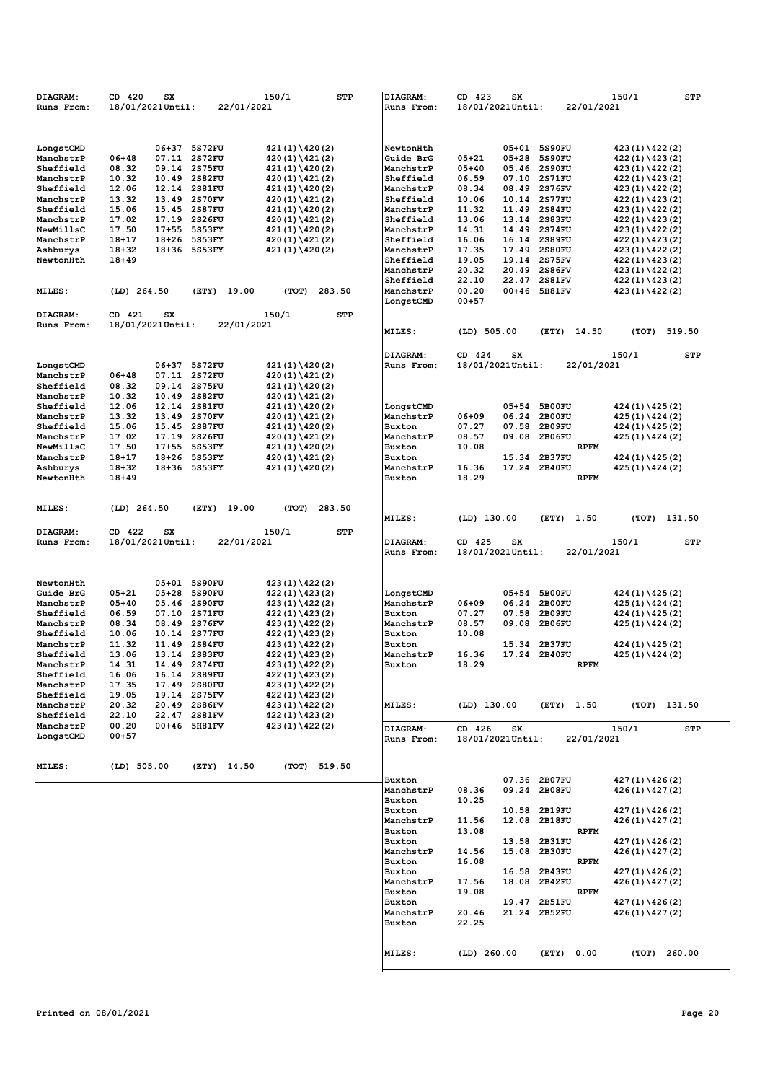| DIAGRAM:               | CD 420           | SX                           | 150/1                                | <b>STP</b><br>DIAGRAM: | CD 423<br>SX       |               | 150/1<br>STP     |
|------------------------|------------------|------------------------------|--------------------------------------|------------------------|--------------------|---------------|------------------|
| Runs From:             | 18/01/2021Until: |                              | 22/01/2021                           | Runs From:             | 18/01/2021Until:   | 22/01/2021    |                  |
|                        |                  |                              |                                      |                        |                    |               |                  |
|                        |                  |                              |                                      |                        |                    |               |                  |
| LongstCMD              |                  | 06+37 5S72FU                 | $421(1)\ 420(2)$                     | NewtonHth              |                    | 05+01 5S90FU  | $423(1)\ 422(2)$ |
| ManchstrP              | $06 + 48$        | 07.11 2S72FU                 | $420(1)\ 421(2)$                     | Guide BrG              | $05 + 21$<br>05+28 | 5S90FU        | $422(1)\ 423(2)$ |
| Sheffield              | 08.32            | 09.14<br>2S75FU              | $421(1)\ 420(2)$                     | ManchstrP              | $05 + 40$          | 05.46 2S90FU  | $423(1)\ 422(2)$ |
| ManchstrP              | 10.32            | 10.49<br><b>2S82FU</b>       | $420(1)\ 421(2)$                     | Sheffield              | 06.59<br>07.10     | 2S71FU        | $422(1)\ 423(2)$ |
| Sheffield              | 12.06            | 12.14<br>2S81FU              | $421(1)\ 420(2)$                     | ManchstrP              | 08.34              | 08.49 2S76FV  | $423(1)\ 422(2)$ |
| ManchstrP              | 13.32            | 2S70FV<br>13.49              | $420(1)\ 421(2)$                     | Sheffield              | 10.06              | 10.14 2S77FU  | $422(1)\ 423(2)$ |
| Sheffield              | 15.06            | 15.45<br>2S87FU              | $421(1)\ 420(2)$                     | ManchstrP              | 11.32<br>11.49     | <b>2S84FU</b> | $423(1)\ 422(2)$ |
| ManchstrP              | 17.02            | 17.19<br><b>2S26FU</b>       | $420(1)\ 421(2)$                     | Sheffield              | 13.06              | 13.14 2S83FU  | $422(1)\ 423(2)$ |
| NewMillsC              | 17.50            | $17+55$<br>5S53FY            | $421(1)\ 420(2)$                     | ManchstrP              | 14.31<br>14.49     | <b>2S74FU</b> | $423(1)\ 422(2)$ |
| ManchstrP              | $18 + 17$        | 18+26<br>5S53FY              | $420(1)\ 421(2)$                     | Sheffield              | 16.06<br>16.14     | <b>2S89FU</b> | $422(1)\ 423(2)$ |
| Ashburys               | 18+32            | 18+36 5S53FY                 | $421(1)\ 420(2)$                     | ManchstrP              | 17.35              | 17.49 2S80FU  | $423(1)\ 422(2)$ |
| NewtonHth              | $18 + 49$        |                              |                                      | Sheffield              | 19.05              | 19.14 2S75FV  | $422(1)\ 423(2)$ |
|                        |                  |                              |                                      | ManchstrP              | 20.32<br>20.49     | 2S86FV        | $423(1)\ 422(2)$ |
|                        |                  |                              |                                      | Sheffield              | 22.10<br>22.47     | 2S81FV        | $422(1)\ 423(2)$ |
| MILES:                 | $(LD)$ 264.50    | (ETY)                        | 19.00<br>(TOT)                       | 283.50<br>ManchstrP    | 00.20<br>$00 + 57$ | 00+46 5H81FV  | $423(1)\ 422(2)$ |
|                        |                  |                              |                                      | LongstCMD              |                    |               |                  |
| DIAGRAM:               | CD 421           | SX                           | 150/1                                | STP                    |                    |               |                  |
| Runs From:             | 18/01/2021Until: |                              | 22/01/2021                           | MILES:                 | (LD) 505.00        | (ETY) 14.50   | (TOT) 519.50     |
|                        |                  |                              |                                      |                        |                    |               |                  |
|                        |                  |                              |                                      |                        |                    |               |                  |
|                        |                  |                              |                                      | DIAGRAM:               | CD 424<br>SX       |               | 150/1<br>STP     |
| LongstCMD              | $06 + 48$        | 06+37 5S72FU<br>07.11 2S72FU | $421(1)\ 420(2)$                     | Runs From:             | 18/01/2021Until:   | 22/01/2021    |                  |
| ManchstrP<br>Sheffield | 08.32            | 09.14<br>2S75FU              | $420(1)\ 421(2)$                     |                        |                    |               |                  |
| ManchstrP              | 10.32            | <b>2S82FU</b><br>10.49       | $421(1)\ 420(2)$<br>$420(1)\ 421(2)$ |                        |                    |               |                  |
| Sheffield              | 12.06            | 2S81FU<br>12.14              | $421(1)\ 420(2)$                     | LongstCMD              | 05+54              | 5B00FU        | $424(1)\ 425(2)$ |
| ManchstrP              | 13.32            | 2S70FV<br>13.49              | $420(1)\ 421(2)$                     | ManchstrP              | $06 + 09$<br>06.24 | <b>2B00FU</b> | $425(1)\ 424(2)$ |
| Sheffield              | 15.06            | 15.45<br>2S87FU              | $421(1)\ 420(2)$                     | <b>Buxton</b>          | 07.27<br>07.58     | 2B09FU        | $424(1)\ 425(2)$ |
| ManchstrP              | 17.02            | 17.19<br><b>2S26FU</b>       | $420(1)\ 421(2)$                     | ManchstrP              | 08.57<br>09.08     | 2B06FU        | $425(1)\ 424(2)$ |
| NewMillsC              | 17.50            | $17+55$<br>5S53FY            | $421(1)\ 420(2)$                     | Buxton                 | 10.08              | <b>RPFM</b>   |                  |
| ManchstrP              | $18 + 17$        | 18+26<br><b>5S53FY</b>       | $420(1)\ 421(2)$                     | Buxton                 |                    | 15.34 2B37FU  | $424(1)\ 425(2)$ |
| Ashburys               | 18+32            | 18+36 5S53FY                 | $421(1)\ 420(2)$                     | ManchstrP              | 16.36              | 17.24 2B40FU  | $425(1)\ 424(2)$ |
| NewtonHth              | $18 + 49$        |                              |                                      | Buxton                 | 18.29              | <b>RPFM</b>   |                  |
|                        |                  |                              |                                      |                        |                    |               |                  |
|                        |                  |                              |                                      |                        |                    |               |                  |
| MILES:                 | $(LD)$ 264.50    | (ETY)                        | 19.00<br>(TOT)                       | 283.50                 |                    |               |                  |
|                        |                  |                              |                                      | <b>MILES:</b>          | (LD) 130.00        | (ETY) 1.50    | (TOT) 131.50     |
| DIAGRAM:               | CD 422           | SX                           | 150/1                                | <b>STP</b>             |                    |               |                  |
| Runs From:             | 18/01/2021Until: |                              | 22/01/2021                           | DIAGRAM:               | CD 425<br>SX       |               | 150/1<br>STP     |
|                        |                  |                              |                                      | Runs From:             | 18/01/2021Until:   | 22/01/2021    |                  |
|                        |                  |                              |                                      |                        |                    |               |                  |
|                        |                  |                              |                                      |                        |                    |               |                  |
|                        |                  |                              |                                      |                        |                    |               |                  |
| NewtonHth              |                  | 05+01<br><b>5S90FU</b>       | 423(1)\422(2)                        |                        |                    |               |                  |
| Guide BrG              | $05 + 21$        | $05 + 28$<br>5S90FU          | $422(1)\ 423(2)$                     | LongstCMD              | 05+54              | 5B00FU        | $424(1)\ 425(2)$ |
| ManchstrP              | $05 + 40$        | 05.46<br><b>2S90FU</b>       | $423(1)\ 422(2)$                     | ManchstrP              | $06 + 09$          | 06.24 2B00FU  | $425(1)\ 424(2)$ |
| Sheffield              | 06.59            | 07.10<br>2S71FU              | $422(1)\ 423(2)$                     | <b>Buxton</b>          | 07.27<br>07.58     | 2B09FU        | $424(1)\ 425(2)$ |
| ManchstrP              | 08.34            | 08.49<br><b>2S76FV</b>       | 423(1)\422(2)                        | ManchstrP              | 08.57<br>09.08     | <b>2B06FU</b> | $425(1)\ 424(2)$ |
| Sheffield              | 10.06            | 10.14<br><b>2S77FU</b>       | $422(1)\ 423(2)$                     | Buxton                 | 10.08              |               |                  |
| ManchstrP              | 11.32            | <b>2S84FU</b><br>11.49       | 423(1)\422(2)                        | Buxton                 | 15.34              | 2B37FU        | $424(1)\ 425(2)$ |
| Sheffield              | 13.06            | 13.14 2S83FU                 | $422(1)\ 423(2)$                     | ManchstrP              | 16.36              | 17.24 2B40FU  | $425(1)\ 424(2)$ |
| ManchstrP<br>Sheffield | 14.31            | 14.49 2S74FU                 | $423(1)\ 422(2)$                     | Buxton                 | 18.29              | <b>RPFM</b>   |                  |
| ManchstrP              | 16.06<br>17.35   | 16.14 2S89FU<br>17.49 2S80FU | $422(1)\ 423(2)$<br>$423(1)\ 422(2)$ |                        |                    |               |                  |
| Sheffield              | 19.05            | 19.14 2S75FV                 | $422(1)\ 423(2)$                     |                        |                    |               |                  |
| ManchstrP              | 20.32            | 20.49 2S86FV                 | $423(1)\ 422(2)$                     | MILES:                 | $(LD)$ 130.00      | (ETY) 1.50    | (TOT) 131.50     |
| Sheffield              | 22.10            | 22.47 2S81FV                 | $422(1)\ 423(2)$                     |                        |                    |               |                  |
| ManchstrP              | 00.20            | 00+46 5H81FV                 | $423(1)\ 422(2)$                     |                        |                    |               |                  |
| LongstCMD              | $00 + 57$        |                              |                                      | DIAGRAM:               | CD 426<br>SX       |               | 150/1<br>STP     |
|                        |                  |                              |                                      | Runs From:             | 18/01/2021Until:   | 22/01/2021    |                  |
|                        |                  |                              |                                      |                        |                    |               |                  |
| <b>MILES:</b>          | $(LD)$ 505.00    |                              | (ETY) 14.50<br>(TOT) 519.50          |                        |                    |               |                  |
|                        |                  |                              |                                      | Buxton                 |                    | 07.36 2B07FU  | $427(1)\ 426(2)$ |
|                        |                  |                              |                                      | ManchstrP              | 08.36              | 09.24 2B08FU  | $426(1)\ 427(2)$ |
|                        |                  |                              |                                      | Buxton                 | 10.25              |               |                  |
|                        |                  |                              |                                      | Buxton                 |                    | 10.58 2B19FU  | $427(1)\ 426(2)$ |
|                        |                  |                              |                                      | ManchstrP              | 11.56              | 12.08 2B18FU  | $426(1)\ 427(2)$ |
|                        |                  |                              |                                      | Buxton                 | 13.08              | <b>RPFM</b>   |                  |
|                        |                  |                              |                                      | Buxton                 |                    | 13.58 2B31FU  | $427(1)\ 426(2)$ |
|                        |                  |                              |                                      | ManchstrP              | 14.56              | 15.08 2B30FU  | $426(1)\ 427(2)$ |
|                        |                  |                              |                                      | Buxton                 | 16.08              | <b>RPFM</b>   |                  |
|                        |                  |                              |                                      | Buxton                 |                    | 16.58 2B43FU  | $427(1)\ 426(2)$ |
|                        |                  |                              |                                      | ManchstrP              | 17.56              | 18.08 2B42FU  | $426(1)\ 427(2)$ |
|                        |                  |                              |                                      | Buxton                 | 19.08              | <b>RPFM</b>   |                  |
|                        |                  |                              |                                      | Buxton                 |                    | 19.47 2B51FU  | $427(1)\ 426(2)$ |
|                        |                  |                              |                                      | ManchstrP              | 20.46              | 21.24 2B52FU  | $426(1)\ 427(2)$ |
|                        |                  |                              |                                      | Buxton                 | 22.25              |               |                  |
|                        |                  |                              |                                      |                        |                    |               |                  |
|                        |                  |                              |                                      | MILES:                 |                    |               | $(TOT)$ 260.00   |
|                        |                  |                              |                                      |                        | $(LD)$ 260.00      | (ETY) 0.00    |                  |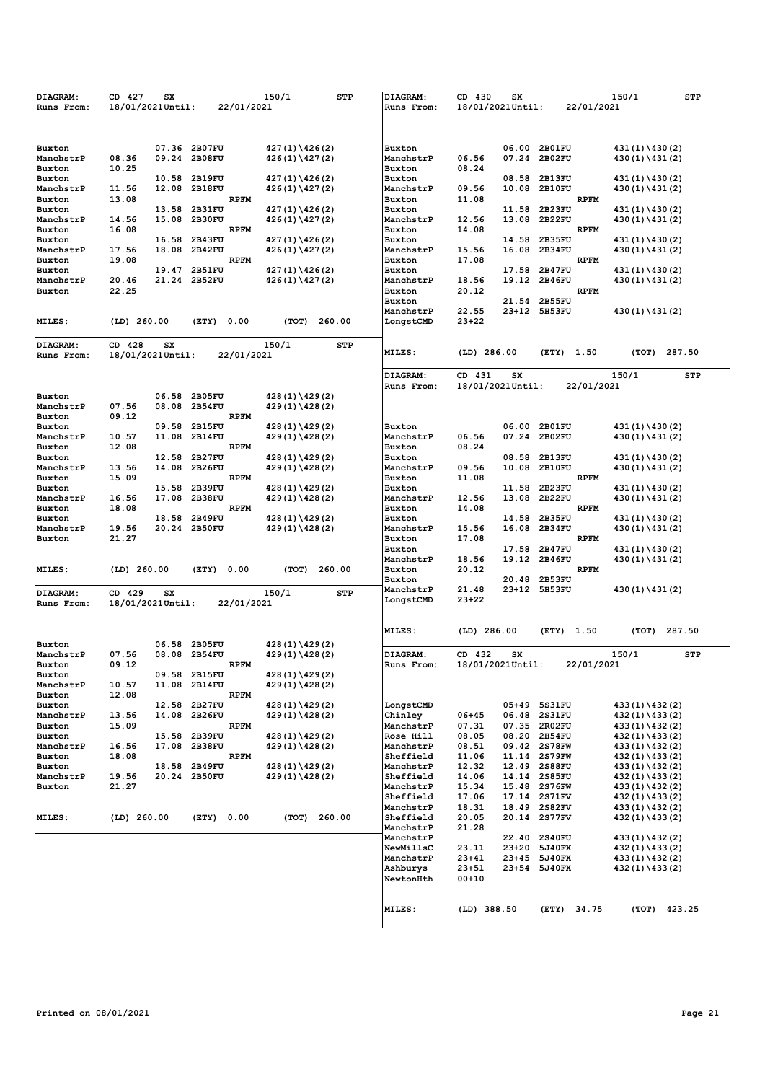| 07.36 2B07FU<br>$427(1)\ 426(2)$<br>06.00<br><b>2B01FU</b><br>$431(1)\ 430(2)$<br>Buxton<br>Buxton<br>09.24<br>2B08FU<br>$426(1)\ 427(2)$<br>07.24<br>2B02FU<br>$430(1)\ 431(2)$<br>ManchstrP<br>08.36<br>ManchstrP<br>06.56<br>10.25<br>Buxton<br>08.24<br>Buxton<br>10.58<br>2B19FU<br>$427(1)\ 426(2)$<br>Buxton<br>08.58<br>2B13FU<br>$431(1)\ 430(2)$<br>Buxton<br>11.56<br>12.08<br>09.56<br>10.08<br><b>2B10FU</b><br>ManchstrP<br><b>2B18FU</b><br>$426(1)\ 427(2)$<br>ManchstrP<br>430 (1) \431 (2)<br>13.08<br>11.08<br>Buxton<br><b>RPFM</b><br>Buxton<br><b>RPFM</b><br>13.58<br>2B31FU<br>$427(1)\ 426(2)$<br>Buxton<br>11.58<br>2B23FU<br>$431(1)\ 430(2)$<br>Buxton<br>14.56<br>15.08<br>2B30FU<br>12.56<br>13.08<br><b>2B22FU</b><br>ManchstrP<br>$426(1)\ 427(2)$<br>ManchstrP<br>430 (1) \431 (2)<br>16.08<br>14.08<br>Buxton<br><b>RPFM</b><br>Buxton<br><b>RPFM</b><br>16.58<br>2B43FU<br>$427(1)\ 426(2)$<br>Buxton<br>14.58<br>2B35FU<br>Buxton<br>$431(1)\ 430(2)$<br>17.56<br>18.08<br>2B42FU<br>$426(1)\ 427(2)$<br>ManchstrP<br>15.56<br>16.08<br><b>2B34FU</b><br>430 (1) \431 (2)<br>ManchstrP<br>19.08<br><b>RPFM</b><br>17.08<br><b>RPFM</b><br>Buxton<br>Buxton<br>19.47<br>2B51FU<br>2B47FU<br>Buxton<br>$427(1)\ 426(2)$<br>Buxton<br>17.58<br>$431(1)\ 430(2)$<br>20.46<br>21.24 2B52FU<br>ManchstrP<br>18.56<br>19.12<br><b>2B46FU</b><br>ManchstrP<br>$426(1)\ 427(2)$<br>430 (1) \431 (2)<br>22.25<br>20.12<br><b>RPFM</b><br>Buxton<br>Buxton<br>2B55FU<br>Buxton<br>21.54<br>ManchstrP<br>22.55<br>$23+12$<br><b>5H53FU</b><br>430 (1) \431 (2)<br>MILES:<br>(LD) 260.00<br>260.00<br>LongstCMD<br>$23+22$<br>(ETY)<br>0.00<br>(TOT)<br>CD 428<br>150/1<br>STP<br>DIAGRAM:<br>SX<br>MILES:<br>$(LD)$ 286.00<br>287.50<br>(ETY)<br>1.50<br>(ТОТ)<br>18/01/2021Until:<br>22/01/2021<br>Runs From:<br>DIAGRAM:<br>CD 431<br>150/1<br><b>STP</b><br>SX<br>18/01/2021Until:<br>22/01/2021<br>Runs From:<br>06.58 2B05FU<br>$428(1)\ 429(2)$<br>Buxton<br>07.56<br>08.08<br>2B54FU<br>$429(1)\ 428(2)$<br>ManchstrP<br>09.12<br><b>RPFM</b><br>Buxton<br>09.58<br><b>2B15FU</b><br>$428(1)\ 429(2)$<br>06.00<br><b>2B01FU</b><br>$431(1)\ 430(2)$<br>Buxton<br>Buxton<br>10.57<br>11.08<br><b>2B14FU</b><br>06.56<br>07.24<br>2B02FU<br>ManchstrP<br>$429(1)\ 428(2)$<br>ManchstrP<br>$430(1)\ 431(2)$<br>12.08<br><b>RPFM</b><br>08.24<br>Buxton<br>Buxton<br>2B27FU<br>$428(1)\ 429(2)$<br>$431(1)\ 430(2)$<br>Buxton<br>12.58<br>Buxton<br>08.58<br><b>2B13FU</b><br>13.56<br>14.08<br>2B26FU<br>$429(1)\ 428(2)$<br>ManchstrP<br>09.56<br>10.08<br>2B10FU<br>$430(1)\ 431(2)$<br>ManchstrP<br>15.09<br><b>RPFM</b><br>Buxton<br>11.08<br><b>RPFM</b><br>Buxton<br>2B39FU<br>$428(1)\ 429(2)$<br>2B23FU<br>$431(1)\ 430(2)$<br>Buxton<br>15.58<br>Buxton<br>11.58<br>16.56<br>17.08<br>2B38FU<br>12.56<br>13.08<br>2B22FU<br>ManchstrP<br>$429(1)\ 428(2)$<br>ManchstrP<br>430 (1) \431 (2)<br>18.08<br><b>RPFM</b><br>Buxton<br>14.08<br><b>RPFM</b><br>Buxton<br>2B35FU<br>2B49FU<br>$428(1)\ 429(2)$<br>14.58<br>Buxton<br>18.58<br>Buxton<br>431 (1) \430 (2)<br>19.56<br>20.24<br><b>2B34FU</b><br>ManchstrP<br><b>2B50FU</b><br>$429(1)\ 428(2)$<br>ManchstrP<br>15.56<br>16.08<br>430 (1) \431 (2)<br>21.27<br>17.08<br><b>RPFM</b><br>Buxton<br>Buxton<br>2B47FU<br>17.58<br>Buxton<br>431 (1) \430 (2)<br>19.12<br>ManchstrP<br>18.56<br>2B46FU<br>430 (1) \431 (2)<br>MILES:<br>(LD) 260.00<br>0.00<br>(TOT)<br>260.00<br>20.12<br><b>RPFM</b><br>(ETY)<br>Buxton<br>20.48<br>2B53FU<br>Buxton<br>21.48<br>23+12 5H53FU<br>ManchstrP<br>430 (1) \431 (2)<br>CD 429<br>150/1<br>DIAGRAM:<br><b>SX</b><br>STP<br>$23+22$<br>LongstCMD<br>18/01/2021Until:<br>22/01/2021<br>Runs From:<br>MILES:<br>$(LD)$ 286.00<br>287.50<br>(ETY) 1.50<br>(TOT)<br>$428(1)\ 429(2)$<br>Buxton<br>06.58<br><b>2B05FU</b><br>07.56<br>08.08<br><b>2B54FU</b><br>DIAGRAM:<br>CD 432<br>150/1<br><b>STP</b><br>ManchstrP<br>$429(1)\ 428(2)$<br>sx<br>09.12<br>18/01/2021Until:<br>22/01/2021<br>Buxton<br><b>RPFM</b><br>Runs From:<br>09.58 2B15FU<br>$428(1)\ 429(2)$<br>Buxton<br>10.57<br>11.08 2B14FU<br>$429(1)\ 428(2)$<br>ManchstrP<br>12.08<br><b>RPFM</b><br>Buxton<br>12.58 2B27FU<br>428(1)\429(2)<br>05+49 5S31FU<br>433 (1) \432 (2)<br><b>Buxton</b><br>LongstCMD<br>13.56<br>14.08 2B26FU<br>$429(1)\ 428(2)$<br>06.48 2S31FU<br>ManchstrP<br>Chinley<br>06+45<br>432 (1) \433 (2)<br>15.09<br><b>RPFM</b><br>ManchstrP<br>07.31<br>07.35 2R02FU<br>Buxton<br>433 (1) \432 (2)<br>15.58 2B39FU<br><b>Rose Hill</b><br>08.05<br>08.20 2H54FU<br>Buxton<br>$428(1)\ 429(2)$<br>432 (1) \433 (2)<br>16.56<br>17.08 2B38FU<br>$429(1)\ 428(2)$<br>08.51<br>09.42 2S78FW<br>ManchstrP<br>ManchstrP<br>$433(1)\ 432(2)$<br>18.08<br><b>RPFM</b><br>Sheffield<br>11.06<br>11.14 2S79FW<br>$432(1)\ 433(2)$<br>Buxton<br>18.58 2B49FU<br>$428(1)\ 429(2)$<br>ManchstrP<br>12.32<br>12.49 2S88FU<br>Buxton<br>433 (1) \432 (2)<br>14.06<br>19.56<br>20.24 2B50FU<br>Sheffield<br>14.14 2S85FU<br>ManchstrP<br>$429(1)\ 428(2)$<br>432 (1) \433 (2)<br>21.27<br>15.34<br>Buxton<br>ManchstrP<br>15.48 2S76FW<br>433 (1) \432 (2)<br>Sheffield<br>17.06<br>17.14 2S71FV<br>432 (1) \433 (2)<br>18.31<br>18.49 2S82FV<br>$433(1)\ 432(2)$<br>ManchstrP<br>$(LD)$ 260.00<br>(ETY) 0.00<br>$(TOT)$ 260.00<br>Sheffield<br>20.05<br>20.14 2S77FV<br><b>MILES:</b><br>432 (1) \433 (2)<br>ManchstrP<br>21.28<br>ManchstrP<br>22.40 2S40FU<br>433 (1) \432 (2)<br>NewMillsC<br>23.11<br>23+20 5J40FX<br>432 (1) \433 (2)<br>ManchstrP<br>$23 + 41$<br>23+45 5J40FX<br>433 (1) \432 (2)<br>Ashburys<br>23+51<br>23+54 5J40FX<br>432 (1) \433 (2)<br>$00 + 10$<br>NewtonHth<br>MILES:<br>$(LD)$ 388.50<br>(ETY) 34.75<br>(TOT) 423.25 | DIAGRAM:<br>Runs From: | CD 427<br>18/01/2021Until: | SX | 22/01/2021 | 150/1 | STP | DIAGRAM:<br>Runs From: | CD 430<br>18/01/2021Until: | SX | 22/01/2021 | 150/1 | <b>STP</b> |
|---------------------------------------------------------------------------------------------------------------------------------------------------------------------------------------------------------------------------------------------------------------------------------------------------------------------------------------------------------------------------------------------------------------------------------------------------------------------------------------------------------------------------------------------------------------------------------------------------------------------------------------------------------------------------------------------------------------------------------------------------------------------------------------------------------------------------------------------------------------------------------------------------------------------------------------------------------------------------------------------------------------------------------------------------------------------------------------------------------------------------------------------------------------------------------------------------------------------------------------------------------------------------------------------------------------------------------------------------------------------------------------------------------------------------------------------------------------------------------------------------------------------------------------------------------------------------------------------------------------------------------------------------------------------------------------------------------------------------------------------------------------------------------------------------------------------------------------------------------------------------------------------------------------------------------------------------------------------------------------------------------------------------------------------------------------------------------------------------------------------------------------------------------------------------------------------------------------------------------------------------------------------------------------------------------------------------------------------------------------------------------------------------------------------------------------------------------------------------------------------------------------------------------------------------------------------------------------------------------------------------------------------------------------------------------------------------------------------------------------------------------------------------------------------------------------------------------------------------------------------------------------------------------------------------------------------------------------------------------------------------------------------------------------------------------------------------------------------------------------------------------------------------------------------------------------------------------------------------------------------------------------------------------------------------------------------------------------------------------------------------------------------------------------------------------------------------------------------------------------------------------------------------------------------------------------------------------------------------------------------------------------------------------------------------------------------------------------------------------------------------------------------------------------------------------------------------------------------------------------------------------------------------------------------------------------------------------------------------------------------------------------------------------------------------------------------------------------------------------------------------------------------------------------------------------------------------------------------------------------------------------------------------------------------------------------------------------------------------------------------------------------------------------------------------------------------------------------------------------------------------------------------------------------------------------------------------------------------------------------------------------------------------------------------------------------------------------------------------------------------------------------------------------------------------------------------------------------------------------------------------------------------------------------------------------------------------------------------------------------------------------------------------------------------------------------------------------------------------------------------------------------------------------------------------------------------------------------------------------------------------------------------------------------------------------------------------------------------------------------------------------------------------------------------------------------------------------------------------------------------------------------------------------------------------------------------------------------------------------------------------------------------------------------------------------------------------------------------------------------------------------------|------------------------|----------------------------|----|------------|-------|-----|------------------------|----------------------------|----|------------|-------|------------|
|                                                                                                                                                                                                                                                                                                                                                                                                                                                                                                                                                                                                                                                                                                                                                                                                                                                                                                                                                                                                                                                                                                                                                                                                                                                                                                                                                                                                                                                                                                                                                                                                                                                                                                                                                                                                                                                                                                                                                                                                                                                                                                                                                                                                                                                                                                                                                                                                                                                                                                                                                                                                                                                                                                                                                                                                                                                                                                                                                                                                                                                                                                                                                                                                                                                                                                                                                                                                                                                                                                                                                                                                                                                                                                                                                                                                                                                                                                                                                                                                                                                                                                                                                                                                                                                                                                                                                                                                                                                                                                                                                                                                                                                                                                                                                                                                                                                                                                                                                                                                                                                                                                                                                                                                                                                                                                                                                                                                                                                                                                                                                                                                                                                                                                                                                               |                        |                            |    |            |       |     |                        |                            |    |            |       |            |
|                                                                                                                                                                                                                                                                                                                                                                                                                                                                                                                                                                                                                                                                                                                                                                                                                                                                                                                                                                                                                                                                                                                                                                                                                                                                                                                                                                                                                                                                                                                                                                                                                                                                                                                                                                                                                                                                                                                                                                                                                                                                                                                                                                                                                                                                                                                                                                                                                                                                                                                                                                                                                                                                                                                                                                                                                                                                                                                                                                                                                                                                                                                                                                                                                                                                                                                                                                                                                                                                                                                                                                                                                                                                                                                                                                                                                                                                                                                                                                                                                                                                                                                                                                                                                                                                                                                                                                                                                                                                                                                                                                                                                                                                                                                                                                                                                                                                                                                                                                                                                                                                                                                                                                                                                                                                                                                                                                                                                                                                                                                                                                                                                                                                                                                                                               |                        |                            |    |            |       |     |                        |                            |    |            |       |            |
|                                                                                                                                                                                                                                                                                                                                                                                                                                                                                                                                                                                                                                                                                                                                                                                                                                                                                                                                                                                                                                                                                                                                                                                                                                                                                                                                                                                                                                                                                                                                                                                                                                                                                                                                                                                                                                                                                                                                                                                                                                                                                                                                                                                                                                                                                                                                                                                                                                                                                                                                                                                                                                                                                                                                                                                                                                                                                                                                                                                                                                                                                                                                                                                                                                                                                                                                                                                                                                                                                                                                                                                                                                                                                                                                                                                                                                                                                                                                                                                                                                                                                                                                                                                                                                                                                                                                                                                                                                                                                                                                                                                                                                                                                                                                                                                                                                                                                                                                                                                                                                                                                                                                                                                                                                                                                                                                                                                                                                                                                                                                                                                                                                                                                                                                                               |                        |                            |    |            |       |     |                        |                            |    |            |       |            |
|                                                                                                                                                                                                                                                                                                                                                                                                                                                                                                                                                                                                                                                                                                                                                                                                                                                                                                                                                                                                                                                                                                                                                                                                                                                                                                                                                                                                                                                                                                                                                                                                                                                                                                                                                                                                                                                                                                                                                                                                                                                                                                                                                                                                                                                                                                                                                                                                                                                                                                                                                                                                                                                                                                                                                                                                                                                                                                                                                                                                                                                                                                                                                                                                                                                                                                                                                                                                                                                                                                                                                                                                                                                                                                                                                                                                                                                                                                                                                                                                                                                                                                                                                                                                                                                                                                                                                                                                                                                                                                                                                                                                                                                                                                                                                                                                                                                                                                                                                                                                                                                                                                                                                                                                                                                                                                                                                                                                                                                                                                                                                                                                                                                                                                                                                               |                        |                            |    |            |       |     |                        |                            |    |            |       |            |
|                                                                                                                                                                                                                                                                                                                                                                                                                                                                                                                                                                                                                                                                                                                                                                                                                                                                                                                                                                                                                                                                                                                                                                                                                                                                                                                                                                                                                                                                                                                                                                                                                                                                                                                                                                                                                                                                                                                                                                                                                                                                                                                                                                                                                                                                                                                                                                                                                                                                                                                                                                                                                                                                                                                                                                                                                                                                                                                                                                                                                                                                                                                                                                                                                                                                                                                                                                                                                                                                                                                                                                                                                                                                                                                                                                                                                                                                                                                                                                                                                                                                                                                                                                                                                                                                                                                                                                                                                                                                                                                                                                                                                                                                                                                                                                                                                                                                                                                                                                                                                                                                                                                                                                                                                                                                                                                                                                                                                                                                                                                                                                                                                                                                                                                                                               |                        |                            |    |            |       |     |                        |                            |    |            |       |            |
|                                                                                                                                                                                                                                                                                                                                                                                                                                                                                                                                                                                                                                                                                                                                                                                                                                                                                                                                                                                                                                                                                                                                                                                                                                                                                                                                                                                                                                                                                                                                                                                                                                                                                                                                                                                                                                                                                                                                                                                                                                                                                                                                                                                                                                                                                                                                                                                                                                                                                                                                                                                                                                                                                                                                                                                                                                                                                                                                                                                                                                                                                                                                                                                                                                                                                                                                                                                                                                                                                                                                                                                                                                                                                                                                                                                                                                                                                                                                                                                                                                                                                                                                                                                                                                                                                                                                                                                                                                                                                                                                                                                                                                                                                                                                                                                                                                                                                                                                                                                                                                                                                                                                                                                                                                                                                                                                                                                                                                                                                                                                                                                                                                                                                                                                                               |                        |                            |    |            |       |     |                        |                            |    |            |       |            |
|                                                                                                                                                                                                                                                                                                                                                                                                                                                                                                                                                                                                                                                                                                                                                                                                                                                                                                                                                                                                                                                                                                                                                                                                                                                                                                                                                                                                                                                                                                                                                                                                                                                                                                                                                                                                                                                                                                                                                                                                                                                                                                                                                                                                                                                                                                                                                                                                                                                                                                                                                                                                                                                                                                                                                                                                                                                                                                                                                                                                                                                                                                                                                                                                                                                                                                                                                                                                                                                                                                                                                                                                                                                                                                                                                                                                                                                                                                                                                                                                                                                                                                                                                                                                                                                                                                                                                                                                                                                                                                                                                                                                                                                                                                                                                                                                                                                                                                                                                                                                                                                                                                                                                                                                                                                                                                                                                                                                                                                                                                                                                                                                                                                                                                                                                               |                        |                            |    |            |       |     |                        |                            |    |            |       |            |
|                                                                                                                                                                                                                                                                                                                                                                                                                                                                                                                                                                                                                                                                                                                                                                                                                                                                                                                                                                                                                                                                                                                                                                                                                                                                                                                                                                                                                                                                                                                                                                                                                                                                                                                                                                                                                                                                                                                                                                                                                                                                                                                                                                                                                                                                                                                                                                                                                                                                                                                                                                                                                                                                                                                                                                                                                                                                                                                                                                                                                                                                                                                                                                                                                                                                                                                                                                                                                                                                                                                                                                                                                                                                                                                                                                                                                                                                                                                                                                                                                                                                                                                                                                                                                                                                                                                                                                                                                                                                                                                                                                                                                                                                                                                                                                                                                                                                                                                                                                                                                                                                                                                                                                                                                                                                                                                                                                                                                                                                                                                                                                                                                                                                                                                                                               |                        |                            |    |            |       |     |                        |                            |    |            |       |            |
|                                                                                                                                                                                                                                                                                                                                                                                                                                                                                                                                                                                                                                                                                                                                                                                                                                                                                                                                                                                                                                                                                                                                                                                                                                                                                                                                                                                                                                                                                                                                                                                                                                                                                                                                                                                                                                                                                                                                                                                                                                                                                                                                                                                                                                                                                                                                                                                                                                                                                                                                                                                                                                                                                                                                                                                                                                                                                                                                                                                                                                                                                                                                                                                                                                                                                                                                                                                                                                                                                                                                                                                                                                                                                                                                                                                                                                                                                                                                                                                                                                                                                                                                                                                                                                                                                                                                                                                                                                                                                                                                                                                                                                                                                                                                                                                                                                                                                                                                                                                                                                                                                                                                                                                                                                                                                                                                                                                                                                                                                                                                                                                                                                                                                                                                                               |                        |                            |    |            |       |     |                        |                            |    |            |       |            |
|                                                                                                                                                                                                                                                                                                                                                                                                                                                                                                                                                                                                                                                                                                                                                                                                                                                                                                                                                                                                                                                                                                                                                                                                                                                                                                                                                                                                                                                                                                                                                                                                                                                                                                                                                                                                                                                                                                                                                                                                                                                                                                                                                                                                                                                                                                                                                                                                                                                                                                                                                                                                                                                                                                                                                                                                                                                                                                                                                                                                                                                                                                                                                                                                                                                                                                                                                                                                                                                                                                                                                                                                                                                                                                                                                                                                                                                                                                                                                                                                                                                                                                                                                                                                                                                                                                                                                                                                                                                                                                                                                                                                                                                                                                                                                                                                                                                                                                                                                                                                                                                                                                                                                                                                                                                                                                                                                                                                                                                                                                                                                                                                                                                                                                                                                               |                        |                            |    |            |       |     |                        |                            |    |            |       |            |
|                                                                                                                                                                                                                                                                                                                                                                                                                                                                                                                                                                                                                                                                                                                                                                                                                                                                                                                                                                                                                                                                                                                                                                                                                                                                                                                                                                                                                                                                                                                                                                                                                                                                                                                                                                                                                                                                                                                                                                                                                                                                                                                                                                                                                                                                                                                                                                                                                                                                                                                                                                                                                                                                                                                                                                                                                                                                                                                                                                                                                                                                                                                                                                                                                                                                                                                                                                                                                                                                                                                                                                                                                                                                                                                                                                                                                                                                                                                                                                                                                                                                                                                                                                                                                                                                                                                                                                                                                                                                                                                                                                                                                                                                                                                                                                                                                                                                                                                                                                                                                                                                                                                                                                                                                                                                                                                                                                                                                                                                                                                                                                                                                                                                                                                                                               |                        |                            |    |            |       |     |                        |                            |    |            |       |            |
|                                                                                                                                                                                                                                                                                                                                                                                                                                                                                                                                                                                                                                                                                                                                                                                                                                                                                                                                                                                                                                                                                                                                                                                                                                                                                                                                                                                                                                                                                                                                                                                                                                                                                                                                                                                                                                                                                                                                                                                                                                                                                                                                                                                                                                                                                                                                                                                                                                                                                                                                                                                                                                                                                                                                                                                                                                                                                                                                                                                                                                                                                                                                                                                                                                                                                                                                                                                                                                                                                                                                                                                                                                                                                                                                                                                                                                                                                                                                                                                                                                                                                                                                                                                                                                                                                                                                                                                                                                                                                                                                                                                                                                                                                                                                                                                                                                                                                                                                                                                                                                                                                                                                                                                                                                                                                                                                                                                                                                                                                                                                                                                                                                                                                                                                                               |                        |                            |    |            |       |     |                        |                            |    |            |       |            |
|                                                                                                                                                                                                                                                                                                                                                                                                                                                                                                                                                                                                                                                                                                                                                                                                                                                                                                                                                                                                                                                                                                                                                                                                                                                                                                                                                                                                                                                                                                                                                                                                                                                                                                                                                                                                                                                                                                                                                                                                                                                                                                                                                                                                                                                                                                                                                                                                                                                                                                                                                                                                                                                                                                                                                                                                                                                                                                                                                                                                                                                                                                                                                                                                                                                                                                                                                                                                                                                                                                                                                                                                                                                                                                                                                                                                                                                                                                                                                                                                                                                                                                                                                                                                                                                                                                                                                                                                                                                                                                                                                                                                                                                                                                                                                                                                                                                                                                                                                                                                                                                                                                                                                                                                                                                                                                                                                                                                                                                                                                                                                                                                                                                                                                                                                               |                        |                            |    |            |       |     |                        |                            |    |            |       |            |
|                                                                                                                                                                                                                                                                                                                                                                                                                                                                                                                                                                                                                                                                                                                                                                                                                                                                                                                                                                                                                                                                                                                                                                                                                                                                                                                                                                                                                                                                                                                                                                                                                                                                                                                                                                                                                                                                                                                                                                                                                                                                                                                                                                                                                                                                                                                                                                                                                                                                                                                                                                                                                                                                                                                                                                                                                                                                                                                                                                                                                                                                                                                                                                                                                                                                                                                                                                                                                                                                                                                                                                                                                                                                                                                                                                                                                                                                                                                                                                                                                                                                                                                                                                                                                                                                                                                                                                                                                                                                                                                                                                                                                                                                                                                                                                                                                                                                                                                                                                                                                                                                                                                                                                                                                                                                                                                                                                                                                                                                                                                                                                                                                                                                                                                                                               |                        |                            |    |            |       |     |                        |                            |    |            |       |            |
|                                                                                                                                                                                                                                                                                                                                                                                                                                                                                                                                                                                                                                                                                                                                                                                                                                                                                                                                                                                                                                                                                                                                                                                                                                                                                                                                                                                                                                                                                                                                                                                                                                                                                                                                                                                                                                                                                                                                                                                                                                                                                                                                                                                                                                                                                                                                                                                                                                                                                                                                                                                                                                                                                                                                                                                                                                                                                                                                                                                                                                                                                                                                                                                                                                                                                                                                                                                                                                                                                                                                                                                                                                                                                                                                                                                                                                                                                                                                                                                                                                                                                                                                                                                                                                                                                                                                                                                                                                                                                                                                                                                                                                                                                                                                                                                                                                                                                                                                                                                                                                                                                                                                                                                                                                                                                                                                                                                                                                                                                                                                                                                                                                                                                                                                                               |                        |                            |    |            |       |     |                        |                            |    |            |       |            |
|                                                                                                                                                                                                                                                                                                                                                                                                                                                                                                                                                                                                                                                                                                                                                                                                                                                                                                                                                                                                                                                                                                                                                                                                                                                                                                                                                                                                                                                                                                                                                                                                                                                                                                                                                                                                                                                                                                                                                                                                                                                                                                                                                                                                                                                                                                                                                                                                                                                                                                                                                                                                                                                                                                                                                                                                                                                                                                                                                                                                                                                                                                                                                                                                                                                                                                                                                                                                                                                                                                                                                                                                                                                                                                                                                                                                                                                                                                                                                                                                                                                                                                                                                                                                                                                                                                                                                                                                                                                                                                                                                                                                                                                                                                                                                                                                                                                                                                                                                                                                                                                                                                                                                                                                                                                                                                                                                                                                                                                                                                                                                                                                                                                                                                                                                               |                        |                            |    |            |       |     |                        |                            |    |            |       |            |
|                                                                                                                                                                                                                                                                                                                                                                                                                                                                                                                                                                                                                                                                                                                                                                                                                                                                                                                                                                                                                                                                                                                                                                                                                                                                                                                                                                                                                                                                                                                                                                                                                                                                                                                                                                                                                                                                                                                                                                                                                                                                                                                                                                                                                                                                                                                                                                                                                                                                                                                                                                                                                                                                                                                                                                                                                                                                                                                                                                                                                                                                                                                                                                                                                                                                                                                                                                                                                                                                                                                                                                                                                                                                                                                                                                                                                                                                                                                                                                                                                                                                                                                                                                                                                                                                                                                                                                                                                                                                                                                                                                                                                                                                                                                                                                                                                                                                                                                                                                                                                                                                                                                                                                                                                                                                                                                                                                                                                                                                                                                                                                                                                                                                                                                                                               |                        |                            |    |            |       |     |                        |                            |    |            |       |            |
|                                                                                                                                                                                                                                                                                                                                                                                                                                                                                                                                                                                                                                                                                                                                                                                                                                                                                                                                                                                                                                                                                                                                                                                                                                                                                                                                                                                                                                                                                                                                                                                                                                                                                                                                                                                                                                                                                                                                                                                                                                                                                                                                                                                                                                                                                                                                                                                                                                                                                                                                                                                                                                                                                                                                                                                                                                                                                                                                                                                                                                                                                                                                                                                                                                                                                                                                                                                                                                                                                                                                                                                                                                                                                                                                                                                                                                                                                                                                                                                                                                                                                                                                                                                                                                                                                                                                                                                                                                                                                                                                                                                                                                                                                                                                                                                                                                                                                                                                                                                                                                                                                                                                                                                                                                                                                                                                                                                                                                                                                                                                                                                                                                                                                                                                                               |                        |                            |    |            |       |     |                        |                            |    |            |       |            |
|                                                                                                                                                                                                                                                                                                                                                                                                                                                                                                                                                                                                                                                                                                                                                                                                                                                                                                                                                                                                                                                                                                                                                                                                                                                                                                                                                                                                                                                                                                                                                                                                                                                                                                                                                                                                                                                                                                                                                                                                                                                                                                                                                                                                                                                                                                                                                                                                                                                                                                                                                                                                                                                                                                                                                                                                                                                                                                                                                                                                                                                                                                                                                                                                                                                                                                                                                                                                                                                                                                                                                                                                                                                                                                                                                                                                                                                                                                                                                                                                                                                                                                                                                                                                                                                                                                                                                                                                                                                                                                                                                                                                                                                                                                                                                                                                                                                                                                                                                                                                                                                                                                                                                                                                                                                                                                                                                                                                                                                                                                                                                                                                                                                                                                                                                               |                        |                            |    |            |       |     |                        |                            |    |            |       |            |
|                                                                                                                                                                                                                                                                                                                                                                                                                                                                                                                                                                                                                                                                                                                                                                                                                                                                                                                                                                                                                                                                                                                                                                                                                                                                                                                                                                                                                                                                                                                                                                                                                                                                                                                                                                                                                                                                                                                                                                                                                                                                                                                                                                                                                                                                                                                                                                                                                                                                                                                                                                                                                                                                                                                                                                                                                                                                                                                                                                                                                                                                                                                                                                                                                                                                                                                                                                                                                                                                                                                                                                                                                                                                                                                                                                                                                                                                                                                                                                                                                                                                                                                                                                                                                                                                                                                                                                                                                                                                                                                                                                                                                                                                                                                                                                                                                                                                                                                                                                                                                                                                                                                                                                                                                                                                                                                                                                                                                                                                                                                                                                                                                                                                                                                                                               |                        |                            |    |            |       |     |                        |                            |    |            |       |            |
|                                                                                                                                                                                                                                                                                                                                                                                                                                                                                                                                                                                                                                                                                                                                                                                                                                                                                                                                                                                                                                                                                                                                                                                                                                                                                                                                                                                                                                                                                                                                                                                                                                                                                                                                                                                                                                                                                                                                                                                                                                                                                                                                                                                                                                                                                                                                                                                                                                                                                                                                                                                                                                                                                                                                                                                                                                                                                                                                                                                                                                                                                                                                                                                                                                                                                                                                                                                                                                                                                                                                                                                                                                                                                                                                                                                                                                                                                                                                                                                                                                                                                                                                                                                                                                                                                                                                                                                                                                                                                                                                                                                                                                                                                                                                                                                                                                                                                                                                                                                                                                                                                                                                                                                                                                                                                                                                                                                                                                                                                                                                                                                                                                                                                                                                                               |                        |                            |    |            |       |     |                        |                            |    |            |       |            |
|                                                                                                                                                                                                                                                                                                                                                                                                                                                                                                                                                                                                                                                                                                                                                                                                                                                                                                                                                                                                                                                                                                                                                                                                                                                                                                                                                                                                                                                                                                                                                                                                                                                                                                                                                                                                                                                                                                                                                                                                                                                                                                                                                                                                                                                                                                                                                                                                                                                                                                                                                                                                                                                                                                                                                                                                                                                                                                                                                                                                                                                                                                                                                                                                                                                                                                                                                                                                                                                                                                                                                                                                                                                                                                                                                                                                                                                                                                                                                                                                                                                                                                                                                                                                                                                                                                                                                                                                                                                                                                                                                                                                                                                                                                                                                                                                                                                                                                                                                                                                                                                                                                                                                                                                                                                                                                                                                                                                                                                                                                                                                                                                                                                                                                                                                               |                        |                            |    |            |       |     |                        |                            |    |            |       |            |
|                                                                                                                                                                                                                                                                                                                                                                                                                                                                                                                                                                                                                                                                                                                                                                                                                                                                                                                                                                                                                                                                                                                                                                                                                                                                                                                                                                                                                                                                                                                                                                                                                                                                                                                                                                                                                                                                                                                                                                                                                                                                                                                                                                                                                                                                                                                                                                                                                                                                                                                                                                                                                                                                                                                                                                                                                                                                                                                                                                                                                                                                                                                                                                                                                                                                                                                                                                                                                                                                                                                                                                                                                                                                                                                                                                                                                                                                                                                                                                                                                                                                                                                                                                                                                                                                                                                                                                                                                                                                                                                                                                                                                                                                                                                                                                                                                                                                                                                                                                                                                                                                                                                                                                                                                                                                                                                                                                                                                                                                                                                                                                                                                                                                                                                                                               |                        |                            |    |            |       |     |                        |                            |    |            |       |            |
|                                                                                                                                                                                                                                                                                                                                                                                                                                                                                                                                                                                                                                                                                                                                                                                                                                                                                                                                                                                                                                                                                                                                                                                                                                                                                                                                                                                                                                                                                                                                                                                                                                                                                                                                                                                                                                                                                                                                                                                                                                                                                                                                                                                                                                                                                                                                                                                                                                                                                                                                                                                                                                                                                                                                                                                                                                                                                                                                                                                                                                                                                                                                                                                                                                                                                                                                                                                                                                                                                                                                                                                                                                                                                                                                                                                                                                                                                                                                                                                                                                                                                                                                                                                                                                                                                                                                                                                                                                                                                                                                                                                                                                                                                                                                                                                                                                                                                                                                                                                                                                                                                                                                                                                                                                                                                                                                                                                                                                                                                                                                                                                                                                                                                                                                                               |                        |                            |    |            |       |     |                        |                            |    |            |       |            |
|                                                                                                                                                                                                                                                                                                                                                                                                                                                                                                                                                                                                                                                                                                                                                                                                                                                                                                                                                                                                                                                                                                                                                                                                                                                                                                                                                                                                                                                                                                                                                                                                                                                                                                                                                                                                                                                                                                                                                                                                                                                                                                                                                                                                                                                                                                                                                                                                                                                                                                                                                                                                                                                                                                                                                                                                                                                                                                                                                                                                                                                                                                                                                                                                                                                                                                                                                                                                                                                                                                                                                                                                                                                                                                                                                                                                                                                                                                                                                                                                                                                                                                                                                                                                                                                                                                                                                                                                                                                                                                                                                                                                                                                                                                                                                                                                                                                                                                                                                                                                                                                                                                                                                                                                                                                                                                                                                                                                                                                                                                                                                                                                                                                                                                                                                               |                        |                            |    |            |       |     |                        |                            |    |            |       |            |
|                                                                                                                                                                                                                                                                                                                                                                                                                                                                                                                                                                                                                                                                                                                                                                                                                                                                                                                                                                                                                                                                                                                                                                                                                                                                                                                                                                                                                                                                                                                                                                                                                                                                                                                                                                                                                                                                                                                                                                                                                                                                                                                                                                                                                                                                                                                                                                                                                                                                                                                                                                                                                                                                                                                                                                                                                                                                                                                                                                                                                                                                                                                                                                                                                                                                                                                                                                                                                                                                                                                                                                                                                                                                                                                                                                                                                                                                                                                                                                                                                                                                                                                                                                                                                                                                                                                                                                                                                                                                                                                                                                                                                                                                                                                                                                                                                                                                                                                                                                                                                                                                                                                                                                                                                                                                                                                                                                                                                                                                                                                                                                                                                                                                                                                                                               |                        |                            |    |            |       |     |                        |                            |    |            |       |            |
|                                                                                                                                                                                                                                                                                                                                                                                                                                                                                                                                                                                                                                                                                                                                                                                                                                                                                                                                                                                                                                                                                                                                                                                                                                                                                                                                                                                                                                                                                                                                                                                                                                                                                                                                                                                                                                                                                                                                                                                                                                                                                                                                                                                                                                                                                                                                                                                                                                                                                                                                                                                                                                                                                                                                                                                                                                                                                                                                                                                                                                                                                                                                                                                                                                                                                                                                                                                                                                                                                                                                                                                                                                                                                                                                                                                                                                                                                                                                                                                                                                                                                                                                                                                                                                                                                                                                                                                                                                                                                                                                                                                                                                                                                                                                                                                                                                                                                                                                                                                                                                                                                                                                                                                                                                                                                                                                                                                                                                                                                                                                                                                                                                                                                                                                                               |                        |                            |    |            |       |     |                        |                            |    |            |       |            |
|                                                                                                                                                                                                                                                                                                                                                                                                                                                                                                                                                                                                                                                                                                                                                                                                                                                                                                                                                                                                                                                                                                                                                                                                                                                                                                                                                                                                                                                                                                                                                                                                                                                                                                                                                                                                                                                                                                                                                                                                                                                                                                                                                                                                                                                                                                                                                                                                                                                                                                                                                                                                                                                                                                                                                                                                                                                                                                                                                                                                                                                                                                                                                                                                                                                                                                                                                                                                                                                                                                                                                                                                                                                                                                                                                                                                                                                                                                                                                                                                                                                                                                                                                                                                                                                                                                                                                                                                                                                                                                                                                                                                                                                                                                                                                                                                                                                                                                                                                                                                                                                                                                                                                                                                                                                                                                                                                                                                                                                                                                                                                                                                                                                                                                                                                               |                        |                            |    |            |       |     |                        |                            |    |            |       |            |
|                                                                                                                                                                                                                                                                                                                                                                                                                                                                                                                                                                                                                                                                                                                                                                                                                                                                                                                                                                                                                                                                                                                                                                                                                                                                                                                                                                                                                                                                                                                                                                                                                                                                                                                                                                                                                                                                                                                                                                                                                                                                                                                                                                                                                                                                                                                                                                                                                                                                                                                                                                                                                                                                                                                                                                                                                                                                                                                                                                                                                                                                                                                                                                                                                                                                                                                                                                                                                                                                                                                                                                                                                                                                                                                                                                                                                                                                                                                                                                                                                                                                                                                                                                                                                                                                                                                                                                                                                                                                                                                                                                                                                                                                                                                                                                                                                                                                                                                                                                                                                                                                                                                                                                                                                                                                                                                                                                                                                                                                                                                                                                                                                                                                                                                                                               |                        |                            |    |            |       |     |                        |                            |    |            |       |            |
|                                                                                                                                                                                                                                                                                                                                                                                                                                                                                                                                                                                                                                                                                                                                                                                                                                                                                                                                                                                                                                                                                                                                                                                                                                                                                                                                                                                                                                                                                                                                                                                                                                                                                                                                                                                                                                                                                                                                                                                                                                                                                                                                                                                                                                                                                                                                                                                                                                                                                                                                                                                                                                                                                                                                                                                                                                                                                                                                                                                                                                                                                                                                                                                                                                                                                                                                                                                                                                                                                                                                                                                                                                                                                                                                                                                                                                                                                                                                                                                                                                                                                                                                                                                                                                                                                                                                                                                                                                                                                                                                                                                                                                                                                                                                                                                                                                                                                                                                                                                                                                                                                                                                                                                                                                                                                                                                                                                                                                                                                                                                                                                                                                                                                                                                                               |                        |                            |    |            |       |     |                        |                            |    |            |       |            |
|                                                                                                                                                                                                                                                                                                                                                                                                                                                                                                                                                                                                                                                                                                                                                                                                                                                                                                                                                                                                                                                                                                                                                                                                                                                                                                                                                                                                                                                                                                                                                                                                                                                                                                                                                                                                                                                                                                                                                                                                                                                                                                                                                                                                                                                                                                                                                                                                                                                                                                                                                                                                                                                                                                                                                                                                                                                                                                                                                                                                                                                                                                                                                                                                                                                                                                                                                                                                                                                                                                                                                                                                                                                                                                                                                                                                                                                                                                                                                                                                                                                                                                                                                                                                                                                                                                                                                                                                                                                                                                                                                                                                                                                                                                                                                                                                                                                                                                                                                                                                                                                                                                                                                                                                                                                                                                                                                                                                                                                                                                                                                                                                                                                                                                                                                               |                        |                            |    |            |       |     |                        |                            |    |            |       |            |
|                                                                                                                                                                                                                                                                                                                                                                                                                                                                                                                                                                                                                                                                                                                                                                                                                                                                                                                                                                                                                                                                                                                                                                                                                                                                                                                                                                                                                                                                                                                                                                                                                                                                                                                                                                                                                                                                                                                                                                                                                                                                                                                                                                                                                                                                                                                                                                                                                                                                                                                                                                                                                                                                                                                                                                                                                                                                                                                                                                                                                                                                                                                                                                                                                                                                                                                                                                                                                                                                                                                                                                                                                                                                                                                                                                                                                                                                                                                                                                                                                                                                                                                                                                                                                                                                                                                                                                                                                                                                                                                                                                                                                                                                                                                                                                                                                                                                                                                                                                                                                                                                                                                                                                                                                                                                                                                                                                                                                                                                                                                                                                                                                                                                                                                                                               |                        |                            |    |            |       |     |                        |                            |    |            |       |            |
|                                                                                                                                                                                                                                                                                                                                                                                                                                                                                                                                                                                                                                                                                                                                                                                                                                                                                                                                                                                                                                                                                                                                                                                                                                                                                                                                                                                                                                                                                                                                                                                                                                                                                                                                                                                                                                                                                                                                                                                                                                                                                                                                                                                                                                                                                                                                                                                                                                                                                                                                                                                                                                                                                                                                                                                                                                                                                                                                                                                                                                                                                                                                                                                                                                                                                                                                                                                                                                                                                                                                                                                                                                                                                                                                                                                                                                                                                                                                                                                                                                                                                                                                                                                                                                                                                                                                                                                                                                                                                                                                                                                                                                                                                                                                                                                                                                                                                                                                                                                                                                                                                                                                                                                                                                                                                                                                                                                                                                                                                                                                                                                                                                                                                                                                                               |                        |                            |    |            |       |     |                        |                            |    |            |       |            |
|                                                                                                                                                                                                                                                                                                                                                                                                                                                                                                                                                                                                                                                                                                                                                                                                                                                                                                                                                                                                                                                                                                                                                                                                                                                                                                                                                                                                                                                                                                                                                                                                                                                                                                                                                                                                                                                                                                                                                                                                                                                                                                                                                                                                                                                                                                                                                                                                                                                                                                                                                                                                                                                                                                                                                                                                                                                                                                                                                                                                                                                                                                                                                                                                                                                                                                                                                                                                                                                                                                                                                                                                                                                                                                                                                                                                                                                                                                                                                                                                                                                                                                                                                                                                                                                                                                                                                                                                                                                                                                                                                                                                                                                                                                                                                                                                                                                                                                                                                                                                                                                                                                                                                                                                                                                                                                                                                                                                                                                                                                                                                                                                                                                                                                                                                               |                        |                            |    |            |       |     |                        |                            |    |            |       |            |
|                                                                                                                                                                                                                                                                                                                                                                                                                                                                                                                                                                                                                                                                                                                                                                                                                                                                                                                                                                                                                                                                                                                                                                                                                                                                                                                                                                                                                                                                                                                                                                                                                                                                                                                                                                                                                                                                                                                                                                                                                                                                                                                                                                                                                                                                                                                                                                                                                                                                                                                                                                                                                                                                                                                                                                                                                                                                                                                                                                                                                                                                                                                                                                                                                                                                                                                                                                                                                                                                                                                                                                                                                                                                                                                                                                                                                                                                                                                                                                                                                                                                                                                                                                                                                                                                                                                                                                                                                                                                                                                                                                                                                                                                                                                                                                                                                                                                                                                                                                                                                                                                                                                                                                                                                                                                                                                                                                                                                                                                                                                                                                                                                                                                                                                                                               |                        |                            |    |            |       |     |                        |                            |    |            |       |            |
|                                                                                                                                                                                                                                                                                                                                                                                                                                                                                                                                                                                                                                                                                                                                                                                                                                                                                                                                                                                                                                                                                                                                                                                                                                                                                                                                                                                                                                                                                                                                                                                                                                                                                                                                                                                                                                                                                                                                                                                                                                                                                                                                                                                                                                                                                                                                                                                                                                                                                                                                                                                                                                                                                                                                                                                                                                                                                                                                                                                                                                                                                                                                                                                                                                                                                                                                                                                                                                                                                                                                                                                                                                                                                                                                                                                                                                                                                                                                                                                                                                                                                                                                                                                                                                                                                                                                                                                                                                                                                                                                                                                                                                                                                                                                                                                                                                                                                                                                                                                                                                                                                                                                                                                                                                                                                                                                                                                                                                                                                                                                                                                                                                                                                                                                                               |                        |                            |    |            |       |     |                        |                            |    |            |       |            |
|                                                                                                                                                                                                                                                                                                                                                                                                                                                                                                                                                                                                                                                                                                                                                                                                                                                                                                                                                                                                                                                                                                                                                                                                                                                                                                                                                                                                                                                                                                                                                                                                                                                                                                                                                                                                                                                                                                                                                                                                                                                                                                                                                                                                                                                                                                                                                                                                                                                                                                                                                                                                                                                                                                                                                                                                                                                                                                                                                                                                                                                                                                                                                                                                                                                                                                                                                                                                                                                                                                                                                                                                                                                                                                                                                                                                                                                                                                                                                                                                                                                                                                                                                                                                                                                                                                                                                                                                                                                                                                                                                                                                                                                                                                                                                                                                                                                                                                                                                                                                                                                                                                                                                                                                                                                                                                                                                                                                                                                                                                                                                                                                                                                                                                                                                               |                        |                            |    |            |       |     |                        |                            |    |            |       |            |
|                                                                                                                                                                                                                                                                                                                                                                                                                                                                                                                                                                                                                                                                                                                                                                                                                                                                                                                                                                                                                                                                                                                                                                                                                                                                                                                                                                                                                                                                                                                                                                                                                                                                                                                                                                                                                                                                                                                                                                                                                                                                                                                                                                                                                                                                                                                                                                                                                                                                                                                                                                                                                                                                                                                                                                                                                                                                                                                                                                                                                                                                                                                                                                                                                                                                                                                                                                                                                                                                                                                                                                                                                                                                                                                                                                                                                                                                                                                                                                                                                                                                                                                                                                                                                                                                                                                                                                                                                                                                                                                                                                                                                                                                                                                                                                                                                                                                                                                                                                                                                                                                                                                                                                                                                                                                                                                                                                                                                                                                                                                                                                                                                                                                                                                                                               |                        |                            |    |            |       |     |                        |                            |    |            |       |            |
|                                                                                                                                                                                                                                                                                                                                                                                                                                                                                                                                                                                                                                                                                                                                                                                                                                                                                                                                                                                                                                                                                                                                                                                                                                                                                                                                                                                                                                                                                                                                                                                                                                                                                                                                                                                                                                                                                                                                                                                                                                                                                                                                                                                                                                                                                                                                                                                                                                                                                                                                                                                                                                                                                                                                                                                                                                                                                                                                                                                                                                                                                                                                                                                                                                                                                                                                                                                                                                                                                                                                                                                                                                                                                                                                                                                                                                                                                                                                                                                                                                                                                                                                                                                                                                                                                                                                                                                                                                                                                                                                                                                                                                                                                                                                                                                                                                                                                                                                                                                                                                                                                                                                                                                                                                                                                                                                                                                                                                                                                                                                                                                                                                                                                                                                                               |                        |                            |    |            |       |     |                        |                            |    |            |       |            |
|                                                                                                                                                                                                                                                                                                                                                                                                                                                                                                                                                                                                                                                                                                                                                                                                                                                                                                                                                                                                                                                                                                                                                                                                                                                                                                                                                                                                                                                                                                                                                                                                                                                                                                                                                                                                                                                                                                                                                                                                                                                                                                                                                                                                                                                                                                                                                                                                                                                                                                                                                                                                                                                                                                                                                                                                                                                                                                                                                                                                                                                                                                                                                                                                                                                                                                                                                                                                                                                                                                                                                                                                                                                                                                                                                                                                                                                                                                                                                                                                                                                                                                                                                                                                                                                                                                                                                                                                                                                                                                                                                                                                                                                                                                                                                                                                                                                                                                                                                                                                                                                                                                                                                                                                                                                                                                                                                                                                                                                                                                                                                                                                                                                                                                                                                               |                        |                            |    |            |       |     |                        |                            |    |            |       |            |
|                                                                                                                                                                                                                                                                                                                                                                                                                                                                                                                                                                                                                                                                                                                                                                                                                                                                                                                                                                                                                                                                                                                                                                                                                                                                                                                                                                                                                                                                                                                                                                                                                                                                                                                                                                                                                                                                                                                                                                                                                                                                                                                                                                                                                                                                                                                                                                                                                                                                                                                                                                                                                                                                                                                                                                                                                                                                                                                                                                                                                                                                                                                                                                                                                                                                                                                                                                                                                                                                                                                                                                                                                                                                                                                                                                                                                                                                                                                                                                                                                                                                                                                                                                                                                                                                                                                                                                                                                                                                                                                                                                                                                                                                                                                                                                                                                                                                                                                                                                                                                                                                                                                                                                                                                                                                                                                                                                                                                                                                                                                                                                                                                                                                                                                                                               |                        |                            |    |            |       |     |                        |                            |    |            |       |            |
|                                                                                                                                                                                                                                                                                                                                                                                                                                                                                                                                                                                                                                                                                                                                                                                                                                                                                                                                                                                                                                                                                                                                                                                                                                                                                                                                                                                                                                                                                                                                                                                                                                                                                                                                                                                                                                                                                                                                                                                                                                                                                                                                                                                                                                                                                                                                                                                                                                                                                                                                                                                                                                                                                                                                                                                                                                                                                                                                                                                                                                                                                                                                                                                                                                                                                                                                                                                                                                                                                                                                                                                                                                                                                                                                                                                                                                                                                                                                                                                                                                                                                                                                                                                                                                                                                                                                                                                                                                                                                                                                                                                                                                                                                                                                                                                                                                                                                                                                                                                                                                                                                                                                                                                                                                                                                                                                                                                                                                                                                                                                                                                                                                                                                                                                                               |                        |                            |    |            |       |     |                        |                            |    |            |       |            |
|                                                                                                                                                                                                                                                                                                                                                                                                                                                                                                                                                                                                                                                                                                                                                                                                                                                                                                                                                                                                                                                                                                                                                                                                                                                                                                                                                                                                                                                                                                                                                                                                                                                                                                                                                                                                                                                                                                                                                                                                                                                                                                                                                                                                                                                                                                                                                                                                                                                                                                                                                                                                                                                                                                                                                                                                                                                                                                                                                                                                                                                                                                                                                                                                                                                                                                                                                                                                                                                                                                                                                                                                                                                                                                                                                                                                                                                                                                                                                                                                                                                                                                                                                                                                                                                                                                                                                                                                                                                                                                                                                                                                                                                                                                                                                                                                                                                                                                                                                                                                                                                                                                                                                                                                                                                                                                                                                                                                                                                                                                                                                                                                                                                                                                                                                               |                        |                            |    |            |       |     |                        |                            |    |            |       |            |
|                                                                                                                                                                                                                                                                                                                                                                                                                                                                                                                                                                                                                                                                                                                                                                                                                                                                                                                                                                                                                                                                                                                                                                                                                                                                                                                                                                                                                                                                                                                                                                                                                                                                                                                                                                                                                                                                                                                                                                                                                                                                                                                                                                                                                                                                                                                                                                                                                                                                                                                                                                                                                                                                                                                                                                                                                                                                                                                                                                                                                                                                                                                                                                                                                                                                                                                                                                                                                                                                                                                                                                                                                                                                                                                                                                                                                                                                                                                                                                                                                                                                                                                                                                                                                                                                                                                                                                                                                                                                                                                                                                                                                                                                                                                                                                                                                                                                                                                                                                                                                                                                                                                                                                                                                                                                                                                                                                                                                                                                                                                                                                                                                                                                                                                                                               |                        |                            |    |            |       |     |                        |                            |    |            |       |            |
|                                                                                                                                                                                                                                                                                                                                                                                                                                                                                                                                                                                                                                                                                                                                                                                                                                                                                                                                                                                                                                                                                                                                                                                                                                                                                                                                                                                                                                                                                                                                                                                                                                                                                                                                                                                                                                                                                                                                                                                                                                                                                                                                                                                                                                                                                                                                                                                                                                                                                                                                                                                                                                                                                                                                                                                                                                                                                                                                                                                                                                                                                                                                                                                                                                                                                                                                                                                                                                                                                                                                                                                                                                                                                                                                                                                                                                                                                                                                                                                                                                                                                                                                                                                                                                                                                                                                                                                                                                                                                                                                                                                                                                                                                                                                                                                                                                                                                                                                                                                                                                                                                                                                                                                                                                                                                                                                                                                                                                                                                                                                                                                                                                                                                                                                                               |                        |                            |    |            |       |     |                        |                            |    |            |       |            |
|                                                                                                                                                                                                                                                                                                                                                                                                                                                                                                                                                                                                                                                                                                                                                                                                                                                                                                                                                                                                                                                                                                                                                                                                                                                                                                                                                                                                                                                                                                                                                                                                                                                                                                                                                                                                                                                                                                                                                                                                                                                                                                                                                                                                                                                                                                                                                                                                                                                                                                                                                                                                                                                                                                                                                                                                                                                                                                                                                                                                                                                                                                                                                                                                                                                                                                                                                                                                                                                                                                                                                                                                                                                                                                                                                                                                                                                                                                                                                                                                                                                                                                                                                                                                                                                                                                                                                                                                                                                                                                                                                                                                                                                                                                                                                                                                                                                                                                                                                                                                                                                                                                                                                                                                                                                                                                                                                                                                                                                                                                                                                                                                                                                                                                                                                               |                        |                            |    |            |       |     |                        |                            |    |            |       |            |
|                                                                                                                                                                                                                                                                                                                                                                                                                                                                                                                                                                                                                                                                                                                                                                                                                                                                                                                                                                                                                                                                                                                                                                                                                                                                                                                                                                                                                                                                                                                                                                                                                                                                                                                                                                                                                                                                                                                                                                                                                                                                                                                                                                                                                                                                                                                                                                                                                                                                                                                                                                                                                                                                                                                                                                                                                                                                                                                                                                                                                                                                                                                                                                                                                                                                                                                                                                                                                                                                                                                                                                                                                                                                                                                                                                                                                                                                                                                                                                                                                                                                                                                                                                                                                                                                                                                                                                                                                                                                                                                                                                                                                                                                                                                                                                                                                                                                                                                                                                                                                                                                                                                                                                                                                                                                                                                                                                                                                                                                                                                                                                                                                                                                                                                                                               |                        |                            |    |            |       |     |                        |                            |    |            |       |            |
|                                                                                                                                                                                                                                                                                                                                                                                                                                                                                                                                                                                                                                                                                                                                                                                                                                                                                                                                                                                                                                                                                                                                                                                                                                                                                                                                                                                                                                                                                                                                                                                                                                                                                                                                                                                                                                                                                                                                                                                                                                                                                                                                                                                                                                                                                                                                                                                                                                                                                                                                                                                                                                                                                                                                                                                                                                                                                                                                                                                                                                                                                                                                                                                                                                                                                                                                                                                                                                                                                                                                                                                                                                                                                                                                                                                                                                                                                                                                                                                                                                                                                                                                                                                                                                                                                                                                                                                                                                                                                                                                                                                                                                                                                                                                                                                                                                                                                                                                                                                                                                                                                                                                                                                                                                                                                                                                                                                                                                                                                                                                                                                                                                                                                                                                                               |                        |                            |    |            |       |     |                        |                            |    |            |       |            |
|                                                                                                                                                                                                                                                                                                                                                                                                                                                                                                                                                                                                                                                                                                                                                                                                                                                                                                                                                                                                                                                                                                                                                                                                                                                                                                                                                                                                                                                                                                                                                                                                                                                                                                                                                                                                                                                                                                                                                                                                                                                                                                                                                                                                                                                                                                                                                                                                                                                                                                                                                                                                                                                                                                                                                                                                                                                                                                                                                                                                                                                                                                                                                                                                                                                                                                                                                                                                                                                                                                                                                                                                                                                                                                                                                                                                                                                                                                                                                                                                                                                                                                                                                                                                                                                                                                                                                                                                                                                                                                                                                                                                                                                                                                                                                                                                                                                                                                                                                                                                                                                                                                                                                                                                                                                                                                                                                                                                                                                                                                                                                                                                                                                                                                                                                               |                        |                            |    |            |       |     |                        |                            |    |            |       |            |
|                                                                                                                                                                                                                                                                                                                                                                                                                                                                                                                                                                                                                                                                                                                                                                                                                                                                                                                                                                                                                                                                                                                                                                                                                                                                                                                                                                                                                                                                                                                                                                                                                                                                                                                                                                                                                                                                                                                                                                                                                                                                                                                                                                                                                                                                                                                                                                                                                                                                                                                                                                                                                                                                                                                                                                                                                                                                                                                                                                                                                                                                                                                                                                                                                                                                                                                                                                                                                                                                                                                                                                                                                                                                                                                                                                                                                                                                                                                                                                                                                                                                                                                                                                                                                                                                                                                                                                                                                                                                                                                                                                                                                                                                                                                                                                                                                                                                                                                                                                                                                                                                                                                                                                                                                                                                                                                                                                                                                                                                                                                                                                                                                                                                                                                                                               |                        |                            |    |            |       |     |                        |                            |    |            |       |            |
|                                                                                                                                                                                                                                                                                                                                                                                                                                                                                                                                                                                                                                                                                                                                                                                                                                                                                                                                                                                                                                                                                                                                                                                                                                                                                                                                                                                                                                                                                                                                                                                                                                                                                                                                                                                                                                                                                                                                                                                                                                                                                                                                                                                                                                                                                                                                                                                                                                                                                                                                                                                                                                                                                                                                                                                                                                                                                                                                                                                                                                                                                                                                                                                                                                                                                                                                                                                                                                                                                                                                                                                                                                                                                                                                                                                                                                                                                                                                                                                                                                                                                                                                                                                                                                                                                                                                                                                                                                                                                                                                                                                                                                                                                                                                                                                                                                                                                                                                                                                                                                                                                                                                                                                                                                                                                                                                                                                                                                                                                                                                                                                                                                                                                                                                                               |                        |                            |    |            |       |     |                        |                            |    |            |       |            |
|                                                                                                                                                                                                                                                                                                                                                                                                                                                                                                                                                                                                                                                                                                                                                                                                                                                                                                                                                                                                                                                                                                                                                                                                                                                                                                                                                                                                                                                                                                                                                                                                                                                                                                                                                                                                                                                                                                                                                                                                                                                                                                                                                                                                                                                                                                                                                                                                                                                                                                                                                                                                                                                                                                                                                                                                                                                                                                                                                                                                                                                                                                                                                                                                                                                                                                                                                                                                                                                                                                                                                                                                                                                                                                                                                                                                                                                                                                                                                                                                                                                                                                                                                                                                                                                                                                                                                                                                                                                                                                                                                                                                                                                                                                                                                                                                                                                                                                                                                                                                                                                                                                                                                                                                                                                                                                                                                                                                                                                                                                                                                                                                                                                                                                                                                               |                        |                            |    |            |       |     |                        |                            |    |            |       |            |
|                                                                                                                                                                                                                                                                                                                                                                                                                                                                                                                                                                                                                                                                                                                                                                                                                                                                                                                                                                                                                                                                                                                                                                                                                                                                                                                                                                                                                                                                                                                                                                                                                                                                                                                                                                                                                                                                                                                                                                                                                                                                                                                                                                                                                                                                                                                                                                                                                                                                                                                                                                                                                                                                                                                                                                                                                                                                                                                                                                                                                                                                                                                                                                                                                                                                                                                                                                                                                                                                                                                                                                                                                                                                                                                                                                                                                                                                                                                                                                                                                                                                                                                                                                                                                                                                                                                                                                                                                                                                                                                                                                                                                                                                                                                                                                                                                                                                                                                                                                                                                                                                                                                                                                                                                                                                                                                                                                                                                                                                                                                                                                                                                                                                                                                                                               |                        |                            |    |            |       |     |                        |                            |    |            |       |            |
|                                                                                                                                                                                                                                                                                                                                                                                                                                                                                                                                                                                                                                                                                                                                                                                                                                                                                                                                                                                                                                                                                                                                                                                                                                                                                                                                                                                                                                                                                                                                                                                                                                                                                                                                                                                                                                                                                                                                                                                                                                                                                                                                                                                                                                                                                                                                                                                                                                                                                                                                                                                                                                                                                                                                                                                                                                                                                                                                                                                                                                                                                                                                                                                                                                                                                                                                                                                                                                                                                                                                                                                                                                                                                                                                                                                                                                                                                                                                                                                                                                                                                                                                                                                                                                                                                                                                                                                                                                                                                                                                                                                                                                                                                                                                                                                                                                                                                                                                                                                                                                                                                                                                                                                                                                                                                                                                                                                                                                                                                                                                                                                                                                                                                                                                                               |                        |                            |    |            |       |     |                        |                            |    |            |       |            |
|                                                                                                                                                                                                                                                                                                                                                                                                                                                                                                                                                                                                                                                                                                                                                                                                                                                                                                                                                                                                                                                                                                                                                                                                                                                                                                                                                                                                                                                                                                                                                                                                                                                                                                                                                                                                                                                                                                                                                                                                                                                                                                                                                                                                                                                                                                                                                                                                                                                                                                                                                                                                                                                                                                                                                                                                                                                                                                                                                                                                                                                                                                                                                                                                                                                                                                                                                                                                                                                                                                                                                                                                                                                                                                                                                                                                                                                                                                                                                                                                                                                                                                                                                                                                                                                                                                                                                                                                                                                                                                                                                                                                                                                                                                                                                                                                                                                                                                                                                                                                                                                                                                                                                                                                                                                                                                                                                                                                                                                                                                                                                                                                                                                                                                                                                               |                        |                            |    |            |       |     |                        |                            |    |            |       |            |
|                                                                                                                                                                                                                                                                                                                                                                                                                                                                                                                                                                                                                                                                                                                                                                                                                                                                                                                                                                                                                                                                                                                                                                                                                                                                                                                                                                                                                                                                                                                                                                                                                                                                                                                                                                                                                                                                                                                                                                                                                                                                                                                                                                                                                                                                                                                                                                                                                                                                                                                                                                                                                                                                                                                                                                                                                                                                                                                                                                                                                                                                                                                                                                                                                                                                                                                                                                                                                                                                                                                                                                                                                                                                                                                                                                                                                                                                                                                                                                                                                                                                                                                                                                                                                                                                                                                                                                                                                                                                                                                                                                                                                                                                                                                                                                                                                                                                                                                                                                                                                                                                                                                                                                                                                                                                                                                                                                                                                                                                                                                                                                                                                                                                                                                                                               |                        |                            |    |            |       |     |                        |                            |    |            |       |            |
|                                                                                                                                                                                                                                                                                                                                                                                                                                                                                                                                                                                                                                                                                                                                                                                                                                                                                                                                                                                                                                                                                                                                                                                                                                                                                                                                                                                                                                                                                                                                                                                                                                                                                                                                                                                                                                                                                                                                                                                                                                                                                                                                                                                                                                                                                                                                                                                                                                                                                                                                                                                                                                                                                                                                                                                                                                                                                                                                                                                                                                                                                                                                                                                                                                                                                                                                                                                                                                                                                                                                                                                                                                                                                                                                                                                                                                                                                                                                                                                                                                                                                                                                                                                                                                                                                                                                                                                                                                                                                                                                                                                                                                                                                                                                                                                                                                                                                                                                                                                                                                                                                                                                                                                                                                                                                                                                                                                                                                                                                                                                                                                                                                                                                                                                                               |                        |                            |    |            |       |     |                        |                            |    |            |       |            |
|                                                                                                                                                                                                                                                                                                                                                                                                                                                                                                                                                                                                                                                                                                                                                                                                                                                                                                                                                                                                                                                                                                                                                                                                                                                                                                                                                                                                                                                                                                                                                                                                                                                                                                                                                                                                                                                                                                                                                                                                                                                                                                                                                                                                                                                                                                                                                                                                                                                                                                                                                                                                                                                                                                                                                                                                                                                                                                                                                                                                                                                                                                                                                                                                                                                                                                                                                                                                                                                                                                                                                                                                                                                                                                                                                                                                                                                                                                                                                                                                                                                                                                                                                                                                                                                                                                                                                                                                                                                                                                                                                                                                                                                                                                                                                                                                                                                                                                                                                                                                                                                                                                                                                                                                                                                                                                                                                                                                                                                                                                                                                                                                                                                                                                                                                               |                        |                            |    |            |       |     |                        |                            |    |            |       |            |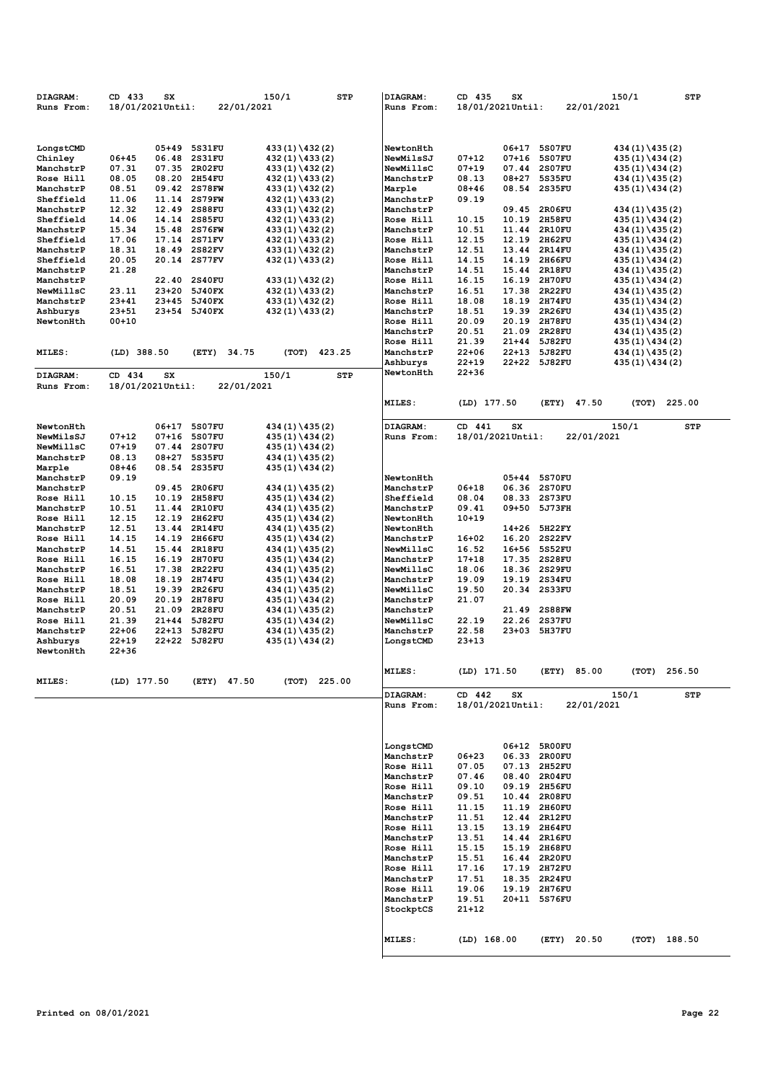| DIAGRAM:               | CD 433           | SX        |                | 150/1                                | <b>STP</b> | DIAGRAM:               | CD 435           | SX      |               | 150/1       |                  | <b>STP</b>   |
|------------------------|------------------|-----------|----------------|--------------------------------------|------------|------------------------|------------------|---------|---------------|-------------|------------------|--------------|
| Runs From:             | 18/01/2021Until: |           | 22/01/2021     |                                      |            | Runs From:             | 18/01/2021Until: |         |               | 22/01/2021  |                  |              |
|                        |                  |           |                |                                      |            |                        |                  |         |               |             |                  |              |
|                        |                  |           |                |                                      |            |                        |                  |         |               |             |                  |              |
| LongstCMD              |                  | $05 + 49$ | 5S31FU         | 433(1)\432(2)                        |            | NewtonHth              |                  | 06+17   | 5S07FU        |             | $434(1)\ 435(2)$ |              |
| Chinley                | $06 + 45$        | 06.48     | 2S31FU         | 432(1)\433(2)                        |            | NewMilsSJ              | $07 + 12$        | 07+16   | 5S07FU        |             | 435(1)\434(2)    |              |
| ManchstrP              | 07.31            | 07.35     | 2R02FU         | 433(1)\432(2)                        |            | NewMillsC              | $07 + 19$        | 07.44   | 2S07FU        |             | 435 (1) \434 (2) |              |
| <b>Rose Hill</b>       | 08.05            | 08.20     | <b>2H54FU</b>  | 432 (1) \433 (2)                     |            | ManchstrP              | 08.13            | 08+27   | 5S35FU        |             | 434 (1) \435 (2) |              |
| ManchstrP              | 08.51            |           | 09.42 2S78FW   | 433(1)\432(2)                        |            | Marple                 | $08 + 46$        |         | 08.54 2S35FU  |             | 435 (1) \434 (2) |              |
| Sheffield              | 11.06            | 11.14     | <b>2S79FW</b>  | 432 (1) \433 (2)                     |            | ManchstrP              | 09.19            |         |               |             |                  |              |
| ManchstrP              | 12.32            | 12.49     | <b>2S88FU</b>  | 433 (1) \432 (2)                     |            | ManchstrP              |                  | 09.45   | 2R06FU        |             | 434 (1) \435 (2) |              |
| Sheffield              | 14.06            | 14.14     | 2S85FU         | 432(1)\433(2)                        |            | <b>Rose Hill</b>       | 10.15            | 10.19   | <b>2H58FU</b> |             | $435(1)\ 434(2)$ |              |
| ManchstrP              | 15.34            | 15.48     | <b>2S76FW</b>  | 433(1)\432(2)                        |            | ManchstrP              | 10.51            | 11.44   | 2R10FU        |             | $434(1)\ 435(2)$ |              |
| Sheffield              | 17.06            | 17.14     | 2S71FV         | 432 (1) \433 (2)                     |            | <b>Rose Hill</b>       | 12.15            | 12.19   | <b>2H62FU</b> |             | $435(1)\ 434(2)$ |              |
| ManchstrP              | 18.31            | 18.49     | 2S82FV         | 433(1)\432(2)                        |            | ManchstrP              | 12.51            | 13.44   | <b>2R14FU</b> |             | 434 (1) \435 (2) |              |
| Sheffield              | 20.05            |           | 20.14 2S77FV   | 432 (1) \433 (2)                     |            | Rose Hill              | 14.15            | 14.19   | <b>2H66FU</b> |             | $435(1)\ 434(2)$ |              |
| ManchstrP              | 21.28            |           |                |                                      |            | ManchstrP              | 14.51            | 15.44   | <b>2R18FU</b> |             | 434 (1) \435 (2) |              |
| ManchstrP              |                  | 22.40     | <b>2S40FU</b>  | 433(1)\432(2)                        |            | Rose Hill              | 16.15            | 16.19   | <b>2H70FU</b> |             | 435 (1) \434 (2) |              |
| NewMillsC              | 23.11            | $23+20$   | 5J40FX         | 432(1)\433(2)                        |            | ManchstrP              | 16.51            |         | 17.38 2R22FU  |             | 434 (1) \435 (2) |              |
|                        | $23 + 41$        | $23 + 45$ | 5J40FX         |                                      |            |                        | 18.08            | 18.19   | <b>2H74FU</b> |             |                  |              |
| ManchstrP              |                  |           |                | 433(1)\432(2)                        |            | <b>Rose Hill</b>       |                  |         |               |             | 435 (1) \434 (2) |              |
| Ashburys               | $23 + 51$        |           | 23+54 5J40FX   | 432 (1) \433 (2)                     |            | ManchstrP              | 18.51<br>20.09   | 19.39   | 2R26FU        |             | 434 (1) \435 (2) |              |
| NewtonHth              | $00 + 10$        |           |                |                                      |            | <b>Rose Hill</b>       |                  | 20.19   | 2H78FU        |             | 435 (1) \434 (2) |              |
|                        |                  |           |                |                                      |            | ManchstrP              | 20.51            |         | 21.09 2R28FU  |             | 434 (1) \435 (2) |              |
|                        |                  |           |                |                                      |            | <b>Rose Hill</b>       | 21.39            |         | 21+44 5J82FU  |             | 435 (1) \434 (2) |              |
| MILES:                 | $(LD)$ 388.50    |           | 34.75<br>(ETY) | (TOT)                                | 423.25     | ManchstrP              | $22 + 06$        | $22+13$ | 5J82FU        |             | 434 (1) \435 (2) |              |
|                        |                  |           |                |                                      |            | Ashburys               | $22 + 19$        |         | 22+22 5J82FU  |             | $435(1)\ 434(2)$ |              |
| DIAGRAM:               | CD 434           | SX        |                | 150/1                                | <b>STP</b> | NewtonHth              | $22 + 36$        |         |               |             |                  |              |
| Runs From:             | 18/01/2021Until: |           | 22/01/2021     |                                      |            |                        |                  |         |               |             |                  |              |
|                        |                  |           |                |                                      |            |                        |                  |         |               |             |                  |              |
|                        |                  |           |                |                                      |            | <b>MILES:</b>          | (LD) 177.50      |         | (ETY)         | 47.50       | (TOT)            | 225.00       |
|                        |                  |           |                |                                      |            |                        |                  |         |               |             |                  |              |
| NewtonHth              |                  | 06+17     | 5S07FU         | $434(1)\ 435(2)$                     |            | DIAGRAM:               | CD 441           | SX      |               | 150/1       |                  | STP          |
| NewMilsSJ              | $07 + 12$        | $07 + 16$ | 5S07FU         | 435(1)\434(2)                        |            | Runs From:             | 18/01/2021Until: |         |               | 22/01/2021  |                  |              |
| NewMillsC              | $07 + 19$        | 07.44     | <b>2S07FU</b>  | $435(1)\ 434(2)$                     |            |                        |                  |         |               |             |                  |              |
| ManchstrP              | 08.13            | 08+27     | 5S35FU         | 434 (1) \435 (2)                     |            |                        |                  |         |               |             |                  |              |
| Marple                 | $08 + 46$        | 08.54     | 2S35FU         | 435(1)\434(2)                        |            |                        |                  |         |               |             |                  |              |
| ManchstrP              | 09.19            |           |                |                                      |            | NewtonHth              |                  |         | 05+44 5S70FU  |             |                  |              |
| ManchstrP              |                  | 09.45     | 2R06FU         | 434 (1) \435 (2)                     |            | ManchstrP              | $06 + 18$        |         | 06.36 2S70FU  |             |                  |              |
| <b>Rose Hill</b>       | 10.15            | 10.19     | <b>2H58FU</b>  | 435(1)\434(2)                        |            | Sheffield              | 08.04            | 08.33   | 2S73FU        |             |                  |              |
| ManchstrP              | 10.51            | 11.44     | 2R10FU         | 434 (1) \435 (2)                     |            | ManchstrP              | 09.41            | 09+50   | 5J73FH        |             |                  |              |
| <b>Rose Hill</b>       | 12.15            | 12.19     | 2H62FU         | 435(1)\434(2)                        |            | NewtonHth              | $10 + 19$        |         |               |             |                  |              |
| ManchstrP              | 12.51            | 13.44     | <b>2R14FU</b>  | 434 (1) \435 (2)                     |            | NewtonHth              |                  |         | 14+26 5H22FY  |             |                  |              |
| <b>Rose Hill</b>       | 14.15            | 14.19     | <b>2H66FU</b>  | 435(1)\434(2)                        |            | ManchstrP              | $16 + 02$        | 16.20   | 2S22FV        |             |                  |              |
| ManchstrP              | 14.51            | 15.44     | 2R18FU         | 434 (1) \435 (2)                     |            | NewMillsC              | 16.52            |         | 16+56 5S52FU  |             |                  |              |
| Rose Hill              | 16.15            | 16.19     | 2H70FU         | 435(1)\434(2)                        |            | ManchstrP              | $17 + 18$        |         | 17.35 2S28FU  |             |                  |              |
| ManchstrP              | 16.51            | 17.38     | 2R22FU         | 434 (1) \435 (2)                     |            | NewMillsC              | 18.06            |         | 18.36 2S29FU  |             |                  |              |
| <b>Rose Hill</b>       | 18.08            | 18.19     | <b>2H74FU</b>  |                                      |            | ManchstrP              | 19.09            | 19.19   | <b>2S34FU</b> |             |                  |              |
| ManchstrP              | 18.51            | 19.39     | <b>2R26FU</b>  | 435(1)\434(2)                        |            | NewMillsC              | 19.50            |         | 20.34 2S33FU  |             |                  |              |
| Rose Hill              | 20.09            | 20.19     | <b>2H78FU</b>  | 434 (1) \435 (2)<br>$435(1)\ 434(2)$ |            |                        | 21.07            |         |               |             |                  |              |
|                        | 20.51            | 21.09     | 2R28FU         |                                      |            | ManchstrP              |                  | 21.49   | <b>2S88FW</b> |             |                  |              |
| ManchstrP<br>Rose Hill | 21.39            | $21 + 44$ | 5J82FU         | $434(1)\ 435(2)$                     |            | ManchstrP<br>NewMillsC | 22.19            |         | 22.26 2S37FU  |             |                  |              |
|                        |                  |           |                | 435(1)\434(2)                        |            |                        |                  |         |               |             |                  |              |
| ManchstrP              | $22+06$          | $22+13$   | 5J82FU         | 434 (1) \435 (2)                     |            | ManchstrP              | 22.58            | 23+03   | <b>5H37FU</b> |             |                  |              |
| Ashburys               | $22 + 19$        |           | 22+22 5J82FU   | 435(1)\434(2)                        |            | LongstCMD              | $23 + 13$        |         |               |             |                  |              |
| NewtonHth              | $22 + 36$        |           |                |                                      |            |                        |                  |         |               |             |                  |              |
|                        |                  |           |                |                                      |            |                        |                  |         |               |             |                  |              |
|                        |                  |           |                |                                      |            | <b>MILES:</b>          | (LD) 171.50      |         | (ETY) 85.00   |             | (TOT)            | 256.50       |
| <b>MILES:</b>          | (LD) 177.50      |           | 47.50<br>(ETY) | (TOT)                                | 225.00     |                        |                  |         |               |             |                  |              |
|                        |                  |           |                |                                      |            | <b>DIAGRAM:</b>        | CD 442           | SX      |               | 150/1       |                  | <b>STP</b>   |
|                        |                  |           |                |                                      |            | Runs From:             | 18/01/2021Until: |         |               | 22/01/2021  |                  |              |
|                        |                  |           |                |                                      |            |                        |                  |         |               |             |                  |              |
|                        |                  |           |                |                                      |            |                        |                  |         |               |             |                  |              |
|                        |                  |           |                |                                      |            |                        |                  |         |               |             |                  |              |
|                        |                  |           |                |                                      |            | LongstCMD              |                  |         | 06+12 5R00FU  |             |                  |              |
|                        |                  |           |                |                                      |            | ManchstrP              | $06 + 23$        |         | 06.33 2R00FU  |             |                  |              |
|                        |                  |           |                |                                      |            | <b>Rose Hill</b>       | 07.05            |         | 07.13 2H52FU  |             |                  |              |
|                        |                  |           |                |                                      |            | ManchstrP              | 07.46            |         | 08.40 2R04FU  |             |                  |              |
|                        |                  |           |                |                                      |            | <b>Rose Hill</b>       | 09.10            |         | 09.19 2H56FU  |             |                  |              |
|                        |                  |           |                |                                      |            | ManchstrP              | 09.51            |         | 10.44 2R08FU  |             |                  |              |
|                        |                  |           |                |                                      |            | Rose Hill              | 11.15            |         | 11.19 2H60FU  |             |                  |              |
|                        |                  |           |                |                                      |            | ManchstrP              | 11.51            |         | 12.44 2R12FU  |             |                  |              |
|                        |                  |           |                |                                      |            | <b>Rose Hill</b>       | 13.15            |         | 13.19 2H64FU  |             |                  |              |
|                        |                  |           |                |                                      |            | ManchstrP              | 13.51            |         | 14.44 2R16FU  |             |                  |              |
|                        |                  |           |                |                                      |            | Rose Hill              | 15.15            |         | 15.19 2H68FU  |             |                  |              |
|                        |                  |           |                |                                      |            | ManchstrP              | 15.51            |         | 16.44 2R20FU  |             |                  |              |
|                        |                  |           |                |                                      |            | Rose Hill              | 17.16            |         | 17.19 2H72FU  |             |                  |              |
|                        |                  |           |                |                                      |            | ManchstrP              | 17.51            |         | 18.35 2R24FU  |             |                  |              |
|                        |                  |           |                |                                      |            | <b>Rose Hill</b>       | 19.06            |         | 19.19 2H76FU  |             |                  |              |
|                        |                  |           |                |                                      |            | ManchstrP              | 19.51            |         | 20+11 5S76FU  |             |                  |              |
|                        |                  |           |                |                                      |            | StockptCS              | 21+12            |         |               |             |                  |              |
|                        |                  |           |                |                                      |            |                        |                  |         |               |             |                  |              |
|                        |                  |           |                |                                      |            |                        |                  |         |               |             |                  |              |
|                        |                  |           |                |                                      |            | MILES:                 | $(LD)$ 168.00    |         |               | (ETY) 20.50 |                  | (TOT) 188.50 |
|                        |                  |           |                |                                      |            |                        |                  |         |               |             |                  |              |
|                        |                  |           |                |                                      |            |                        |                  |         |               |             |                  |              |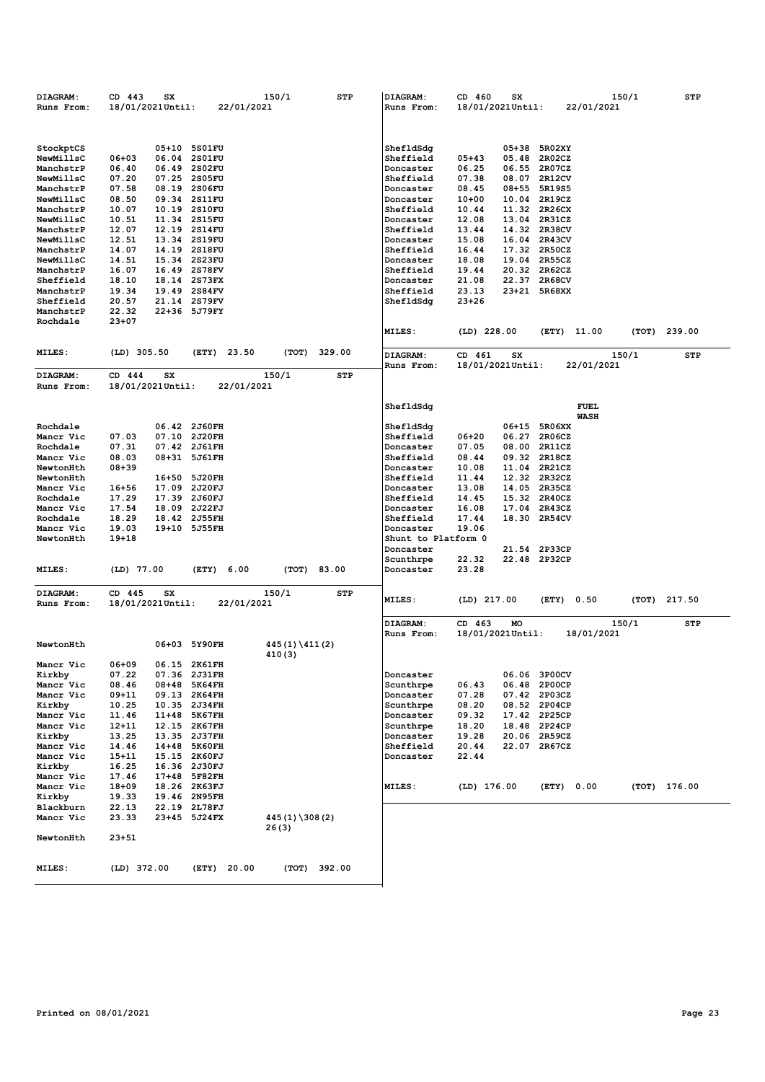| <b>DIAGRAM:</b> | CD 443<br>SX              |               | 150/1            | STP | DIAGRAM:            | CD 460           | SX                     | 150/1       | STP          |
|-----------------|---------------------------|---------------|------------------|-----|---------------------|------------------|------------------------|-------------|--------------|
| Runs From:      | 18/01/2021Until:          | 22/01/2021    |                  |     | <b>Runs From:</b>   | 18/01/2021Until: |                        | 22/01/2021  |              |
|                 |                           |               |                  |     |                     |                  |                        |             |              |
|                 |                           |               |                  |     |                     |                  |                        |             |              |
|                 |                           |               |                  |     |                     |                  |                        |             |              |
| StockptCS       | 05+10 5S01FU              |               |                  |     | ShefldSdg           |                  | 05+38<br>5R02XY        |             |              |
| NewMillsC       | $06 + 03$<br>06.04 2S01FU |               |                  |     | Sheffield           | $05 + 43$        | 05.48 2R02CZ           |             |              |
| ManchstrP       | 06.40<br>06.49            | <b>2S02FU</b> |                  |     | Doncaster           | 06.25            | 2R07CZ<br>06.55        |             |              |
| NewMillsC       | 07.20<br>07.25 2S05FU     |               |                  |     | Sheffield           | 07.38            | 08.07 2R12CV           |             |              |
| ManchstrP       | 07.58<br>08.19 2S06FU     |               |                  |     | Doncaster           | 08.45            | 08+55 5R19S5           |             |              |
| NewMillsC       | 08.50<br>09.34 2S11FU     |               |                  |     | Doncaster           | $10+00$          | 10.04 2R19CZ           |             |              |
|                 | 10.07<br>10.19 2S10FU     |               |                  |     | Sheffield           | 10.44            | 11.32 2R26CX           |             |              |
| ManchstrP       |                           |               |                  |     |                     |                  |                        |             |              |
| NewMillsC       | 10.51<br>11.34 2S15FU     |               |                  |     | Doncaster           | 12.08            | 13.04 2R31CZ           |             |              |
| ManchstrP       | 12.07<br>12.19 2S14FU     |               |                  |     | Sheffield           | 13.44            | 14.32 2R38CV           |             |              |
| NewMillsC       | 12.51<br>13.34 2S19FU     |               |                  |     | Doncaster           | 15.08            | 16.04 2R43CV           |             |              |
| ManchstrP       | 14.07<br>14.19 2S18FU     |               |                  |     | Sheffield           | 16.44            | 17.32 2R50CZ           |             |              |
| NewMillsC       | 14.51<br>15.34 2S23FU     |               |                  |     | Doncaster           | 18.08            | 19.04 2R55CZ           |             |              |
| ManchstrP       | 16.07<br>16.49 2S78FV     |               |                  |     | Sheffield           | 19.44            | 20.32 2R62CZ           |             |              |
| Sheffield       | 18.10<br>18.14 2S73FX     |               |                  |     | Doncaster           | 21.08            | 22.37<br><b>2R68CV</b> |             |              |
| ManchstrP       | 19.34<br>19.49 2S84FV     |               |                  |     | Sheffield           | 23.13            | 23+21 5R68XX           |             |              |
| Sheffield       | 20.57<br>21.14 2S79FV     |               |                  |     | ShefldSdg           | $23 + 26$        |                        |             |              |
| ManchstrP       | 22.32<br>22+36 5J79FY     |               |                  |     |                     |                  |                        |             |              |
| Rochdale        | $23+07$                   |               |                  |     |                     |                  |                        |             |              |
|                 |                           |               |                  |     | <b>MILES:</b>       | $(LD)$ 228.00    |                        | (ETY) 11.00 | (TOT) 239.00 |
|                 |                           |               |                  |     |                     |                  |                        |             |              |
|                 |                           |               |                  |     |                     |                  |                        |             |              |
| <b>MILES:</b>   | (LD) 305.50               | (ETY) 23.50   | 329.00<br>(ТОТ)  |     | DIAGRAM:            | CD 461           | SX                     | 150/1       | STP          |
|                 |                           |               |                  |     | <b>Runs From:</b>   | 18/01/2021Until: |                        | 22/01/2021  |              |
| DIAGRAM:        | CD 444<br>SX              |               | 150/1            | STP |                     |                  |                        |             |              |
| Runs From:      | 18/01/2021Until:          | 22/01/2021    |                  |     |                     |                  |                        |             |              |
|                 |                           |               |                  |     |                     |                  |                        |             |              |
|                 |                           |               |                  |     | ShefldSdg           |                  |                        | FUEL        |              |
|                 |                           |               |                  |     |                     |                  |                        |             |              |
|                 |                           |               |                  |     |                     |                  |                        | <b>WASH</b> |              |
| Rochdale        | 06.42 2J60FH              |               |                  |     | ShefldSdg           |                  | 06+15 5R06XX           |             |              |
| Mancr Vic       | 07.03<br>07.10 2J20FH     |               |                  |     | Sheffield           | $06 + 20$        | 06.27 2R06CZ           |             |              |
| Rochdale        | 07.31<br>07.42 2J61FH     |               |                  |     | Doncaster           | 07.05            | 08.00 2R11CZ           |             |              |
| Mancr Vic       | 08.03<br>08+31 5J61FH     |               |                  |     | Sheffield           | 08.44            | 09.32 2R18CZ           |             |              |
| NewtonHth       | $08 + 39$                 |               |                  |     | Doncaster           | 10.08            | 11.04 2R21CZ           |             |              |
| NewtonHth       | 16+50 5J20FH              |               |                  |     | Sheffield           | 11.44            | 12.32 2R32CZ           |             |              |
| Mancr Vic       | 17.09 2J20FJ<br>16+56     |               |                  |     | Doncaster           | 13.08            | 14.05 2R35CZ           |             |              |
| Rochdale        | 17.29<br>17.39 2J60FJ     |               |                  |     | Sheffield           | 14.45            | 15.32 2R40CZ           |             |              |
| Mancr Vic       | 17.54<br>18.09 2J22FJ     |               |                  |     | Doncaster           | 16.08            | 17.04 2R43CZ           |             |              |
| Rochdale        | 18.29<br>18.42 2J55FH     |               |                  |     | Sheffield           | 17.44            | 18.30 2R54CV           |             |              |
|                 |                           |               |                  |     |                     |                  |                        |             |              |
| Mancr Vic       | 19.03<br>19+10 5J55FH     |               |                  |     | Doncaster           | 19.06            |                        |             |              |
| NewtonHth       | $19 + 18$                 |               |                  |     | Shunt to Platform 0 |                  |                        |             |              |
|                 |                           |               |                  |     | Doncaster           |                  | 21.54 2P33CP           |             |              |
|                 |                           |               |                  |     | Scunthrpe           | 22.32            | 22.48 2P32CP           |             |              |
| <b>MILES:</b>   | $(LD)$ 77.00              | (ETY)<br>6.00 | (TOT) 83.00      |     | Doncaster           | 23.28            |                        |             |              |
|                 |                           |               |                  |     |                     |                  |                        |             |              |
| DIAGRAM:        | CD 445<br>SX              |               | 150/1            | STP |                     |                  |                        |             |              |
|                 |                           | 22/01/2021    |                  |     | <b>MILES:</b>       | $(LD)$ 217.00    | (ETY)                  | 0.50        | (TOT) 217.50 |
| Runs From:      | 18/01/2021Until:          |               |                  |     |                     |                  |                        |             |              |
|                 |                           |               |                  |     |                     |                  |                        |             |              |
|                 |                           |               |                  |     | DIAGRAM:            | CD 463           | MO                     | 150/1       | STP          |
|                 |                           |               |                  |     | Runs From:          | 18/01/2021Until: |                        | 18/01/2021  |              |
| NewtonHth       | 06+03 5Y90FH              |               | $445(1)\ 411(2)$ |     |                     |                  |                        |             |              |
|                 |                           |               | 410(3)           |     |                     |                  |                        |             |              |
| Mancr Vic       | $06 + 09$<br>06.15 2K61FH |               |                  |     |                     |                  |                        |             |              |
| Kirkby          | 07.22<br>07.36 2J31FH     |               |                  |     | Doncaster           |                  | 06.06 3P00CV           |             |              |
| Mancr Vic       | 08.46<br>08+48 5K64FH     |               |                  |     | Scunthrpe           | 06.43            | 06.48 2P00CP           |             |              |
| Mancr Vic       | 09+11<br>09.13 2K64FH     |               |                  |     | Doncaster           | 07.28            | 07.42 2P03CZ           |             |              |
|                 | 10.35 2J34FH              |               |                  |     |                     |                  |                        |             |              |
| Kirkby          | 10.25                     |               |                  |     | Scunthrpe           | 08.20            | 08.52 2P04CP           |             |              |
| Mancr Vic       | 11.46<br>11+48 5K67FH     |               |                  |     | Doncaster           | 09.32            | 17.42 2P25CP           |             |              |
| Mancr Vic       | $12 + 11$<br>12.15 2K67FH |               |                  |     | Scunthrpe           | 18.20            | 18.48 2P24CP           |             |              |
| Kirkby          | 13.25<br>13.35 2J37FH     |               |                  |     | Doncaster           | 19.28            | 20.06 2R59CZ           |             |              |
| Mancr Vic       | 14.46<br>14+48 5K60FH     |               |                  |     | Sheffield           | 20.44            | 22.07 2R67CZ           |             |              |
| Mancr Vic       | $15 + 11$<br>15.15 2K60FJ |               |                  |     | Doncaster           | 22.44            |                        |             |              |
| Kirkby          | 16.25<br>16.36 2J30FJ     |               |                  |     |                     |                  |                        |             |              |
| Mancr Vic       | 17.46<br>17+48 5F82FH     |               |                  |     |                     |                  |                        |             |              |
| Mancr Vic       | $18 + 09$<br>18.26 2K63FJ |               |                  |     | MILES:              | (LD) 176.00      | (ETY) 0.00             |             | (TOT) 176.00 |
| Kirkby          | 19.33<br>19.46 2N95FH     |               |                  |     |                     |                  |                        |             |              |
|                 |                           |               |                  |     |                     |                  |                        |             |              |
| Blackburn       | 22.19 2L78FJ<br>22.13     |               |                  |     |                     |                  |                        |             |              |
| Mancr Vic       | 23.33                     | 23+45 5J24FX  | $445(1)\ 308(2)$ |     |                     |                  |                        |             |              |
|                 |                           |               | 26(3)            |     |                     |                  |                        |             |              |
| NewtonHth       | $23 + 51$                 |               |                  |     |                     |                  |                        |             |              |
|                 |                           |               |                  |     |                     |                  |                        |             |              |
|                 |                           |               |                  |     |                     |                  |                        |             |              |
| MILES:          | (LD) 372.00               | (ETY) 20.00   | (TOT) 392.00     |     |                     |                  |                        |             |              |
|                 |                           |               |                  |     |                     |                  |                        |             |              |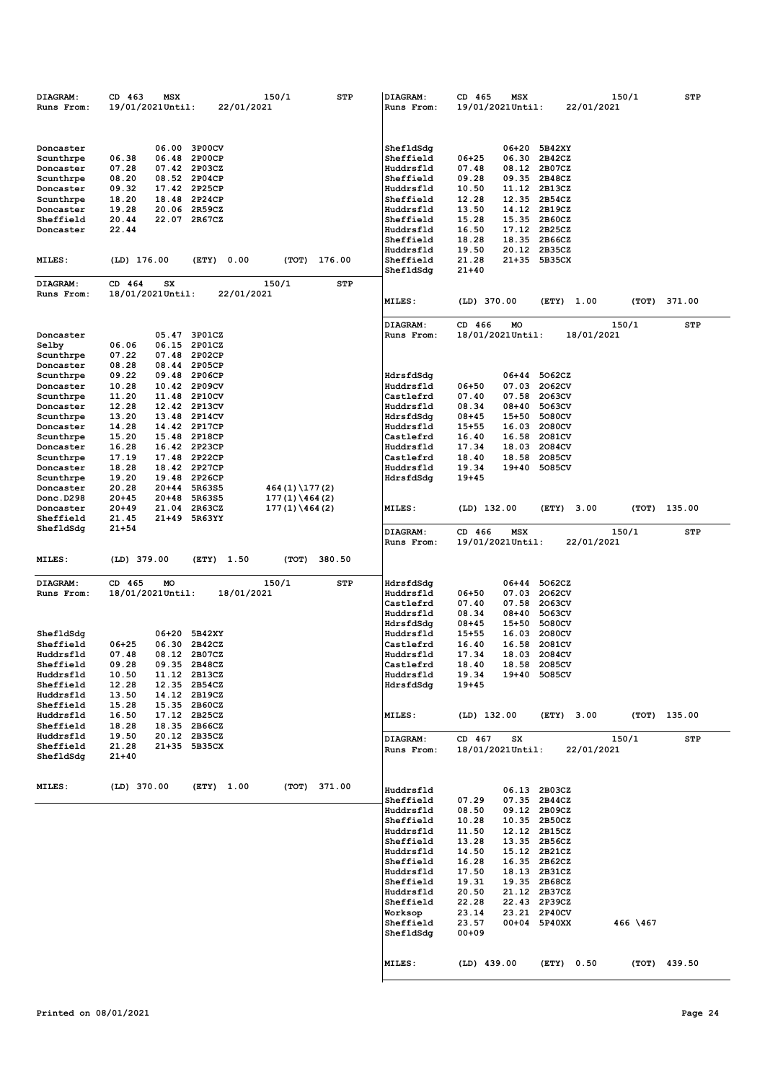| <b>DIAGRAM:</b> | CD 463<br>MSX      | 150/1         | STP              | DIAGRAM:        | CD 465             | MSX             | 150/1         | STP          |
|-----------------|--------------------|---------------|------------------|-----------------|--------------------|-----------------|---------------|--------------|
| Runs From:      | 19/01/2021Until:   | 22/01/2021    |                  | Runs From:      | 19/01/2021Until:   |                 | 22/01/2021    |              |
|                 |                    |               |                  |                 |                    |                 |               |              |
|                 |                    |               |                  |                 |                    |                 |               |              |
|                 |                    |               |                  |                 |                    |                 |               |              |
| Doncaster       | 06.00              | 3P00CV        |                  | ShefldSdg       |                    | 06+20<br>5B42XY |               |              |
| Scunthrpe       | 06.38<br>06.48     | 2P00CP        |                  | Sheffield       | $06 + 25$          | 06.30 2B42CZ    |               |              |
| Doncaster       | 07.28              | 07.42 2P03CZ  |                  | Huddrsfld       | 07.48              | 08.12 2B07CZ    |               |              |
|                 | 08.20<br>08.52     | 2P04CP        |                  | Sheffield       | 09.28<br>09.35     | 2B48CZ          |               |              |
| Scunthrpe       |                    |               |                  |                 |                    |                 |               |              |
| Doncaster       | 09.32              | 17.42 2P25CP  |                  | Huddrsfld       | 10.50              | 11.12 2B13CZ    |               |              |
| Scunthrpe       | 18.20<br>18.48     | 2P24CP        |                  | Sheffield       | 12.28              | 12.35 2B54CZ    |               |              |
| Doncaster       | 19.28              | 20.06 2R59CZ  |                  | Huddrsfld       | 13.50              | 14.12<br>2B19CZ |               |              |
| Sheffield       | 20.44              | 22.07 2R67CZ  |                  | Sheffield       | 15.28              | 15.35 2B60CZ    |               |              |
| Doncaster       | 22.44              |               |                  | Huddrsfld       | 16.50              | 17.12 2B25CZ    |               |              |
|                 |                    |               |                  | Sheffield       | 18.28              | 18.35 2B66CZ    |               |              |
|                 |                    |               |                  | Huddrsfld       | 19.50              | 20.12 2B35CZ    |               |              |
| <b>MILES:</b>   | (LD) 176.00        | 0.00<br>(ETY) | 176.00<br>(ТОТ)  | Sheffield       | 21.28              | 21+35 5B35CX    |               |              |
|                 |                    |               |                  | ShefldSdg       | $21 + 40$          |                 |               |              |
|                 |                    |               |                  |                 |                    |                 |               |              |
| DIAGRAM:        | CD 464<br>SX       | 150/1         | STP              |                 |                    |                 |               |              |
| Runs From:      | 18/01/2021Until:   | 22/01/2021    |                  | MILES:          | $(LD)$ 370.00      | (ETY) 1.00      | (TOT)         | 371.00       |
|                 |                    |               |                  |                 |                    |                 |               |              |
|                 |                    |               |                  |                 |                    |                 |               |              |
|                 |                    |               |                  | <b>DIAGRAM:</b> | CD 466<br>MO       |                 | 150/1         | <b>STP</b>   |
| Doncaster       |                    | 05.47 3P01CZ  |                  | Runs From:      | 18/01/2021Until:   |                 | 18/01/2021    |              |
| Selby           | 06.06<br>06.15     | 2P01CZ        |                  |                 |                    |                 |               |              |
| Scunthrpe       | 07.22<br>07.48     | 2P02CP        |                  |                 |                    |                 |               |              |
| Doncaster       | 08.28              | 08.44 2P05CP  |                  |                 |                    |                 |               |              |
| Scunthrpe       | 09.22<br>09.48     | 2P06CP        |                  | HdrsfdSdg       | 06+44              | 5062CZ          |               |              |
| Doncaster       | 10.28              | 10.42 2P09CV  |                  | Huddrsfld       | $06 + 50$          | 07.03<br>2062CV |               |              |
|                 | 11.20<br>11.48     | <b>2P10CV</b> |                  | Castlefrd       | 07.40              | 07.58 2063CV    |               |              |
| Scunthrpe       |                    |               |                  |                 |                    |                 |               |              |
| Doncaster       | 12.28<br>12.42     | 2P13CV        |                  | Huddrsfld       | 08.34<br>08+40     | 5063CV          |               |              |
| Scunthrpe       | 13.20<br>13.48     | 2P14CV        |                  | HdrsfdSdg       | $08 + 45$<br>15+50 | 5080CV          |               |              |
| Doncaster       | 14.28              | 14.42 2P17CP  |                  | Huddrsfld       | $15 + 55$          | 16.03 2080CV    |               |              |
| Scunthrpe       | 15.20<br>15.48     | 2P18CP        |                  | Castlefrd       | 16.40<br>16.58     | 2081CV          |               |              |
| Doncaster       | 16.28              | 16.42 2P23CP  |                  | Huddrsfld       | 17.34              | 18.03<br>2084CV |               |              |
| Scunthrpe       | 17.19              | 17.48 2P22CP  |                  | Castlefrd       | 18.40              | 18.58 2085CV    |               |              |
| Doncaster       | 18.28<br>18.42     | 2P27CP        |                  | Huddrsfld       | 19.34              | 19+40<br>5085CV |               |              |
|                 | 19.20<br>19.48     | 2P26CP        |                  |                 | $19 + 45$          |                 |               |              |
| Scunthrpe       |                    |               |                  | HdrsfdSdg       |                    |                 |               |              |
| Doncaster       | 20.28<br>$20 + 44$ | 5R63S5        | $464(1)\177(2)$  |                 |                    |                 |               |              |
| Donc.D298       | $20 + 45$<br>20+48 | 5R63S5        | $177(1)\ 464(2)$ |                 |                    |                 |               |              |
| Doncaster       | $20 + 49$<br>21.04 | 2R63CZ        | $177(1)\ 464(2)$ | <b>MILES:</b>   | $(LD)$ 132.00      | (ETY)           | 3.00<br>(TOT) | 135.00       |
| Sheffield       | 21.45              | 21+49 5R63YY  |                  |                 |                    |                 |               |              |
| ShefldSdg       | $21 + 54$          |               |                  | DIAGRAM:        | CD 466             | <b>MSX</b>      | 150/1         | <b>STP</b>   |
|                 |                    |               |                  |                 |                    |                 |               |              |
|                 |                    |               |                  |                 |                    |                 |               |              |
|                 |                    |               |                  | Runs From:      | 19/01/2021Until:   |                 | 22/01/2021    |              |
|                 |                    |               |                  |                 |                    |                 |               |              |
| <b>MILES:</b>   | $(LD)$ 379.00      | (ETY) 1.50    | (TOT)<br>380.50  |                 |                    |                 |               |              |
|                 |                    |               |                  |                 |                    |                 |               |              |
| <b>DIAGRAM:</b> | CD 465<br>MO       | 150/1         | STP              | HdrsfdSdg       |                    | 06+44<br>5062CZ |               |              |
| Runs From:      | 18/01/2021Until:   | 18/01/2021    |                  | Huddrsfld       | $06 + 50$<br>07.03 | 2062CV          |               |              |
|                 |                    |               |                  | Castlefrd       | 07.40              | 07.58 2063CV    |               |              |
|                 |                    |               |                  | Huddrsfld       | 08.34<br>08+40     | 5063CV          |               |              |
|                 |                    |               |                  |                 |                    |                 |               |              |
|                 |                    |               |                  | HdrsfdSdg       | 08+45<br>15+50     | 5080CV          |               |              |
| ShefldSdg       | 06+20              | 5B42XY        |                  | Huddrsfld       | $15 + 55$          | 16.03<br>2080CV |               |              |
| Sheffield       | $06 + 25$          | 06.30 2B42CZ  |                  | Castlefrd       | 16.40<br>16.58     | 2081CV          |               |              |
| Huddrsfld       | 07.48              | 08.12 2B07CZ  |                  | Huddrsfld       | 17.34              | 18.03 2084CV    |               |              |
| Sheffield       | 09.28<br>09.35     | 2B48CZ        |                  | Castlefrd       | 18.40<br>18.58     | 2085CV          |               |              |
| Huddrsfld       | 10.50              | 11.12 2B13CZ  |                  | Huddrsfld       | 19.34              | 19+40 5085CV    |               |              |
| Sheffield       | 12.28              | 12.35 2B54CZ  |                  | HdrsfdSdg       | $19 + 45$          |                 |               |              |
| Huddrsfld       | 13.50              | 14.12 2B19CZ  |                  |                 |                    |                 |               |              |
| Sheffield       | 15.28              | 15.35 2B60CZ  |                  |                 |                    |                 |               |              |
| Huddrsfld       | 16.50              | 17.12 2B25CZ  |                  | MILES:          | $(LD)$ 132.00      | (ETY) 3.00      |               | (TOT) 135.00 |
| Sheffield       | 18.28              | 18.35 2B66CZ  |                  |                 |                    |                 |               |              |
| Huddrsfld       | 19.50              | 20.12 2B35CZ  |                  |                 |                    |                 |               |              |
| Sheffield       | 21.28              | 21+35 5B35CX  |                  | <b>DIAGRAM:</b> | CD 467<br>SX       |                 | 150/1         | STP          |
|                 | $21 + 40$          |               |                  | Runs From:      | 18/01/2021Until:   |                 | 22/01/2021    |              |
| ShefldSdg       |                    |               |                  |                 |                    |                 |               |              |
|                 |                    |               |                  |                 |                    |                 |               |              |
|                 |                    |               |                  |                 |                    |                 |               |              |
| <b>MILES:</b>   | $(LD)$ 370.00      | (ETY) 1.00    | (TOT) 371.00     | Huddrsfld       |                    | 06.13 2B03CZ    |               |              |
|                 |                    |               |                  | Sheffield       | 07.29              | 07.35 2B44CZ    |               |              |
|                 |                    |               |                  | Huddrsfld       | 08.50              | 09.12 2B09CZ    |               |              |
|                 |                    |               |                  | Sheffield       | 10.28              | 10.35 2B50CZ    |               |              |
|                 |                    |               |                  | Huddrsfld       | 11.50              | 12.12 2B15CZ    |               |              |
|                 |                    |               |                  | Sheffield       | 13.28              | 13.35 2B56CZ    |               |              |
|                 |                    |               |                  |                 |                    |                 |               |              |
|                 |                    |               |                  | Huddrsfld       | 14.50              | 15.12 2B21CZ    |               |              |
|                 |                    |               |                  | Sheffield       | 16.28              | 16.35 2B62CZ    |               |              |
|                 |                    |               |                  | Huddrsfld       | 17.50              | 18.13 2B31CZ    |               |              |
|                 |                    |               |                  | Sheffield       | 19.31              | 19.35 2B68CZ    |               |              |
|                 |                    |               |                  | Huddrsfld       | 20.50              | 21.12 2B37CZ    |               |              |
|                 |                    |               |                  | Sheffield       | 22.28              | 22.43 2P39CZ    |               |              |
|                 |                    |               |                  | Worksop         | 23.14              | 23.21 2P40CV    |               |              |
|                 |                    |               |                  |                 |                    |                 |               |              |
|                 |                    |               |                  | Sheffield       | 23.57              | 00+04 5P40XX    | 466 \467      |              |
|                 |                    |               |                  | ShefldSdg       | $00 + 09$          |                 |               |              |
|                 |                    |               |                  |                 |                    |                 |               |              |
|                 |                    |               |                  |                 |                    |                 |               |              |
|                 |                    |               |                  | MILES:          | $(LD)$ 439.00      | (ETY) 0.50      |               | (TOT) 439.50 |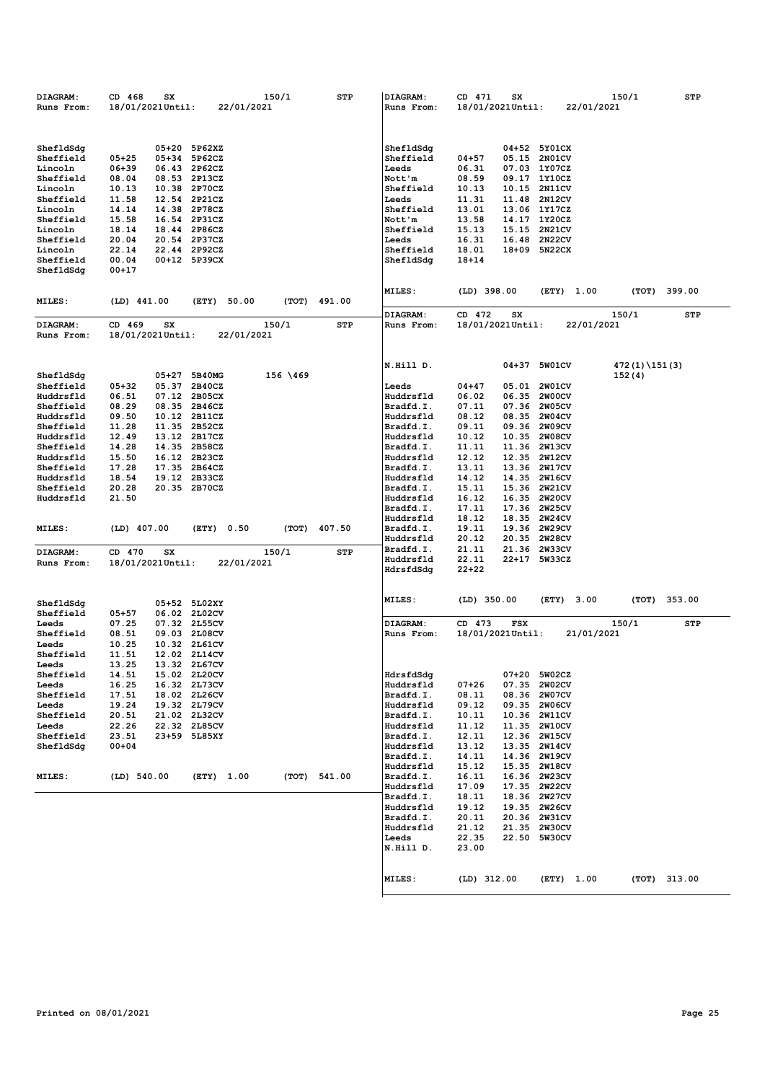| DIAGRAM:             | CD 468<br>SX            | 150/1                         | STP          | DIAGRAM:               | CD 471<br>SX     |                              | 150/1            | <b>STP</b>   |
|----------------------|-------------------------|-------------------------------|--------------|------------------------|------------------|------------------------------|------------------|--------------|
| Runs From:           | 18/01/2021Until:        | 22/01/2021                    |              | Runs From:             | 18/01/2021Until: | 22/01/2021                   |                  |              |
|                      |                         |                               |              |                        |                  |                              |                  |              |
|                      |                         |                               |              |                        |                  |                              |                  |              |
|                      |                         |                               |              |                        |                  |                              |                  |              |
| ShefldSdg            |                         | 05+20 5P62XZ                  |              | ShefldSdg              |                  | 04+52 5Y01CX                 |                  |              |
| Sheffield            | $05 + 25$<br>$05 + 34$  | 5P62CZ                        |              | Sheffield              | $04 + 57$        | 05.15 2N01CV                 |                  |              |
| Lincoln              | $06 + 39$               | 06.43 2P62CZ                  |              | Leeds                  | 06.31            | 07.03 1Y07CZ                 |                  |              |
| Sheffield            | 08.04                   | 08.53 2P13CZ                  |              | Nott'm                 | 08.59            | 09.17 1Y10CZ                 |                  |              |
| Lincoln              | 10.13                   | 10.38 2P70CZ                  |              | Sheffield              | 10.13            | 10.15 2N11CV                 |                  |              |
| Sheffield<br>Lincoln | 11.58<br>12.54<br>14.14 | 2P21CZ<br>14.38 2P78CZ        |              | Leeds<br>Sheffield     | 11.31<br>13.01   | 11.48 2N12CV                 |                  |              |
| Sheffield            | 15.58<br>16.54          | 2P31CZ                        |              | Nott'm                 | 13.58            | 13.06 1Y17CZ<br>14.17 1Y20CZ |                  |              |
| Lincoln              | 18.14<br>18.44          | 2P86CZ                        |              | Sheffield              | 15.13            | 15.15 2N21CV                 |                  |              |
| Sheffield            | 20.04                   | 20.54 2P37CZ                  |              | Leeds                  | 16.31            | 16.48 2N22CV                 |                  |              |
| Lincoln              | 22.14                   | 22.44 2P92CZ                  |              | Sheffield              | 18.01            | 18+09 5N22CX                 |                  |              |
| Sheffield            | 00.04                   | 00+12 5P39CX                  |              | ShefldSdg              | $18 + 14$        |                              |                  |              |
| ShefldSdg            | $00 + 17$               |                               |              |                        |                  |                              |                  |              |
|                      |                         |                               |              |                        |                  |                              |                  |              |
|                      |                         |                               |              | MILES:                 | $(LD)$ 398.00    | (ETY) 1.00                   | (TOT)            | 399.00       |
| MILES:               | (LD) 441.00             | (ETY)<br>50.00<br>(TOT)       | 491.00       |                        |                  |                              |                  |              |
|                      |                         |                               |              | <b>DIAGRAM:</b>        | CD 472<br>SX     |                              | 150/1            | STP          |
| DIAGRAM:             | CD 469<br>SX            | 150/1                         | STP          | Runs From:             | 18/01/2021Until: | 22/01/2021                   |                  |              |
| Runs From:           | 18/01/2021Until:        | 22/01/2021                    |              |                        |                  |                              |                  |              |
|                      |                         |                               |              |                        |                  |                              |                  |              |
|                      |                         |                               |              |                        |                  |                              |                  |              |
|                      |                         |                               |              | N.Hill D.              |                  | 04+37 5W01CV                 | 472 (1) \151 (3) |              |
| ShefldSdg            | 05+27                   | 5B40MG<br>$156 \setminus 469$ |              |                        |                  |                              | 152 (4)          |              |
| Sheffield            | 05.37<br>05+32          | 2B40CZ                        |              | Leeds                  | 05.01<br>04+47   | <b>2W01CV</b>                |                  |              |
| Huddrsfld            | 06.51                   | 07.12 2B05CX                  |              | Huddrsfld              | 06.02            | 06.35 2W00CV                 |                  |              |
| Sheffield            | 08.29                   | 08.35 2B46CZ                  |              | Bradfd.I.              | 07.11            | 07.36 2W05CV                 |                  |              |
| Huddrsfld            | 09.50                   | 10.12 2B11CZ                  |              | Huddrsfld              | 08.12<br>08.35   | <b>2W04CV</b>                |                  |              |
| Sheffield            | 11.28                   | 11.35 2B52CZ                  |              | Bradfd.I.              | 09.11<br>09.36   | <b>2W09CV</b>                |                  |              |
| Huddrsfld            | 12.49                   | 13.12 2B17CZ                  |              | Huddrsfld              | 10.12<br>10.35   | <b>2W08CV</b>                |                  |              |
| Sheffield            | 14.28                   | 14.35 2B58CZ                  |              | Bradfd.I.              | 11.11<br>11.36   | <b>2W13CV</b>                |                  |              |
| Huddrsfld            | 15.50                   | 16.12 2B23CZ                  |              | Huddrsfld              | 12.12            | 12.35 2W12CV                 |                  |              |
| Sheffield            | 17.28<br>17.35          | 2B64CZ                        |              | Bradfd.I.              | 13.11<br>13.36   | <b>2W17CV</b>                |                  |              |
| Huddrsfld            | 18.54<br>19.12          | 2B33CZ                        |              | Huddrsfld              | 14.12<br>14.35   | <b>2W16CV</b>                |                  |              |
| Sheffield            | 20.28                   | 20.35 2B70CZ                  |              | Bradfd.I.              | 15.11            | 15.36 2W21CV                 |                  |              |
| Huddrsfld            | 21.50                   |                               |              | Huddrsfld              | 16.12<br>16.35   | <b>2W20CV</b>                |                  |              |
|                      |                         |                               |              | Bradfd.I.              | 17.11<br>18.12   | 17.36 2W25CV<br>18.35 2W24CV |                  |              |
| MILES:               | $(LD)$ 407.00           | (ETY)<br>0.50<br>(TOT)        | 407.50       | Huddrsfld<br>Bradfd.I. | 19.11<br>19.36   | <b>2W29CV</b>                |                  |              |
|                      |                         |                               |              | Huddrsfld              | 20.12            | 20.35 2W28CV                 |                  |              |
|                      |                         |                               |              | Bradfd.I.              | 21.11            | 21.36 2W33CV                 |                  |              |
| DIAGRAM:             | CD 470<br>SX            | 150/1                         | STP          | Huddrsfld              | 22.11            | 22+17 5W33CZ                 |                  |              |
| Runs From:           | 18/01/2021Until:        | 22/01/2021                    |              | HdrsfdSdg              | 22+22            |                              |                  |              |
|                      |                         |                               |              |                        |                  |                              |                  |              |
|                      |                         |                               |              |                        |                  |                              |                  |              |
| ShefldSdg            |                         | 05+52 5L02XY                  |              | MILES:                 | $(LD)$ 350.00    | (ETY)<br>3.00                | (TOT)            | 353.00       |
| Sheffield            | $05 + 57$               | 06.02 2L02CV                  |              |                        |                  |                              |                  |              |
| Leeds                | 07.25                   | 07.32 2L55CV                  |              | DIAGRAM:               | CD 473<br>FSX    |                              | 150/1            | <b>STP</b>   |
| Sheffield            | 08.51                   | 09.03 2L08CV                  |              | Runs From:             | 18/01/2021Until: | 21/01/2021                   |                  |              |
| Leeds                | 10.25<br>10.32          | 2L61CV                        |              |                        |                  |                              |                  |              |
| Sheffield            | 11.51                   | 12.02 2L14CV                  |              |                        |                  |                              |                  |              |
| Leeds                | 13.25                   | 13.32 2L67CV                  |              |                        |                  |                              |                  |              |
| Sheffield            | 14.51                   | 15.02 2L20CV                  |              | HdrsfdSdg              |                  | 07+20 5W02CZ                 |                  |              |
| Leeds                | 16.25                   | 16.32 2L73CV                  |              | Huddrsfld              | $07 + 26$        | 07.35 2W02CV                 |                  |              |
| Sheffield            | 17.51                   | 18.02 2L26CV                  |              | Bradfd.I.              | 08.11            | 08.36 2W07CV                 |                  |              |
| Leeds                | 19.24                   | 19.32 2L79CV                  |              | Huddrsfld              | 09.12            | 09.35 2W06CV                 |                  |              |
| Sheffield            | 20.51                   | 21.02 2L32CV                  |              | Bradfd.I.              | 10.11            | 10.36 2W11CV                 |                  |              |
| Leeds                | 22.26                   | 22.32 2L85CV                  |              | Huddrsfld              | 11.12            | 11.35 2W10CV                 |                  |              |
| Sheffield            | 23.51                   | 23+59 5L85XY                  |              | Bradfd.I.              | 12.11            | 12.36 2W15CV                 |                  |              |
| ShefldSdg            | $00 + 04$               |                               |              | Huddrsfld              | 13.12            | 13.35 2W14CV                 |                  |              |
|                      |                         |                               |              | Bradfd.I.              | 14.11            | 14.36 2W19CV                 |                  |              |
|                      |                         |                               |              | Huddrsfld              | 15.12            | 15.35 2W18CV                 |                  |              |
| <b>MILES:</b>        | $(LD)$ 540.00           | (ETY) 1.00                    | (TOT) 541.00 | Bradfd.I.              | 16.11            | 16.36 2W23CV                 |                  |              |
|                      |                         |                               |              | Huddrsfld              | 17.09            | 17.35 2W22CV                 |                  |              |
|                      |                         |                               |              | Bradfd.I.              | 18.11            | 18.36 2W27CV                 |                  |              |
|                      |                         |                               |              | Huddrsfld              | 19.12            | 19.35 2W26CV                 |                  |              |
|                      |                         |                               |              | Bradfd.I.              | 20.11            | 20.36 2W31CV                 |                  |              |
|                      |                         |                               |              | Huddrsfld              | 21.12            | 21.35 2W30CV                 |                  |              |
|                      |                         |                               |              | Leeds<br>N.Hill D.     | 22.35<br>23.00   | 22.50 5W30CV                 |                  |              |
|                      |                         |                               |              |                        |                  |                              |                  |              |
|                      |                         |                               |              |                        |                  |                              |                  |              |
|                      |                         |                               |              | MILES:                 | (LD) 312.00      | (ETY) 1.00                   |                  | (TOT) 313.00 |
|                      |                         |                               |              |                        |                  |                              |                  |              |
|                      |                         |                               |              |                        |                  |                              |                  |              |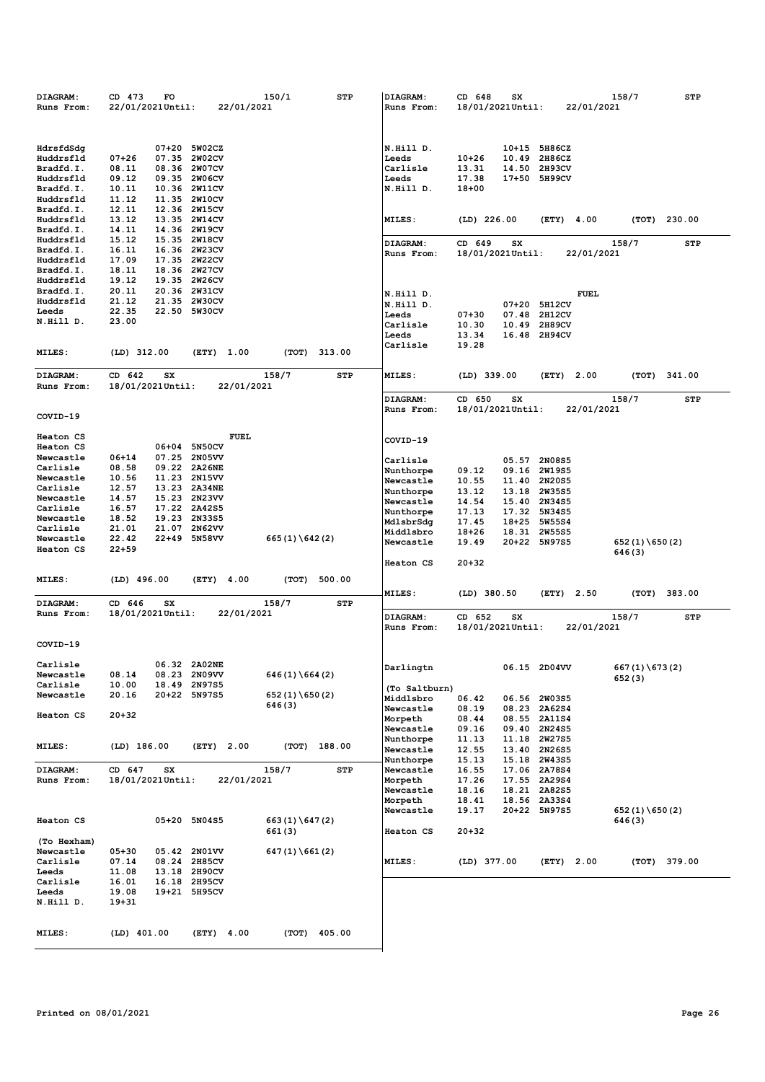| DIAGRAM:<br>Runs From: | CD 473<br>FO<br>22/01/2021Until:               | 22/01/2021    | 150/1                     | STP        | DIAGRAM:<br><b>Runs From:</b> | CD 648<br>18/01/2021Until: | SX        |                              | 22/01/2021 | 158/7             | STP          |  |
|------------------------|------------------------------------------------|---------------|---------------------------|------------|-------------------------------|----------------------------|-----------|------------------------------|------------|-------------------|--------------|--|
|                        |                                                |               |                           |            |                               |                            |           |                              |            |                   |              |  |
| HdrsfdSdg              | 07+20 5W02CZ                                   |               |                           |            | N.Hill D.                     |                            |           | 10+15 5H86CZ                 |            |                   |              |  |
| Huddrsfld              | 07.35 2W02CV<br>$07 + 26$                      |               |                           |            | Leeds                         | $10 + 26$                  |           | 10.49 2H86CZ                 |            |                   |              |  |
| Bradfd.I.              | 08.36 2W07CV<br>08.11                          |               |                           |            | Carlisle                      | 13.31                      | 14.50     | <b>2H93CV</b>                |            |                   |              |  |
| Huddrsfld              | 09.12<br>09.35 2W06CV                          |               |                           |            | Leeds                         | 17.38                      | $17 + 50$ | 5H99CV                       |            |                   |              |  |
| Bradfd.I.              | 10.11<br>10.36 2W11CV                          |               |                           |            | N.Hill D.                     | $18 + 00$                  |           |                              |            |                   |              |  |
| Huddrsfld<br>Bradfd.I. | 11.12<br>11.35 2W10CV<br>12.11<br>12.36 2W15CV |               |                           |            |                               |                            |           |                              |            |                   |              |  |
| Huddrsfld              | 13.12<br>13.35 2W14CV                          |               |                           |            | MILES:                        | $(LD)$ 226.00              |           | (ETY)                        | 4.00       |                   | (TOT) 230.00 |  |
| Bradfd.I.              | 14.36 2W19CV<br>14.11                          |               |                           |            |                               |                            |           |                              |            |                   |              |  |
| Huddrsfld              | 15.12<br>15.35 2W18CV                          |               |                           |            | DIAGRAM:                      | CD 649                     | SX        |                              |            | 158/7             | <b>STP</b>   |  |
| Bradfd.I.              | 16.11<br>16.36 2W23CV                          |               |                           |            | Runs From:                    | 18/01/2021Until:           |           |                              | 22/01/2021 |                   |              |  |
| Huddrsfld              | 17.09<br>17.35 2W22CV                          |               |                           |            |                               |                            |           |                              |            |                   |              |  |
| Bradfd.I.              | 18.11<br>18.36 2W27CV                          |               |                           |            |                               |                            |           |                              |            |                   |              |  |
| Huddrsfld              | 19.12<br>19.35 2W26CV                          |               |                           |            |                               |                            |           |                              |            |                   |              |  |
| Bradfd.I.              | 20.11<br>20.36 2W31CV                          |               |                           |            | N.Hill D.                     |                            |           |                              | FUEL       |                   |              |  |
| Huddrsfld<br>Leeds     | 21.12<br>21.35 2W30CV<br>22.35<br>22.50 5W30CV |               |                           |            | N.Hill D.                     |                            |           | 07+20 5H12CV                 |            |                   |              |  |
| N.Hill D.              | 23.00                                          |               |                           |            | Leeds                         | $07 + 30$                  |           | 07.48 2H12CV                 |            |                   |              |  |
|                        |                                                |               |                           |            | Carlisle<br>Leeds             | 10.30                      |           | 10.49 2H89CV                 |            |                   |              |  |
|                        |                                                |               |                           |            | Carlisle                      | 13.34<br>19.28             |           | 16.48 2H94CV                 |            |                   |              |  |
| <b>MILES:</b>          | $(LD)$ 312.00                                  | (ETY)<br>1.00 | (TOT)<br>313.00           |            |                               |                            |           |                              |            |                   |              |  |
| DIAGRAM:<br>Runs From: | CD 642<br>SX<br>18/01/2021Until:               | 22/01/2021    | 158/7                     | <b>STP</b> | MILES:                        | $(LD)$ 339.00              |           | (ETY) 2.00                   |            | (TOT)             | 341.00       |  |
|                        |                                                |               |                           |            | DIAGRAM:                      | CD 650                     | SX        |                              |            | 158/7             | <b>STP</b>   |  |
| COVID-19               |                                                |               |                           |            | <b>Runs From:</b>             | 18/01/2021Until:           |           |                              | 22/01/2021 |                   |              |  |
| Heaton CS              |                                                | FUEL          |                           |            |                               |                            |           |                              |            |                   |              |  |
| Heaton CS              | 06+04 5N50CV                                   |               |                           |            | COVID-19                      |                            |           |                              |            |                   |              |  |
| Newcastle              | 06+14<br>07.25 2N05VV                          |               |                           |            | Carlisle                      |                            |           | 05.57 2N08S5                 |            |                   |              |  |
| Carlisle               | 08.58<br>09.22 2A26NE                          |               |                           |            | Nunthorpe                     | 09.12                      |           | 09.16 2W19S5                 |            |                   |              |  |
| Newcastle              | 10.56<br>11.23 2N15VV                          |               |                           |            | Newcastle                     | 10.55                      | 11.40     | 2N20S5                       |            |                   |              |  |
| Carlisle               | 12.57<br>13.23 2A34NE                          |               |                           |            | Nunthorpe                     | 13.12                      |           | 13.18 2W35S5                 |            |                   |              |  |
| Newcastle              | 15.23 2N23VV<br>14.57                          |               |                           |            | Newcastle                     | 14.54                      |           | 15.40 2N34S5                 |            |                   |              |  |
| Carlisle               | 16.57<br>17.22 2A42S5                          |               |                           |            | Nunthorpe                     | 17.13                      |           | 17.32 5N34S5                 |            |                   |              |  |
| Newcastle<br>Carlisle  | 18.52<br>19.23 2N33S5<br>21.01<br>21.07        | 2N62VV        |                           |            | MdlsbrSdg                     | 17.45                      |           | 18+25 5W55S4                 |            |                   |              |  |
| Newcastle              | 22.42<br>22+49 5N58VV                          |               | $665(1)\642(2)$           |            | Middlsbro                     | $18 + 26$                  |           | 18.31 2W55S5                 |            |                   |              |  |
| Heaton CS              | $22 + 59$                                      |               |                           |            | Newcastle                     | 19.49                      |           | 20+22 5N97S5                 |            | $652(1)\ (650(2)$ |              |  |
|                        |                                                |               |                           |            | Heaton CS                     | $20 + 32$                  |           |                              |            | 646(3)            |              |  |
| <b>MILES:</b>          | $(LD)$ 496.00                                  | (ETY)<br>4.00 | 500.00<br>(TOT)           |            |                               |                            |           |                              |            |                   |              |  |
|                        |                                                |               |                           |            | MILES:                        | $(LD)$ 380.50              |           | (ETY) 2.50                   |            | (TOT)             | 383.00       |  |
| DIAGRAM:<br>Runs From: | CD 646<br>SX<br>18/01/2021Until:               | 22/01/2021    | 158/7                     | STP        |                               |                            |           |                              |            |                   |              |  |
|                        |                                                |               |                           |            | <b>DIAGRAM:</b>               | CD 652                     | SX        |                              |            | 158/7             | <b>STP</b>   |  |
|                        |                                                |               |                           |            | Runs From:                    | 18/01/2021Until:           |           |                              | 22/01/2021 |                   |              |  |
| COVID-19               |                                                |               |                           |            |                               |                            |           |                              |            |                   |              |  |
| Carlisle               | 06.32 2A02NE                                   |               |                           |            | Darlingtn                     |                            |           | 06.15 2D04VV                 |            | 667(1)\673(2)     |              |  |
| Newcastle              | 08.14<br>08.23 2N09VV                          |               | $646(1)\664(2)$           |            |                               |                            |           |                              |            | 652 (3)           |              |  |
| Carlisle               | 10.00<br>18.49 2N97S5                          |               |                           |            | (To Saltburn)                 |                            |           |                              |            |                   |              |  |
| Newcastle              | 20.16<br>20+22 5N97S5                          |               | 652 (1) \650 (2)          |            | Middlsbro                     | 06.42                      |           | 06.56 2W03S5                 |            |                   |              |  |
| Heaton CS              | $20 + 32$                                      |               | 646(3)                    |            | Newcastle                     | 08.19                      |           | 08.23 2A62S4                 |            |                   |              |  |
|                        |                                                |               |                           |            | Morpeth                       | 08.44                      |           | 08.55 2A11S4                 |            |                   |              |  |
|                        |                                                |               |                           |            | Newcastle                     | 09.16                      |           | 09.40 2N24S5                 |            |                   |              |  |
| <b>MILES:</b>          | $(LD)$ 186.00                                  | (ETY) 2.00    | $(TOT)$ 188.00            |            | Nunthorpe                     | 11.13                      |           | 11.18 2W27S5                 |            |                   |              |  |
|                        |                                                |               |                           |            | Newcastle<br>Nunthorpe        | 12.55<br>15.13             |           | 13.40 2N26S5<br>15.18 2W43S5 |            |                   |              |  |
| DIAGRAM:               | CD 647<br>SX                                   |               | 158/7                     | STP        | Newcastle                     | 16.55                      |           | 17.06 2A78S4                 |            |                   |              |  |
| Runs From:             | 18/01/2021Until:                               | 22/01/2021    |                           |            | Morpeth                       | 17.26                      |           | 17.55 2A29S4                 |            |                   |              |  |
|                        |                                                |               |                           |            | Newcastle                     | 18.16                      |           | 18.21 2A82S5                 |            |                   |              |  |
|                        |                                                |               |                           |            | Morpeth                       | 18.41                      |           | 18.56 2A33S4                 |            |                   |              |  |
|                        |                                                |               |                           |            | Newcastle                     | 19.17                      |           | 20+22 5N97S5                 |            | $652(1)\650(2)$   |              |  |
| Heaton CS              | 05+20 5N04S5                                   |               | $663(1)\647(2)$<br>661(3) |            | Heaton CS                     | $20 + 32$                  |           |                              |            | 646(3)            |              |  |
| (To Hexham)            |                                                |               |                           |            |                               |                            |           |                              |            |                   |              |  |
| Newcastle              | 05.42 2N01VV<br>$05 + 30$                      |               | $647(1)\661(2)$           |            |                               |                            |           |                              |            |                   |              |  |
| Carlisle               | 07.14<br>08.24 2H85CV                          |               |                           |            | MILES:                        | (LD) 377.00                |           | (ETY) 2.00                   |            |                   | (TOT) 379.00 |  |
| Leeds                  | 11.08<br>13.18 2H90CV                          |               |                           |            |                               |                            |           |                              |            |                   |              |  |
| Carlisle               | 16.01<br>16.18 2H95CV                          |               |                           |            |                               |                            |           |                              |            |                   |              |  |
| Leeds<br>N.Hill D.     | 19.08<br>19+21 5H95CV<br>$19 + 31$             |               |                           |            |                               |                            |           |                              |            |                   |              |  |
|                        |                                                |               |                           |            |                               |                            |           |                              |            |                   |              |  |
|                        |                                                |               |                           |            |                               |                            |           |                              |            |                   |              |  |
| <b>MILES:</b>          | $(LD)$ 401.00                                  | (ETY) 4.00    | (TOT) 405.00              |            |                               |                            |           |                              |            |                   |              |  |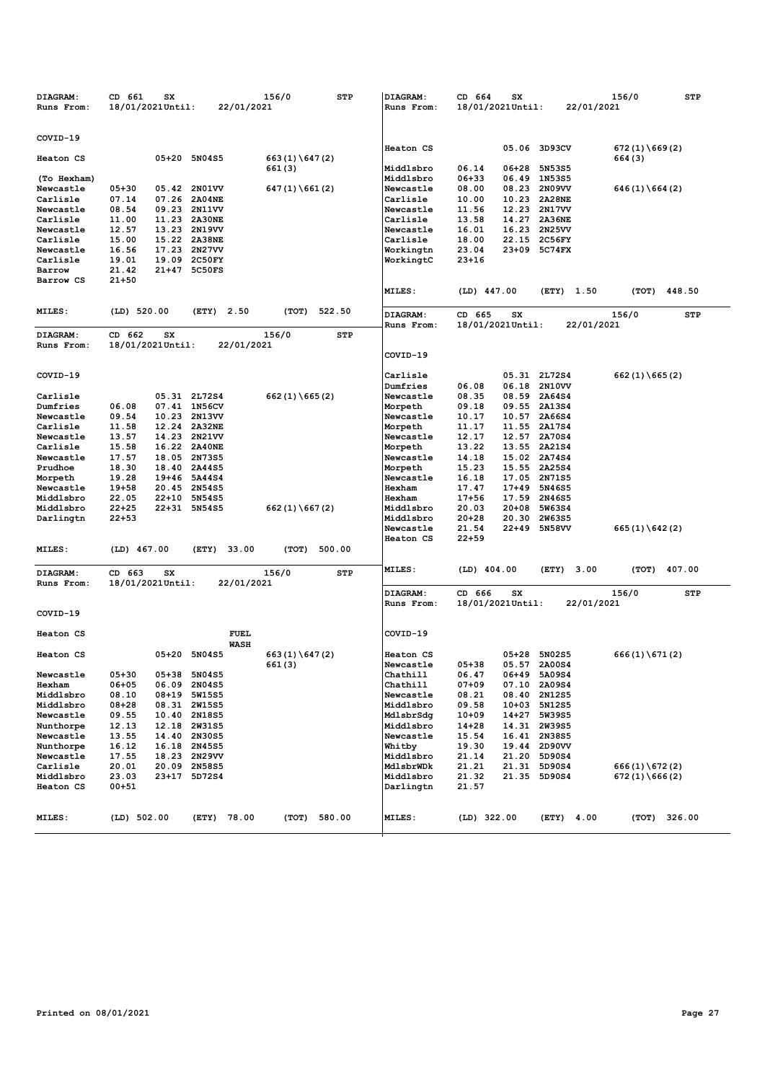| DIAGRAM:<br>Runs From:   | CD 661<br>SX<br>18/01/2021Until:               | 22/01/2021                 | 156/0<br>STP        | DIAGRAM:<br>Runs From: | CD 664<br>SX<br>18/01/2021Until:         | 22/01/2021                     | 156/0                                | <b>STP</b> |
|--------------------------|------------------------------------------------|----------------------------|---------------------|------------------------|------------------------------------------|--------------------------------|--------------------------------------|------------|
| COVID-19                 |                                                |                            |                     | Heaton CS              |                                          | 05.06 3D93CV                   | $672(1)\ (669(2)$                    |            |
| Heaton CS                | $05 + 20$                                      | 5N04S5                     | $663(1)\647(2)$     |                        |                                          |                                | 664 (3)                              |            |
|                          |                                                |                            | 661(3)              | Middlsbro              | 06.14<br>06+28                           | 5N53S5                         |                                      |            |
| (To Hexham)<br>Newcastle | $05 + 30$<br>05.42                             | 2N01VV                     | $647(1)\661(2)$     | Middlsbro<br>Newcastle | 06+33<br>06.49<br>08.00<br>08.23         | <b>1N53S5</b><br><b>2N09VV</b> | $646(1)\664(2)$                      |            |
| Carlisle                 | 07.14<br>07.26                                 | <b>2A04NE</b>              |                     | Carlisle               | 10.00<br>10.23                           | <b>2A28NE</b>                  |                                      |            |
| Newcastle                | 08.54<br>09.23                                 | 2N11VV                     |                     | Newcastle              | 11.56<br>12.23                           | <b>2N17VV</b>                  |                                      |            |
| Carlisle                 | 11.00<br>11.23                                 | <b>2A30NE</b>              |                     | Carlisle               | 13.58<br>14.27                           | <b>2A36NE</b>                  |                                      |            |
| Newcastle                | 12.57<br>13.23                                 | <b>2N19VV</b>              |                     | Newcastle              | 16.01<br>16.23                           | 2N25VV                         |                                      |            |
| Carlisle<br>Newcastle    | 15.00<br>15.22 2A38NE<br>16.56<br>17.23        | 2N27VV                     |                     | Carlisle<br>Workingtn  | 18.00<br>23.04<br>$23+09$                | 22.15 2C56FY<br>5C74FX         |                                      |            |
| Carlisle                 | 19.01<br>19.09 2C50FY                          |                            |                     | WorkingtC              | 23+16                                    |                                |                                      |            |
| Barrow                   | 21.42<br>21+47 5C50FS                          |                            |                     |                        |                                          |                                |                                      |            |
| Barrow CS                | $21 + 50$                                      |                            |                     | MILES:                 | $(LD)$ 447.00                            | (ETY) 1.50                     | (TOT)                                | 448.50     |
| MILES:                   | $(LD)$ 520.00                                  | (ETY)<br>2.50              | 522.50<br>(TOT)     | DIAGRAM:               | CD 665<br>SX                             |                                | 156/0                                | <b>STP</b> |
|                          |                                                |                            |                     | <b>Runs From:</b>      | 18/01/2021Until:                         | 22/01/2021                     |                                      |            |
| DIAGRAM:<br>Runs From:   | CD 662<br>SX<br>18/01/2021Until:               | 22/01/2021                 | 156/0<br>STP        | COVID-19               |                                          |                                |                                      |            |
| COVID-19                 |                                                |                            |                     | Carlisle               |                                          | 05.31 2L72S4                   | $662(1)\665(2)$                      |            |
|                          |                                                |                            |                     | Dumfries               | 06.08                                    | 06.18 2N10VV                   |                                      |            |
| Carlisle                 | 05.31 2L72S4                                   |                            | $662(1)\665(2)$     | Newcastle              | 08.35<br>08.59                           | 2A64S4                         |                                      |            |
| Dumfries<br>Newcastle    | 06.08<br>07.41 1N56CV<br>09.54<br>10.23        | <b>2N13VV</b>              |                     | Morpeth                | 09.55<br>09.18<br>10.17                  | 2A13S4<br>10.57 2A66S4         |                                      |            |
| Carlisle                 | 11.58<br>12.24                                 | <b>2A32NE</b>              |                     | Newcastle<br>Morpeth   | 11.17<br>11.55                           | 2A17S4                         |                                      |            |
| Newcastle                | 13.57<br>14.23                                 | 2N21VV                     |                     | Newcastle              | 12.17<br>12.57                           | 2A70S4                         |                                      |            |
| Carlisle                 | 15.58<br>16.22 2A40NE                          |                            |                     | Morpeth                | 13.22                                    | 13.55 2A21S4                   |                                      |            |
| Newcastle                | 17.57<br>18.05<br>18.30<br>18.40               | 2N73S5<br>2A44S5           |                     | Newcastle              | 14.18<br>15.23<br>15.55                  | 15.02 2A74S4<br>2A25S4         |                                      |            |
| Prudhoe<br>Morpeth       | 19.28<br>$19+46$                               | 5A44S4                     |                     | Morpeth<br>Newcastle   | 16.18<br>17.05                           | 2N71S5                         |                                      |            |
| Newcastle                | $19 + 58$<br>20.45                             | 2N54S5                     |                     | Hexham                 | 17.47<br>$17 + 49$                       | 5N46S5                         |                                      |            |
| Middlsbro                | 22.05<br>$22 + 10$                             | 5N54S5                     |                     | Hexham                 | $17 + 56$<br>17.59                       | 2N46S5                         |                                      |            |
| Middlsbro<br>Darlingtn   | $22 + 25$<br>22+31<br>$22 + 53$                | 5N54S5                     | $662(1)\667(2)$     | Middlsbro<br>Middlsbro | 20.03<br>$20 + 08$<br>$20 + 28$<br>20.30 | 5W63S4<br>2W63S5               |                                      |            |
|                          |                                                |                            |                     | Newcastle              | 21.54<br>$22+49$                         | <b>5N58VV</b>                  | $665(1)\ (642(2)$                    |            |
|                          |                                                |                            |                     | Heaton CS              | $22 + 59$                                |                                |                                      |            |
| <b>MILES:</b>            | $(LD)$ 467.00                                  | 33.00<br>(ETY)             | 500.00<br>(TOT)     |                        |                                          |                                |                                      |            |
| DIAGRAM:                 | CD 663<br>SX                                   |                            | 156/0<br><b>STP</b> | MILES:                 | $(LD)$ 404.00                            | (ETY)<br>3.00                  | (TOT)                                | 407.00     |
| Runs From:               | 18/01/2021Until:                               | 22/01/2021                 |                     | <b>DIAGRAM:</b>        | CD 666<br>sx                             |                                | 156/0                                | <b>STP</b> |
|                          |                                                |                            |                     | Runs From:             | 18/01/2021Until:                         | 22/01/2021                     |                                      |            |
| COVID-19                 |                                                |                            |                     |                        |                                          |                                |                                      |            |
| Heaton CS                |                                                | <b>FUEL</b><br><b>WASH</b> |                     | COVID-19               |                                          |                                |                                      |            |
| Heaton CS                | 05+20                                          | 5N04S5                     | $663(1)\647(2)$     | Heaton CS<br>Newcastle | 05+28                                    | 5N02S5<br>05.57 2A00S4         | $666(1)\$ (671(2)                    |            |
| Newcastle                | $05 + 30$<br>05+38 5N04S5                      |                            | 661(3)              | Chathill               | $05 + 38$<br>06.47                       | 06+49 5A09S4                   |                                      |            |
| Hexham                   | 06.09 2N04S5<br>06+05                          |                            |                     | Chathill               | $07 + 09$                                | 07.10 2A09S4                   |                                      |            |
| Middlsbro                | 08.10<br>08+19 5W15S5                          |                            |                     | Newcastle              | 08.21                                    | 08.40 2N12S5                   |                                      |            |
| Middlsbro                | 08+28<br>08.31 2W15S5                          |                            |                     | Middlsbro              | 09.58<br>10+03                           | 5N12S5                         |                                      |            |
| Newcastle<br>Nunthorpe   | 09.55<br>10.40 2N18S5<br>12.13<br>12.18 2W31S5 |                            |                     | MdlsbrSdg<br>Middlsbro | $10+09$<br>$14 + 28$                     | 14+27 5W39S5<br>14.31 2W39S5   |                                      |            |
| Newcastle                | 13.55<br>14.40 2N30S5                          |                            |                     | Newcastle              | 15.54                                    | 16.41 2N38S5                   |                                      |            |
| Nunthorpe                | 16.12<br>16.18 2N45S5                          |                            |                     | Whitby                 | 19.30                                    | 19.44 2D90VV                   |                                      |            |
| Newcastle                | 17.55<br>18.23 2N29VV                          |                            |                     | Middlsbro              | 21.14                                    | 21.20 5D90S4                   |                                      |            |
| Carlisle<br>Middlsbro    | 20.01<br>20.09 2N58S5<br>23.03<br>23+17 5D72S4 |                            |                     | MdlsbrWDk<br>Middlsbro | 21.21<br>21.31<br>21.32                  | 5D90S4<br>21.35 5D90S4         | $666(1)\ (672(2)$<br>$672(1)\666(2)$ |            |
| Heaton CS                | 00+51                                          |                            |                     | Darlingtn              | 21.57                                    |                                |                                      |            |
| <b>MILES:</b>            | $(LD)$ 502.00                                  | (ETY) 78.00                | (TOT) 580.00        | MILES:                 | $(LD)$ 322.00                            | (ETY) 4.00                     | (TOT) 326.00                         |            |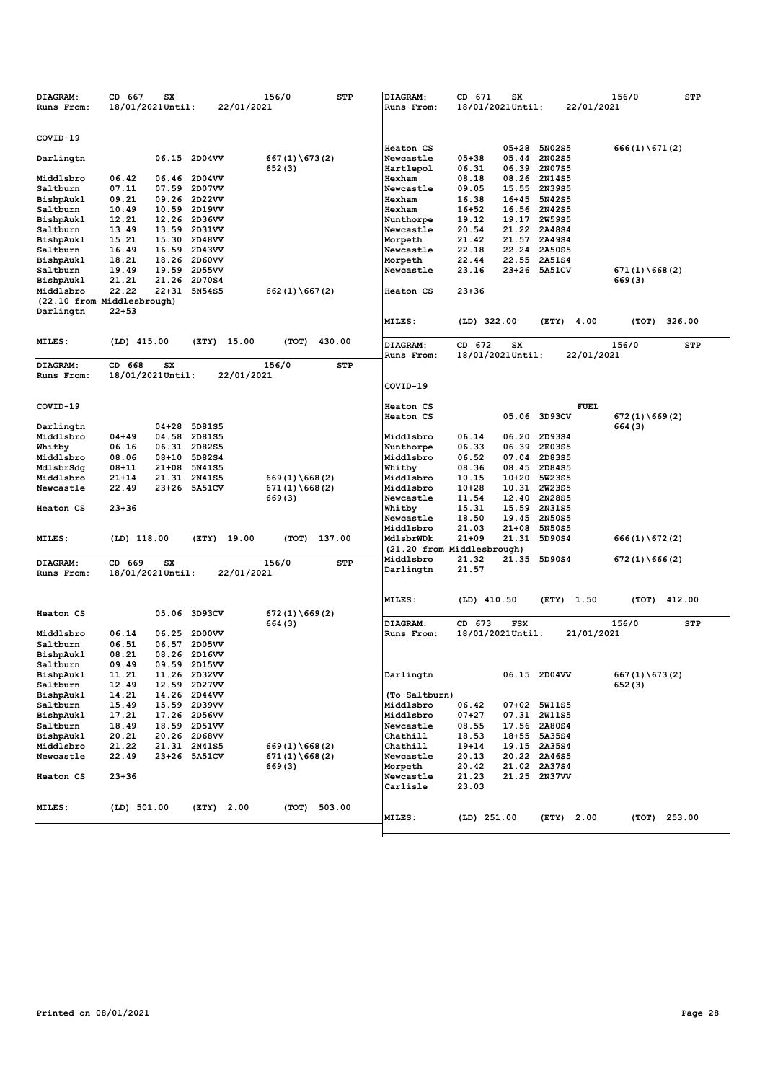| DIAGRAM:<br>Runs From:     | CD 667<br>$18/01/2021$ Until: | SX             | 22/01/2021       | 156/0                       | <b>STP</b> | DIAGRAM:<br>Runs From:     | CD 671<br>18/01/2021Until: | SX    |                              | 22/01/2021  | 156/0             | STP          |
|----------------------------|-------------------------------|----------------|------------------|-----------------------------|------------|----------------------------|----------------------------|-------|------------------------------|-------------|-------------------|--------------|
| COVID-19                   |                               |                |                  |                             |            | Heaton CS                  |                            |       | 05+28 5N02S5                 |             | $666(1)\ (671(2)$ |              |
| Darlingtn                  |                               |                | 06.15 2D04VV     | $667(1)\$ (673(2)<br>652(3) |            | Newcastle<br>Hartlepol     | $05 + 38$<br>06.31         |       | 05.44 2N02S5<br>06.39 2N07S5 |             |                   |              |
| Middlsbro                  | 06.42                         |                | 06.46 2D04VV     |                             |            | Hexham                     | 08.18                      |       | 08.26 2N14S5                 |             |                   |              |
| Saltburn                   | 07.11                         | 07.59          | 2D07VV           |                             |            | Newcastle                  | 09.05                      | 15.55 | 2N39S5                       |             |                   |              |
| BishpAukl                  | 09.21                         |                | 09.26 2D22VV     |                             |            | Hexham                     | 16.38                      |       | 16+45 5N42S5                 |             |                   |              |
| Saltburn<br>BishpAukl      | 10.49<br>12.21                | 10.59<br>12.26 | 2D19VV<br>2D36VV |                             |            | Hexham<br>Nunthorpe        | $16 + 52$<br>19.12         | 19.17 | 16.56 2N42S5<br>2W59S5       |             |                   |              |
| Saltburn                   | 13.49                         |                | 13.59 2D31VV     |                             |            | Newcastle                  | 20.54                      |       | 21.22 2A48S4                 |             |                   |              |
| BishpAukl                  | 15.21                         | 15.30          | 2D48VV           |                             |            | Morpeth                    | 21.42                      |       | 21.57 2A49S4                 |             |                   |              |
| Saltburn                   | 16.49                         | 16.59          | 2D43VV           |                             |            | Newcastle                  | 22.18                      |       | 22.24 2A50S5                 |             |                   |              |
| BishpAukl                  | 18.21                         | 18.26          | 2D60VV           |                             |            | Morpeth                    | 22.44                      | 22.55 | 2A51S4                       |             |                   |              |
| Saltburn                   | 19.49                         | 19.59          | 2D55VV           |                             |            | Newcastle                  | 23.16                      |       | 23+26 5A51CV                 |             | $671(1)\668(2)$   |              |
| BishpAukl                  | 21.21                         |                | 21.26 2D70S4     |                             |            |                            |                            |       |                              |             | 669(3)            |              |
| Middlsbro                  | 22.22                         | $22 + 31$      | 5N54S5           | 662(1)\667(2)               |            | Heaton CS                  | $23 + 36$                  |       |                              |             |                   |              |
| (22.10 from Middlesbrough) |                               |                |                  |                             |            |                            |                            |       |                              |             |                   |              |
| Darlingtn                  | $22 + 53$                     |                |                  |                             |            | MILES:                     | $(LD)$ 322.00              |       | (ETY)                        | 4.00        | (ТОТ)             | 326.00       |
| MILES:                     | $(LD)$ 415.00                 |                | (ETY)<br>15.00   | (TOT)<br>430.00             |            | DIAGRAM:                   | CD 672                     | SX    |                              |             | 156/0             | STP          |
|                            |                               |                |                  |                             |            | Runs From:                 | 18/01/2021Until:           |       |                              | 22/01/2021  |                   |              |
| DIAGRAM:                   | CD 668                        | SX             |                  | 156/0                       | STP        |                            |                            |       |                              |             |                   |              |
| Runs From:                 | 18/01/2021Until:              |                | 22/01/2021       |                             |            | COVID-19                   |                            |       |                              |             |                   |              |
| COVID-19                   |                               |                |                  |                             |            | <b>Heaton CS</b>           |                            |       |                              | <b>FUEL</b> |                   |              |
|                            |                               |                |                  |                             |            | <b>Heaton CS</b>           |                            |       | 05.06 3D93CV                 |             | $672(1)\669(2)$   |              |
| Darlingtn                  |                               | 04+28          | 5D81S5           |                             |            |                            |                            |       |                              |             | 664 (3)           |              |
| Middlsbro                  | $04 + 49$                     | 04.58          | 2D81S5           |                             |            | Middlsbro                  | 06.14                      |       | 06.20 2D93S4                 |             |                   |              |
| Whitby                     | 06.16                         | 06.31          | 2D82S5           |                             |            | Nunthorpe                  | 06.33                      |       | 06.39 2E03S5                 |             |                   |              |
| Middlsbro                  | 08.06                         | $08 + 10$      | 5D82S4           |                             |            | Middlsbro                  | 06.52                      |       | 07.04 2D83S5                 |             |                   |              |
| MdlsbrSdg                  | 08+11                         | $21+08$        | 5N41S5           |                             |            | Whitby                     | 08.36                      |       | 08.45 2D84S5                 |             |                   |              |
| Middlsbro                  | $21 + 14$                     | 21.31          | 2N41S5           | $669(1)\668(2)$             |            | Middlsbro                  | 10.15                      | 10+20 | 5W23S5                       |             |                   |              |
| Newcastle                  | 22.49                         |                | 23+26 5A51CV     | $671(1)\668(2)$             |            | Middlsbro                  | $10 + 28$                  |       | 10.31 2W23S5                 |             |                   |              |
| Heaton CS                  | 23+36                         |                |                  | 669(3)                      |            | Newcastle<br>Whitby        | 11.54<br>15.31             |       | 12.40 2N28S5<br>15.59 2N31S5 |             |                   |              |
|                            |                               |                |                  |                             |            | Newcastle                  | 18.50                      |       | 19.45 2N50S5                 |             |                   |              |
|                            |                               |                |                  |                             |            | Middlsbro                  | 21.03                      | 21+08 | 5N50S5                       |             |                   |              |
| MILES:                     | $(LD)$ 118.00                 |                | (ETY)<br>19.00   | (TOT) 137.00                |            | MdlsbrWDk                  | $21 + 09$                  |       | 21.31 5D90S4                 |             | $666(1)\ 672(2)$  |              |
|                            |                               |                |                  |                             |            | (21.20 from Middlesbrough) |                            |       |                              |             |                   |              |
| DIAGRAM:                   | CD 669                        | SX             |                  | 156/0                       | <b>STP</b> | Middlsbro                  | 21.32                      |       | 21.35 5D90S4                 |             | $672(1)\666(2)$   |              |
| Runs From:                 | 18/01/2021Until:              |                | 22/01/2021       |                             |            | Darlingtn                  | 21.57                      |       |                              |             |                   |              |
|                            |                               |                |                  |                             |            |                            |                            |       |                              |             |                   |              |
|                            |                               |                |                  |                             |            | MILES:                     | $(LD)$ 410.50              |       | (ETY) 1.50                   |             | (TOT)             | 412.00       |
| Heaton CS                  |                               | 05.06          | 3D93CV           | $672(1)\669(2)$             |            |                            |                            |       |                              |             |                   |              |
| Middlsbro                  | 06.14                         | 06.25          | 2D00VV           | 664(3)                      |            | DIAGRAM:<br>Runs From:     | CD 673<br>18/01/2021Until: | FSX   |                              | 21/01/2021  | 156/0             | <b>STP</b>   |
| Saltburn                   | 06.51                         | 06.57          | 2D05VV           |                             |            |                            |                            |       |                              |             |                   |              |
| BishpAukl                  | 08.21                         |                | 08.26 2D16VV     |                             |            |                            |                            |       |                              |             |                   |              |
| Saltburn                   | 09.49                         |                | 09.59 2D15VV     |                             |            |                            |                            |       |                              |             |                   |              |
| BishpAukl                  | 11.21                         |                | 11.26 2D32VV     |                             |            | Darlingtn                  |                            |       | 06.15 2D04VV                 |             | 667(1)\673(2)     |              |
| Saltburn                   | 12.49                         |                | 12.59 2D27VV     |                             |            |                            |                            |       |                              |             | 652 (3)           |              |
| BishpAukl                  | 14.21                         |                | 14.26 2D44VV     |                             |            | (To Saltburn)              |                            |       |                              |             |                   |              |
| Saltburn                   | 15.49                         |                | 15.59 2D39VV     |                             |            | Middlsbro                  | 06.42                      |       | 07+02 5W11S5                 |             |                   |              |
| BishpAukl                  | 17.21                         |                | 17.26 2D56VV     |                             |            | Middlsbro                  | 07+27                      |       | 07.31 2W11S5                 |             |                   |              |
| Saltburn                   | 18.49                         |                | 18.59 2D51VV     |                             |            | Newcastle                  | 08.55                      |       | 17.56 2A80S4                 |             |                   |              |
| BishpAukl                  | 20.21                         |                | 20.26 2D68VV     |                             |            | Chathill                   | 18.53                      | 18+55 | 5A35S4                       |             |                   |              |
| Middlsbro                  | 21.22                         |                | 21.31 2N41S5     | $669(1)\668(2)$             |            | Chathill                   | $19 + 14$                  |       | 19.15 2A35S4                 |             |                   |              |
| Newcastle                  | 22.49                         |                | 23+26 5A51CV     | $671(1)\668(2)$<br>669(3)   |            | Newcastle<br>Morpeth       | 20.13<br>20.42             |       | 20.22 2A46S5<br>21.02 2A37S4 |             |                   |              |
| Heaton CS                  | 23+36                         |                |                  |                             |            | Newcastle                  | 21.23                      |       | 21.25 2N37VV                 |             |                   |              |
|                            |                               |                |                  |                             |            | Carlisle                   | 23.03                      |       |                              |             |                   |              |
|                            |                               |                |                  |                             |            |                            |                            |       |                              |             |                   |              |
| MILES:                     | $(LD)$ 501.00                 |                | (ETY) 2.00       | 503.00<br>(TOT)             |            | <b>MILES:</b>              | (LD) 251.00                |       | (ETY) 2.00                   |             |                   | (TOT) 253.00 |
|                            |                               |                |                  |                             |            |                            |                            |       |                              |             |                   |              |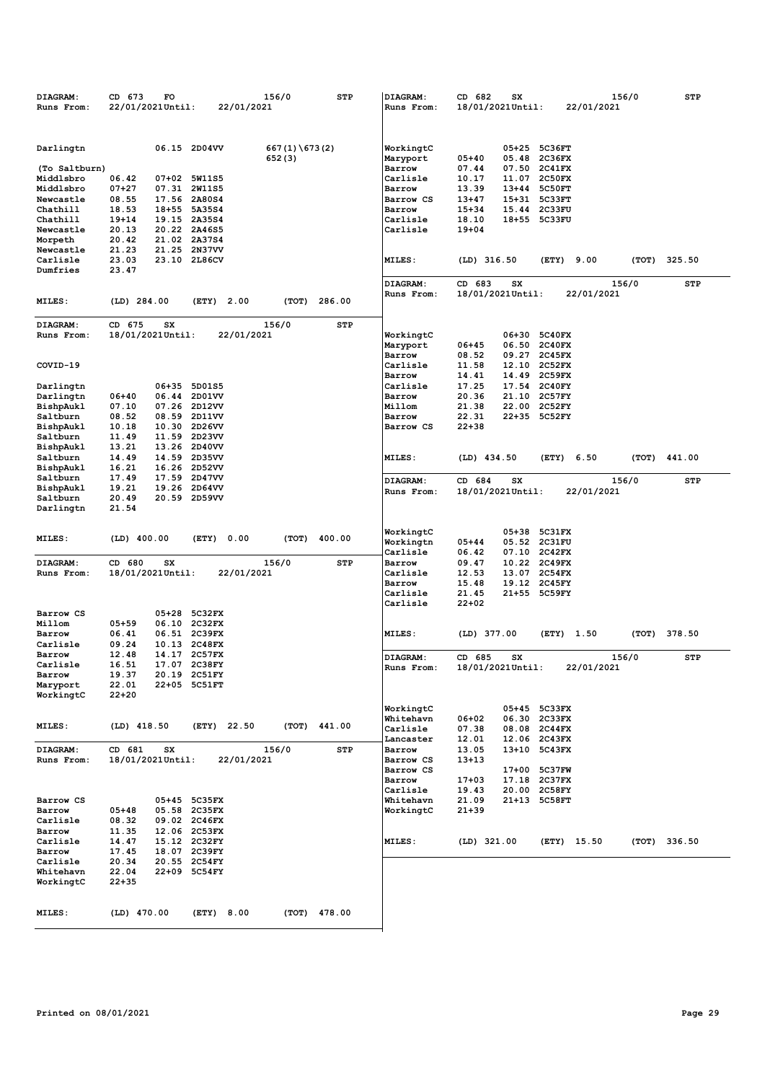| DIAGRAM:<br>Runs From: | CD 673<br>FO<br>22/01/2021Until: | 22/01/2021                    | 156/0                       | <b>STP</b> | DIAGRAM:<br>Runs From: | CD 682<br>SX<br>18/01/2021Until:               | 156/0<br>22/01/2021 | STP             |
|------------------------|----------------------------------|-------------------------------|-----------------------------|------------|------------------------|------------------------------------------------|---------------------|-----------------|
|                        |                                  |                               |                             |            |                        |                                                |                     |                 |
| Darlingtn              |                                  | 06.15 2D04VV                  | $667(1)\$ (673(2)<br>652(3) |            | WorkingtC<br>Maryport  | 05+25 5C36FT<br>05.48 2C36FX<br>$05 + 40$      |                     |                 |
| (To Saltburn)          |                                  |                               |                             |            | Barrow                 | 07.50 2C41FX<br>07.44                          |                     |                 |
| Middlsbro              | 06.42                            | 07+02 5W11S5                  |                             |            | Carlisle               | 10.17<br>11.07 2C50FX                          |                     |                 |
| Middlsbro              | $07 + 27$                        | 07.31 2W11S5                  |                             |            | Barrow                 | 13.39<br>13+44 5C50FT                          |                     |                 |
| Newcastle              | 08.55                            | 17.56 2A80S4                  |                             |            | Barrow CS              | $13 + 47$<br>15+31 5C33FT                      |                     |                 |
| Chathill               | 18.53<br>$18 + 55$               | 5A35S4                        |                             |            | Barrow                 | $15 + 34$<br>15.44 2C33FU                      |                     |                 |
| Chathill               | $19 + 14$<br>19.15               | <b>2A35S4</b><br>20.22 2A46S5 |                             |            | Carlisle<br>Carlisle   | 18.10<br>18+55 5C33FU<br>$19 + 04$             |                     |                 |
| Newcastle<br>Morpeth   | 20.13<br>20.42                   | 21.02 2A37S4                  |                             |            |                        |                                                |                     |                 |
| Newcastle              | 21.23<br>21.25                   | 2N37VV                        |                             |            |                        |                                                |                     |                 |
| Carlisle               | 23.03                            | 23.10 2L86CV                  |                             |            | MILES:                 | (LD) 316.50                                    | (ETY)<br>9.00       | (TOT)<br>325.50 |
| Dumfries               | 23.47                            |                               |                             |            |                        |                                                |                     |                 |
|                        |                                  |                               |                             |            | DIAGRAM:               | CD 683<br>SX                                   | 156/0               | STP             |
| MILES:                 | $(LD)$ 284.00                    | (ETY) 2.00                    | (TOT)                       | 286.00     | Runs From:             | 18/01/2021Until:                               | 22/01/2021          |                 |
| <b>DIAGRAM:</b>        | CD 675<br>SX                     |                               | 156/0                       | <b>STP</b> |                        |                                                |                     |                 |
| Runs From:             | 18/01/2021Until:                 | 22/01/2021                    |                             |            | WorkingtC              | 06+30 5C40FX                                   |                     |                 |
|                        |                                  |                               |                             |            | Maryport               | 06.50 2C40FX<br>$06 + 45$                      |                     |                 |
|                        |                                  |                               |                             |            | Barrow                 | 08.52<br>09.27 2C45FX                          |                     |                 |
| COVID-19               |                                  |                               |                             |            | Carlisle               | 11.58<br>12.10                                 | <b>2C52FX</b>       |                 |
|                        |                                  |                               |                             |            | Barrow                 | 14.41<br>14.49 2C59FX                          |                     |                 |
| Darlingtn              |                                  | 06+35 5D01S5                  |                             |            | Carlisle               | 17.25<br>17.54 2C40FY                          |                     |                 |
| Darlingtn<br>BishpAukl | $06 + 40$<br>07.10<br>07.26      | 06.44 2D01VV<br>2D12VV        |                             |            | Barrow<br>Millom       | 20.36<br>21.10<br>21.38<br>22.00 2C52FY        | 2C57FY              |                 |
| Saltburn               | 08.52<br>08.59                   | 2D11VV                        |                             |            | Barrow                 | 22.31<br>22+35 5C52FY                          |                     |                 |
| BishpAukl              | 10.18<br>10.30                   | 2D26VV                        |                             |            | Barrow CS              | $22 + 38$                                      |                     |                 |
| Saltburn               | 11.49<br>11.59                   | 2D23VV                        |                             |            |                        |                                                |                     |                 |
| BishpAukl              | 13.21                            | 13.26 2D40VV                  |                             |            |                        |                                                |                     |                 |
| Saltburn               | 14.49<br>14.59                   | 2D35VV                        |                             |            | MILES:                 | $(LD)$ 434.50                                  | (ETY) 6.50          | $(TOT)$ 441.00  |
| BishpAukl              | 16.21<br>16.26                   | 2D52VV                        |                             |            |                        |                                                |                     |                 |
| Saltburn<br>BishpAukl  | 17.49<br>17.59<br>19.21<br>19.26 | 2D47VV<br>2D64VV              |                             |            | DIAGRAM:               | CD 684<br>SX                                   | 156/0               | STP             |
| Saltburn               | 20.49<br>20.59                   | 2D59VV                        |                             |            | Runs From:             | 18/01/2021Until:                               | 22/01/2021          |                 |
| Darlingtn              | 21.54                            |                               |                             |            |                        |                                                |                     |                 |
|                        |                                  |                               |                             |            |                        |                                                |                     |                 |
|                        |                                  |                               |                             |            | WorkingtC              | 05+38 5C31FX                                   |                     |                 |
| <b>MILES:</b>          | $(LD)$ 400.00                    | (ETY)<br>0.00                 | (TOT)                       | 400.00     | Workingtn              | $05 + 44$<br>05.52 2C31FU                      |                     |                 |
|                        |                                  |                               |                             |            | Carlisle               | 06.42<br>07.10 2C42FX                          |                     |                 |
| DIAGRAM:               | CD 680<br>SX                     |                               | 156/0                       | STP        | Barrow                 | 09.47<br>10.22 2C49FX                          |                     |                 |
| Runs From:             | 18/01/2021Until:                 | 22/01/2021                    |                             |            | Carlisle<br>Barrow     | 12.53<br>13.07 2C54FX<br>15.48<br>19.12 2C45FY |                     |                 |
|                        |                                  |                               |                             |            | Carlisle               | 21.45<br>21+55 5C59FY                          |                     |                 |
|                        |                                  |                               |                             |            | Carlisle               | $22 + 02$                                      |                     |                 |
| Barrow CS              |                                  | 05+28 5C32FX                  |                             |            |                        |                                                |                     |                 |
| Millom                 | $05 + 59$<br>06.10               | <b>2C32FX</b>                 |                             |            |                        |                                                |                     |                 |
| Barrow                 | 06.41                            | 06.51 2C39FX                  |                             |            | MILES:                 | (LD) 377.00                                    | (ETY) 1.50          | (TOT) 378.50    |
| Carlisle               | 09.24<br>12.48                   | 10.13 2C48FX<br>14.17 2C57FX  |                             |            |                        |                                                |                     |                 |
| Barrow<br>Carlisle     | 16.51                            | 17.07 2C38FY                  |                             |            | DIAGRAM:               | CD 685<br>SX                                   | 156/0               | STP             |
| Barrow                 | 19.37                            | 20.19 2C51FY                  |                             |            | <b>Runs From:</b>      | 18/01/2021Until:                               | 22/01/2021          |                 |
| Maryport               | 22.01                            | 22+05 5C51FT                  |                             |            |                        |                                                |                     |                 |
| WorkingtC              | $22+20$                          |                               |                             |            |                        |                                                |                     |                 |
|                        |                                  |                               |                             |            | WorkingtC              | 05+45 5C33FX                                   |                     |                 |
|                        |                                  |                               |                             |            | Whitehavn              | 06+02<br>06.30 2C33FX                          |                     |                 |
| <b>MILES:</b>          | $(LD)$ 418.50                    | (ETY) 22.50                   | (TOT) 441.00                |            | Carlisle               | 07.38<br>08.08 2C44FX                          |                     |                 |
|                        |                                  |                               |                             |            | Lancaster              | 12.01<br>12.06 2C43FX                          |                     |                 |
| DIAGRAM:               | CD 681<br>SX                     |                               | 156/0                       | STP        | Barrow<br>Barrow CS    | 13.05<br>13+10 5C43FX                          |                     |                 |
| Runs From:             | 18/01/2021Until:                 | 22/01/2021                    |                             |            | Barrow CS              | $13+13$<br>17+00 5C37FW                        |                     |                 |
|                        |                                  |                               |                             |            | Barrow                 | $17+03$<br>17.18 2C37FX                        |                     |                 |
|                        |                                  |                               |                             |            | Carlisle               | 19.43<br>20.00 2C58FY                          |                     |                 |
| Barrow CS              |                                  | 05+45 5C35FX                  |                             |            | Whitehavn              | 21.09<br>21+13 5C58FT                          |                     |                 |
| Barrow                 | $05 + 48$                        | 05.58 2C35FX                  |                             |            | WorkingtC              | $21 + 39$                                      |                     |                 |
| Carlisle               | 08.32                            | 09.02 2C46FX                  |                             |            |                        |                                                |                     |                 |
| Barrow                 | 11.35                            | 12.06 2C53FX                  |                             |            |                        |                                                |                     |                 |
| Carlisle<br>Barrow     | 14.47<br>17.45                   | 15.12 2C32FY<br>18.07 2C39FY  |                             |            | MILES:                 | $(LD)$ 321.00                                  | (ETY) 15.50         | (TOT) 336.50    |
| Carlisle               | 20.34                            | 20.55 2C54FY                  |                             |            |                        |                                                |                     |                 |
| Whitehavn              | 22.04                            | 22+09 5C54FY                  |                             |            |                        |                                                |                     |                 |
| WorkingtC              | $22+35$                          |                               |                             |            |                        |                                                |                     |                 |
|                        |                                  |                               |                             |            |                        |                                                |                     |                 |
|                        |                                  |                               |                             |            |                        |                                                |                     |                 |
| <b>MILES:</b>          | $(LD)$ 470.00                    | (ETY) 8.00                    | $(TOT)$ 478.00              |            |                        |                                                |                     |                 |
|                        |                                  |                               |                             |            |                        |                                                |                     |                 |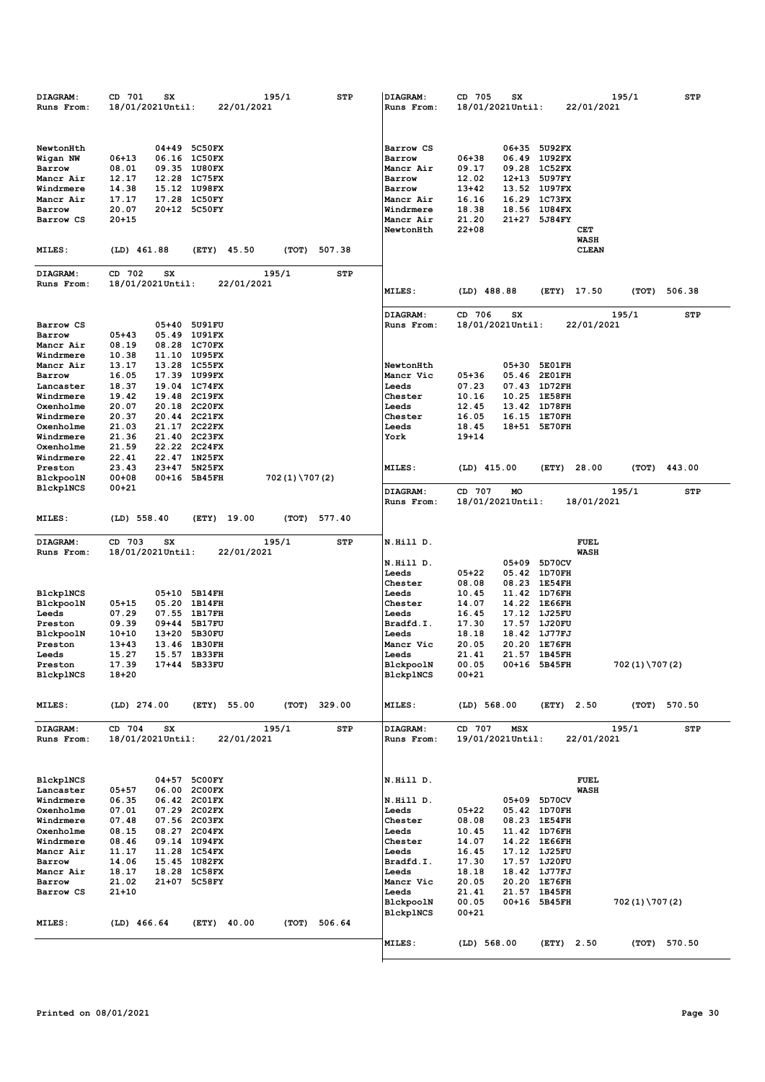| DIAGRAM:<br>Runs From:                                                                                                                                              | CD 701<br>SX<br>18/01/2021Until:<br>22/01/2021                                                                                                                                                                                                                                                                        | 195/1<br>STP     | DIAGRAM:<br>Runs From:                                                                                                                        | CD 705<br>SX<br>18/01/2021Until:                                                                                                                                                                                                                                                        | 195/1<br>22/01/2021                     | <b>STP</b>   |
|---------------------------------------------------------------------------------------------------------------------------------------------------------------------|-----------------------------------------------------------------------------------------------------------------------------------------------------------------------------------------------------------------------------------------------------------------------------------------------------------------------|------------------|-----------------------------------------------------------------------------------------------------------------------------------------------|-----------------------------------------------------------------------------------------------------------------------------------------------------------------------------------------------------------------------------------------------------------------------------------------|-----------------------------------------|--------------|
| NewtonHth<br>Wigan NW<br>Barrow<br>Mancr Air<br>Windrmere<br>Mancr Air<br>Barrow<br>Barrow CS<br>MILES:                                                             | 04+49 5C50FX<br>06.16 1C50FX<br>$06 + 13$<br>09.35 1U80FX<br>08.01<br>12.17<br>12.28 1C75FX<br>14.38<br>15.12 1U98FX<br>17.17<br>17.28 1C50FY<br>20.07<br>20+12 5C50FY<br>$20 + 15$<br>(LD) 461.88<br>(ETY)<br>45.50                                                                                                  | (TOT)<br>507.38  | Barrow CS<br>Barrow<br>Mancr Air<br>Barrow<br>Barrow<br>Mancr Air<br>Windrmere<br>Mancr Air<br>NewtonHth                                      | 06+35 5U92FX<br>06.49 1U92FX<br>06+38<br>09.17<br>09.28 1C52FX<br>12.02<br>12+13 5U97FY<br>$13+42$<br>13.52 1U97FX<br>16.16<br>16.29 1C73FX<br>18.38<br>18.56 1U84FX<br>21.20<br>21+27<br>5J84FY<br>$22+08$                                                                             | CET<br><b>WASH</b><br><b>CLEAN</b>      |              |
| DIAGRAM:<br>Runs From:                                                                                                                                              | CD 702<br>SX<br>18/01/2021Until:<br>22/01/2021                                                                                                                                                                                                                                                                        | 195/1<br>STP     |                                                                                                                                               |                                                                                                                                                                                                                                                                                         |                                         |              |
|                                                                                                                                                                     |                                                                                                                                                                                                                                                                                                                       |                  | MILES:                                                                                                                                        | (LD) 488.88                                                                                                                                                                                                                                                                             | (ETY) 17.50<br>(TOT)                    | 506.38       |
| Barrow CS<br>Barrow<br>Mancr Air<br>Windrmere<br>Mancr Air<br>Barrow<br>Lancaster                                                                                   | 05+40 5U91FU<br>$05 + 43$<br>05.49 1U91FX<br>08.19<br>08.28 1C70FX<br>11.10 1U95FX<br>10.38<br>13.17<br>13.28 1C55FX<br>16.05<br>17.39 1U99FX<br>18.37<br>19.04 1C74FX                                                                                                                                                |                  | <b>DIAGRAM:</b><br>Runs From:<br>NewtonHth<br>Mancr Vic<br>Leeds                                                                              | CD 706<br>SX<br>18/01/2021Until:<br>05+30 5E01FH<br>05.46 2E01FH<br>$05 + 36$<br>07.23<br>07.43 1D72FH<br>10.16                                                                                                                                                                         | 195/1<br>22/01/2021                     | STP          |
| Windrmere<br>Oxenholme<br>Windrmere<br>Oxenholme<br>Windrmere<br>Oxenholme<br>Windrmere                                                                             | <b>2C19FX</b><br>19.42<br>19.48<br>20.07<br>20.18 2C20FX<br>20.44 2C21FX<br>20.37<br>21.17 2C22FX<br>21.03<br>21.36<br>21.40 2C23FX<br>22.22 2C24FX<br>21.59<br>22.41<br>22.47<br><b>1N25FX</b>                                                                                                                       |                  | Chester<br>Leeds<br>Chester<br>Leeds<br>York                                                                                                  | 10.25 1E58FH<br>12.45<br>13.42 1D78FH<br>16.05<br>16.15 1E70FH<br>18+51 5E70FH<br>18.45<br>$19 + 14$                                                                                                                                                                                    |                                         |              |
| Preston<br>BlckpoolN                                                                                                                                                | 23.43<br>23+47<br>5N25FX<br>00+16 5B45FH<br>$00+08$                                                                                                                                                                                                                                                                   | $702(1)\ 707(2)$ | <b>MILES:</b>                                                                                                                                 | $(LD)$ 415.00<br>(ETY)                                                                                                                                                                                                                                                                  | 28.00<br>(ТОТ)                          | 443.00       |
| BlckplNCS                                                                                                                                                           | 00+21                                                                                                                                                                                                                                                                                                                 |                  | <b>DIAGRAM:</b><br>Runs From:                                                                                                                 | CD 707<br>MO<br>18/01/2021Until:                                                                                                                                                                                                                                                        | 195/1<br>18/01/2021                     | STP          |
| <b>MILES:</b>                                                                                                                                                       | (LD) 558.40<br>(ETY) 19.00                                                                                                                                                                                                                                                                                            | (TOT) 577.40     |                                                                                                                                               |                                                                                                                                                                                                                                                                                         |                                         |              |
| DIAGRAM:<br>Runs From:                                                                                                                                              | CD 703<br>SX<br>18/01/2021Until:<br>22/01/2021                                                                                                                                                                                                                                                                        | 195/1<br>STP     | N.Hill D.<br>N.Hill D.                                                                                                                        | 05+09 5D70CV                                                                                                                                                                                                                                                                            | FUEL<br><b>WASH</b>                     |              |
| BlckplNCS<br>BlckpoolN<br>Leeds<br>Preston<br>BlckpoolN<br>Preston<br>Leeds<br>Preston<br>BlckplNCS                                                                 | 05+10 5B14FH<br><b>1B14FH</b><br>$05 + 15$<br>05.20<br>07.55 1B17FH<br>07.29<br>09.39<br>09+44 5B17FU<br>13+20<br>$10 + 10$<br><b>5B30FU</b><br>$13+43$<br>13.46 1B30FH<br>15.27<br>15.57 1B33FH<br>17+44 5B33FU<br>17.39<br>$18 + 20$                                                                                |                  | Leeds<br>Chester<br>Leeds<br>Chester<br>Leeds<br>Bradfd.I.<br>Leeds<br>Mancr Vic<br>Leeds<br>BlckpoolN<br>BlckplNCS                           | $05 + 22$<br>05.42 1D70FH<br>08.08<br>08.23 1E54FH<br>10.45<br>11.42 1D76FH<br>14.07<br>14.22 1E66FH<br>16.45<br>17.12 1J25FU<br>17.30<br>17.57 1J20FU<br>18.18<br>18.42 1J77FJ<br>20.05<br>20.20 1E76FH<br>21.41<br>21.57 1B45FH<br>00.05<br>00+16 5B45FH<br>$00 + 21$                 | 702 (1) \707 (2)                        |              |
| <b>MILES:</b>                                                                                                                                                       | $(LD)$ 274.00<br>(ETY) 55.00                                                                                                                                                                                                                                                                                          | (TOT) 329.00     | <b>MILES:</b>                                                                                                                                 | $(LD)$ 568.00                                                                                                                                                                                                                                                                           | (ETY) 2.50                              | (TOT) 570.50 |
| DIAGRAM:<br>Runs From:                                                                                                                                              | CD 704<br>SX<br>18/01/2021Until:<br>22/01/2021                                                                                                                                                                                                                                                                        | 195/1<br>STP     | DIAGRAM:<br>Runs From:                                                                                                                        | CD 707<br>MSX<br>19/01/2021Until:                                                                                                                                                                                                                                                       | 195/1<br>22/01/2021                     | STP          |
| BlckplNCS<br>Lancaster<br>Windrmere<br>Oxenholme<br>Windrmere<br>Oxenholme<br>Windrmere<br>Mancr Air<br>Barrow<br>Mancr Air<br>Barrow<br>Barrow CS<br><b>MILES:</b> | 04+57 5C00FY<br>$05 + 57$<br>06.00 2C00FX<br>06.35<br>06.42 2C01FX<br>07.29 2C02FX<br>07.01<br>07.48<br>07.56 2C03FX<br>08.15<br>08.27 2C04FX<br>08.46<br>09.14 1U94FX<br>11.17<br>11.28 1C54FX<br>14.06<br>15.45 1U82FX<br>18.17<br>18.28 1C58FX<br>21.02<br>21+07 5C58FY<br>$21 + 10$<br>(LD) 466.64<br>(ETY) 40.00 | (TOT) 506.64     | N.Hill D.<br>N.Hill D.<br>Leeds<br>Chester<br>Leeds<br>Chester<br>Leeds<br>Bradfd.I.<br>Leeds<br>Mancr Vic<br>Leeds<br>BlckpoolN<br>BlckplNCS | 05+09 5D70CV<br>$05 + 22$<br>05.42 1D70FH<br>08.08<br>08.23 1E54FH<br>11.42 1D76FH<br>10.45<br>14.07<br>14.22 1E66FH<br>16.45<br>17.12 1J25FU<br>17.30<br>17.57 1J20FU<br>18.18<br>18.42 1J77FJ<br>20.05<br>20.20 1E76FH<br>21.41<br>21.57 1B45FH<br>00.05<br>00+16 5B45FH<br>$00 + 21$ | FUEL<br><b>WASH</b><br>$702(1)\ 707(2)$ |              |
|                                                                                                                                                                     |                                                                                                                                                                                                                                                                                                                       |                  | <b>MILES:</b>                                                                                                                                 | $(LD)$ 568.00                                                                                                                                                                                                                                                                           | (ETY) 2.50                              | (TOT) 570.50 |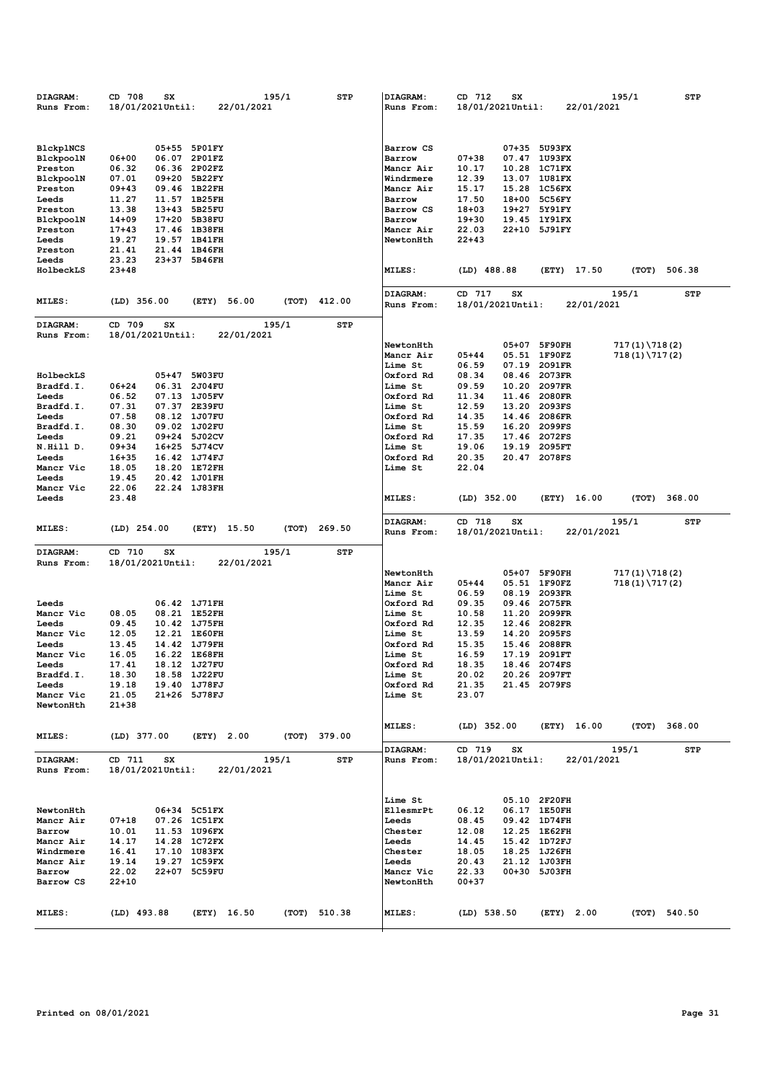| DIAGRAM:           | CD 708<br>sx                       | 195/1                | STP          | DIAGRAM:               | CD 712<br>SX              | 195/1                   | <b>STP</b>     |
|--------------------|------------------------------------|----------------------|--------------|------------------------|---------------------------|-------------------------|----------------|
| Runs From:         | 18/01/2021Until:                   | 22/01/2021           |              | Runs From:             | 18/01/2021Until:          | 22/01/2021              |                |
|                    |                                    |                      |              |                        |                           |                         |                |
|                    |                                    |                      |              |                        |                           |                         |                |
| BlckplNCS          | 05+55 5P01FY                       |                      |              | Barrow CS              | 07+35 5U93FX              |                         |                |
| BlckpoolN          | 06+00<br>06.07 2P01FZ              |                      |              | Barrow                 | $07 + 38$<br>07.47 1U93FX |                         |                |
| Preston            | 06.32<br>06.36 2P02FZ              |                      |              | Mancr Air              | 10.28 1C71FX<br>10.17     |                         |                |
| BlckpoolN          | 09+20<br>5B22FY<br>07.01           |                      |              | Windrmere              | 12.39<br>13.07 1U81FX     |                         |                |
| Preston            | 09+43<br>09.46 1B22FH              |                      |              | Mancr Air              | 15.17<br>15.28 1C56FX     |                         |                |
| Leeds              | 11.27<br>11.57 1B25FH              |                      |              | Barrow                 | 17.50<br>18+00 5C56FY     |                         |                |
| Preston            | 13+43 5B25FU<br>13.38              |                      |              | Barrow CS              | 18+03<br>19+27 5Y91FY     |                         |                |
| BlckpoolN          | 14+09<br>17+20<br>5B38FU           |                      |              | Barrow                 | 19+30<br>19.45 1Y91FX     |                         |                |
| Preston            | 17+43<br>17.46 1B38FH              |                      |              | Mancr Air              | 22.03<br>22+10 5J91FY     |                         |                |
| Leeds              | 19.27<br>19.57 1B41FH              |                      |              | NewtonHth              | $22+43$                   |                         |                |
| Preston            | 21.41<br>21.44 1B46FH              |                      |              |                        |                           |                         |                |
| Leeds<br>HolbeckLS | 23.23<br>23+37 5B46FH<br>$23 + 48$ |                      |              |                        |                           |                         |                |
|                    |                                    |                      |              | <b>MILES:</b>          | (LD) 488.88               | (ETY) 17.50<br>(TOT)    | 506.38         |
|                    |                                    |                      |              |                        |                           |                         |                |
| MILES:             | $(LD)$ 356.00                      | (ETY) 56.00<br>(TOT) | 412.00       | DIAGRAM:<br>Runs From: | CD 717<br>SX              | 195/1                   | STP            |
|                    |                                    |                      |              |                        | 18/01/2021Until:          | 22/01/2021              |                |
| DIAGRAM:           | CD 709<br>SX                       | 195/1                | STP          |                        |                           |                         |                |
| Runs From:         | 18/01/2021Until:                   | 22/01/2021           |              |                        |                           |                         |                |
|                    |                                    |                      |              | NewtonHth              | 05+07 5F90FH              | 717(1)\718(2)           |                |
|                    |                                    |                      |              | Mancr Air              | $05 + 44$<br>05.51 1F90FZ | $718(1)\ 717(2)$        |                |
|                    |                                    |                      |              | Lime St                | 06.59<br>07.19            | <b>2091FR</b>           |                |
| HolbeckLS          | $05 + 47$<br><b>5W03FU</b>         |                      |              | Oxford Rd              | 08.34<br>08.46 2073FR     |                         |                |
| Bradfd.I.          | 06.31 2J04FU<br>06+24              |                      |              | Lime St                | 09.59<br>10.20 2097FR     |                         |                |
| Leeds              | 06.52<br>07.13 1J05FV              |                      |              | Oxford Rd              | 11.34<br>11.46 2080FR     |                         |                |
| Bradfd.I.          | 07.31<br>07.37 2E39FU              |                      |              | Lime St                | 12.59<br>13.20            | <b>2093FS</b>           |                |
| Leeds              | 07.58<br>08.12 1J07FU              |                      |              | Oxford Rd              | 14.35<br>14.46 2086FR     |                         |                |
| Bradfd.I.          | 08.30<br>09.02 1J02FU              |                      |              | Lime St                | 15.59<br>16.20 2099FS     |                         |                |
| Leeds              | 09.21<br>09+24 5J02CV              |                      |              | Oxford Rd              | 17.35<br>17.46 2072FS     |                         |                |
| N.Hill D.          | 09+34<br>$16 + 25$<br>5J74CV       |                      |              | Lime St                | 19.06<br>19.19 2095FT     |                         |                |
| Leeds              | 16+35<br>16.42 1J74FJ              |                      |              | Oxford Rd              | 20.35<br>20.47 2078FS     |                         |                |
| Mancr Vic          | 18.20 1E72FH<br>18.05              |                      |              | Lime St                | 22.04                     |                         |                |
| Leeds              | 19.45<br>20.42 1J01FH              |                      |              |                        |                           |                         |                |
| Mancr Vic          | 22.06<br>22.24 1J83FH              |                      |              |                        |                           |                         |                |
| Leeds              | 23.48                              |                      |              | <b>MILES:</b>          | $(LD)$ 352.00             | (ETY)<br>16.00<br>(TOT) | 368.00         |
|                    |                                    |                      |              |                        |                           |                         |                |
|                    |                                    |                      |              | DIAGRAM:               | CD 718<br>SX              | 195/1                   | <b>STP</b>     |
| MILES:             | $(LD)$ 254.00<br>(ETY)             | 15.50<br>(TOT)       | 269.50       | Runs From:             | 18/01/2021Until:          | 22/01/2021              |                |
|                    |                                    |                      |              |                        |                           |                         |                |
|                    |                                    |                      |              |                        |                           |                         |                |
| <b>DIAGRAM:</b>    | CD 710<br>SX                       | 195/1                | STP          |                        |                           |                         |                |
| Runs From:         | 18/01/2021Until:                   | 22/01/2021           |              |                        |                           |                         |                |
|                    |                                    |                      |              | NewtonHth              | 05+07 5F90FH              | 717(1)\718(2)           |                |
|                    |                                    |                      |              | Mancr Air              | $05 + 44$<br>05.51 1F90FZ | 718 (1) \717 (2)        |                |
|                    |                                    |                      |              | Lime St                | 06.59<br>08.19 2093FR     |                         |                |
| Leeds              | 06.42 1J71FH                       |                      |              | Oxford Rd              | 09.35<br>09.46 2075FR     |                         |                |
| Mancr Vic          | 08.05<br>08.21 1E52FH              |                      |              | Lime St                | 10.58<br>11.20            | 2099FR                  |                |
| Leeds              | 10.42 1J75FH<br>09.45              |                      |              | Oxford Rd              | 12.35<br>12.46 2082FR     |                         |                |
| Mancr Vic          | 12.05<br>12.21 1E60FH              |                      |              | Lime St                | 13.59<br>14.20 2095FS     |                         |                |
| Leeds              | 13.45<br>14.42 1J79FH              |                      |              | Oxford Rd              | 15.35<br>15.46 2088FR     |                         |                |
| Mancr Vic          | 16.05<br>16.22 1E68FH              |                      |              | Lime St                | 16.59<br>17.19 2091FT     |                         |                |
| Leeds              | 17.41<br>18.12 1J27FU              |                      |              | Oxford Rd              | 18.35<br>18.46 2074FS     |                         |                |
| Bradfd.I.          | 18.30<br>18.58 1J22FU              |                      |              | Lime St                | 20.26 2097FT<br>20.02     |                         |                |
| Leeds              | 19.18<br>19.40 1J78FJ              |                      |              | Oxford Rd              | 21.35<br>21.45 2079FS     |                         |                |
| Mancr Vic          | 21.05<br>21+26 5J78FJ              |                      |              | Lime St                | 23.07                     |                         |                |
| NewtonHth          | 21+38                              |                      |              |                        |                           |                         |                |
|                    |                                    |                      |              |                        |                           |                         |                |
|                    |                                    |                      |              | <b>MILES:</b>          | $(LD)$ 352.00             | (ETY) 16.00             | $(TOT)$ 368.00 |
| MILES:             | $(LD)$ 377.00                      | (ETY) 2.00           | (TOT) 379.00 |                        |                           |                         |                |
|                    |                                    |                      |              | <b>DIAGRAM:</b>        | CD 719<br>SX              | 195/1                   | <b>STP</b>     |
| DIAGRAM:           | CD 711<br>SX                       | 195/1                | STP          | Runs From:             | 18/01/2021Until:          | 22/01/2021              |                |
| Runs From:         | 18/01/2021Until:                   | 22/01/2021           |              |                        |                           |                         |                |
|                    |                                    |                      |              |                        |                           |                         |                |
|                    |                                    |                      |              |                        |                           |                         |                |
|                    |                                    |                      |              | Lime St                | 05.10 2F20FH              |                         |                |
| NewtonHth          | 06+34 5C51FX                       |                      |              | EllesmrPt              | 06.12<br>06.17 1E50FH     |                         |                |
| Mancr Air          | 07.26 1C51FX<br>07+18              |                      |              | Leeds                  | 09.42 1D74FH<br>08.45     |                         |                |
| Barrow             | 10.01<br>11.53 1U96FX              |                      |              | Chester                | 12.08<br>12.25 1E62FH     |                         |                |
| Mancr Air          | 14.17<br>14.28 1C72FX              |                      |              | Leeds                  | 14.45<br>15.42 1D72FJ     |                         |                |
| Windrmere          | 16.41<br>17.10 1U83FX              |                      |              | Chester                | 18.25 1J26FH<br>18.05     |                         |                |
| Mancr Air          | 19.14<br>19.27 1C59FX              |                      |              | Leeds                  | 20.43<br>21.12 1J03FH     |                         |                |
| Barrow             | 22.02<br>22+07 5C59FU              |                      |              | Mancr Vic              | 22.33<br>00+30 5J03FH     |                         |                |
| Barrow CS          | 22+10                              |                      |              | NewtonHth              | $00 + 37$                 |                         |                |
|                    |                                    |                      |              |                        |                           |                         |                |
|                    |                                    |                      |              |                        |                           |                         |                |
| MILES:             | $(LD)$ 493.88                      | (ETY) 16.50          | (TOT) 510.38 | <b>MILES:</b>          | (LD) 538.50               | (ETY) 2.00              | (TOT) 540.50   |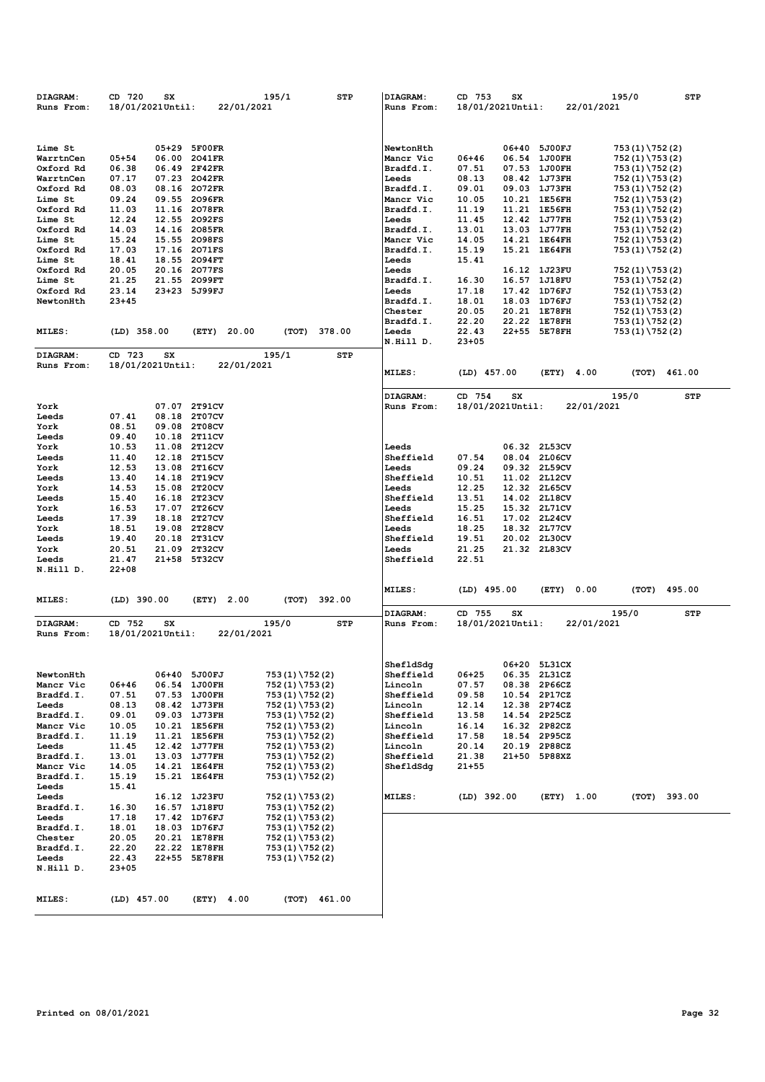| <b>DIAGRAM:</b> | CD 720           | SX    |                | 195/1            | <b>STP</b> | DIAGRAM:        | 753<br>CD        | SX    |              |            | 195/0            | STP          |
|-----------------|------------------|-------|----------------|------------------|------------|-----------------|------------------|-------|--------------|------------|------------------|--------------|
| Runs From:      | 18/01/2021Until: |       | 22/01/2021     |                  |            | Runs From:      | 18/01/2021Until: |       |              | 22/01/2021 |                  |              |
|                 |                  |       |                |                  |            |                 |                  |       |              |            |                  |              |
|                 |                  |       |                |                  |            |                 |                  |       |              |            |                  |              |
|                 |                  |       |                |                  |            |                 |                  |       |              |            |                  |              |
| Lime St         |                  | 05+29 | 5F00FR         |                  |            | NewtonHth       |                  | 06+40 | 5J00FJ       |            | $753(1)\ 752(2)$ |              |
| WarrtnCen       | $05 + 54$        | 06.00 | 2041FR         |                  |            | Mancr Vic       | $06 + 46$        |       | 06.54 1J00FH |            | $752(1)\ 753(2)$ |              |
| Oxford Rd       | 06.38            | 06.49 | 2F42FR         |                  |            | Bradfd.I.       | 07.51            |       | 07.53 1J00FH |            | $753(1)\ 752(2)$ |              |
| WarrtnCen       | 07.17            | 07.23 | 2042FR         |                  |            | Leeds           | 08.13            |       | 08.42 1J73FH |            | $752(1)\ 753(2)$ |              |
| Oxford Rd       | 08.03            |       | 08.16 2072FR   |                  |            | Bradfd.I.       | 09.01            |       | 09.03 1J73FH |            | $753(1)\ 752(2)$ |              |
| Lime St         | 09.24            |       | 09.55 2096FR   |                  |            | Mancr Vic       | 10.05            |       | 10.21 1E56FH |            | $752(1)\ 753(2)$ |              |
| Oxford Rd       | 11.03            | 11.16 | 2078FR         |                  |            | Bradfd.I.       | 11.19            |       | 11.21 1E56FH |            | $753(1)\ 752(2)$ |              |
| Lime St         | 12.24            |       | 12.55 2092FS   |                  |            | Leeds           | 11.45            |       | 12.42 1J77FH |            | $752(1)\ 753(2)$ |              |
| Oxford Rd       | 14.03            |       | 14.16 2085FR   |                  |            | Bradfd.I.       | 13.01            |       | 13.03 1J77FH |            | $753(1)\ 752(2)$ |              |
| Lime St         | 15.24            |       | 15.55 2098FS   |                  |            | Mancr Vic       | 14.05            |       | 14.21 1E64FH |            | $752(1)\ 753(2)$ |              |
| Oxford Rd       | 17.03            |       | 17.16 2071FS   |                  |            | Bradfd.I.       | 15.19            |       | 15.21 1E64FH |            |                  |              |
| Lime St         |                  | 18.55 | 2094FT         |                  |            | Leeds           | 15.41            |       |              |            | $753(1)\ 752(2)$ |              |
|                 | 18.41            |       |                |                  |            |                 |                  |       |              |            |                  |              |
| Oxford Rd       | 20.05            |       | 20.16 2077FS   |                  |            | Leeds           |                  |       | 16.12 1J23FU |            | $752(1)\ 753(2)$ |              |
| Lime St         | 21.25            |       | 21.55 2099FT   |                  |            | Bradfd.I.       | 16.30            |       | 16.57 1J18FU |            | $753(1)\ 752(2)$ |              |
| Oxford Rd       | 23.14            |       | 23+23 5J99FJ   |                  |            | Leeds           | 17.18            |       | 17.42 1D76FJ |            | $752(1)\ 753(2)$ |              |
| NewtonHth       | $23 + 45$        |       |                |                  |            | Bradfd.I.       | 18.01            |       | 18.03 1D76FJ |            | $753(1)\ 752(2)$ |              |
|                 |                  |       |                |                  |            | Chester         | 20.05            |       | 20.21 1E78FH |            | $752(1)\ 753(2)$ |              |
|                 |                  |       |                |                  |            | Bradfd.I.       | 22.20            |       | 22.22 1E78FH |            | $753(1)\ 752(2)$ |              |
| MILES:          | $(LD)$ 358.00    |       | (ETY)<br>20.00 | (ТОТ)            | 378.00     | Leeds           | 22.43            |       | 22+55 5E78FH |            | $753(1)\ 752(2)$ |              |
|                 |                  |       |                |                  |            | N.Hill D.       | $23 + 05$        |       |              |            |                  |              |
| DIAGRAM:        | CD 723           | SX    |                | 195/1            | <b>STP</b> |                 |                  |       |              |            |                  |              |
| Runs From:      | 18/01/2021Until: |       | 22/01/2021     |                  |            |                 |                  |       |              |            |                  |              |
|                 |                  |       |                |                  |            | MILES:          | $(LD)$ 457.00    |       | (ETY)        | 4.00       | (TOT)            | 461.00       |
|                 |                  |       |                |                  |            |                 |                  |       |              |            |                  |              |
|                 |                  |       |                |                  |            | DIAGRAM:        | CD 754           | SX    |              |            | 195/0            | STP          |
| York            |                  | 07.07 | 2T91CV         |                  |            | Runs From:      | 18/01/2021Until: |       |              | 22/01/2021 |                  |              |
|                 |                  |       |                |                  |            |                 |                  |       |              |            |                  |              |
| Leeds           | 07.41            | 08.18 | 2T07CV         |                  |            |                 |                  |       |              |            |                  |              |
| York            | 08.51            | 09.08 | 2T08CV         |                  |            |                 |                  |       |              |            |                  |              |
| Leeds           | 09.40            | 10.18 | 2T11CV         |                  |            |                 |                  |       |              |            |                  |              |
| York            | 10.53            | 11.08 | 2T12CV         |                  |            | Leeds           |                  |       | 06.32 2L53CV |            |                  |              |
| Leeds           | 11.40            |       | 12.18 2T15CV   |                  |            | Sheffield       | 07.54            |       | 08.04 2L06CV |            |                  |              |
| York            | 12.53            | 13.08 | 2T16CV         |                  |            | Leeds           | 09.24            |       | 09.32 2L59CV |            |                  |              |
| Leeds           | 13.40            | 14.18 | 2T19CV         |                  |            | Sheffield       | 10.51            |       | 11.02 2L12CV |            |                  |              |
| York            | 14.53            | 15.08 | <b>2T20CV</b>  |                  |            | Leeds           | 12.25            |       | 12.32 2L65CV |            |                  |              |
| Leeds           | 15.40            | 16.18 | 2T23CV         |                  |            | Sheffield       | 13.51            |       | 14.02 2L18CV |            |                  |              |
| York            | 16.53            | 17.07 | 2T26CV         |                  |            | Leeds           | 15.25            |       | 15.32 2L71CV |            |                  |              |
| Leeds           | 17.39            | 18.18 | <b>2T27CV</b>  |                  |            | Sheffield       | 16.51            |       | 17.02 2L24CV |            |                  |              |
| York            | 18.51            | 19.08 | 2T28CV         |                  |            | Leeds           | 18.25            |       | 18.32 2L77CV |            |                  |              |
| Leeds           | 19.40            | 20.18 | 2T31CV         |                  |            | Sheffield       | 19.51            |       | 20.02 2L30CV |            |                  |              |
| York            | 20.51            | 21.09 | <b>2T32CV</b>  |                  |            | Leeds           | 21.25            |       | 21.32 2L83CV |            |                  |              |
| Leeds           | 21.47            |       | 21+58 5T32CV   |                  |            | Sheffield       | 22.51            |       |              |            |                  |              |
| N.Hill D.       | $22+08$          |       |                |                  |            |                 |                  |       |              |            |                  |              |
|                 |                  |       |                |                  |            |                 |                  |       |              |            |                  |              |
|                 |                  |       |                |                  |            | <b>MILES:</b>   |                  |       |              |            | (ТОТ)            |              |
|                 |                  |       |                |                  | 392.00     |                 | (LD) 495.00      |       | (ETY)        | 0.00       |                  | 495.00       |
| <b>MILES:</b>   | $(LD)$ 390.00    |       | (ETY)<br>2.00  | (ТОТ)            |            |                 |                  |       |              |            |                  |              |
|                 |                  |       |                |                  |            | <b>DIAGRAM:</b> | CD 755           | SX    |              |            | 195/0            | STP          |
| DIAGRAM:        | CD 752           | SX    |                | 195/0            | STP        | Runs From:      | 18/01/2021Until: |       |              | 22/01/2021 |                  |              |
| Runs From:      | 18/01/2021Until: |       | 22/01/2021     |                  |            |                 |                  |       |              |            |                  |              |
|                 |                  |       |                |                  |            |                 |                  |       |              |            |                  |              |
|                 |                  |       |                |                  |            |                 |                  |       |              |            |                  |              |
|                 |                  |       |                |                  |            | ShefldSda       |                  | 06+20 | 5L31CX       |            |                  |              |
| NewtonHth       |                  |       | 06+40 5J00FJ   | 753 (1) \752 (2) |            | Sheffield       | 06+25            |       | 06.35 2L31CZ |            |                  |              |
| Mancr Vic       | 06+46            |       | 06.54 1J00FH   | $752(1)\ 753(2)$ |            | Lincoln         | 07.57            |       | 08.38 2P66CZ |            |                  |              |
| Bradfd.I.       | 07.51            |       | 07.53 1J00FH   | 753 (1) \752 (2) |            | Sheffield       | 09.58            |       | 10.54 2P17CZ |            |                  |              |
| Leeds           | 08.13            |       | 08.42 1J73FH   | $752(1)\ 753(2)$ |            | Lincoln         | 12.14            |       | 12.38 2P74CZ |            |                  |              |
| Bradfd.I.       | 09.01            |       | 09.03 1J73FH   | 753 (1) \752 (2) |            | Sheffield       | 13.58            |       | 14.54 2P25CZ |            |                  |              |
| Mancr Vic       | 10.05            |       | 10.21 1E56FH   | 752 (1) \753 (2) |            | Lincoln         | 16.14            |       | 16.32 2P82CZ |            |                  |              |
| Bradfd.I.       | 11.19            |       | 11.21 1E56FH   | 753 (1) \752 (2) |            | Sheffield       | 17.58            |       | 18.54 2P95CZ |            |                  |              |
|                 |                  |       |                |                  |            | Lincoln         |                  |       |              |            |                  |              |
| Leeds           | 11.45            |       | 12.42 1J77FH   | $752(1)\ 753(2)$ |            |                 | 20.14            |       | 20.19 2P88CZ |            |                  |              |
| Bradfd.I.       | 13.01            |       | 13.03 1J77FH   | 753 (1) \752 (2) |            | Sheffield       | 21.38            |       | 21+50 5P88XZ |            |                  |              |
| Mancr Vic       | 14.05            |       | 14.21 1E64FH   | $752(1)\ 753(2)$ |            | ShefldSdg       | 21+55            |       |              |            |                  |              |
| Bradfd.I.       | 15.19            |       | 15.21 1E64FH   | 753 (1) \752 (2) |            |                 |                  |       |              |            |                  |              |
| Leeds           | 15.41            |       |                |                  |            |                 |                  |       |              |            |                  |              |
| Leeds           |                  |       | 16.12 1J23FU   | $752(1)\ 753(2)$ |            | <b>MILES:</b>   | (LD) 392.00      |       | (ETY) 1.00   |            |                  | (TOT) 393.00 |
| Bradfd.I.       | 16.30            |       | 16.57 1J18FU   | 753 (1) \752 (2) |            |                 |                  |       |              |            |                  |              |
| Leeds           | 17.18            |       | 17.42 1D76FJ   | 752 (1) \753 (2) |            |                 |                  |       |              |            |                  |              |
| Bradfd.I.       | 18.01            |       | 18.03 1D76FJ   | 753 (1) \752 (2) |            |                 |                  |       |              |            |                  |              |
| Chester         | 20.05            |       | 20.21 1E78FH   | $752(1)\ 753(2)$ |            |                 |                  |       |              |            |                  |              |
| Bradfd.I.       | 22.20            |       | 22.22 1E78FH   | 753 (1) \752 (2) |            |                 |                  |       |              |            |                  |              |
| Leeds           | 22.43            |       | 22+55 5E78FH   | 753 (1) \752 (2) |            |                 |                  |       |              |            |                  |              |
| N.Hill D.       | $23+05$          |       |                |                  |            |                 |                  |       |              |            |                  |              |
|                 |                  |       |                |                  |            |                 |                  |       |              |            |                  |              |
|                 |                  |       |                |                  |            |                 |                  |       |              |            |                  |              |
| <b>MILES:</b>   | (LD) 457.00      |       | (ETY) 4.00     | (TOT) 461.00     |            |                 |                  |       |              |            |                  |              |
|                 |                  |       |                |                  |            |                 |                  |       |              |            |                  |              |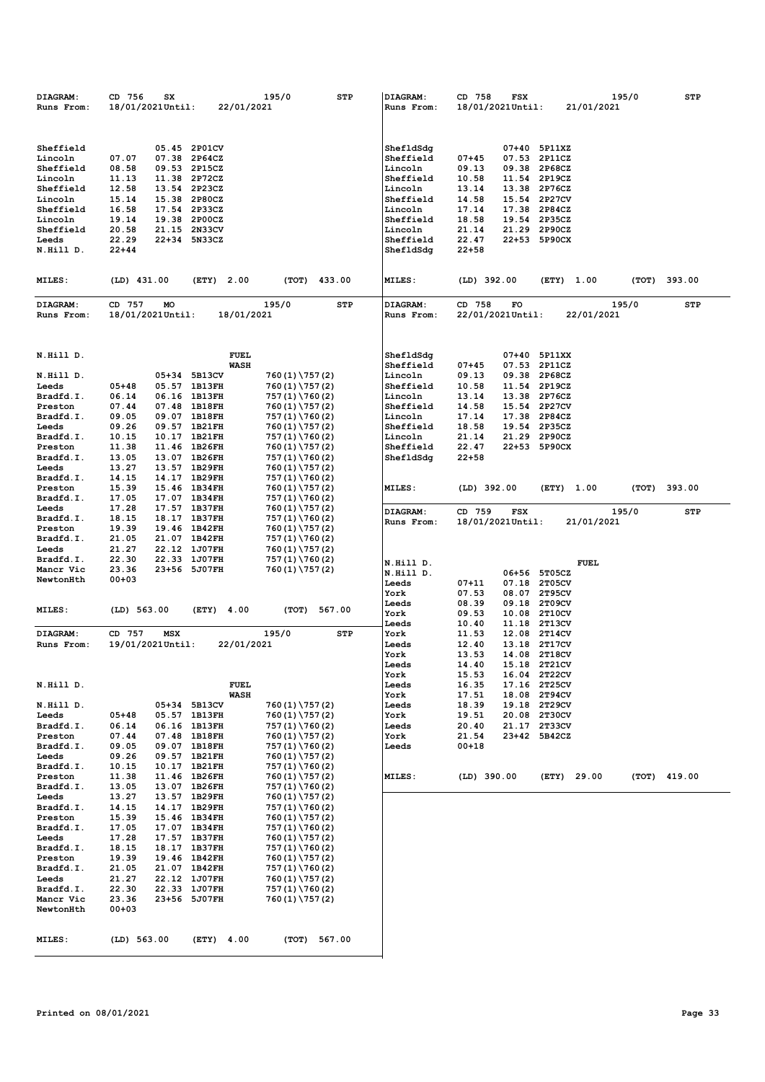| DIAGRAM:               | CD 756<br>SX                      |                              | 195/0<br>STP                         | DIAGRAM:             | CD 758             | FSX            |                               | 195/0      |       | STP    |
|------------------------|-----------------------------------|------------------------------|--------------------------------------|----------------------|--------------------|----------------|-------------------------------|------------|-------|--------|
| Runs From:             | 18/01/2021Until:                  | 22/01/2021                   |                                      | Runs From:           | 18/01/2021Until:   |                |                               | 21/01/2021 |       |        |
|                        |                                   |                              |                                      |                      |                    |                |                               |            |       |        |
|                        |                                   |                              |                                      |                      |                    |                |                               |            |       |        |
| Sheffield              |                                   | 05.45 2P01CV                 |                                      | ShefldSdg            |                    |                | 07+40 5P11XZ                  |            |       |        |
| Lincoln<br>Sheffield   | 07.07<br>07.38<br>08.58           | 2P64CZ<br>09.53 2P15CZ       |                                      | Sheffield<br>Lincoln | $07 + 45$<br>09.13 |                | 07.53 2P11CZ<br>09.38 2P68CZ  |            |       |        |
| Lincoln                | 11.13                             | 11.38 2P72CZ                 |                                      | Sheffield            | 10.58              |                | 11.54 2P19CZ                  |            |       |        |
| Sheffield              | 12.58<br>13.54                    | 2P23CZ                       |                                      | Lincoln              | 13.14              | 13.38          | 2P76CZ                        |            |       |        |
| Lincoln<br>Sheffield   | 15.14<br>16.58<br>17.54           | 15.38 2P80CZ<br>2P33CZ       |                                      | Sheffield<br>Lincoln | 14.58<br>17.14     |                | 15.54 2P27CV<br>17.38 2P84CZ  |            |       |        |
| Lincoln                | 19.14<br>19.38                    | 2P00CZ                       |                                      | Sheffield            | 18.58              |                | 19.54 2P35CZ                  |            |       |        |
| Sheffield              | 20.58<br>21.15                    | <b>2N33CV</b>                |                                      | Lincoln              | 21.14              |                | 21.29 2P90CZ                  |            |       |        |
| Leeds                  | 22.29                             | 22+34 5N33CZ                 |                                      | Sheffield            | 22.47              |                | 22+53 5P90CX                  |            |       |        |
| N.Hill D.              | $22 + 44$                         |                              |                                      | ShefldSdg            | $22 + 58$          |                |                               |            |       |        |
|                        |                                   |                              |                                      |                      |                    |                |                               |            |       |        |
| <b>MILES:</b>          | $(LD)$ 431.00                     | (ETY)<br>2.00                | (TOT)<br>433.00                      | MILES:               | $(LD)$ 392.00      |                | (ETY) 1.00                    |            | (TOT) | 393.00 |
| DIAGRAM:               | CD 757<br>МO                      |                              | 195/0<br><b>STP</b>                  | DIAGRAM:             | CD 758             | FO             |                               | 195/0      |       | STP    |
| Runs From:             | 18/01/2021Until:                  | 18/01/2021                   |                                      | Runs From:           | 22/01/2021Until:   |                |                               | 22/01/2021 |       |        |
|                        |                                   |                              |                                      |                      |                    |                |                               |            |       |        |
|                        |                                   |                              |                                      |                      |                    |                |                               |            |       |        |
| N.Hill D.              |                                   | <b>FUEL</b>                  |                                      | ShefldSdg            |                    |                | 07+40 5P11XX                  |            |       |        |
|                        |                                   | <b>WASH</b>                  |                                      | Sheffield            | $07 + 45$          |                | 07.53 2P11CZ                  |            |       |        |
| N.Hill D.<br>Leeds     | $05 + 48$                         | 05+34 5B13CV<br>05.57 1B13FH | 760(1)\757(2)                        | Lincoln<br>Sheffield | 09.13<br>10.58     | 09.38          | 2P68CZ<br>11.54 2P19CZ        |            |       |        |
| Bradfd.I.              | 06.14                             | 06.16 1B13FH                 | 760(1)\757(2)<br>$757(1)\1760(2)$    | Lincoln              | 13.14              |                | 13.38 2P76CZ                  |            |       |        |
| Preston                | 07.44                             | 07.48 1B18FH                 | 760(1)\757(2)                        | Sheffield            | 14.58              |                | 15.54 2P27CV                  |            |       |        |
| Bradfd.I.              | 09.05                             | 09.07 1B18FH                 | 757(1)\760(2)                        | Lincoln              | 17.14              |                | 17.38 2P84CZ                  |            |       |        |
| Leeds<br>Bradfd.I.     | 09.26<br>10.15                    | 09.57 1B21FH<br>10.17 1B21FH | 760(1)\757(2)                        | Sheffield<br>Lincoln | 18.58<br>21.14     | 21.29          | 19.54 2P35CZ<br>2P90CZ        |            |       |        |
| Preston                | 11.38                             | 11.46 1B26FH                 | 757(1)\760(2)<br>760(1)\757(2)       | Sheffield            | 22.47              |                | 22+53 5P90CX                  |            |       |        |
| Bradfd.I.              | 13.05                             | 13.07 1B26FH                 | 757(1)\760(2)                        | ShefldSdg            | $22 + 58$          |                |                               |            |       |        |
| Leeds                  | 13.27                             | 13.57 1B29FH                 | $760(1)\ 757(2)$                     |                      |                    |                |                               |            |       |        |
| Bradfd.I.<br>Preston   | 14.15<br>15.39                    | 14.17 1B29FH<br>15.46 1B34FH | 757 (1) \760 (2)<br>760(1)\757(2)    | MILES:               | $(LD)$ 392.00      |                | (ETY) 1.00                    |            | (TOT) | 393.00 |
| Bradfd.I.              | 17.05                             | 17.07 1B34FH                 | 757(1)\760(2)                        |                      |                    |                |                               |            |       |        |
| Leeds                  | 17.28                             | 17.57 1B37FH                 | 760(1)\757(2)                        | DIAGRAM:             | CD 759             | FSX            |                               | 195/0      |       | STP    |
| Bradfd.I.              | 18.15                             | 18.17 1B37FH                 | 757 (1) \760 (2)                     | Runs From:           | 18/01/2021Until:   |                |                               | 21/01/2021 |       |        |
| Preston<br>Bradfd.I.   | 19.39<br>21.05                    | 19.46 1B42FH<br>21.07 1B42FH | 760(1)\757(2)<br>757(1)\760(2)       |                      |                    |                |                               |            |       |        |
| Leeds                  | 21.27                             | 22.12 1J07FH                 | 760(1)\757(2)                        |                      |                    |                |                               |            |       |        |
| Bradfd.I.              | 22.30                             | 22.33 1J07FH                 | 757 (1) \760 (2)                     | N.Hill D.            |                    |                |                               | FUEL       |       |        |
| Mancr Vic<br>NewtonHth | 23.36<br>$00 + 03$                | 23+56 5J07FH                 | 760(1)\757(2)                        | N.Hill D.            |                    |                | 06+56 5T05CZ                  |            |       |        |
|                        |                                   |                              |                                      | Leeds<br>York        | $07 + 11$<br>07.53 |                | 07.18 2T05CV                  |            |       |        |
|                        |                                   |                              |                                      | Leeds                | 08.39              | 09.18          | 08.07 2T95CV<br><b>2T09CV</b> |            |       |        |
| MILES:                 | $(LD)$ 563.00                     | (ETY)<br>4.00                | (ТОТ)<br>567.00                      | York                 | 09.53              | 10.08          | 2T10CV                        |            |       |        |
|                        |                                   |                              |                                      | Leeds                | 10.40              | 11.18          | 2T13CV                        |            |       |        |
| DIAGRAM:<br>Runs From: | CD 757<br>MSX<br>19/01/2021Until: | 22/01/2021                   | STP<br>195/0                         | York<br>Leeds        | 11.53<br>12.40     | 12.08<br>13.18 | <b>2T14CV</b><br>2T17CV       |            |       |        |
|                        |                                   |                              |                                      | York                 | 13.53              | 14.08          | <b>2T18CV</b>                 |            |       |        |
|                        |                                   |                              |                                      | Leeds                | 14.40              |                | 15.18 2T21CV                  |            |       |        |
|                        |                                   |                              |                                      | York                 | 15.53              |                | 16.04 2T22CV                  |            |       |        |
| N.Hill D.              |                                   | <b>FUEL</b><br><b>WASH</b>   |                                      | Leeds<br>York        | 16.35<br>17.51     | 17.16<br>18.08 | 2T25CV<br>2T94CV              |            |       |        |
| N.Hill D.              | 05+34                             | 5B13CV                       | 760(1)\757(2)                        | Leeds                | 18.39              | 19.18          | 2T29CV                        |            |       |        |
| Leeds                  | $05 + 48$                         | 05.57 1B13FH                 | 760 (1) \757 (2)                     | York                 | 19.51              |                | 20.08 2T30CV                  |            |       |        |
| Bradfd.I.<br>Preston   | 06.14<br>07.44                    | 06.16 1B13FH<br>07.48 1B18FH | 757 (1) \760 (2)<br>760(1)\757(2)    | Leeds<br>York        | 20.40<br>21.54     |                | 21.17 2T33CV<br>23+42 5B42CZ  |            |       |        |
| Bradfd.I.              | 09.05                             | 09.07 1B18FH                 | $757(1)\1760(2)$                     | Leeds                | 00+18              |                |                               |            |       |        |
| Leeds                  | 09.26                             | 09.57 1B21FH                 | $760(1)\ 757(2)$                     |                      |                    |                |                               |            |       |        |
| Bradfd.I.              | 10.15                             | 10.17 1B21FH                 | 757 (1) \760 (2)                     |                      |                    |                |                               |            |       |        |
| Preston<br>Bradfd.I.   | 11.38<br>13.05                    | 11.46 1B26FH<br>13.07 1B26FH | 760 (1) \757 (2)<br>$757(1)\ 760(2)$ | MILES:               | $(LD)$ 390.00      |                | (ETY)                         | 29.00      | (ТОТ) | 419.00 |
| Leeds                  | 13.27                             | 13.57 1B29FH                 | $760(1)\ 757(2)$                     |                      |                    |                |                               |            |       |        |
| Bradfd.I.              | 14.15                             | 14.17 1B29FH                 | 757(1)\760(2)                        |                      |                    |                |                               |            |       |        |
| Preston<br>Bradfd.I.   | 15.39<br>17.05                    | 15.46 1B34FH<br>17.07 1B34FH | 760(1)\757(2)<br>$757(1)\1760(2)$    |                      |                    |                |                               |            |       |        |
| Leeds                  | 17.28                             | 17.57 1B37FH                 | 760(1)\757(2)                        |                      |                    |                |                               |            |       |        |
| Bradfd.I.              | 18.15                             | 18.17 1B37FH                 | 757(1)\760(2)                        |                      |                    |                |                               |            |       |        |
| Preston                | 19.39                             | 19.46 1B42FH                 | 760(1)\757(2)                        |                      |                    |                |                               |            |       |        |
| Bradfd.I.              | 21.05                             | 21.07 1B42FH                 | 757(1)\760(2)                        |                      |                    |                |                               |            |       |        |
| Leeds<br>Bradfd.I.     | 21.27<br>22.30                    | 22.12 1J07FH<br>22.33 1J07FH | 760(1)\757(2)<br>757(1)\760(2)       |                      |                    |                |                               |            |       |        |
| Mancr Vic              | 23.36                             | 23+56 5J07FH                 | 760(1)\757(2)                        |                      |                    |                |                               |            |       |        |
| NewtonHth              | $00+03$                           |                              |                                      |                      |                    |                |                               |            |       |        |
|                        |                                   |                              |                                      |                      |                    |                |                               |            |       |        |
| <b>MILES:</b>          | (LD) 563.00                       | (ETY)<br>4.00                | (TOT)<br>567.00                      |                      |                    |                |                               |            |       |        |
|                        |                                   |                              |                                      |                      |                    |                |                               |            |       |        |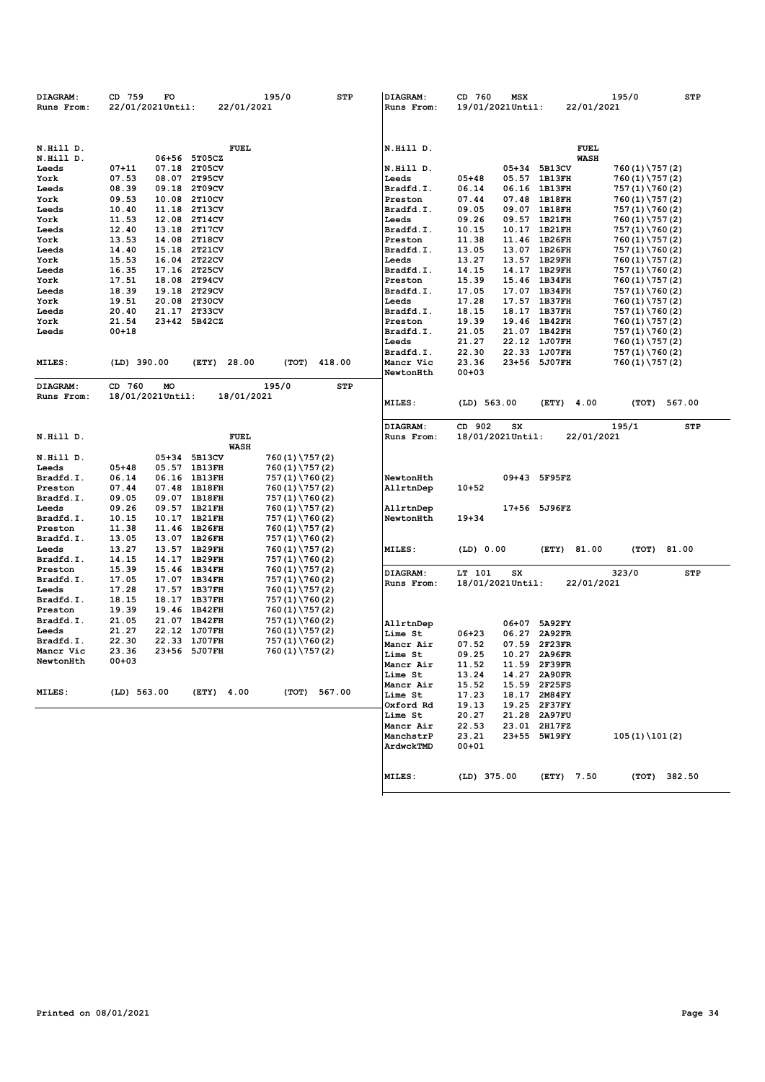| 22/01/2021Until:<br>22/01/2021<br>19/01/2021Until:<br>22/01/2021<br>Runs From:<br>Runs From:<br><b>FUEL</b><br>FUEL<br>N.Hill D.<br>N.Hill D.<br>N.Hill D.<br>06+56<br>5T05CZ<br><b>WASH</b><br>$07 + 11$<br>07.18<br>2T05CV<br>N.Hill D.<br>05+34 5B13CV<br>Leeds<br>07.53<br>2T95CV<br>$05 + 48$<br>York<br>08.07<br>Leeds<br>05.57 1B13FH<br>08.39<br>Bradfd.I.<br>06.14<br>Leeds<br>09.18<br>2T09CV<br>06.16 1B13FH<br>09.53<br>10.08<br>2T10CV<br>Preston<br>07.44<br><b>1B18FH</b><br>York<br>07.48<br>10.40<br>2T13CV<br>Bradfd.I.<br>09.05<br>09.07 1B18FH<br>11.18<br>Leeds<br>11.53<br>Leeds<br>09.26<br>York<br>12.08<br>2T14CV<br>09.57 1B21FH<br>12.40<br>13.18<br>2T17CV<br>Bradfd.I.<br>10.15<br>1B21FH<br>Leeds<br>10.17<br>13.53<br>14.08<br>2T18CV<br>Preston<br>11.38<br>1B26FH<br>York<br>11.46<br>14.40<br>15.18<br>2T21CV<br>Bradfd.I.<br>13.05<br>13.07 1B26FH<br>$757(1)\1760(2)$<br>Leeds<br>13.27<br>York<br>15.53<br>16.04<br><b>2T22CV</b><br>Leeds<br>13.57<br><b>1B29FH</b><br>760 (1) \757 (2)<br>16.35<br>2T25CV<br>Bradfd.I.<br>14.15<br>1B29FH<br>Leeds<br>17.16<br>14.17<br>$757(1)\1760(2)$<br>17.51<br>18.08<br>2T94CV<br>15.39<br>15.46 1B34FH<br>Preston<br>760 (1) \757 (2)<br>York<br>2T29CV<br>17.05<br>Leeds<br>18.39<br>19.18<br>Bradfd.I.<br>17.07<br><b>1B34FH</b><br>$757(1)\1760(2)$<br>19.51<br>20.08<br>2T30CV<br>Leeds<br>17.28<br>17.57<br>1B37FH<br>York<br>20.40<br>21.17<br>2T33CV<br>Bradfd.I.<br>18.15<br>18.17 1B37FH<br>Leeds<br>21.54<br>23+42 5B42CZ<br>19.39<br>Preston<br>19.46 1B42FH<br>York<br>$00 + 18$<br>Bradfd.I.<br>21.05<br>21.07<br>1B42FH<br>Leeds<br>Leeds<br>21.27<br>22.12<br><b>1J07FH</b><br>22.30<br><b>1J07FH</b><br>Bradfd.I.<br>22.33<br>28.00<br>23.36<br><b>MILES:</b><br>(LD) 390.00<br>(ETY)<br>(ТОТ)<br>418.00<br>Mancr Vic<br>23+56<br><b>5J07FH</b><br>$00 + 03$<br>NewtonHth<br>CD 760<br>195/0<br>STP<br>DIAGRAM:<br>MO<br>18/01/2021Until:<br>18/01/2021<br>Runs From:<br>MILES:<br>$(LD)$ 563.00<br>(ETY)<br>4.00<br>(TOT)<br>DIAGRAM:<br>CD 902<br>195/1<br>SX<br>N.Hill D.<br><b>FUEL</b><br>18/01/2021Until:<br>22/01/2021<br>Runs From:<br><b>WASH</b><br>N.Hill D.<br>05+34<br>5B13CV<br>760(1)\757(2)<br>$05 + 48$<br>05.57 1B13FH<br>Leeds<br>760(1)\757(2)<br>06.14<br>1B13FH<br>Bradfd.I.<br>06.16<br>757(1)\760(2)<br>NewtonHth<br>09+43<br>5F95FZ<br>07.44<br>07.48<br>1B18FH<br>Preston<br>760(1)\757(2)<br>AllrtnDep<br>$10+52$<br>Bradfd.I.<br>09.05<br>09.07 1B18FH<br>757(1)\760(2)<br>09.26<br>09.57<br>1B21FH<br>AllrtnDep<br>Leeds<br>760(1)\757(2)<br>17+56 5J96FZ<br>Bradfd.I.<br>10.15<br>10.17<br>1B21FH<br>757(1)\760(2)<br>NewtonHth<br>19+34<br>11.38<br>11.46 1B26FH<br>Preston<br>760(1)\757(2)<br>Bradfd.I.<br>13.05<br>13.07<br>1B26FH<br>757(1)\760(2)<br>13.27<br>Leeds<br>13.57<br><b>1B29FH</b><br>$760(1)\ 757(2)$<br><b>MILES:</b><br>(LD) 0.00<br>(ETY)<br>81.00<br>(TOT)<br>Bradfd.I.<br>14.15<br>14.17 1B29FH<br>757(1) \760(2)<br>15.39<br>1B34FH<br>Preston<br>15.46<br>760(1)\757(2)<br>DIAGRAM:<br>LT 101<br>323/0<br>SX<br>Bradfd.I.<br>17.05<br>17.07<br><b>1B34FH</b><br>757(1)\760(2)<br>18/01/2021Until:<br>22/01/2021<br>Runs From:<br>Leeds<br>17.28<br>17.57 1B37FH<br>760(1)\757(2)<br>Bradfd.I.<br>18.15<br>18.17<br>1B37FH<br>757(1)\760(2)<br>19.39<br>1B42FH<br>Preston<br>19.46<br>$760(1)\ 757(2)$<br>Bradfd.I.<br>21.05<br>21.07 1B42FH<br>$757(1)\1760(2)$<br>06+07<br>5A92FY<br>AllrtnDep<br>21.27<br>22.12 1J07FH<br>Leeds<br>760(1)\757(2)<br>Lime St<br>06+23<br>06.27<br>2A92FR<br>22.30<br>22.33<br><b>1J07FH</b><br>Bradfd.I.<br>757(1)\760(2)<br>07.52<br>2F23FR<br>Mancr Air<br>07.59<br>23.36<br>23+56 5J07FH<br>Mancr Vic<br>760(1)\757(2)<br>Lime St<br>09.25<br>10.27<br>2A96FR<br>NewtonHth<br>$00 + 03$<br>11.52<br>11.59<br>2F39FR<br>Mancr Air<br>Lime St<br>13.24<br>14.27 2A90FR<br>Mancr Air<br>15.52<br>15.59 2F25FS<br>4.00<br><b>MILES:</b><br>(LD) 563.00<br>(ETY)<br>(ТОТ)<br>567.00<br>17.23<br>2M84FY<br>Lime St<br>18.17<br>19.25 2F37FY<br>Oxford Rd<br>19.13<br>Lime St<br>20.27<br>21.28 2A97FU<br>22.53<br>23.01 2H17FZ<br>Mancr Air<br>23.21<br>23+55 5W19FY<br>ManchstrP<br>ArdwckTMD<br>00+01<br>(LD) 375.00<br><b>MILES:</b><br>(ETY) 7.50 | DIAGRAM: | CD 759<br>FO | 195/0<br><b>STP</b> | <b>DIAGRAM:</b> | CD 760<br>MSX | 195/0<br>STP     |
|------------------------------------------------------------------------------------------------------------------------------------------------------------------------------------------------------------------------------------------------------------------------------------------------------------------------------------------------------------------------------------------------------------------------------------------------------------------------------------------------------------------------------------------------------------------------------------------------------------------------------------------------------------------------------------------------------------------------------------------------------------------------------------------------------------------------------------------------------------------------------------------------------------------------------------------------------------------------------------------------------------------------------------------------------------------------------------------------------------------------------------------------------------------------------------------------------------------------------------------------------------------------------------------------------------------------------------------------------------------------------------------------------------------------------------------------------------------------------------------------------------------------------------------------------------------------------------------------------------------------------------------------------------------------------------------------------------------------------------------------------------------------------------------------------------------------------------------------------------------------------------------------------------------------------------------------------------------------------------------------------------------------------------------------------------------------------------------------------------------------------------------------------------------------------------------------------------------------------------------------------------------------------------------------------------------------------------------------------------------------------------------------------------------------------------------------------------------------------------------------------------------------------------------------------------------------------------------------------------------------------------------------------------------------------------------------------------------------------------------------------------------------------------------------------------------------------------------------------------------------------------------------------------------------------------------------------------------------------------------------------------------------------------------------------------------------------------------------------------------------------------------------------------------------------------------------------------------------------------------------------------------------------------------------------------------------------------------------------------------------------------------------------------------------------------------------------------------------------------------------------------------------------------------------------------------------------------------------------------------------------------------------------------------------------------------------------------------------------------------------------------------------------------------------------------------------------------------------------------------------------------------------------------------------------------------------------------------------------------------------------------------------------------------------------------------------------------------------------------------------------------------------------------------------------------------------------------------------------------------|----------|--------------|---------------------|-----------------|---------------|------------------|
|                                                                                                                                                                                                                                                                                                                                                                                                                                                                                                                                                                                                                                                                                                                                                                                                                                                                                                                                                                                                                                                                                                                                                                                                                                                                                                                                                                                                                                                                                                                                                                                                                                                                                                                                                                                                                                                                                                                                                                                                                                                                                                                                                                                                                                                                                                                                                                                                                                                                                                                                                                                                                                                                                                                                                                                                                                                                                                                                                                                                                                                                                                                                                                                                                                                                                                                                                                                                                                                                                                                                                                                                                                                                                                                                                                                                                                                                                                                                                                                                                                                                                                                                                                                                                                          |          |              |                     |                 |               |                  |
|                                                                                                                                                                                                                                                                                                                                                                                                                                                                                                                                                                                                                                                                                                                                                                                                                                                                                                                                                                                                                                                                                                                                                                                                                                                                                                                                                                                                                                                                                                                                                                                                                                                                                                                                                                                                                                                                                                                                                                                                                                                                                                                                                                                                                                                                                                                                                                                                                                                                                                                                                                                                                                                                                                                                                                                                                                                                                                                                                                                                                                                                                                                                                                                                                                                                                                                                                                                                                                                                                                                                                                                                                                                                                                                                                                                                                                                                                                                                                                                                                                                                                                                                                                                                                                          |          |              |                     |                 |               |                  |
|                                                                                                                                                                                                                                                                                                                                                                                                                                                                                                                                                                                                                                                                                                                                                                                                                                                                                                                                                                                                                                                                                                                                                                                                                                                                                                                                                                                                                                                                                                                                                                                                                                                                                                                                                                                                                                                                                                                                                                                                                                                                                                                                                                                                                                                                                                                                                                                                                                                                                                                                                                                                                                                                                                                                                                                                                                                                                                                                                                                                                                                                                                                                                                                                                                                                                                                                                                                                                                                                                                                                                                                                                                                                                                                                                                                                                                                                                                                                                                                                                                                                                                                                                                                                                                          |          |              |                     |                 |               |                  |
|                                                                                                                                                                                                                                                                                                                                                                                                                                                                                                                                                                                                                                                                                                                                                                                                                                                                                                                                                                                                                                                                                                                                                                                                                                                                                                                                                                                                                                                                                                                                                                                                                                                                                                                                                                                                                                                                                                                                                                                                                                                                                                                                                                                                                                                                                                                                                                                                                                                                                                                                                                                                                                                                                                                                                                                                                                                                                                                                                                                                                                                                                                                                                                                                                                                                                                                                                                                                                                                                                                                                                                                                                                                                                                                                                                                                                                                                                                                                                                                                                                                                                                                                                                                                                                          |          |              |                     |                 |               |                  |
|                                                                                                                                                                                                                                                                                                                                                                                                                                                                                                                                                                                                                                                                                                                                                                                                                                                                                                                                                                                                                                                                                                                                                                                                                                                                                                                                                                                                                                                                                                                                                                                                                                                                                                                                                                                                                                                                                                                                                                                                                                                                                                                                                                                                                                                                                                                                                                                                                                                                                                                                                                                                                                                                                                                                                                                                                                                                                                                                                                                                                                                                                                                                                                                                                                                                                                                                                                                                                                                                                                                                                                                                                                                                                                                                                                                                                                                                                                                                                                                                                                                                                                                                                                                                                                          |          |              |                     |                 |               | $760(1)\ 757(2)$ |
|                                                                                                                                                                                                                                                                                                                                                                                                                                                                                                                                                                                                                                                                                                                                                                                                                                                                                                                                                                                                                                                                                                                                                                                                                                                                                                                                                                                                                                                                                                                                                                                                                                                                                                                                                                                                                                                                                                                                                                                                                                                                                                                                                                                                                                                                                                                                                                                                                                                                                                                                                                                                                                                                                                                                                                                                                                                                                                                                                                                                                                                                                                                                                                                                                                                                                                                                                                                                                                                                                                                                                                                                                                                                                                                                                                                                                                                                                                                                                                                                                                                                                                                                                                                                                                          |          |              |                     |                 |               | $760(1)\1757(2)$ |
|                                                                                                                                                                                                                                                                                                                                                                                                                                                                                                                                                                                                                                                                                                                                                                                                                                                                                                                                                                                                                                                                                                                                                                                                                                                                                                                                                                                                                                                                                                                                                                                                                                                                                                                                                                                                                                                                                                                                                                                                                                                                                                                                                                                                                                                                                                                                                                                                                                                                                                                                                                                                                                                                                                                                                                                                                                                                                                                                                                                                                                                                                                                                                                                                                                                                                                                                                                                                                                                                                                                                                                                                                                                                                                                                                                                                                                                                                                                                                                                                                                                                                                                                                                                                                                          |          |              |                     |                 |               | $757(1)\1760(2)$ |
|                                                                                                                                                                                                                                                                                                                                                                                                                                                                                                                                                                                                                                                                                                                                                                                                                                                                                                                                                                                                                                                                                                                                                                                                                                                                                                                                                                                                                                                                                                                                                                                                                                                                                                                                                                                                                                                                                                                                                                                                                                                                                                                                                                                                                                                                                                                                                                                                                                                                                                                                                                                                                                                                                                                                                                                                                                                                                                                                                                                                                                                                                                                                                                                                                                                                                                                                                                                                                                                                                                                                                                                                                                                                                                                                                                                                                                                                                                                                                                                                                                                                                                                                                                                                                                          |          |              |                     |                 |               | 760 (1) \757 (2) |
|                                                                                                                                                                                                                                                                                                                                                                                                                                                                                                                                                                                                                                                                                                                                                                                                                                                                                                                                                                                                                                                                                                                                                                                                                                                                                                                                                                                                                                                                                                                                                                                                                                                                                                                                                                                                                                                                                                                                                                                                                                                                                                                                                                                                                                                                                                                                                                                                                                                                                                                                                                                                                                                                                                                                                                                                                                                                                                                                                                                                                                                                                                                                                                                                                                                                                                                                                                                                                                                                                                                                                                                                                                                                                                                                                                                                                                                                                                                                                                                                                                                                                                                                                                                                                                          |          |              |                     |                 |               | $757(1)\1760(2)$ |
|                                                                                                                                                                                                                                                                                                                                                                                                                                                                                                                                                                                                                                                                                                                                                                                                                                                                                                                                                                                                                                                                                                                                                                                                                                                                                                                                                                                                                                                                                                                                                                                                                                                                                                                                                                                                                                                                                                                                                                                                                                                                                                                                                                                                                                                                                                                                                                                                                                                                                                                                                                                                                                                                                                                                                                                                                                                                                                                                                                                                                                                                                                                                                                                                                                                                                                                                                                                                                                                                                                                                                                                                                                                                                                                                                                                                                                                                                                                                                                                                                                                                                                                                                                                                                                          |          |              |                     |                 |               | 760 (1) \757 (2) |
|                                                                                                                                                                                                                                                                                                                                                                                                                                                                                                                                                                                                                                                                                                                                                                                                                                                                                                                                                                                                                                                                                                                                                                                                                                                                                                                                                                                                                                                                                                                                                                                                                                                                                                                                                                                                                                                                                                                                                                                                                                                                                                                                                                                                                                                                                                                                                                                                                                                                                                                                                                                                                                                                                                                                                                                                                                                                                                                                                                                                                                                                                                                                                                                                                                                                                                                                                                                                                                                                                                                                                                                                                                                                                                                                                                                                                                                                                                                                                                                                                                                                                                                                                                                                                                          |          |              |                     |                 |               | $757(1)\1760(2)$ |
|                                                                                                                                                                                                                                                                                                                                                                                                                                                                                                                                                                                                                                                                                                                                                                                                                                                                                                                                                                                                                                                                                                                                                                                                                                                                                                                                                                                                                                                                                                                                                                                                                                                                                                                                                                                                                                                                                                                                                                                                                                                                                                                                                                                                                                                                                                                                                                                                                                                                                                                                                                                                                                                                                                                                                                                                                                                                                                                                                                                                                                                                                                                                                                                                                                                                                                                                                                                                                                                                                                                                                                                                                                                                                                                                                                                                                                                                                                                                                                                                                                                                                                                                                                                                                                          |          |              |                     |                 |               | 760 (1) \757 (2) |
|                                                                                                                                                                                                                                                                                                                                                                                                                                                                                                                                                                                                                                                                                                                                                                                                                                                                                                                                                                                                                                                                                                                                                                                                                                                                                                                                                                                                                                                                                                                                                                                                                                                                                                                                                                                                                                                                                                                                                                                                                                                                                                                                                                                                                                                                                                                                                                                                                                                                                                                                                                                                                                                                                                                                                                                                                                                                                                                                                                                                                                                                                                                                                                                                                                                                                                                                                                                                                                                                                                                                                                                                                                                                                                                                                                                                                                                                                                                                                                                                                                                                                                                                                                                                                                          |          |              |                     |                 |               |                  |
|                                                                                                                                                                                                                                                                                                                                                                                                                                                                                                                                                                                                                                                                                                                                                                                                                                                                                                                                                                                                                                                                                                                                                                                                                                                                                                                                                                                                                                                                                                                                                                                                                                                                                                                                                                                                                                                                                                                                                                                                                                                                                                                                                                                                                                                                                                                                                                                                                                                                                                                                                                                                                                                                                                                                                                                                                                                                                                                                                                                                                                                                                                                                                                                                                                                                                                                                                                                                                                                                                                                                                                                                                                                                                                                                                                                                                                                                                                                                                                                                                                                                                                                                                                                                                                          |          |              |                     |                 |               |                  |
|                                                                                                                                                                                                                                                                                                                                                                                                                                                                                                                                                                                                                                                                                                                                                                                                                                                                                                                                                                                                                                                                                                                                                                                                                                                                                                                                                                                                                                                                                                                                                                                                                                                                                                                                                                                                                                                                                                                                                                                                                                                                                                                                                                                                                                                                                                                                                                                                                                                                                                                                                                                                                                                                                                                                                                                                                                                                                                                                                                                                                                                                                                                                                                                                                                                                                                                                                                                                                                                                                                                                                                                                                                                                                                                                                                                                                                                                                                                                                                                                                                                                                                                                                                                                                                          |          |              |                     |                 |               |                  |
|                                                                                                                                                                                                                                                                                                                                                                                                                                                                                                                                                                                                                                                                                                                                                                                                                                                                                                                                                                                                                                                                                                                                                                                                                                                                                                                                                                                                                                                                                                                                                                                                                                                                                                                                                                                                                                                                                                                                                                                                                                                                                                                                                                                                                                                                                                                                                                                                                                                                                                                                                                                                                                                                                                                                                                                                                                                                                                                                                                                                                                                                                                                                                                                                                                                                                                                                                                                                                                                                                                                                                                                                                                                                                                                                                                                                                                                                                                                                                                                                                                                                                                                                                                                                                                          |          |              |                     |                 |               |                  |
|                                                                                                                                                                                                                                                                                                                                                                                                                                                                                                                                                                                                                                                                                                                                                                                                                                                                                                                                                                                                                                                                                                                                                                                                                                                                                                                                                                                                                                                                                                                                                                                                                                                                                                                                                                                                                                                                                                                                                                                                                                                                                                                                                                                                                                                                                                                                                                                                                                                                                                                                                                                                                                                                                                                                                                                                                                                                                                                                                                                                                                                                                                                                                                                                                                                                                                                                                                                                                                                                                                                                                                                                                                                                                                                                                                                                                                                                                                                                                                                                                                                                                                                                                                                                                                          |          |              |                     |                 |               | 760 (1) \757 (2) |
|                                                                                                                                                                                                                                                                                                                                                                                                                                                                                                                                                                                                                                                                                                                                                                                                                                                                                                                                                                                                                                                                                                                                                                                                                                                                                                                                                                                                                                                                                                                                                                                                                                                                                                                                                                                                                                                                                                                                                                                                                                                                                                                                                                                                                                                                                                                                                                                                                                                                                                                                                                                                                                                                                                                                                                                                                                                                                                                                                                                                                                                                                                                                                                                                                                                                                                                                                                                                                                                                                                                                                                                                                                                                                                                                                                                                                                                                                                                                                                                                                                                                                                                                                                                                                                          |          |              |                     |                 |               | $757(1)\1760(2)$ |
|                                                                                                                                                                                                                                                                                                                                                                                                                                                                                                                                                                                                                                                                                                                                                                                                                                                                                                                                                                                                                                                                                                                                                                                                                                                                                                                                                                                                                                                                                                                                                                                                                                                                                                                                                                                                                                                                                                                                                                                                                                                                                                                                                                                                                                                                                                                                                                                                                                                                                                                                                                                                                                                                                                                                                                                                                                                                                                                                                                                                                                                                                                                                                                                                                                                                                                                                                                                                                                                                                                                                                                                                                                                                                                                                                                                                                                                                                                                                                                                                                                                                                                                                                                                                                                          |          |              |                     |                 |               | 760 (1) \757 (2) |
|                                                                                                                                                                                                                                                                                                                                                                                                                                                                                                                                                                                                                                                                                                                                                                                                                                                                                                                                                                                                                                                                                                                                                                                                                                                                                                                                                                                                                                                                                                                                                                                                                                                                                                                                                                                                                                                                                                                                                                                                                                                                                                                                                                                                                                                                                                                                                                                                                                                                                                                                                                                                                                                                                                                                                                                                                                                                                                                                                                                                                                                                                                                                                                                                                                                                                                                                                                                                                                                                                                                                                                                                                                                                                                                                                                                                                                                                                                                                                                                                                                                                                                                                                                                                                                          |          |              |                     |                 |               | $757(1)\1760(2)$ |
|                                                                                                                                                                                                                                                                                                                                                                                                                                                                                                                                                                                                                                                                                                                                                                                                                                                                                                                                                                                                                                                                                                                                                                                                                                                                                                                                                                                                                                                                                                                                                                                                                                                                                                                                                                                                                                                                                                                                                                                                                                                                                                                                                                                                                                                                                                                                                                                                                                                                                                                                                                                                                                                                                                                                                                                                                                                                                                                                                                                                                                                                                                                                                                                                                                                                                                                                                                                                                                                                                                                                                                                                                                                                                                                                                                                                                                                                                                                                                                                                                                                                                                                                                                                                                                          |          |              |                     |                 |               | $760(1)\ 757(2)$ |
|                                                                                                                                                                                                                                                                                                                                                                                                                                                                                                                                                                                                                                                                                                                                                                                                                                                                                                                                                                                                                                                                                                                                                                                                                                                                                                                                                                                                                                                                                                                                                                                                                                                                                                                                                                                                                                                                                                                                                                                                                                                                                                                                                                                                                                                                                                                                                                                                                                                                                                                                                                                                                                                                                                                                                                                                                                                                                                                                                                                                                                                                                                                                                                                                                                                                                                                                                                                                                                                                                                                                                                                                                                                                                                                                                                                                                                                                                                                                                                                                                                                                                                                                                                                                                                          |          |              |                     |                 |               | $757(1)\1760(2)$ |
|                                                                                                                                                                                                                                                                                                                                                                                                                                                                                                                                                                                                                                                                                                                                                                                                                                                                                                                                                                                                                                                                                                                                                                                                                                                                                                                                                                                                                                                                                                                                                                                                                                                                                                                                                                                                                                                                                                                                                                                                                                                                                                                                                                                                                                                                                                                                                                                                                                                                                                                                                                                                                                                                                                                                                                                                                                                                                                                                                                                                                                                                                                                                                                                                                                                                                                                                                                                                                                                                                                                                                                                                                                                                                                                                                                                                                                                                                                                                                                                                                                                                                                                                                                                                                                          |          |              |                     |                 |               | 760 (1) \757 (2) |
|                                                                                                                                                                                                                                                                                                                                                                                                                                                                                                                                                                                                                                                                                                                                                                                                                                                                                                                                                                                                                                                                                                                                                                                                                                                                                                                                                                                                                                                                                                                                                                                                                                                                                                                                                                                                                                                                                                                                                                                                                                                                                                                                                                                                                                                                                                                                                                                                                                                                                                                                                                                                                                                                                                                                                                                                                                                                                                                                                                                                                                                                                                                                                                                                                                                                                                                                                                                                                                                                                                                                                                                                                                                                                                                                                                                                                                                                                                                                                                                                                                                                                                                                                                                                                                          |          |              |                     |                 |               |                  |
|                                                                                                                                                                                                                                                                                                                                                                                                                                                                                                                                                                                                                                                                                                                                                                                                                                                                                                                                                                                                                                                                                                                                                                                                                                                                                                                                                                                                                                                                                                                                                                                                                                                                                                                                                                                                                                                                                                                                                                                                                                                                                                                                                                                                                                                                                                                                                                                                                                                                                                                                                                                                                                                                                                                                                                                                                                                                                                                                                                                                                                                                                                                                                                                                                                                                                                                                                                                                                                                                                                                                                                                                                                                                                                                                                                                                                                                                                                                                                                                                                                                                                                                                                                                                                                          |          |              |                     |                 |               |                  |
|                                                                                                                                                                                                                                                                                                                                                                                                                                                                                                                                                                                                                                                                                                                                                                                                                                                                                                                                                                                                                                                                                                                                                                                                                                                                                                                                                                                                                                                                                                                                                                                                                                                                                                                                                                                                                                                                                                                                                                                                                                                                                                                                                                                                                                                                                                                                                                                                                                                                                                                                                                                                                                                                                                                                                                                                                                                                                                                                                                                                                                                                                                                                                                                                                                                                                                                                                                                                                                                                                                                                                                                                                                                                                                                                                                                                                                                                                                                                                                                                                                                                                                                                                                                                                                          |          |              |                     |                 |               | 567.00           |
|                                                                                                                                                                                                                                                                                                                                                                                                                                                                                                                                                                                                                                                                                                                                                                                                                                                                                                                                                                                                                                                                                                                                                                                                                                                                                                                                                                                                                                                                                                                                                                                                                                                                                                                                                                                                                                                                                                                                                                                                                                                                                                                                                                                                                                                                                                                                                                                                                                                                                                                                                                                                                                                                                                                                                                                                                                                                                                                                                                                                                                                                                                                                                                                                                                                                                                                                                                                                                                                                                                                                                                                                                                                                                                                                                                                                                                                                                                                                                                                                                                                                                                                                                                                                                                          |          |              |                     |                 |               |                  |
|                                                                                                                                                                                                                                                                                                                                                                                                                                                                                                                                                                                                                                                                                                                                                                                                                                                                                                                                                                                                                                                                                                                                                                                                                                                                                                                                                                                                                                                                                                                                                                                                                                                                                                                                                                                                                                                                                                                                                                                                                                                                                                                                                                                                                                                                                                                                                                                                                                                                                                                                                                                                                                                                                                                                                                                                                                                                                                                                                                                                                                                                                                                                                                                                                                                                                                                                                                                                                                                                                                                                                                                                                                                                                                                                                                                                                                                                                                                                                                                                                                                                                                                                                                                                                                          |          |              |                     |                 |               |                  |
|                                                                                                                                                                                                                                                                                                                                                                                                                                                                                                                                                                                                                                                                                                                                                                                                                                                                                                                                                                                                                                                                                                                                                                                                                                                                                                                                                                                                                                                                                                                                                                                                                                                                                                                                                                                                                                                                                                                                                                                                                                                                                                                                                                                                                                                                                                                                                                                                                                                                                                                                                                                                                                                                                                                                                                                                                                                                                                                                                                                                                                                                                                                                                                                                                                                                                                                                                                                                                                                                                                                                                                                                                                                                                                                                                                                                                                                                                                                                                                                                                                                                                                                                                                                                                                          |          |              |                     |                 |               | STP              |
|                                                                                                                                                                                                                                                                                                                                                                                                                                                                                                                                                                                                                                                                                                                                                                                                                                                                                                                                                                                                                                                                                                                                                                                                                                                                                                                                                                                                                                                                                                                                                                                                                                                                                                                                                                                                                                                                                                                                                                                                                                                                                                                                                                                                                                                                                                                                                                                                                                                                                                                                                                                                                                                                                                                                                                                                                                                                                                                                                                                                                                                                                                                                                                                                                                                                                                                                                                                                                                                                                                                                                                                                                                                                                                                                                                                                                                                                                                                                                                                                                                                                                                                                                                                                                                          |          |              |                     |                 |               |                  |
|                                                                                                                                                                                                                                                                                                                                                                                                                                                                                                                                                                                                                                                                                                                                                                                                                                                                                                                                                                                                                                                                                                                                                                                                                                                                                                                                                                                                                                                                                                                                                                                                                                                                                                                                                                                                                                                                                                                                                                                                                                                                                                                                                                                                                                                                                                                                                                                                                                                                                                                                                                                                                                                                                                                                                                                                                                                                                                                                                                                                                                                                                                                                                                                                                                                                                                                                                                                                                                                                                                                                                                                                                                                                                                                                                                                                                                                                                                                                                                                                                                                                                                                                                                                                                                          |          |              |                     |                 |               |                  |
|                                                                                                                                                                                                                                                                                                                                                                                                                                                                                                                                                                                                                                                                                                                                                                                                                                                                                                                                                                                                                                                                                                                                                                                                                                                                                                                                                                                                                                                                                                                                                                                                                                                                                                                                                                                                                                                                                                                                                                                                                                                                                                                                                                                                                                                                                                                                                                                                                                                                                                                                                                                                                                                                                                                                                                                                                                                                                                                                                                                                                                                                                                                                                                                                                                                                                                                                                                                                                                                                                                                                                                                                                                                                                                                                                                                                                                                                                                                                                                                                                                                                                                                                                                                                                                          |          |              |                     |                 |               |                  |
|                                                                                                                                                                                                                                                                                                                                                                                                                                                                                                                                                                                                                                                                                                                                                                                                                                                                                                                                                                                                                                                                                                                                                                                                                                                                                                                                                                                                                                                                                                                                                                                                                                                                                                                                                                                                                                                                                                                                                                                                                                                                                                                                                                                                                                                                                                                                                                                                                                                                                                                                                                                                                                                                                                                                                                                                                                                                                                                                                                                                                                                                                                                                                                                                                                                                                                                                                                                                                                                                                                                                                                                                                                                                                                                                                                                                                                                                                                                                                                                                                                                                                                                                                                                                                                          |          |              |                     |                 |               |                  |
|                                                                                                                                                                                                                                                                                                                                                                                                                                                                                                                                                                                                                                                                                                                                                                                                                                                                                                                                                                                                                                                                                                                                                                                                                                                                                                                                                                                                                                                                                                                                                                                                                                                                                                                                                                                                                                                                                                                                                                                                                                                                                                                                                                                                                                                                                                                                                                                                                                                                                                                                                                                                                                                                                                                                                                                                                                                                                                                                                                                                                                                                                                                                                                                                                                                                                                                                                                                                                                                                                                                                                                                                                                                                                                                                                                                                                                                                                                                                                                                                                                                                                                                                                                                                                                          |          |              |                     |                 |               |                  |
|                                                                                                                                                                                                                                                                                                                                                                                                                                                                                                                                                                                                                                                                                                                                                                                                                                                                                                                                                                                                                                                                                                                                                                                                                                                                                                                                                                                                                                                                                                                                                                                                                                                                                                                                                                                                                                                                                                                                                                                                                                                                                                                                                                                                                                                                                                                                                                                                                                                                                                                                                                                                                                                                                                                                                                                                                                                                                                                                                                                                                                                                                                                                                                                                                                                                                                                                                                                                                                                                                                                                                                                                                                                                                                                                                                                                                                                                                                                                                                                                                                                                                                                                                                                                                                          |          |              |                     |                 |               |                  |
|                                                                                                                                                                                                                                                                                                                                                                                                                                                                                                                                                                                                                                                                                                                                                                                                                                                                                                                                                                                                                                                                                                                                                                                                                                                                                                                                                                                                                                                                                                                                                                                                                                                                                                                                                                                                                                                                                                                                                                                                                                                                                                                                                                                                                                                                                                                                                                                                                                                                                                                                                                                                                                                                                                                                                                                                                                                                                                                                                                                                                                                                                                                                                                                                                                                                                                                                                                                                                                                                                                                                                                                                                                                                                                                                                                                                                                                                                                                                                                                                                                                                                                                                                                                                                                          |          |              |                     |                 |               |                  |
|                                                                                                                                                                                                                                                                                                                                                                                                                                                                                                                                                                                                                                                                                                                                                                                                                                                                                                                                                                                                                                                                                                                                                                                                                                                                                                                                                                                                                                                                                                                                                                                                                                                                                                                                                                                                                                                                                                                                                                                                                                                                                                                                                                                                                                                                                                                                                                                                                                                                                                                                                                                                                                                                                                                                                                                                                                                                                                                                                                                                                                                                                                                                                                                                                                                                                                                                                                                                                                                                                                                                                                                                                                                                                                                                                                                                                                                                                                                                                                                                                                                                                                                                                                                                                                          |          |              |                     |                 |               |                  |
|                                                                                                                                                                                                                                                                                                                                                                                                                                                                                                                                                                                                                                                                                                                                                                                                                                                                                                                                                                                                                                                                                                                                                                                                                                                                                                                                                                                                                                                                                                                                                                                                                                                                                                                                                                                                                                                                                                                                                                                                                                                                                                                                                                                                                                                                                                                                                                                                                                                                                                                                                                                                                                                                                                                                                                                                                                                                                                                                                                                                                                                                                                                                                                                                                                                                                                                                                                                                                                                                                                                                                                                                                                                                                                                                                                                                                                                                                                                                                                                                                                                                                                                                                                                                                                          |          |              |                     |                 |               |                  |
|                                                                                                                                                                                                                                                                                                                                                                                                                                                                                                                                                                                                                                                                                                                                                                                                                                                                                                                                                                                                                                                                                                                                                                                                                                                                                                                                                                                                                                                                                                                                                                                                                                                                                                                                                                                                                                                                                                                                                                                                                                                                                                                                                                                                                                                                                                                                                                                                                                                                                                                                                                                                                                                                                                                                                                                                                                                                                                                                                                                                                                                                                                                                                                                                                                                                                                                                                                                                                                                                                                                                                                                                                                                                                                                                                                                                                                                                                                                                                                                                                                                                                                                                                                                                                                          |          |              |                     |                 |               |                  |
|                                                                                                                                                                                                                                                                                                                                                                                                                                                                                                                                                                                                                                                                                                                                                                                                                                                                                                                                                                                                                                                                                                                                                                                                                                                                                                                                                                                                                                                                                                                                                                                                                                                                                                                                                                                                                                                                                                                                                                                                                                                                                                                                                                                                                                                                                                                                                                                                                                                                                                                                                                                                                                                                                                                                                                                                                                                                                                                                                                                                                                                                                                                                                                                                                                                                                                                                                                                                                                                                                                                                                                                                                                                                                                                                                                                                                                                                                                                                                                                                                                                                                                                                                                                                                                          |          |              |                     |                 |               | 81.00            |
|                                                                                                                                                                                                                                                                                                                                                                                                                                                                                                                                                                                                                                                                                                                                                                                                                                                                                                                                                                                                                                                                                                                                                                                                                                                                                                                                                                                                                                                                                                                                                                                                                                                                                                                                                                                                                                                                                                                                                                                                                                                                                                                                                                                                                                                                                                                                                                                                                                                                                                                                                                                                                                                                                                                                                                                                                                                                                                                                                                                                                                                                                                                                                                                                                                                                                                                                                                                                                                                                                                                                                                                                                                                                                                                                                                                                                                                                                                                                                                                                                                                                                                                                                                                                                                          |          |              |                     |                 |               |                  |
|                                                                                                                                                                                                                                                                                                                                                                                                                                                                                                                                                                                                                                                                                                                                                                                                                                                                                                                                                                                                                                                                                                                                                                                                                                                                                                                                                                                                                                                                                                                                                                                                                                                                                                                                                                                                                                                                                                                                                                                                                                                                                                                                                                                                                                                                                                                                                                                                                                                                                                                                                                                                                                                                                                                                                                                                                                                                                                                                                                                                                                                                                                                                                                                                                                                                                                                                                                                                                                                                                                                                                                                                                                                                                                                                                                                                                                                                                                                                                                                                                                                                                                                                                                                                                                          |          |              |                     |                 |               | STP              |
|                                                                                                                                                                                                                                                                                                                                                                                                                                                                                                                                                                                                                                                                                                                                                                                                                                                                                                                                                                                                                                                                                                                                                                                                                                                                                                                                                                                                                                                                                                                                                                                                                                                                                                                                                                                                                                                                                                                                                                                                                                                                                                                                                                                                                                                                                                                                                                                                                                                                                                                                                                                                                                                                                                                                                                                                                                                                                                                                                                                                                                                                                                                                                                                                                                                                                                                                                                                                                                                                                                                                                                                                                                                                                                                                                                                                                                                                                                                                                                                                                                                                                                                                                                                                                                          |          |              |                     |                 |               |                  |
|                                                                                                                                                                                                                                                                                                                                                                                                                                                                                                                                                                                                                                                                                                                                                                                                                                                                                                                                                                                                                                                                                                                                                                                                                                                                                                                                                                                                                                                                                                                                                                                                                                                                                                                                                                                                                                                                                                                                                                                                                                                                                                                                                                                                                                                                                                                                                                                                                                                                                                                                                                                                                                                                                                                                                                                                                                                                                                                                                                                                                                                                                                                                                                                                                                                                                                                                                                                                                                                                                                                                                                                                                                                                                                                                                                                                                                                                                                                                                                                                                                                                                                                                                                                                                                          |          |              |                     |                 |               |                  |
|                                                                                                                                                                                                                                                                                                                                                                                                                                                                                                                                                                                                                                                                                                                                                                                                                                                                                                                                                                                                                                                                                                                                                                                                                                                                                                                                                                                                                                                                                                                                                                                                                                                                                                                                                                                                                                                                                                                                                                                                                                                                                                                                                                                                                                                                                                                                                                                                                                                                                                                                                                                                                                                                                                                                                                                                                                                                                                                                                                                                                                                                                                                                                                                                                                                                                                                                                                                                                                                                                                                                                                                                                                                                                                                                                                                                                                                                                                                                                                                                                                                                                                                                                                                                                                          |          |              |                     |                 |               |                  |
|                                                                                                                                                                                                                                                                                                                                                                                                                                                                                                                                                                                                                                                                                                                                                                                                                                                                                                                                                                                                                                                                                                                                                                                                                                                                                                                                                                                                                                                                                                                                                                                                                                                                                                                                                                                                                                                                                                                                                                                                                                                                                                                                                                                                                                                                                                                                                                                                                                                                                                                                                                                                                                                                                                                                                                                                                                                                                                                                                                                                                                                                                                                                                                                                                                                                                                                                                                                                                                                                                                                                                                                                                                                                                                                                                                                                                                                                                                                                                                                                                                                                                                                                                                                                                                          |          |              |                     |                 |               |                  |
|                                                                                                                                                                                                                                                                                                                                                                                                                                                                                                                                                                                                                                                                                                                                                                                                                                                                                                                                                                                                                                                                                                                                                                                                                                                                                                                                                                                                                                                                                                                                                                                                                                                                                                                                                                                                                                                                                                                                                                                                                                                                                                                                                                                                                                                                                                                                                                                                                                                                                                                                                                                                                                                                                                                                                                                                                                                                                                                                                                                                                                                                                                                                                                                                                                                                                                                                                                                                                                                                                                                                                                                                                                                                                                                                                                                                                                                                                                                                                                                                                                                                                                                                                                                                                                          |          |              |                     |                 |               |                  |
|                                                                                                                                                                                                                                                                                                                                                                                                                                                                                                                                                                                                                                                                                                                                                                                                                                                                                                                                                                                                                                                                                                                                                                                                                                                                                                                                                                                                                                                                                                                                                                                                                                                                                                                                                                                                                                                                                                                                                                                                                                                                                                                                                                                                                                                                                                                                                                                                                                                                                                                                                                                                                                                                                                                                                                                                                                                                                                                                                                                                                                                                                                                                                                                                                                                                                                                                                                                                                                                                                                                                                                                                                                                                                                                                                                                                                                                                                                                                                                                                                                                                                                                                                                                                                                          |          |              |                     |                 |               |                  |
|                                                                                                                                                                                                                                                                                                                                                                                                                                                                                                                                                                                                                                                                                                                                                                                                                                                                                                                                                                                                                                                                                                                                                                                                                                                                                                                                                                                                                                                                                                                                                                                                                                                                                                                                                                                                                                                                                                                                                                                                                                                                                                                                                                                                                                                                                                                                                                                                                                                                                                                                                                                                                                                                                                                                                                                                                                                                                                                                                                                                                                                                                                                                                                                                                                                                                                                                                                                                                                                                                                                                                                                                                                                                                                                                                                                                                                                                                                                                                                                                                                                                                                                                                                                                                                          |          |              |                     |                 |               |                  |
|                                                                                                                                                                                                                                                                                                                                                                                                                                                                                                                                                                                                                                                                                                                                                                                                                                                                                                                                                                                                                                                                                                                                                                                                                                                                                                                                                                                                                                                                                                                                                                                                                                                                                                                                                                                                                                                                                                                                                                                                                                                                                                                                                                                                                                                                                                                                                                                                                                                                                                                                                                                                                                                                                                                                                                                                                                                                                                                                                                                                                                                                                                                                                                                                                                                                                                                                                                                                                                                                                                                                                                                                                                                                                                                                                                                                                                                                                                                                                                                                                                                                                                                                                                                                                                          |          |              |                     |                 |               |                  |
|                                                                                                                                                                                                                                                                                                                                                                                                                                                                                                                                                                                                                                                                                                                                                                                                                                                                                                                                                                                                                                                                                                                                                                                                                                                                                                                                                                                                                                                                                                                                                                                                                                                                                                                                                                                                                                                                                                                                                                                                                                                                                                                                                                                                                                                                                                                                                                                                                                                                                                                                                                                                                                                                                                                                                                                                                                                                                                                                                                                                                                                                                                                                                                                                                                                                                                                                                                                                                                                                                                                                                                                                                                                                                                                                                                                                                                                                                                                                                                                                                                                                                                                                                                                                                                          |          |              |                     |                 |               |                  |
|                                                                                                                                                                                                                                                                                                                                                                                                                                                                                                                                                                                                                                                                                                                                                                                                                                                                                                                                                                                                                                                                                                                                                                                                                                                                                                                                                                                                                                                                                                                                                                                                                                                                                                                                                                                                                                                                                                                                                                                                                                                                                                                                                                                                                                                                                                                                                                                                                                                                                                                                                                                                                                                                                                                                                                                                                                                                                                                                                                                                                                                                                                                                                                                                                                                                                                                                                                                                                                                                                                                                                                                                                                                                                                                                                                                                                                                                                                                                                                                                                                                                                                                                                                                                                                          |          |              |                     |                 |               |                  |
|                                                                                                                                                                                                                                                                                                                                                                                                                                                                                                                                                                                                                                                                                                                                                                                                                                                                                                                                                                                                                                                                                                                                                                                                                                                                                                                                                                                                                                                                                                                                                                                                                                                                                                                                                                                                                                                                                                                                                                                                                                                                                                                                                                                                                                                                                                                                                                                                                                                                                                                                                                                                                                                                                                                                                                                                                                                                                                                                                                                                                                                                                                                                                                                                                                                                                                                                                                                                                                                                                                                                                                                                                                                                                                                                                                                                                                                                                                                                                                                                                                                                                                                                                                                                                                          |          |              |                     |                 |               |                  |
|                                                                                                                                                                                                                                                                                                                                                                                                                                                                                                                                                                                                                                                                                                                                                                                                                                                                                                                                                                                                                                                                                                                                                                                                                                                                                                                                                                                                                                                                                                                                                                                                                                                                                                                                                                                                                                                                                                                                                                                                                                                                                                                                                                                                                                                                                                                                                                                                                                                                                                                                                                                                                                                                                                                                                                                                                                                                                                                                                                                                                                                                                                                                                                                                                                                                                                                                                                                                                                                                                                                                                                                                                                                                                                                                                                                                                                                                                                                                                                                                                                                                                                                                                                                                                                          |          |              |                     |                 |               |                  |
|                                                                                                                                                                                                                                                                                                                                                                                                                                                                                                                                                                                                                                                                                                                                                                                                                                                                                                                                                                                                                                                                                                                                                                                                                                                                                                                                                                                                                                                                                                                                                                                                                                                                                                                                                                                                                                                                                                                                                                                                                                                                                                                                                                                                                                                                                                                                                                                                                                                                                                                                                                                                                                                                                                                                                                                                                                                                                                                                                                                                                                                                                                                                                                                                                                                                                                                                                                                                                                                                                                                                                                                                                                                                                                                                                                                                                                                                                                                                                                                                                                                                                                                                                                                                                                          |          |              |                     |                 |               |                  |
|                                                                                                                                                                                                                                                                                                                                                                                                                                                                                                                                                                                                                                                                                                                                                                                                                                                                                                                                                                                                                                                                                                                                                                                                                                                                                                                                                                                                                                                                                                                                                                                                                                                                                                                                                                                                                                                                                                                                                                                                                                                                                                                                                                                                                                                                                                                                                                                                                                                                                                                                                                                                                                                                                                                                                                                                                                                                                                                                                                                                                                                                                                                                                                                                                                                                                                                                                                                                                                                                                                                                                                                                                                                                                                                                                                                                                                                                                                                                                                                                                                                                                                                                                                                                                                          |          |              |                     |                 |               |                  |
|                                                                                                                                                                                                                                                                                                                                                                                                                                                                                                                                                                                                                                                                                                                                                                                                                                                                                                                                                                                                                                                                                                                                                                                                                                                                                                                                                                                                                                                                                                                                                                                                                                                                                                                                                                                                                                                                                                                                                                                                                                                                                                                                                                                                                                                                                                                                                                                                                                                                                                                                                                                                                                                                                                                                                                                                                                                                                                                                                                                                                                                                                                                                                                                                                                                                                                                                                                                                                                                                                                                                                                                                                                                                                                                                                                                                                                                                                                                                                                                                                                                                                                                                                                                                                                          |          |              |                     |                 |               | $105(1)\101(2)$  |
|                                                                                                                                                                                                                                                                                                                                                                                                                                                                                                                                                                                                                                                                                                                                                                                                                                                                                                                                                                                                                                                                                                                                                                                                                                                                                                                                                                                                                                                                                                                                                                                                                                                                                                                                                                                                                                                                                                                                                                                                                                                                                                                                                                                                                                                                                                                                                                                                                                                                                                                                                                                                                                                                                                                                                                                                                                                                                                                                                                                                                                                                                                                                                                                                                                                                                                                                                                                                                                                                                                                                                                                                                                                                                                                                                                                                                                                                                                                                                                                                                                                                                                                                                                                                                                          |          |              |                     |                 |               |                  |
|                                                                                                                                                                                                                                                                                                                                                                                                                                                                                                                                                                                                                                                                                                                                                                                                                                                                                                                                                                                                                                                                                                                                                                                                                                                                                                                                                                                                                                                                                                                                                                                                                                                                                                                                                                                                                                                                                                                                                                                                                                                                                                                                                                                                                                                                                                                                                                                                                                                                                                                                                                                                                                                                                                                                                                                                                                                                                                                                                                                                                                                                                                                                                                                                                                                                                                                                                                                                                                                                                                                                                                                                                                                                                                                                                                                                                                                                                                                                                                                                                                                                                                                                                                                                                                          |          |              |                     |                 |               |                  |
|                                                                                                                                                                                                                                                                                                                                                                                                                                                                                                                                                                                                                                                                                                                                                                                                                                                                                                                                                                                                                                                                                                                                                                                                                                                                                                                                                                                                                                                                                                                                                                                                                                                                                                                                                                                                                                                                                                                                                                                                                                                                                                                                                                                                                                                                                                                                                                                                                                                                                                                                                                                                                                                                                                                                                                                                                                                                                                                                                                                                                                                                                                                                                                                                                                                                                                                                                                                                                                                                                                                                                                                                                                                                                                                                                                                                                                                                                                                                                                                                                                                                                                                                                                                                                                          |          |              |                     |                 |               | (TOT) 382.50     |
|                                                                                                                                                                                                                                                                                                                                                                                                                                                                                                                                                                                                                                                                                                                                                                                                                                                                                                                                                                                                                                                                                                                                                                                                                                                                                                                                                                                                                                                                                                                                                                                                                                                                                                                                                                                                                                                                                                                                                                                                                                                                                                                                                                                                                                                                                                                                                                                                                                                                                                                                                                                                                                                                                                                                                                                                                                                                                                                                                                                                                                                                                                                                                                                                                                                                                                                                                                                                                                                                                                                                                                                                                                                                                                                                                                                                                                                                                                                                                                                                                                                                                                                                                                                                                                          |          |              |                     |                 |               |                  |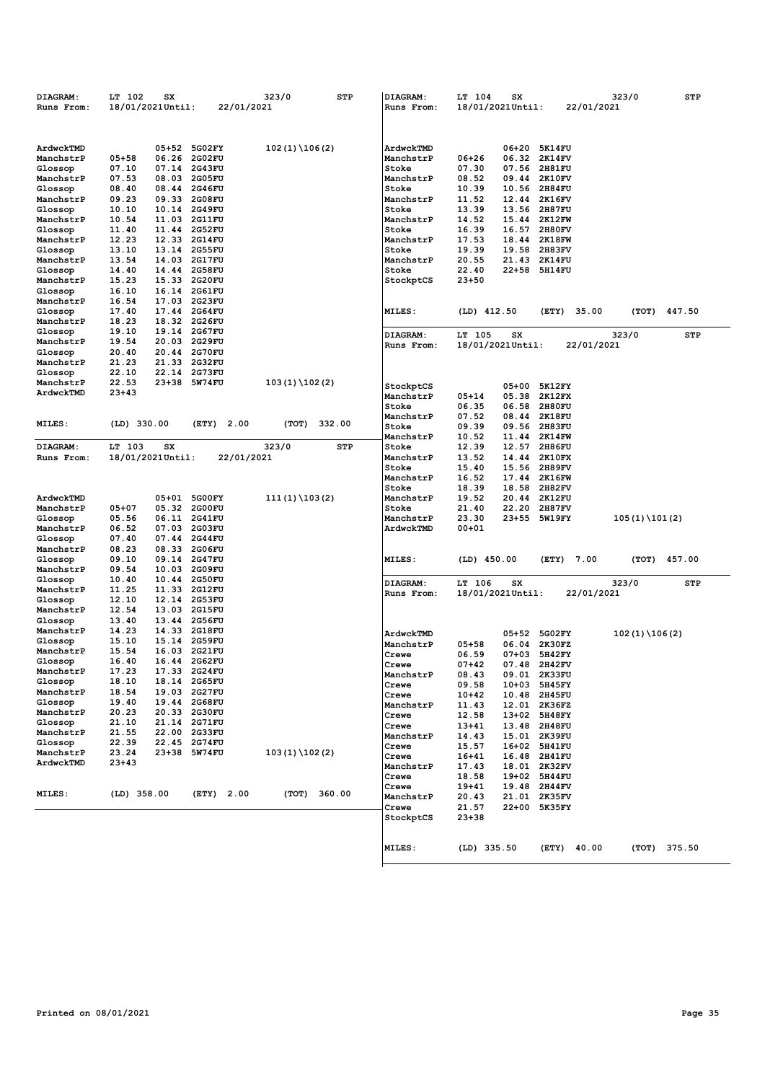| DIAGRAM:<br>Runs From:                                                                                                                                                            | LT 102<br>SX<br>18/01/2021Until:                                                                                                                                                                                                                             | 22/01/2021                                                                                                                                                                                                              | 323/0           | STP | DIAGRAM:<br>Runs From:                                                                                                                                     | LT 104<br>SX<br>18/01/2021Until:                                                                                                                                                                                             | 323/0<br>22/01/2021                                                                                                                                                                                       | <b>STP</b>      |
|-----------------------------------------------------------------------------------------------------------------------------------------------------------------------------------|--------------------------------------------------------------------------------------------------------------------------------------------------------------------------------------------------------------------------------------------------------------|-------------------------------------------------------------------------------------------------------------------------------------------------------------------------------------------------------------------------|-----------------|-----|------------------------------------------------------------------------------------------------------------------------------------------------------------|------------------------------------------------------------------------------------------------------------------------------------------------------------------------------------------------------------------------------|-----------------------------------------------------------------------------------------------------------------------------------------------------------------------------------------------------------|-----------------|
|                                                                                                                                                                                   |                                                                                                                                                                                                                                                              |                                                                                                                                                                                                                         |                 |     |                                                                                                                                                            |                                                                                                                                                                                                                              |                                                                                                                                                                                                           |                 |
| ArdwckTMD<br>ManchstrP<br>Glossop<br>ManchstrP<br>Glossop<br>ManchstrP<br>Glossop<br>ManchstrP<br>Glossop<br>ManchstrP<br>Glossop<br>ManchstrP<br>Glossop<br>ManchstrP<br>Glossop | $05 + 58$<br>06.26<br>07.10<br>07.14<br>07.53<br>08.03<br>08.40<br>08.44<br>09.23<br>09.33<br>10.10<br>10.14<br>10.54<br>11.03<br>11.40<br>11.44<br>12.23<br>12.33<br>13.10<br>13.14<br>13.54<br>14.03<br>14.40<br>14.44<br>15.23<br>15.33<br>16.10<br>16.14 | 05+52 5G02FY<br>2G02FU<br>2G43FU<br><b>2G05FU</b><br><b>2G46FU</b><br><b>2G08FU</b><br><b>2G49FU</b><br><b>2G11FU</b><br>2G52FU<br><b>2G14FU</b><br>2G55FU<br><b>2G17FU</b><br>2G58FU<br><b>2G20FU</b><br><b>2G61FU</b> | $102(1)\106(2)$ |     | ArdwckTMD<br>ManchstrP<br>Stoke<br>ManchstrP<br>Stoke<br>ManchstrP<br>Stoke<br>ManchstrP<br>Stoke<br>ManchstrP<br>Stoke<br>ManchstrP<br>Stoke<br>StockptCS | 06+20<br>06+26<br>06.32<br>07.30<br>08.52<br>09.44<br>10.39<br>10.56<br>11.52<br>12.44<br>13.39<br>14.52<br>15.44<br>16.39<br>16.57<br>17.53<br>18.44<br>19.39<br>19.58<br>20.55<br>21.43<br>22.40<br>$22 + 58$<br>$23 + 50$ | <b>5K14FU</b><br><b>2K14FV</b><br>07.56 2H81FU<br><b>2K10FV</b><br><b>2H84FU</b><br><b>2K16FV</b><br>13.56 2H87FU<br><b>2K12FW</b><br>2H80FV<br><b>2K18FW</b><br>2H83FV<br><b>2K14FU</b><br><b>5H14FU</b> |                 |
| ManchstrP<br>Glossop<br>ManchstrP                                                                                                                                                 | 16.54<br>17.03<br>17.40<br>17.44<br>18.23<br>18.32                                                                                                                                                                                                           | 2G23FU<br><b>2G64FU</b><br>2G26FU                                                                                                                                                                                       |                 |     | MILES:                                                                                                                                                     | (LD) 412.50                                                                                                                                                                                                                  | (ETY)<br>35.00                                                                                                                                                                                            | 447.50<br>(ТОТ) |
| Glossop<br>ManchstrP<br>Glossop<br>ManchstrP<br>Glossop<br>ManchstrP<br>ArdwckTMD                                                                                                 | 19.10<br>19.14<br>19.54<br>20.03<br>20.40<br>20.44<br>21.23<br>21.33<br>22.10<br>22.14<br>22.53<br>23+38<br>$23+43$                                                                                                                                          | 2G67FU<br>2G29FU<br><b>2G70FU</b><br>2G32FU<br><b>2G73FU</b><br>5W74FU                                                                                                                                                  | $103(1)\102(2)$ |     | DIAGRAM:<br>Runs From:<br>StockptCS<br>ManchstrP<br>Stoke<br>ManchstrP                                                                                     | LT 105<br>SX<br>18/01/2021Until:<br>05+00<br>$05 + 14$<br>05.38<br>06.35<br>07.52<br>08.44                                                                                                                                   | 323/0<br>22/01/2021<br>5K12FY<br><b>2K12FX</b><br>06.58 2H80FU<br>2K18FU                                                                                                                                  | <b>STP</b>      |
| MILES:                                                                                                                                                                            | $(LD)$ 330.00                                                                                                                                                                                                                                                | (ETY)<br>2.00                                                                                                                                                                                                           | (TOT)<br>332.00 |     | Stoke<br>ManchstrP                                                                                                                                         | 09.39<br>10.52<br>11.44                                                                                                                                                                                                      | 09.56 2H83FU<br><b>2K14FW</b>                                                                                                                                                                             |                 |
| DIAGRAM:<br>Runs From:                                                                                                                                                            | LT 103<br>SX<br>18/01/2021Until:                                                                                                                                                                                                                             | 22/01/2021                                                                                                                                                                                                              | 323/0           | STP | Stoke<br>ManchstrP<br>Stoke<br>ManchstrP<br>Stoke                                                                                                          | 12.39<br>12.57<br>13.52<br>14.44<br>15.40<br>15.56<br>16.52<br>17.44<br>18.39<br>18.58                                                                                                                                       | <b>2H86FU</b><br>2K10FX<br>2H89FV<br><b>2K16FW</b><br>2H82FV                                                                                                                                              |                 |
| ArdwckTMD<br>ManchstrP<br>Glossop<br>ManchstrP                                                                                                                                    | 05+01<br>$05 + 07$<br>05.32<br>05.56<br>06.11<br>06.52<br>07.03                                                                                                                                                                                              | 5G00FY<br><b>2G00FU</b><br><b>2G41FU</b><br>2G03FU                                                                                                                                                                      | $111(1)\103(2)$ |     | ManchstrP<br>Stoke<br>ManchstrP<br>ArdwckTMD                                                                                                               | 19.52<br>20.44<br>21.40<br>22.20<br>23.30<br>23+55<br>$00 + 01$                                                                                                                                                              | <b>2K12FU</b><br>2H87FV<br><b>5W19FY</b>                                                                                                                                                                  | $105(1)\101(2)$ |
| Glossop<br>ManchstrP<br>Glossop<br>ManchstrP                                                                                                                                      | 07.40<br>07.44<br>08.23<br>08.33<br>09.10<br>09.14<br>09.54<br>10.03                                                                                                                                                                                         | <b>2G44FU</b><br><b>2G06FU</b><br><b>2G47FU</b><br>2G09FU                                                                                                                                                               |                 |     | <b>MILES:</b>                                                                                                                                              | $(LD)$ 450.00                                                                                                                                                                                                                | 7.00<br>(ETY)                                                                                                                                                                                             | (ТОТ)<br>457.00 |
| Glossop<br>ManchstrP<br>Glossop<br>ManchstrP<br>Glossop                                                                                                                           | 10.40<br>10.44<br>11.25<br>11.33<br>12.10<br>12.14<br>12.54<br>13.03<br>13.40<br>13.44                                                                                                                                                                       | 2G50FU<br><b>2G12FU</b><br>2G53FU<br><b>2G15FU</b><br>2G56FU                                                                                                                                                            |                 |     | DIAGRAM:<br>Runs From:                                                                                                                                     | LT 106<br>SX<br>18/01/2021Until:                                                                                                                                                                                             | 323/0<br>22/01/2021                                                                                                                                                                                       | <b>STP</b>      |
| ManchstrP<br>Glossop<br>ManchstrP<br>Glossop<br>ManchstrP<br>Glossop                                                                                                              | 14.23<br>14.33<br>15.10<br>15.14<br>15.54<br>16.03<br>16.40<br>16.44<br>17.23<br>18.10                                                                                                                                                                       | <b>2G18FU</b><br>2G59FU<br>2G21FU<br>2G62FU<br>17.33 2G24FU<br>18.14 2G65FU                                                                                                                                             |                 |     | ArdwckTMD<br>ManchstrP<br>Crewe<br>Crewe<br>ManchstrP<br>Crewe                                                                                             | $05 + 58$<br>06.04<br>06.59<br>07+03<br>$07 + 42$<br>07.48<br>08.43<br>09.58                                                                                                                                                 | 05+52 5G02FY<br>2K30FZ<br>5H42FY<br>2H42FV<br>09.01 2K33FU<br>10+03 5H45FY                                                                                                                                | $102(1)\106(2)$ |
| ManchstrP<br>Glossop<br>ManchstrP<br>Glossop<br>ManchstrP<br>Glossop                                                                                                              | 18.54<br>19.03<br>19.40<br>20.23<br>21.10<br>21.55<br>22.00<br>22.39                                                                                                                                                                                         | <b>2G27FU</b><br>19.44 2G68FU<br>20.33 2G30FU<br>21.14 2G71FU<br><b>2G33FU</b><br>22.45 2G74FU                                                                                                                          |                 |     | Crewe<br>ManchstrP<br>Crewe<br>Crewe<br>ManchstrP                                                                                                          | $10 + 42$<br>11.43<br>12.58<br>$13 + 41$<br>14.43                                                                                                                                                                            | 10.48 2H45FU<br>12.01 2K36FZ<br>13+02 5H48FY<br>13.48 2H48FU<br>15.01 2K39FU                                                                                                                              |                 |
| ManchstrP<br>ArdwckTMD                                                                                                                                                            | 23.24<br>$23 + 43$                                                                                                                                                                                                                                           | 23+38 5W74FU                                                                                                                                                                                                            | $103(1)\102(2)$ |     | Crewe<br>Crewe<br>ManchstrP<br>Crewe                                                                                                                       | 15.57<br>$16 + 41$<br>17.43<br>18.58                                                                                                                                                                                         | 16+02 5H41FU<br>16.48 2H41FU<br>18.01 2K32FV<br>19+02 5H44FU                                                                                                                                              |                 |
| MILES:                                                                                                                                                                            | $(LD)$ 358.00                                                                                                                                                                                                                                                | (ETY) 2.00                                                                                                                                                                                                              | $(TOT)$ 360.00  |     | Crewe<br>ManchstrP<br>Crewe<br>StockptCS                                                                                                                   | $19 + 41$<br>19.48<br>20.43<br>21.57<br>$23 + 38$                                                                                                                                                                            | 2H44FV<br>21.01 2K35FV<br>22+00 5K35FY                                                                                                                                                                    |                 |
|                                                                                                                                                                                   |                                                                                                                                                                                                                                                              |                                                                                                                                                                                                                         |                 |     | MILES:                                                                                                                                                     | (LD) 335.50                                                                                                                                                                                                                  | (ETY) 40.00                                                                                                                                                                                               | (TOT) 375.50    |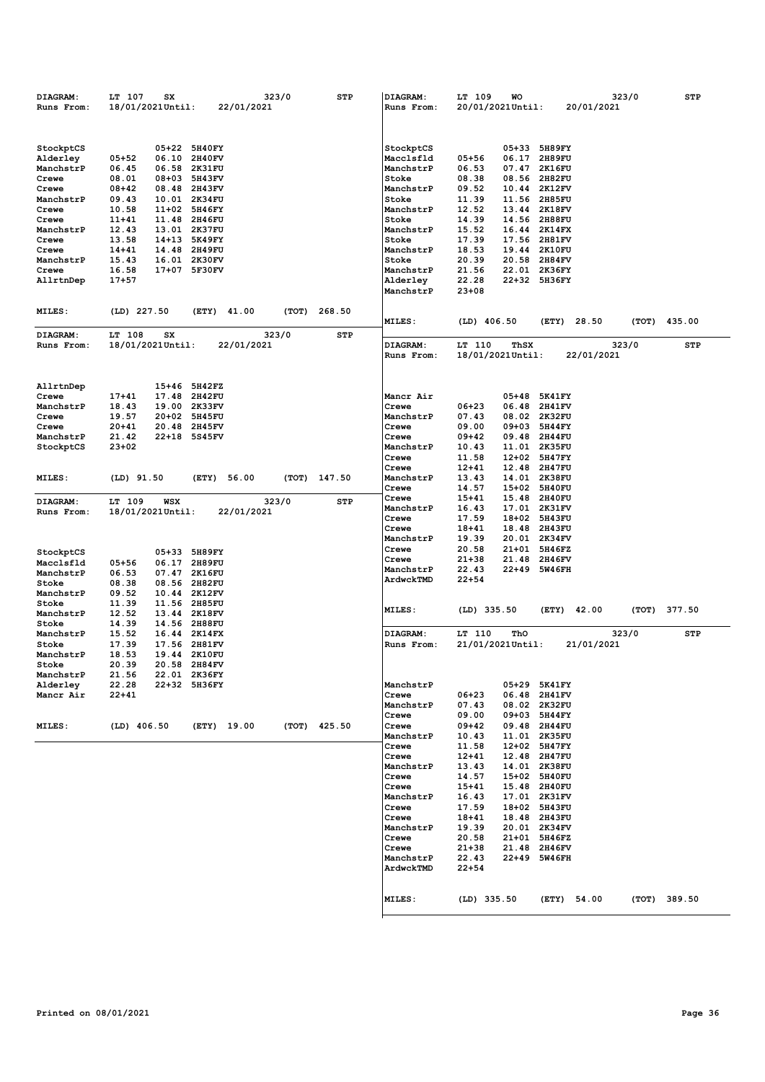| DIAGRAM:           | LT 107<br>SX                             | 323/0                   | STP          | DIAGRAM:           | LT 109<br>WO                         | 323/0                         | <b>STP</b>   |
|--------------------|------------------------------------------|-------------------------|--------------|--------------------|--------------------------------------|-------------------------------|--------------|
| Runs From:         | 18/01/2021Until:                         | 22/01/2021              |              | Runs From:         | 20/01/2021Until:                     | 20/01/2021                    |              |
|                    |                                          |                         |              |                    |                                      |                               |              |
|                    |                                          |                         |              |                    |                                      |                               |              |
|                    |                                          |                         |              |                    |                                      |                               |              |
| StockptCS          | 05+22 5H40FY                             |                         |              | StockptCS          |                                      | 05+33 5H89FY<br>06.17 2H89FU  |              |
| Alderley           | $05 + 52$<br>06.10                       | 2H40FV                  |              | Macclsfld          | 05+56                                |                               |              |
| ManchstrP          | 06.45<br>06.58                           | 2K31FU                  |              | ManchstrP          | 06.53                                | 07.47 2K16FU                  |              |
| Crewe              | 08.01<br>$08 + 03$                       | 5H43FV                  |              | Stoke              | 08.38<br>08.56<br>09.52              | <b>2H82FU</b><br>2K12FV       |              |
| Crewe              | 08+42<br>08.48                           | 2H43FV                  |              | ManchstrP          | 10.44<br>11.39                       |                               |              |
| ManchstrP          | 09.43<br>10.01 2K34FU                    |                         |              | Stoke              | 12.52                                | 11.56 2H85FU                  |              |
| Crewe              | 10.58<br>$11+02$                         | 5H46FY                  |              | ManchstrP<br>Stoke | 14.39<br>14.56                       | 13.44 2K18FV<br><b>2H88FU</b> |              |
| Crewe<br>ManchstrP | 11+41<br>11.48<br>12.43<br>13.01 2K37FU  | <b>2H46FU</b>           |              | ManchstrP          | 15.52<br>16.44                       | <b>2K14FX</b>                 |              |
| Crewe              | 13.58<br>14+13 5K49FY                    |                         |              | Stoke              | 17.39                                | 17.56 2H81FV                  |              |
| Crewe              | $14 + 41$<br>14.48                       | 2H49FU                  |              | ManchstrP          | 18.53<br>19.44                       | <b>2K10FU</b>                 |              |
| ManchstrP          | 15.43<br>16.01                           | <b>2K30FV</b>           |              | Stoke              | 20.39<br>20.58                       | 2H84FV                        |              |
| Crewe              | 16.58<br>17+07 5F30FV                    |                         |              | ManchstrP          | 21.56                                | 22.01 2K36FY                  |              |
| AllrtnDep          | $17 + 57$                                |                         |              | Alderley           | 22.28                                | 22+32 5H36FY                  |              |
|                    |                                          |                         |              | ManchstrP          | $23 + 08$                            |                               |              |
|                    |                                          |                         |              |                    |                                      |                               |              |
| <b>MILES:</b>      | (LD) 227.50                              | (ETY)<br>41.00<br>(ТОТ) | 268.50       |                    |                                      |                               |              |
|                    |                                          |                         |              | <b>MILES:</b>      | (LD) 406.50                          | (ETY)<br>28.50<br>(TOT)       | 435.00       |
|                    |                                          |                         |              |                    |                                      |                               |              |
| DIAGRAM:           | LT 108<br>SX                             | 323/0                   | STP          |                    |                                      |                               |              |
| Runs From:         | 18/01/2021Until:                         | 22/01/2021              |              | DIAGRAM:           | LT 110<br>ThSX<br>18/01/2021Until:   | 323/0                         | <b>STP</b>   |
|                    |                                          |                         |              | Runs From:         |                                      | 22/01/2021                    |              |
|                    |                                          |                         |              |                    |                                      |                               |              |
|                    | 15+46 5H42FZ                             |                         |              |                    |                                      |                               |              |
| AllrtnDep          |                                          |                         |              |                    |                                      |                               |              |
| Crewe              | $17 + 41$<br>17.48                       | 2H42FU<br>2K33FV        |              | Mancr Air          |                                      | 05+48 5K41FY                  |              |
| ManchstrP          | 18.43<br>19.00<br>19.57<br>$20+02$       | 5H45FU                  |              | Crewe              | $06 + 23$<br>07.43<br>08.02          | 06.48 2H41FV<br>2K32FU        |              |
| Crewe              |                                          |                         |              | ManchstrP          |                                      |                               |              |
| Crewe              | $20 + 41$<br>20.48<br>21.42<br>$22 + 18$ | 2H45FV                  |              | Crewe              | 09.00<br>09+03<br>$09 + 42$          | 5H44FY                        |              |
| ManchstrP          |                                          | <b>5S45FV</b>           |              | Crewe              | 09.48<br>10.43                       | <b>2H44FU</b>                 |              |
| StockptCS          | 23+02                                    |                         |              | ManchstrP<br>Crewe | 11.01<br>11.58<br>12+02              | <b>2K35FU</b><br>5H47FY       |              |
|                    |                                          |                         |              |                    |                                      |                               |              |
|                    |                                          |                         |              | Crewe              | $12 + 41$<br>12.48<br>13.43<br>14.01 | <b>2H47FU</b>                 |              |
| <b>MILES:</b>      | $(LD)$ 91.50                             | (ETY)<br>56.00          | (TOT) 147.50 | ManchstrP<br>Crewe | 14.57                                | 2K38FU<br>15+02 5H40FU        |              |
|                    |                                          |                         |              | Crewe              | $15 + 41$<br>15.48                   | <b>2H40FU</b>                 |              |
| DIAGRAM:           | LT 109<br>WSX                            | 323/0                   | STP          | ManchstrP          | 16.43<br>17.01                       | 2K31FV                        |              |
| Runs From:         | 18/01/2021Until:                         | 22/01/2021              |              | Crewe              | 17.59<br>18+02                       | <b>5H43FU</b>                 |              |
|                    |                                          |                         |              | Crewe              | $18 + 41$<br>18.48                   | <b>2H43FU</b>                 |              |
|                    |                                          |                         |              | ManchstrP          | 19.39                                | 20.01 2K34FV                  |              |
|                    |                                          |                         |              | Crewe              | 20.58<br>21+01                       | 5H46FZ                        |              |
| StockptCS          | 05+33 5H89FY                             |                         |              | Crewe              | $21 + 38$<br>21.48                   | <b>2H46FV</b>                 |              |
| Macclsfld          | $05 + 56$<br>06.17                       | <b>2H89FU</b>           |              | ManchstrP          | 22.43                                | 22+49 5W46FH                  |              |
| ManchstrP          | 06.53<br>07.47                           | 2K16FU                  |              | ArdwckTMD          | $22 + 54$                            |                               |              |
| Stoke              | 08.38<br>08.56 2H82FU                    |                         |              |                    |                                      |                               |              |
| ManchstrP          | 09.52<br>10.44 2K12FV                    |                         |              |                    |                                      |                               |              |
| Stoke              | 11.39<br>11.56 2H85FU                    |                         |              | <b>MILES:</b>      | (LD) 335.50                          | (ETY)<br>42.00<br>(TOT)       | 377.50       |
| ManchstrP          | 12.52<br>13.44 2K18FV                    |                         |              |                    |                                      |                               |              |
| Stoke              | 14.39<br>14.56 2H88FU                    |                         |              |                    |                                      |                               |              |
| ManchstrP          | 15.52<br>16.44                           | <b>2K14FX</b>           |              | DIAGRAM:           | LT 110<br>ThO                        | 323/0                         | <b>STP</b>   |
| Stoke              | 17.39<br>17.56 2H81FV                    |                         |              | Runs From:         | 21/01/2021Until:                     | 21/01/2021                    |              |
| ManchstrP          | 18.53<br>19.44 2K10FU                    |                         |              |                    |                                      |                               |              |
| Stoke              | 20.39<br>20.58 2H84FV                    |                         |              |                    |                                      |                               |              |
| ManchstrP          | 21.56<br>22.01 2K36FY                    |                         |              |                    |                                      |                               |              |
| Alderley           | 22.28<br>22+32 5H36FY                    |                         |              | ManchstrP          |                                      | 05+29 5K41FY                  |              |
| Mancr Air          | 22+41                                    |                         |              | Crewe              | 06+23                                | 06.48 2H41FV                  |              |
|                    |                                          |                         |              | ManchstrP          | 07.43                                | 08.02 2K32FU                  |              |
|                    |                                          |                         |              | Crewe              | 09.00                                | 09+03 5H44FY                  |              |
| <b>MILES:</b>      | $(LD)$ 406.50                            | (ETY) 19.00             | (TOT) 425.50 | Crewe              | $09 + 42$                            | 09.48 2H44FU                  |              |
|                    |                                          |                         |              | ManchstrP          | 10.43                                | 11.01 2K35FU                  |              |
|                    |                                          |                         |              | Crewe              | 11.58                                | 12+02 5H47FY                  |              |
|                    |                                          |                         |              | Crewe              | $12 + 41$                            | 12.48 2H47FU                  |              |
|                    |                                          |                         |              | ManchstrP          | 13.43                                | 14.01 2K38FU                  |              |
|                    |                                          |                         |              | Crewe              | 14.57                                | 15+02 5H40FU                  |              |
|                    |                                          |                         |              | Crewe              | $15 + 41$                            | 15.48 2H40FU                  |              |
|                    |                                          |                         |              | ManchstrP          | 16.43                                | 17.01 2K31FV                  |              |
|                    |                                          |                         |              | Crewe              | 17.59                                | 18+02 5H43FU                  |              |
|                    |                                          |                         |              | Crewe              | 18+41                                | 18.48 2H43FU                  |              |
|                    |                                          |                         |              | ManchstrP          | 19.39                                | 20.01 2K34FV                  |              |
|                    |                                          |                         |              | Crewe              | 20.58                                | 21+01 5H46FZ                  |              |
|                    |                                          |                         |              | Crewe              | $21 + 38$                            | 21.48 2H46FV                  |              |
|                    |                                          |                         |              | ManchstrP          | 22.43                                | 22+49 5W46FH                  |              |
|                    |                                          |                         |              | ArdwckTMD          | $22 + 54$                            |                               |              |
|                    |                                          |                         |              |                    |                                      |                               |              |
|                    |                                          |                         |              |                    |                                      |                               |              |
|                    |                                          |                         |              | MILES:             | (LD) 335.50                          | (ETY) 54.00                   | (TOT) 389.50 |
|                    |                                          |                         |              |                    |                                      |                               |              |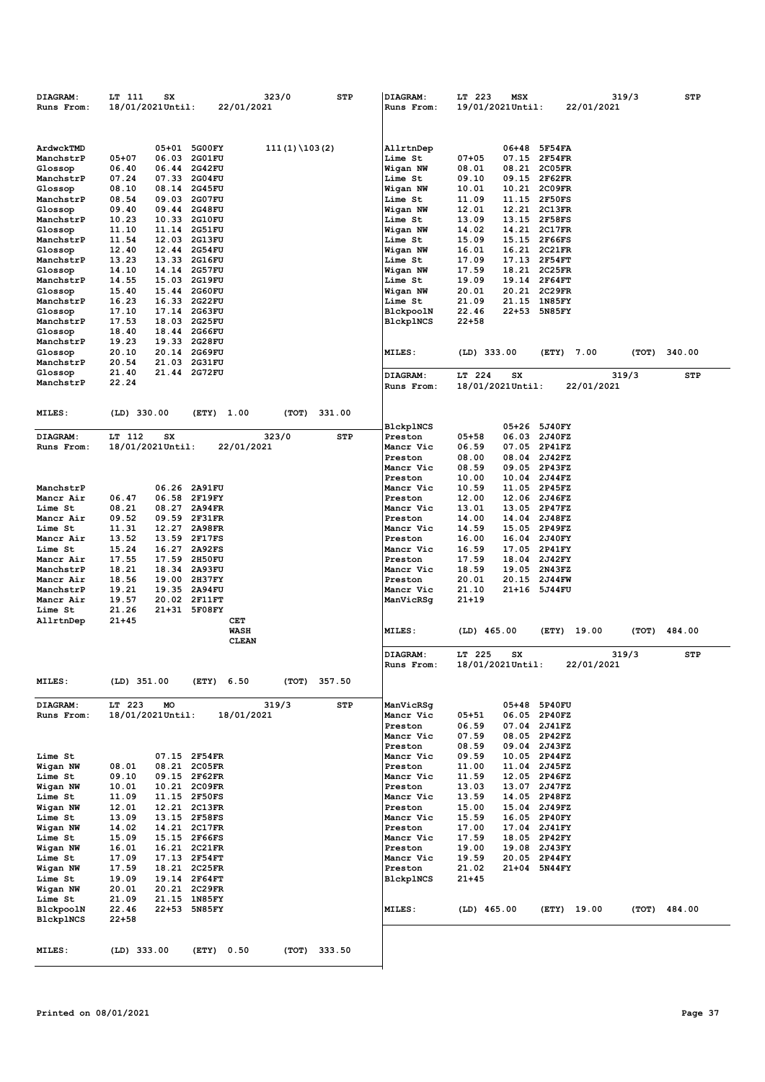| DIAGRAM:        | LT 111<br>SX          | 323/0                      | STP        | DIAGRAM:             | LT 223<br><b>MSX</b> | 319/3          | STP             |
|-----------------|-----------------------|----------------------------|------------|----------------------|----------------------|----------------|-----------------|
| Runs From:      | 18/01/2021Until:      | 22/01/2021                 |            | Runs From:           | 19/01/2021Until:     | 22/01/2021     |                 |
|                 |                       |                            |            |                      |                      |                |                 |
|                 |                       |                            |            |                      |                      |                |                 |
| ArdwckTMD       | 05+01 5G00FY          | $111(1)\103(2)$            |            |                      |                      | 06+48 5F54FA   |                 |
| ManchstrP       | $05 + 07$<br>06.03    | <b>2G01FU</b>              |            | AllrtnDep<br>Lime St | $07 + 05$            | 07.15 2F54FR   |                 |
| Glossop         | 06.40<br>06.44        | <b>2G42FU</b>              |            | Wigan NW             | 08.01                | 08.21 2C05FR   |                 |
| ManchstrP       | 07.24<br>07.33        | <b>2G04FU</b>              |            | Lime St              | 09.10                | 09.15 2F62FR   |                 |
| Glossop         | 08.10<br>08.14 2G45FU |                            |            | Wigan NW             | 10.01                | 10.21 2C09FR   |                 |
| ManchstrP       | 09.03<br>08.54        | 2G07FU                     |            | Lime St              | 11.09                | 11.15 2F50FS   |                 |
| Glossop         | 09.40<br>09.44        | <b>2G48FU</b>              |            | Wigan NW             | 12.01                | 12.21 2C13FR   |                 |
| ManchstrP       | 10.23<br>10.33        | <b>2G10FU</b>              |            | Lime St              | 13.09                | 13.15 2F58FS   |                 |
| Glossop         | 11.14<br>11.10        | <b>2G51FU</b>              |            | Wigan NW             | 14.02                | 14.21 2C17FR   |                 |
| ManchstrP       | 11.54<br>12.03        | <b>2G13FU</b>              |            | Lime St              | 15.09                | 15.15 2F66FS   |                 |
| Glossop         | 12.40<br>12.44 2G54FU |                            |            | Wigan NW             | 16.01                | 16.21 2C21FR   |                 |
| ManchstrP       | 13.23<br>13.33        | <b>2G16FU</b>              |            | Lime St              | 17.09                | 17.13 2F54FT   |                 |
| Glossop         | 14.10<br>14.14        | 2G57FU                     |            | Wigan NW             | 17.59                | 18.21 2C25FR   |                 |
| ManchstrP       | 14.55<br>15.03 2G19FU |                            |            | Lime St              | 19.09                | 19.14 2F64FT   |                 |
| Glossop         | 15.40<br>15.44        | <b>2G60FU</b>              |            | Wigan NW             | 20.01                | 20.21 2C29FR   |                 |
| ManchstrP       | 16.23<br>16.33        | 2G22FU                     |            | Lime St              | 21.09                | 21.15 1N85FY   |                 |
| Glossop         | 17.10<br>17.14 2G63FU |                            |            | BlckpoolN            | 22.46<br>22+53       | 5N85FY         |                 |
| ManchstrP       | 17.53<br>18.03        | 2G25FU                     |            | <b>BlckplNCS</b>     | $22 + 58$            |                |                 |
| Glossop         | 18.40<br>18.44 2G66FU |                            |            |                      |                      |                |                 |
| ManchstrP       | 19.23<br>19.33 2G28FU |                            |            |                      |                      |                |                 |
| Glossop         | 20.10<br>20.14        | 2G69FU                     |            | <b>MILES:</b>        | (LD) 333.00          | 7.00<br>(ETY)  | 340.00<br>(ТОТ) |
| ManchstrP       | 20.54<br>21.03 2G31FU |                            |            |                      |                      |                |                 |
| Glossop         | 21.44 2G72FU<br>21.40 |                            |            | DIAGRAM:             | LT 224<br>SX         | 319/3          | STP             |
| ManchstrP       | 22.24                 |                            |            | Runs From:           | 18/01/2021Until:     | 22/01/2021     |                 |
|                 |                       |                            |            |                      |                      |                |                 |
|                 |                       |                            |            |                      |                      |                |                 |
| <b>MILES:</b>   | $(LD)$ 330.00         | (ETY) 1.00<br>(ТОТ)        | 331.00     |                      |                      |                |                 |
|                 |                       |                            |            | <b>BlckplNCS</b>     |                      | 05+26 5J40FY   |                 |
| DIAGRAM:        | LT 112<br>SX          | 323/0                      | <b>STP</b> | Preston              | $05 + 58$            | 06.03 2J40FZ   |                 |
| Runs From:      | 18/01/2021Until:      | 22/01/2021                 |            | Mancr Vic            | 06.59                | 07.05 2P41FZ   |                 |
|                 |                       |                            |            | Preston              | 08.00                | 08.04 2J42FZ   |                 |
|                 |                       |                            |            | Mancr Vic            | 08.59                | 09.05 2P43FZ   |                 |
|                 |                       |                            |            | Preston              | 10.00                | 10.04 2J44FZ   |                 |
| ManchstrP       | 06.26 2A91FU          |                            |            | Mancr Vic            | 10.59                | 11.05 2P45FZ   |                 |
| Mancr Air       | 06.47<br>06.58        | <b>2F19FY</b>              |            | Preston              | 12.00                | 12.06 2J46FZ   |                 |
| Lime St         | 08.21<br>08.27 2A94FR |                            |            | Mancr Vic            | 13.01                | 13.05 2P47FZ   |                 |
| Mancr Air       | 09.52<br>09.59        | 2F31FR                     |            | Preston              | 14.00                | 14.04 2J48FZ   |                 |
| Lime St         | 11.31<br>12.27        | <b>2A98FR</b>              |            | Mancr Vic            | 14.59                | 15.05 2P49FZ   |                 |
| Mancr Air       | 13.52<br>13.59 2F17FS |                            |            | Preston              | 16.00                | 16.04 2J40FY   |                 |
| Lime St         | 15.24<br>16.27        | <b>2A92FS</b>              |            | Mancr Vic            | 16.59                | 17.05 2P41FY   |                 |
| Mancr Air       | 17.55<br>17.59        | <b>2H50FU</b>              |            | Preston              | 17.59<br>18.04       | <b>2J42FY</b>  |                 |
| ManchstrP       | 18.21<br>18.34 2A93FU |                            |            | Mancr Vic            | 18.59                | 19.05 2N43FZ   |                 |
| Mancr Air       | 18.56<br>19.00        | <b>2H37FY</b>              |            | Preston              | 20.01                | 20.15 2J44FW   |                 |
| ManchstrP       | 19.21<br>19.35        | <b>2A94FU</b>              |            | Mancr Vic            | 21.10                | 21+16 5J44FU   |                 |
| Mancr Air       | 19.57<br>20.02 2F11FT |                            |            | ManVicRSg            | $21 + 19$            |                |                 |
| Lime St         | 21.26<br>21+31 5F08FY |                            |            |                      |                      |                |                 |
| AllrtnDep       | $21 + 45$             | CET                        |            |                      |                      |                |                 |
|                 |                       | <b>WASH</b>                |            | <b>MILES:</b>        | (LD) 465.00          | (ETY)<br>19.00 | (TOT)<br>484.00 |
|                 |                       | <b>CLEAN</b>               |            |                      |                      |                |                 |
|                 |                       |                            |            | <b>DIAGRAM:</b>      | LT 225<br>SX         | 319/3          | STP             |
|                 |                       |                            |            | Runs From:           |                      | 22/01/2021     |                 |
|                 |                       |                            |            |                      | 18/01/2021Until:     |                |                 |
| <b>MILES:</b>   | (LD) 351.00           | (ETY) 6.50<br>(TOT) 357.50 |            |                      |                      |                |                 |
|                 |                       |                            |            |                      |                      |                |                 |
| <b>DIAGRAM:</b> | LT 223<br>MO          | 319/3                      | STP        | ManVicRSg            |                      | 05+48 5P40FU   |                 |
| Runs From:      | 18/01/2021Until:      | 18/01/2021                 |            | Mancr Vic            | 05+51                | 06.05 2P40FZ   |                 |
|                 |                       |                            |            | Preston              | 06.59                | 07.04 2J41FZ   |                 |
|                 |                       |                            |            | Mancr Vic            | 07.59                | 08.05 2P42FZ   |                 |
|                 |                       |                            |            | Preston              | 08.59                | 09.04 2J43FZ   |                 |
| Lime St         | 07.15 2F54FR          |                            |            | Mancr Vic            | 09.59                | 10.05 2P44FZ   |                 |
| Wigan NW        | 08.01<br>08.21 2C05FR |                            |            | Preston              | 11.00                | 11.04 2J45FZ   |                 |
| Lime St         | 09.10<br>09.15 2F62FR |                            |            | Mancr Vic            | 11.59                | 12.05 2P46FZ   |                 |
| Wigan NW        | 10.01<br>10.21 2C09FR |                            |            | Preston              | 13.03                | 13.07 2J47FZ   |                 |
| Lime St         | 11.09<br>11.15 2F50FS |                            |            | Mancr Vic            | 13.59                | 14.05 2P48FZ   |                 |
| Wigan NW        | 12.01<br>12.21 2C13FR |                            |            | Preston              | 15.00                | 15.04 2J49FZ   |                 |
| Lime St         | 13.09<br>13.15 2F58FS |                            |            | Mancr Vic            | 15.59                | 16.05 2P40FY   |                 |
| Wigan NW        | 14.02<br>14.21 2C17FR |                            |            | Preston              | 17.00                | 17.04 2J41FY   |                 |
| Lime St         | 15.09<br>15.15 2F66FS |                            |            | Mancr Vic            | 17.59                | 18.05 2P42FY   |                 |
| Wigan NW        | 16.01<br>16.21 2C21FR |                            |            | Preston              | 19.00                | 19.08 2J43FY   |                 |
| Lime St         | 17.09<br>17.13 2F54FT |                            |            | Mancr Vic            | 19.59                | 20.05 2P44FY   |                 |
| Wigan NW        | 17.59<br>18.21 2C25FR |                            |            | Preston              | 21.02                | 21+04 5N44FY   |                 |
| Lime St         | 19.09<br>19.14 2F64FT |                            |            | BlckplNCS            | $21 + 45$            |                |                 |
| Wigan NW        | 20.01<br>20.21 2C29FR |                            |            |                      |                      |                |                 |
| Lime St         | 21.09<br>21.15 1N85FY |                            |            |                      |                      |                |                 |
| BlckpoolN       | 22.46<br>22+53 5N85FY |                            |            | MILES:               | (LD) 465.00          | (ETY) 19.00    | $(TOT)$ 484.00  |
| BlckplNCS       | $22 + 58$             |                            |            |                      |                      |                |                 |
|                 |                       |                            |            |                      |                      |                |                 |
|                 |                       |                            |            |                      |                      |                |                 |
| <b>MILES:</b>   | (LD) 333.00           | (ETY) 0.50<br>(TOT) 333.50 |            |                      |                      |                |                 |
|                 |                       |                            |            |                      |                      |                |                 |
|                 |                       |                            |            |                      |                      |                |                 |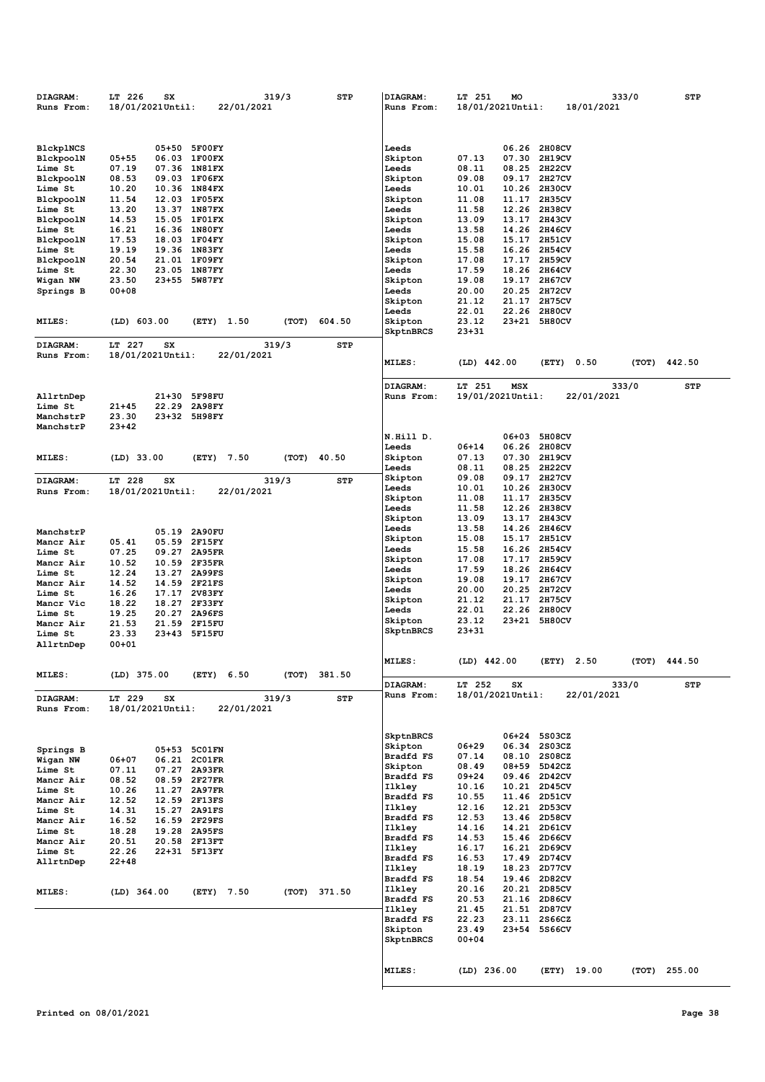| <b>DIAGRAM:</b>             | LT 226<br>SX                   | 319/3                        | <b>STP</b>      | DIAGRAM:            | LT 251<br>MO            |                               | 333/0 | STP            |
|-----------------------------|--------------------------------|------------------------------|-----------------|---------------------|-------------------------|-------------------------------|-------|----------------|
| Runs From:                  | 18/01/2021Until:               | 22/01/2021                   |                 | Runs From:          | 18/01/2021Until:        | 18/01/2021                    |       |                |
|                             |                                |                              |                 |                     |                         |                               |       |                |
|                             |                                |                              |                 |                     |                         |                               |       |                |
|                             |                                |                              |                 |                     |                         |                               |       |                |
| BlckplNCS                   | 05+50 5F00FY<br>$05 + 55$      | 06.03 1F00FX                 |                 | Leeds               | 07.13<br>07.30          | 06.26 2H08CV<br><b>2H19CV</b> |       |                |
| <b>BlckpoolN</b><br>Lime St | 07.19                          | 07.36 1N81FX                 |                 | Skipton<br>Leeds    | 08.11                   | 08.25 2H22CV                  |       |                |
| BlckpoolN                   | 08.53                          | 09.03 1F06FX                 |                 | Skipton             | 09.08<br>09.17          | 2H27CV                        |       |                |
| Lime St                     | 10.20                          | 10.36 1N84FX                 |                 | Leeds               | 10.01                   | 10.26 2H30CV                  |       |                |
| BlckpoolN                   | 11.54                          | 12.03 1F05FX                 |                 | Skipton             | 11.08                   | 11.17 2H35CV                  |       |                |
| Lime St                     | 13.20                          | 13.37 1N87FX                 |                 | Leeds               | 11.58                   | 12.26 2H38CV                  |       |                |
| <b>BlckpoolN</b>            | 14.53                          | 15.05 1F01FX                 |                 | Skipton             | 13.09                   | 13.17 2H43CV                  |       |                |
| Lime St                     | 16.21                          | 16.36 1N80FY                 |                 | Leeds               | 13.58                   | 14.26 2H46CV                  |       |                |
| <b>BlckpoolN</b>            | 17.53                          | 18.03 1F04FY                 |                 | Skipton             | 15.08<br>15.17          | 2H51CV                        |       |                |
| Lime St                     | 19.19                          | 19.36 1N83FY                 |                 | Leeds               | 15.58                   | 16.26 2H54CV                  |       |                |
| BlckpoolN                   | 20.54                          | 21.01 1F09FY                 |                 | Skipton             | 17.08<br>17.17          | <b>2H59CV</b>                 |       |                |
| Lime St                     | 22.30                          | 23.05 1N87FY                 |                 | Leeds               | 17.59                   | 18.26 2H64CV                  |       |                |
| Wigan NW                    | 23.50                          | 23+55 5W87FY                 |                 | Skipton             | 19.08<br>19.17          | 2H67CV                        |       |                |
| Springs B                   | $00 + 08$                      |                              |                 | Leeds               | 20.00                   | 20.25 2H72CV                  |       |                |
|                             |                                |                              |                 | Skipton<br>Leeds    | 21.12<br>22.01          | 21.17 2H75CV<br>22.26 2H80CV  |       |                |
| MILES:                      | (LD) 603.00                    | (ETY)<br>1.50                | (TOT)<br>604.50 | Skipton             | 23.12                   | 23+21 5H80CV                  |       |                |
|                             |                                |                              |                 | SkptnBRCS           | $23 + 31$               |                               |       |                |
| DIAGRAM:                    |                                |                              |                 |                     |                         |                               |       |                |
|                             | LT 227<br>SX                   | 319/3<br>22/01/2021          | STP             |                     |                         |                               |       |                |
| Runs From:                  | 18/01/2021Until:               |                              |                 | MILES:              | $(LD)$ 442.00           | 0.50<br>(ETY)                 |       | (TOT) 442.50   |
|                             |                                |                              |                 |                     |                         |                               |       |                |
|                             |                                |                              |                 | DIAGRAM:            | LT 251<br>MSX           |                               | 333/0 | STP            |
| AllrtnDep                   |                                | 21+30 5F98FU                 |                 | Runs From:          | 19/01/2021Until:        | 22/01/2021                    |       |                |
| Lime St                     | 21+45<br>22.29                 | <b>2A98FY</b>                |                 |                     |                         |                               |       |                |
| ManchstrP                   | 23.30                          | 23+32 5H98FY                 |                 |                     |                         |                               |       |                |
| ManchstrP                   | $23 + 42$                      |                              |                 |                     |                         |                               |       |                |
|                             |                                |                              |                 | N.Hill D.           | 06+03                   | 5H08CV                        |       |                |
|                             |                                |                              |                 | Leeds               | $06 + 14$               | 06.26 2H08CV                  |       |                |
| <b>MILES:</b>               | $(LD)$ 33.00                   | (ETY) 7.50                   | (TOT)<br>40.50  | Skipton             | 07.13                   | 07.30 2H19CV                  |       |                |
|                             |                                |                              |                 | Leeds               | 08.25<br>08.11          | <b>2H22CV</b>                 |       |                |
| <b>DIAGRAM:</b>             | LT 228<br>SX                   | 319/3                        | STP             | Skipton             | 09.08                   | 09.17 2H27CV                  |       |                |
| Runs From:                  | 18/01/2021Until:               | 22/01/2021                   |                 | Leeds               | 10.01                   | 10.26 2H30CV                  |       |                |
|                             |                                |                              |                 | Skipton             | 11.08<br>11.17          | 2H35CV                        |       |                |
|                             |                                |                              |                 | Leeds               | 11.58<br>13.09          | 12.26 2H38CV<br>13.17 2H43CV  |       |                |
|                             |                                |                              |                 | Skipton<br>Leeds    | 13.58                   | 14.26 2H46CV                  |       |                |
| ManchstrP                   | 05.19 2A90FU                   |                              |                 | Skipton             | 15.08<br>15.17          | 2H51CV                        |       |                |
| Mancr Air                   | 05.41<br>05.59                 | 2F15FY                       |                 | Leeds               | 15.58                   | 16.26 2H54CV                  |       |                |
| Lime St                     | 07.25<br>09.27                 | 2A95FR                       |                 | Skipton             | 17.08                   | 17.17 2H59CV                  |       |                |
| Mancr Air                   | 10.52<br>12.24<br>13.27 2A99FS | 10.59 2F35FR                 |                 | Leeds               | 17.59                   | 18.26 2H64CV                  |       |                |
| Lime St<br>Mancr Air        | 14.52<br>14.59 2F21FS          |                              |                 | Skipton             | 19.08<br>19.17          | 2H67CV                        |       |                |
| Lime St                     | 16.26<br>17.17 2V83FY          |                              |                 | Leeds               | 20.00                   | 20.25 2H72CV                  |       |                |
| Mancr Vic                   | 18.22                          | 18.27 2F33FY                 |                 | Skipton             | 21.12<br>21.17          | 2H75CV                        |       |                |
| Lime St                     | 19.25<br>20.27                 | <b>2A96FS</b>                |                 | Leeds               | 22.01                   | 22.26 2H80CV                  |       |                |
| Mancr Air                   | 21.53<br>21.59 2F15FU          |                              |                 | Skipton             | 23.12                   | 23+21 5H80CV                  |       |                |
| Lime St                     | 23.33                          | 23+43 5F15FU                 |                 | SkptnBRCS           | $23 + 31$               |                               |       |                |
| AllrtnDep                   | $00 + 01$                      |                              |                 |                     |                         |                               |       |                |
|                             |                                |                              |                 | MILES:              | $(LD)$ 442.00           | 2.50                          |       | $(TOT)$ 444.50 |
|                             |                                |                              |                 |                     |                         | (ETY)                         |       |                |
| <b>MILES:</b>               | (LD) 375.00                    | (ETY) 6.50                   | (TOT) 381.50    |                     |                         |                               |       |                |
|                             |                                |                              |                 | DIAGRAM:            | LT 252<br>SX            |                               | 333/0 | STP            |
| <b>DIAGRAM:</b>             | LT 229<br>SX                   | 319/3                        | STP             | Runs From:          | 18/01/2021Until:        | 22/01/2021                    |       |                |
| Runs From:                  | 18/01/2021Until:               | 22/01/2021                   |                 |                     |                         |                               |       |                |
|                             |                                |                              |                 |                     |                         |                               |       |                |
|                             |                                |                              |                 | SkptnBRCS           |                         | 06+24 5S03CZ                  |       |                |
|                             |                                | 05+53 5C01FN                 |                 | Skipton             | 06+29                   | 06.34 2S03CZ                  |       |                |
| Springs B                   |                                |                              |                 | Bradfd FS           | 07.14                   | 08.10 2S08CZ                  |       |                |
| Wigan NW<br>Lime St         | 06+07<br>07.11                 | 06.21 2C01FR<br>07.27 2A93FR |                 | Skipton             | 08.49                   | 08+59 5D42CZ                  |       |                |
| Mancr Air                   | 08.52                          | 08.59 2F27FR                 |                 | Bradfd FS           | $09 + 24$               | 09.46 2D42CV                  |       |                |
| Lime St                     | 10.26                          | 11.27 2A97FR                 |                 | Ilkley              | 10.16                   | 10.21 2D45CV                  |       |                |
| Mancr Air                   | 12.52                          | 12.59 2F13FS                 |                 | Bradfd FS           | 10.55                   | 11.46 2D51CV                  |       |                |
| Lime St                     | 14.31                          | 15.27 2A91FS                 |                 | Ilkley              | 12.16                   | 12.21 2D53CV                  |       |                |
| Mancr Air                   | 16.52                          | 16.59 2F29FS                 |                 | Bradfd FS           | 12.53                   | 13.46 2D58CV                  |       |                |
| Lime St                     | 18.28                          | 19.28 2A95FS                 |                 | Ilkley              | 14.16                   | 14.21 2D61CV                  |       |                |
| Mancr Air                   | 20.51                          | 20.58 2F13FT                 |                 | Bradfd FS           | 14.53                   | 15.46 2D66CV                  |       |                |
| Lime St                     | 22.26                          | 22+31 5F13FY                 |                 | Ilkley              | 16.17                   | 16.21 2D69CV                  |       |                |
| AllrtnDep                   | $22 + 48$                      |                              |                 | Bradfd FS<br>Ilkley | 16.53<br>18.19<br>18.23 | 17.49 2D74CV<br>2D77CV        |       |                |
|                             |                                |                              |                 | Bradfd FS           | 18.54                   | 19.46 2D82CV                  |       |                |
|                             |                                |                              |                 | Ilkley              | 20.16                   | 20.21 2D85CV                  |       |                |
| <b>MILES:</b>               | $(LD)$ 364.00                  | (ETY) 7.50                   | (TOT) 371.50    | Bradfd FS           | 20.53                   | 21.16 2D86CV                  |       |                |
|                             |                                |                              |                 | Ilkley              | 21.45                   | 21.51 2D87CV                  |       |                |
|                             |                                |                              |                 | Bradfd FS           | 22.23                   | 23.11 2S66CZ                  |       |                |
|                             |                                |                              |                 | Skipton             | 23.49                   | 23+54 5S66CV                  |       |                |
|                             |                                |                              |                 | SkptnBRCS           | $00 + 04$               |                               |       |                |
|                             |                                |                              |                 |                     |                         |                               |       |                |
|                             |                                |                              |                 |                     |                         |                               |       |                |
|                             |                                |                              |                 | MILES:              | $(LD)$ 236.00           | (ETY) 19.00                   |       | (TOT) 255.00   |
|                             |                                |                              |                 |                     |                         |                               |       |                |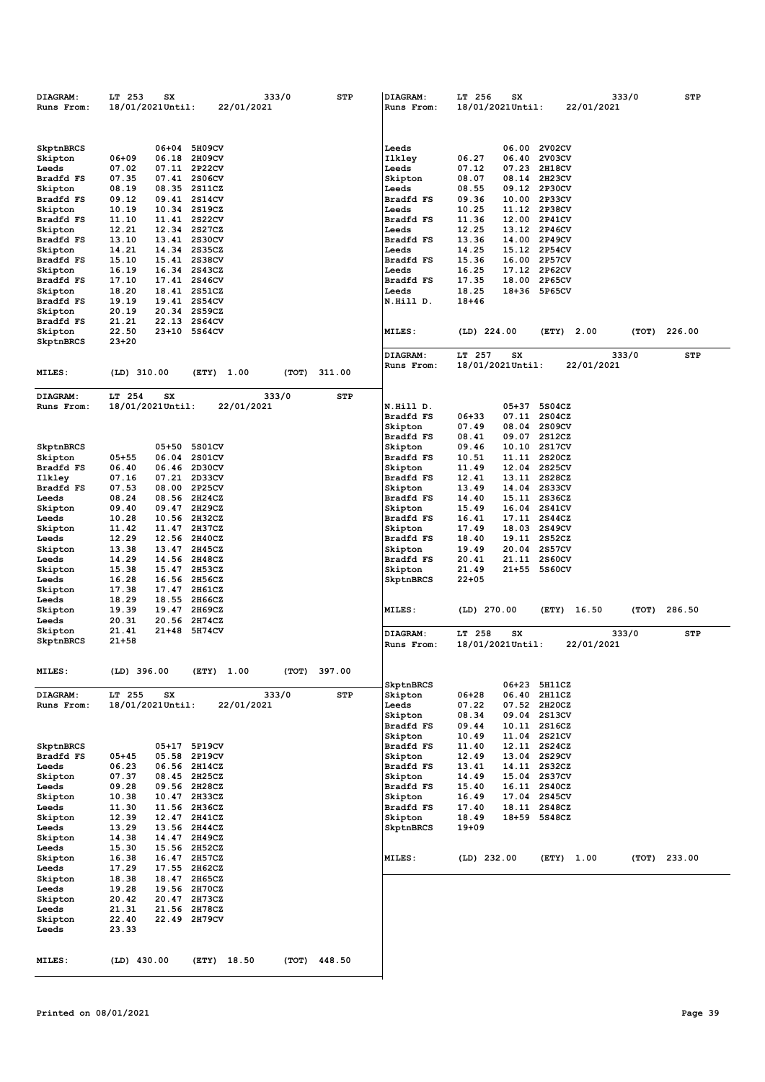| <b>DIAGRAM:</b>        | LT 253<br>SX           | 333/0                        | <b>STP</b>     | DIAGRAM:             | LT 256<br>SX                     |                        | 333/0                | <b>STP</b>   |
|------------------------|------------------------|------------------------------|----------------|----------------------|----------------------------------|------------------------|----------------------|--------------|
| Runs From:             | 18/01/2021Until:       | 22/01/2021                   |                | Runs From:           | 18/01/2021Until:                 |                        | 22/01/2021           |              |
|                        |                        |                              |                |                      |                                  |                        |                      |              |
|                        |                        |                              |                |                      |                                  |                        |                      |              |
|                        | 06+04                  | 5H09CV                       |                | Leeds                | 06.00                            | <b>2V02CV</b>          |                      |              |
| SkptnBRCS              | $06 + 09$<br>06.18     | <b>2H09CV</b>                |                | Ilkley               | 06.27<br>06.40                   | <b>2V03CV</b>          |                      |              |
| Skipton<br>Leeds       | 07.02                  | 07.11 2P22CV                 |                | Leeds                | 07.12<br>07.23                   | <b>2H18CV</b>          |                      |              |
| Bradfd FS              | 07.35                  | 07.41 2S06CV                 |                | Skipton              | 08.07<br>08.14                   | 2H23CV                 |                      |              |
| Skipton                | 08.19                  | 08.35 2S11CZ                 |                | Leeds                | 08.55                            | 09.12 2P30CV           |                      |              |
| Bradfd FS              | 09.12                  | 09.41 2S14CV                 |                | Bradfd FS            | 09.36<br>10.00                   | <b>2P33CV</b>          |                      |              |
| Skipton                | 10.19                  | 10.34 2S19CZ                 |                | Leeds                | 10.25                            | 11.12 2P38CV           |                      |              |
| Bradfd FS              | 11.10<br>11.41         | <b>2S22CV</b>                |                | Bradfd FS            | 11.36<br>12.00                   | 2P41CV                 |                      |              |
| Skipton                | 12.21                  | 12.34 2S27CZ                 |                | Leeds                | 12.25                            | 13.12 2P46CV           |                      |              |
| Bradfd FS              | 13.10                  | 13.41 2S30CV                 |                | Bradfd FS            | 13.36                            | 14.00 2P49CV           |                      |              |
| Skipton                | 14.21                  | 14.34 2S35CZ                 |                | Leeds                | 14.25                            | 15.12 2P54CV           |                      |              |
| Bradfd FS              | 15.10                  | 15.41 2S38CV                 |                | Bradfd FS            | 15.36<br>16.00                   | 2P57CV                 |                      |              |
| Skipton                | 16.19                  | 16.34 2S43CZ                 |                | Leeds                | 16.25                            | 17.12 2P62CV           |                      |              |
| Bradfd FS              | 17.10                  | 17.41 2S46CV                 |                | Bradfd FS            | 17.35<br>18.00                   | 2P65CV                 |                      |              |
| Skipton                | 18.20                  | 18.41 2S51CZ                 |                | Leeds                | 18.25                            | 18+36 5P65CV           |                      |              |
| Bradfd FS              | 19.19                  | 19.41 2S54CV                 |                | N.Hill D.            | $18 + 46$                        |                        |                      |              |
| Skipton                | 20.19                  | 20.34 2S59CZ                 |                |                      |                                  |                        |                      |              |
| Bradfd FS              | 21.21<br>22.13         | <b>2S64CV</b>                |                |                      |                                  |                        |                      |              |
| Skipton                | 22.50                  | 23+10 5S64CV                 |                | MILES:               | $(LD)$ 224.00                    | (ETY) 2.00             | (TOT)                | 226.00       |
| SkptnBRCS              | $23 + 20$              |                              |                |                      |                                  |                        |                      |              |
|                        |                        |                              |                | DIAGRAM:             | LT 257<br>SX                     |                        | 333/0                | STP          |
| MILES:                 | $(LD)$ 310.00          | (ETY)<br>1.00<br>(TOT)       | 311.00         | Runs From:           | 18/01/2021Until:                 |                        | 22/01/2021           |              |
|                        |                        |                              |                |                      |                                  |                        |                      |              |
|                        |                        |                              |                |                      |                                  |                        |                      |              |
| DIAGRAM:               | LT 254<br>SX           | 333/0                        | <b>STP</b>     |                      |                                  |                        |                      |              |
| Runs From:             | 18/01/2021Until:       | 22/01/2021                   |                | N.Hill D.            | 05+37                            | 5S04CZ<br>2S04CZ       |                      |              |
|                        |                        |                              |                | Bradfd FS<br>Skipton | 06+33<br>07.11<br>07.49<br>08.04 | 2S09CV                 |                      |              |
|                        |                        |                              |                | Bradfd FS            | 08.41<br>09.07                   | 2S12CZ                 |                      |              |
| SkptnBRCS              | $05 + 50$              | 5S01CV                       |                | Skipton              | 09.46<br>10.10                   | <b>2S17CV</b>          |                      |              |
| Skipton                | $05 + 55$              | 06.04 2S01CV                 |                | Bradfd FS            | 10.51                            | 11.11 2S20CZ           |                      |              |
| Bradfd FS              | 06.40<br>06.46         | 2D30CV                       |                | Skipton              | 11.49                            | 12.04 2S25CV           |                      |              |
| Ilkley                 | 07.16<br>07.21         | 2D33CV                       |                | Bradfd FS            | 12.41                            | 13.11 2S28CZ           |                      |              |
| Bradfd FS              | 07.53                  | 08.00 2P25CV                 |                | Skipton              | 13.49                            | 14.04 2S33CV           |                      |              |
| Leeds                  | 08.24                  | 08.56 2H24CZ                 |                | Bradfd FS            | 14.40                            | 15.11 2S36CZ           |                      |              |
| Skipton                | 09.40<br>09.47         | 2H29CZ                       |                | Skipton              | 15.49                            | 16.04 2S41CV           |                      |              |
| Leeds                  | 10.28                  | 10.56 2H32CZ                 |                | Bradfd FS            | 16.41                            | 17.11 2S44CZ           |                      |              |
| Skipton                | 11.42<br>11.47         | 2H37CZ                       |                | Skipton              | 17.49                            | 18.03 2S49CV           |                      |              |
| Leeds                  | 12.29                  | 12.56 2H40CZ                 |                | Bradfd FS            | 18.40                            | 19.11 2S52CZ           |                      |              |
| Skipton                | 13.38<br>13.47         | 2H45CZ                       |                | Skipton              | 19.49                            | 20.04 2S57CV           |                      |              |
| Leeds                  | 14.29                  | 14.56 2H48CZ                 |                | Bradfd FS            | 20.41                            | 21.11 2S60CV           |                      |              |
| Skipton                | 15.38                  | 15.47 2H53CZ                 |                | Skipton              | 21.49                            | 21+55 5S60CV           |                      |              |
| Leeds                  | 16.28                  | 16.56 2H56CZ                 |                | SkptnBRCS            | $22 + 05$                        |                        |                      |              |
| Skipton                | 17.38<br>17.47         | 2H61CZ                       |                |                      |                                  |                        |                      |              |
| Leeds                  | 18.29                  | 18.55 2H66CZ                 |                |                      |                                  |                        |                      |              |
| Skipton                | 19.39<br>19.47         | 2H69CZ                       |                | MILES:               | $(LD)$ 270.00                    |                        | (TOT)<br>(ETY) 16.50 | 286.50       |
| Leeds                  | 20.31<br>21.41         | 20.56 2H74CZ<br>21+48 5H74CV |                |                      |                                  |                        |                      |              |
| Skipton<br>SkptnBRCS   | $21 + 58$              |                              |                | DIAGRAM:             | LT 258<br>SX                     |                        | 333/0                | <b>STP</b>   |
|                        |                        |                              |                | Runs From:           | 18/01/2021Until:                 |                        | 22/01/2021           |              |
|                        |                        |                              |                |                      |                                  |                        |                      |              |
| MILES:                 | $(LD)$ 396.00          | (ETY)<br>1.00<br>(TOT)       | 397.00         |                      |                                  |                        |                      |              |
|                        |                        |                              |                |                      |                                  |                        |                      |              |
|                        | LT 255                 |                              |                | SkptnBRCS            |                                  | 06+23 5H11CZ           |                      |              |
| DIAGRAM:<br>Runs From: | SX<br>18/01/2021Until: | 333/0<br>22/01/2021          | <b>STP</b>     | Skipton<br>Leeds     | $06 + 28$<br>06.40<br>07.22      | 2H11CZ<br>07.52 2H2OCZ |                      |              |
|                        |                        |                              |                | Skipton              | 08.34                            | 09.04 2S13CV           |                      |              |
|                        |                        |                              |                | Bradfd FS            | 09.44                            | 10.11 2S16CZ           |                      |              |
|                        |                        |                              |                | Skipton              | 10.49                            | 11.04 2S21CV           |                      |              |
| SkptnBRCS              |                        | 05+17 5P19CV                 |                | Bradfd FS            | 11.40                            | 12.11 2S24CZ           |                      |              |
| Bradfd FS              | $05 + 45$              | 05.58 2P19CV                 |                | Skipton              | 12.49                            | 13.04 2S29CV           |                      |              |
| Leeds                  | 06.23                  | 06.56 2H14CZ                 |                | Bradfd FS            | 13.41                            | 14.11 2S32CZ           |                      |              |
| Skipton                | 07.37                  | 08.45 2H25CZ                 |                | Skipton              | 14.49                            | 15.04 2S37CV           |                      |              |
| Leeds                  | 09.28                  | 09.56 2H28CZ                 |                | Bradfd FS            | 15.40                            | 16.11 2S40CZ           |                      |              |
| Skipton                | 10.38                  | 10.47 2H33CZ                 |                | Skipton              | 16.49                            | 17.04 2S45CV           |                      |              |
| Leeds                  | 11.30                  | 11.56 2H36CZ                 |                | Bradfd FS            | 17.40                            | 18.11 2S48CZ           |                      |              |
| Skipton                | 12.39                  | 12.47 2H41CZ                 |                | Skipton              | 18.49                            | 18+59 5S48CZ           |                      |              |
| Leeds                  | 13.29                  | 13.56 2H44CZ                 |                | SkptnBRCS            | $19 + 09$                        |                        |                      |              |
| Skipton                | 14.38                  | 14.47 2H49CZ                 |                |                      |                                  |                        |                      |              |
| Leeds                  | 15.30                  | 15.56 2H52CZ                 |                |                      |                                  |                        |                      |              |
| Skipton                | 16.38                  | 16.47 2H57CZ                 |                | MILES:               | (LD) 232.00                      | (ETY) 1.00             |                      | (TOT) 233.00 |
| Leeds                  | 17.29                  | 17.55 2H62CZ                 |                |                      |                                  |                        |                      |              |
| Skipton                | 18.38                  | 18.47 2H65CZ                 |                |                      |                                  |                        |                      |              |
| Leeds                  | 19.28                  | 19.56 2H70CZ                 |                |                      |                                  |                        |                      |              |
| Skipton                | 20.42                  | 20.47 2H73CZ                 |                |                      |                                  |                        |                      |              |
| Leeds                  | 21.31<br>22.40         | 21.56 2H78CZ<br>22.49 2H79CV |                |                      |                                  |                        |                      |              |
| Skipton<br>Leeds       | 23.33                  |                              |                |                      |                                  |                        |                      |              |
|                        |                        |                              |                |                      |                                  |                        |                      |              |
|                        |                        |                              |                |                      |                                  |                        |                      |              |
| MILES:                 | $(LD)$ 430.00          | (ETY) 18.50                  | $(TOT)$ 448.50 |                      |                                  |                        |                      |              |
|                        |                        |                              |                |                      |                                  |                        |                      |              |
|                        |                        |                              |                |                      |                                  |                        |                      |              |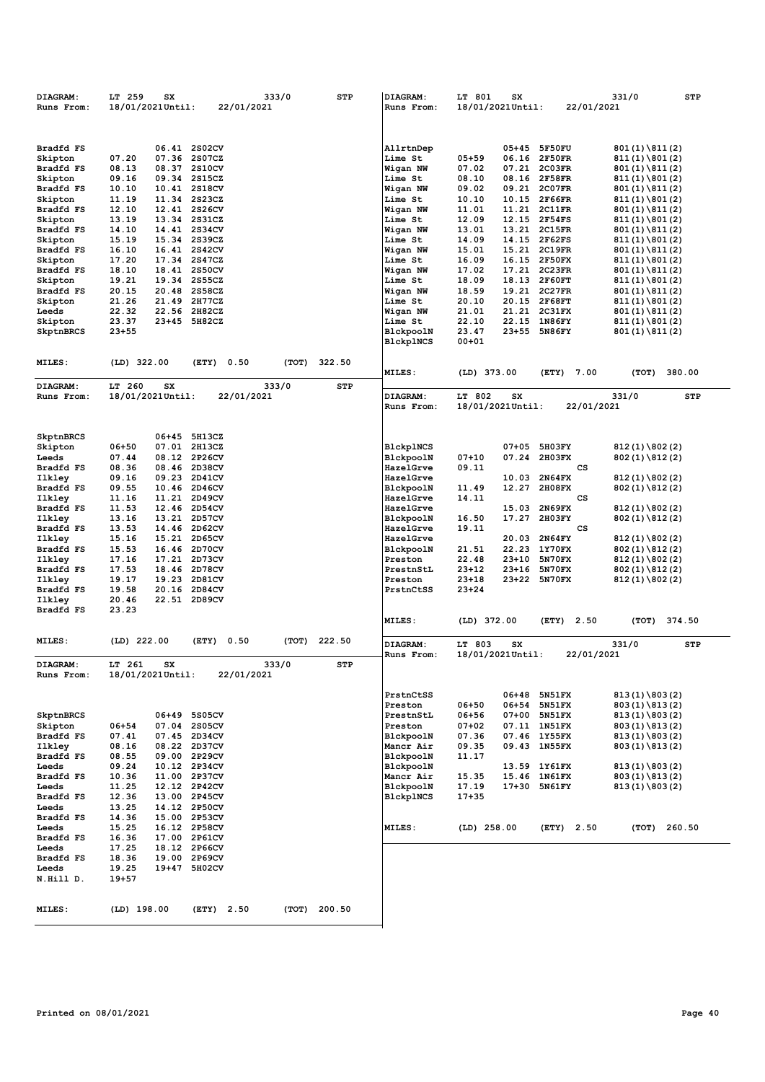| DIAGRAM:             | LT 259<br>SX                                   | 333/0                  | STP        | DIAGRAM:                      | LT 801<br>SX            |                              | 331/0<br>STP                             |
|----------------------|------------------------------------------------|------------------------|------------|-------------------------------|-------------------------|------------------------------|------------------------------------------|
| Runs From:           | $18/01/2021$ Until:                            | 22/01/2021             |            | Runs From:                    | 18/01/2021Until:        | 22/01/2021                   |                                          |
|                      |                                                |                        |            |                               |                         |                              |                                          |
|                      |                                                |                        |            |                               |                         |                              |                                          |
| Bradfd FS            | 06.41 2S02CV                                   |                        |            | AllrtnDep                     | 05+45                   | 5F50FU                       | $801(1)\ 811(2)$                         |
| Skipton              | 07.20<br>07.36 2S07CZ                          |                        |            | Lime St                       | $05 + 59$               | 06.16 2F50FR                 | $811(1)\ 801(2)$                         |
| Bradfd FS            | 08.13<br>08.37                                 | 2S10CV                 |            | Wigan NW                      | 07.02                   | 07.21 2C03FR                 | $801(1)\$ (811(2)                        |
| Skipton              | 09.16<br>09.34                                 | 2S15CZ                 |            | Lime St                       | 08.10                   | 08.16 2F58FR                 | $811(1)\ 801(2)$                         |
| Bradfd FS<br>Skipton | 10.10<br>10.41 2S18CV<br>11.34 2S23CZ<br>11.19 |                        |            | Wigan NW<br>Lime St           | 09.02<br>10.10<br>10.15 | 09.21 2C07FR<br>2F66FR       | $801(1)\$ (811(2)<br>$811(1)\ 801(2)$    |
| Bradfd FS            | 12.10<br>12.41 2S26CV                          |                        |            | Wigan NW                      | 11.01                   | 11.21 2C11FR                 | $801(1)\ 811(2)$                         |
| Skipton              | 13.19<br>13.34 2S31CZ                          |                        |            | Lime St                       | 12.09                   | 12.15 2F54FS                 | $811(1)\ 801(2)$                         |
| Bradfd FS            | 14.10<br>14.41 2S34CV                          |                        |            | Wigan NW                      | 13.01                   | 13.21 2C15FR                 | $801(1)\$ (811(2)                        |
| Skipton              | 15.19<br>15.34                                 | 2S39CZ                 |            | Lime St                       | 14.09                   | 14.15 2F62FS                 | $811(1)\ 801(2)$                         |
| Bradfd FS            | 16.10<br>16.41 2S42CV                          |                        |            | Wigan NW                      | 15.01                   | 15.21 2C19FR                 | $801(1)\$ (811(2)                        |
| Skipton<br>Bradfd FS | 17.20<br>17.34<br>18.10<br>18.41 2S50CV        | 2S47CZ                 |            | Lime St<br>Wigan NW           | 16.09<br>17.02          | 16.15 2F50FX<br>17.21 2C23FR | $811(1)\ 801(2)$                         |
| Skipton              | 19.21<br>19.34                                 | 2S55CZ                 |            | Lime St                       | 18.09<br>18.13          | 2F60FT                       | $801(1)\$ $811(2)$<br>$811(1)\ 801(2)$   |
| Bradfd FS            | 20.15<br>20.48                                 | 2S58CZ                 |            | Wigan NW                      | 18.59                   | 19.21 2C27FR                 | $801(1)\ 811(2)$                         |
| Skipton              | 21.26<br>21.49                                 | 2H77CZ                 |            | Lime St                       | 20.10<br>20.15          | <b>2F68FT</b>                | $811(1)\ 801(2)$                         |
| Leeds                | 22.32<br>22.56                                 | 2H82CZ                 |            | Wigan NW                      | 21.01                   | 21.21 2C31FX                 | $801(1)\$ (811(2)                        |
| Skipton              | 23.37<br>$23 + 45$                             | 5H82CZ                 |            | Lime St                       | 22.10<br>22.15          | <b>1N86FY</b>                | $811(1)\ 801(2)$                         |
| SkptnBRCS            | 23+55                                          |                        |            | BlckpoolN                     | 23.47<br>23+55          | 5N86FY                       | $801(1)\$ $811(2)$                       |
|                      |                                                |                        |            | <b>BlckplNCS</b>              | $00 + 01$               |                              |                                          |
| MILES:               | $(LD)$ 322.00                                  | (ETY)<br>0.50<br>(TOT) | 322.50     |                               |                         |                              |                                          |
|                      |                                                |                        |            | MILES:                        | $(LD)$ 373.00           | (ETY) 7.00                   | (TOT)<br>380.00                          |
| DIAGRAM:             | LT 260<br>SX                                   | 333/0                  | <b>STP</b> |                               |                         |                              |                                          |
| Runs From:           | 18/01/2021Until:                               | 22/01/2021             |            | DIAGRAM:                      | LT 802<br>SX            |                              | 331/0<br>STP                             |
|                      |                                                |                        |            | Runs From:                    | 18/01/2021Until:        | 22/01/2021                   |                                          |
|                      |                                                |                        |            |                               |                         |                              |                                          |
|                      |                                                |                        |            |                               |                         |                              |                                          |
| SkptnBRCS            | 06+45                                          | 5H13CZ                 |            |                               |                         |                              |                                          |
| Skipton              | $06 + 50$<br>07.01 2H13CZ<br>08.12<br>07.44    | 2P26CV                 |            | <b>BlckplNCS</b><br>BlckpoolN | $07 + 10$               | 07+05 5H03FY<br>07.24 2H03FX | $812(1)\ 802(2)$                         |
| Leeds<br>Bradfd FS   | 08.36<br>08.46 2D38CV                          |                        |            | HazelGrve                     | 09.11                   | cs                           | $802(1)\ 812(2)$                         |
| Ilkley               | 09.16<br>09.23                                 | 2D41CV                 |            | <b>HazelGrve</b>              |                         | 10.03 2N64FX                 | $812(1)\ 802(2)$                         |
| Bradfd FS            | 09.55<br>10.46 2D46CV                          |                        |            | BlckpoolN                     | 11.49<br>12.27          | <b>2H08FX</b>                | $802(1)\$ 812(2)                         |
| Ilkley               | 11.16<br>11.21 2D49CV                          |                        |            | <b>HazelGrve</b>              | 14.11                   | cs                           |                                          |
| Bradfd FS            | 11.53<br>12.46                                 | 2D54CV                 |            | HazelGrve                     | 15.03                   | <b>2N69FX</b>                | $812(1)\ 802(2)$                         |
| Ilkley               | 13.16<br>13.21                                 | 2D57CV                 |            | BlckpoolN                     | 16.50                   | 17.27 2H03FY                 | $802(1)\ 812(2)$                         |
| Bradfd FS            | 13.53<br>14.46 2D62CV<br>15.16<br>15.21        | 2D65CV                 |            | HazelGrve<br><b>HazelGrve</b> | 19.11<br>20.03          | cs<br><b>2N64FY</b>          |                                          |
| Ilkley<br>Bradfd FS  | 15.53<br>16.46                                 | 2D70CV                 |            | BlckpoolN                     | 21.51                   | 22.23 1Y70FX                 | $812(1)\ 802(2)$<br>$802(1)\ 812(2)$     |
| Ilkley               | 17.16<br>17.21 2D73CV                          |                        |            | Preston                       | 22.48<br>23+10          | <b>5N70FX</b>                | $812(1)\ 802(2)$                         |
| Bradfd FS            | 17.53<br>18.46                                 | 2D78CV                 |            | PrestnStL                     | $23 + 12$<br>23+16      | 5N70FX                       | $802(1)\$ 812(2)                         |
| Ilkley               | 19.17<br>19.23                                 | 2D81CV                 |            | Preston                       | $23 + 18$<br>23+22      | <b>5N70FX</b>                | $812(1)\ 802(2)$                         |
| Bradfd FS            | 19.58<br>20.16 2D84CV                          |                        |            | PrstnCtSS                     | $23 + 24$               |                              |                                          |
| Ilkley               | 20.46<br>22.51                                 | 2D89CV                 |            |                               |                         |                              |                                          |
| Bradfd FS            | 23.23                                          |                        |            | MILES:                        |                         |                              |                                          |
|                      |                                                |                        |            |                               | $(LD)$ 372.00           | (ETY) 2.50                   | (TOT)<br>374.50                          |
| <b>MILES:</b>        | $(LD)$ 222.00                                  | (ETY)<br>0.50<br>(TOT) | 222.50     | DIAGRAM:                      | LT 803<br>SX            |                              | 331/0<br><b>STP</b>                      |
|                      |                                                |                        |            | <b>Runs From:</b>             | 18/01/2021Until:        | 22/01/2021                   |                                          |
| DIAGRAM:             | LT 261<br>SX                                   | 333/0                  | <b>STP</b> |                               |                         |                              |                                          |
| Runs From:           | 18/01/2021Until:                               | 22/01/2021             |            |                               |                         |                              |                                          |
|                      |                                                |                        |            |                               |                         |                              |                                          |
|                      |                                                |                        |            | PrstnCtSS                     | 06+48                   | 5N51FX                       | $813(1)\ 803(2)$                         |
|                      |                                                |                        |            | Preston                       | 06+50                   | 06+54 5N51FX                 | $803(1)\$ \ $813(2)$                     |
| SkptnBRCS            | 06+49 5S05CV                                   |                        |            | PrestnStL                     | 06+56<br>$07 + 02$      | 07+00 5N51FX<br>07.11 1N51FX | $813(1)\ 803(2)$                         |
| Skipton<br>Bradfd FS | 06+54<br>07.04<br>07.41<br>07.45 2D34CV        | 2S05CV                 |            | Preston<br>BlckpoolN          | 07.36                   | 07.46 1Y55FX                 | $803(1)\$ \ $813(2)$<br>$813(1)\ 803(2)$ |
| Ilkley               | 08.16<br>08.22                                 | 2D37CV                 |            | Mancr Air                     | 09.35                   | 09.43 1N55FX                 | $803(1)\ 813(2)$                         |
| Bradfd FS            | 08.55<br>09.00                                 | 2P29CV                 |            | BlckpoolN                     | 11.17                   |                              |                                          |
| Leeds                | 09.24<br>10.12 2P34CV                          |                        |            | BlckpoolN                     |                         | 13.59 1Y61FX                 | $813(1)\ 803(2)$                         |
| Bradfd FS            | 10.36<br>11.00 2P37CV                          |                        |            | Mancr Air                     | 15.35                   | 15.46 1N61FX                 | $803(1)\$ \ $813(2)$                     |
| Leeds                | 11.25<br>12.12 2P42CV                          |                        |            | BlckpoolN                     | 17.19                   | 17+30 5N61FY                 | $813(1)\ 803(2)$                         |
| Bradfd FS            | 12.36<br>13.00 2P45CV                          |                        |            | BlckplNCS                     | $17 + 35$               |                              |                                          |
| Leeds<br>Bradfd FS   | 13.25<br>14.12 2P50CV<br>14.36<br>15.00        | 2P53CV                 |            |                               |                         |                              |                                          |
| Leeds                | 15.25<br>16.12                                 | 2P58CV                 |            | MILES:                        | $(LD)$ 258.00           | (ETY) 2.50                   | (ТОТ)<br>260.50                          |
| Bradfd FS            | 16.36<br>17.00 2P61CV                          |                        |            |                               |                         |                              |                                          |
| Leeds                | 17.25<br>18.12 2P66CV                          |                        |            |                               |                         |                              |                                          |
| Bradfd FS            | 18.36<br>19.00                                 | 2P69CV                 |            |                               |                         |                              |                                          |
| Leeds                | 19.25<br>$19 + 47$                             | 5H02CV                 |            |                               |                         |                              |                                          |
| N.Hill D.            | $19 + 57$                                      |                        |            |                               |                         |                              |                                          |
|                      |                                                |                        |            |                               |                         |                              |                                          |
| MILES:               | (LD) 198.00                                    | (ETY) 2.50<br>(TOT)    | 200.50     |                               |                         |                              |                                          |
|                      |                                                |                        |            |                               |                         |                              |                                          |
|                      |                                                |                        |            |                               |                         |                              |                                          |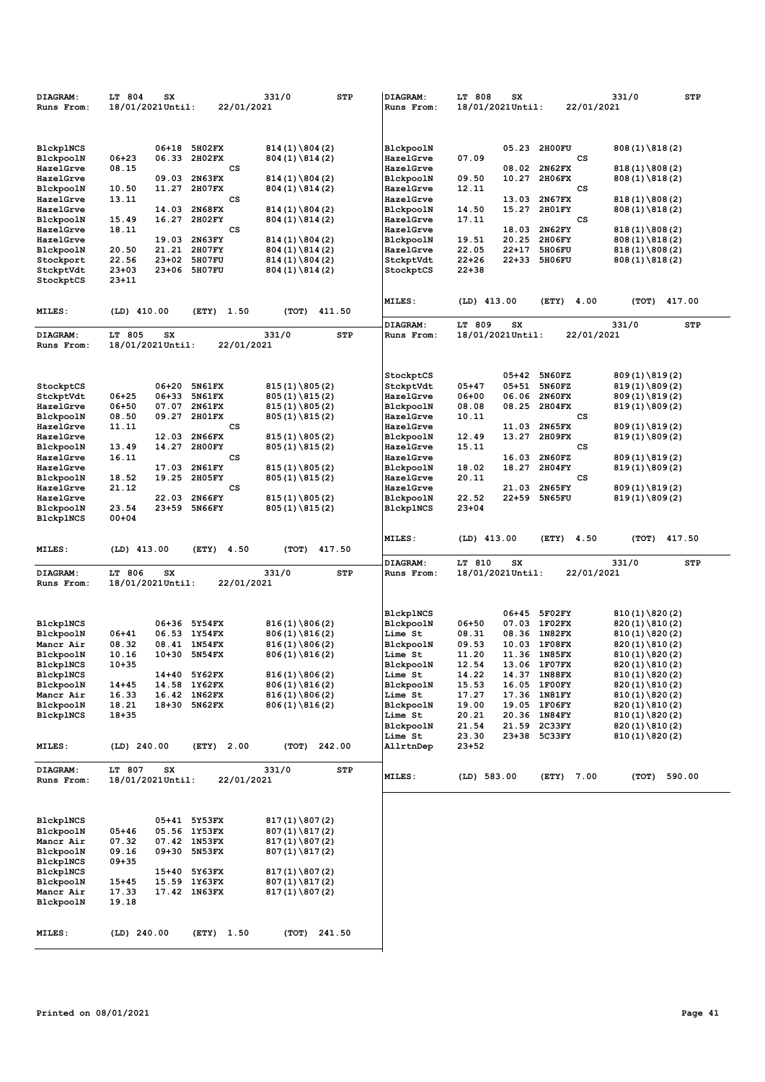| DIAGRAM:<br>Runs From: | LT 804<br>18/01/2021Until: | SX             | 22/01/2021                     | 331/0                                | <b>STP</b> | DIAGRAM:<br>Runs From:        | LT 808<br>18/01/2021Until: | SX               |                              | 22/01/2021 | 331/0                                    | STP    |
|------------------------|----------------------------|----------------|--------------------------------|--------------------------------------|------------|-------------------------------|----------------------------|------------------|------------------------------|------------|------------------------------------------|--------|
|                        |                            |                |                                |                                      |            |                               |                            |                  |                              |            |                                          |        |
|                        |                            |                |                                |                                      |            |                               |                            |                  |                              |            |                                          |        |
| <b>BlckplNCS</b>       |                            |                | 06+18 5H02FX                   | $814(1)\ 804(2)$                     |            | BlckpoolN                     |                            |                  | 05.23 2H00FU                 |            | $808(1)\ 818(2)$                         |        |
| BlckpoolN              | $06 + 23$                  |                | 06.33 2H02FX                   | $804(1)\ 814(2)$                     |            | HazelGrve                     | 07.09                      |                  |                              | cs         |                                          |        |
| HazelGrve<br>HazelGrve | 08.15                      | 09.03          | cs<br>2N63FX                   | $814(1)\ 804(2)$                     |            | HazelGrve<br>BlckpoolN        | 09.50                      | 08.02<br>10.27   | 2N62FX<br><b>2H06FX</b>      |            | 818(1)\808(2)<br>808(1)\818(2)           |        |
| BlckpoolN              | 10.50                      |                | 11.27 2H07FX                   | $804(1)\ 814(2)$                     |            | HazelGrve                     | 12.11                      |                  |                              | cs         |                                          |        |
| HazelGrve              | 13.11                      |                | cs                             |                                      |            | HazelGrve                     |                            | 13.03            | 2N67FX                       |            | $818(1)\ 808(2)$                         |        |
| HazelGrve              |                            | 14.03          | 2N68FX                         | $814(1)\ 804(2)$                     |            | BlckpoolN                     | 14.50                      | 15.27            | 2H01FY                       |            | $808(1)\ 818(2)$                         |        |
| BlckpoolN              | 15.49                      | 16.27          | <b>2H02FY</b>                  | $804(1)\ 814(2)$                     |            | HazelGrve                     | 17.11                      |                  |                              | cs         |                                          |        |
| HazelGrve              | 18.11                      |                | cs                             |                                      |            | HazelGrve                     |                            | 18.03            | 2N62FY                       |            | $818(1)\ 808(2)$                         |        |
| HazelGrve<br>BlckpoolN | 20.50                      | 19.03<br>21.21 | <b>2N63FY</b><br><b>2H07FY</b> | $814(1)\ 804(2)$<br>$804(1)\ 814(2)$ |            | BlckpoolN<br>HazelGrve        | 19.51<br>22.05             | 20.25<br>$22+17$ | <b>2H06FY</b><br>5H06FU      |            | $808(1)\$ \ $818(2)$<br>$818(1)\ 808(2)$ |        |
| Stockport              | 22.56                      | $23+02$        | 5H07FU                         | $814(1)\ 804(2)$                     |            | StckptVdt                     | $22 + 26$                  |                  | 22+33 5H06FU                 |            | 808(1)\818(2)                            |        |
| StckptVdt              | $23 + 03$                  |                | 23+06 5H07FU                   | $804(1)\$ \ $814(2)$                 |            | StockptCS                     | $22 + 38$                  |                  |                              |            |                                          |        |
| StockptCS              | 23+11                      |                |                                |                                      |            |                               |                            |                  |                              |            |                                          |        |
|                        |                            |                |                                |                                      |            | MILES:                        | $(LD)$ 413.00              |                  | (ETY)                        | 4.00       | (TOT)                                    | 417.00 |
| <b>MILES:</b>          | $(LD)$ 410.00              |                | (ETY)<br>1.50                  | (TOT)                                | 411.50     |                               |                            |                  |                              |            |                                          |        |
|                        | LT 805                     | SX             |                                | 331/0                                | STP        | <b>DIAGRAM:</b><br>Runs From: | LT 809<br>18/01/2021Until: | SX               |                              | 22/01/2021 | 331/0                                    | STP    |
| DIAGRAM:<br>Runs From: | 18/01/2021Until:           |                | 22/01/2021                     |                                      |            |                               |                            |                  |                              |            |                                          |        |
|                        |                            |                |                                |                                      |            |                               |                            |                  |                              |            |                                          |        |
|                        |                            |                |                                |                                      |            | StockptCS                     |                            |                  | 05+42 5N60FZ                 |            | 809(1)\819(2)                            |        |
| StockptCS              |                            | $06 + 20$      | 5N61FX                         | $815(1)\ 805(2)$                     |            | StckptVdt                     | $05 + 47$                  | $05 + 51$        | 5N60FZ                       |            | $819(1)\ 809(2)$                         |        |
| StckptVdt              | $06 + 25$                  | $06 + 33$      | 5N61FX                         | $805(1)\$ \ 815(2)                   |            | HazelGrve                     | 06+00                      | 06.06            | <b>2N60FX</b>                |            | 809(1)\819(2)                            |        |
| HazelGrve              | $06 + 50$                  | 07.07          | 2N61FX                         | $815(1)\ 805(2)$                     |            | BlckpoolN                     | 08.08                      |                  | 08.25 2H04FX                 |            | $819(1)\ 809(2)$                         |        |
| BlckpoolN              | 08.50                      |                | 09.27 2H01FX                   | $805(1)\ 815(2)$                     |            | HazelGrve                     | 10.11                      |                  |                              | cs         |                                          |        |
| HazelGrve              | 11.11                      |                | cs                             |                                      |            | HazelGrve                     |                            | 11.03            | <b>2N65FX</b>                |            | 809(1)\819(2)                            |        |
| HazelGrve<br>BlckpoolN | 13.49                      | 12.03          | 2N66FX<br>14.27 2H00FY         | $815(1)\ 805(2)$<br>$805(1)\ 815(2)$ |            | BlckpoolN<br>HazelGrve        | 12.49<br>15.11             | 13.27            | 2H09FX                       | cs         | $819(1)\ 809(2)$                         |        |
| HazelGrve              | 16.11                      |                | cs                             |                                      |            | HazelGrve                     |                            | 16.03            | <b>2N60FZ</b>                |            | $809(1)\ 819(2)$                         |        |
| HazelGrve              |                            | 17.03          | <b>2N61FY</b>                  | $815(1)\ 805(2)$                     |            | BlckpoolN                     | 18.02                      |                  | 18.27 2H04FY                 |            | $819(1)\ 809(2)$                         |        |
| BlckpoolN              | 18.52                      | 19.25          | <b>2H05FY</b>                  | $805(1)\ 815(2)$                     |            | HazelGrve                     | 20.11                      |                  |                              | cs         |                                          |        |
| HazelGrve              | 21.12                      |                | cs                             |                                      |            | HazelGrve                     |                            | 21.03            | 2N65FY                       |            | $809(1)\ 819(2)$                         |        |
| HazelGrve              |                            | 22.03          | <b>2N66FY</b>                  | $815(1)\$ 805(2)                     |            | BlckpoolN                     | 22.52                      | 22+59            | <b>5N65FU</b>                |            | 819(1)\809(2)                            |        |
| BlckpoolN              | 23.54<br>$00 + 04$         |                | 23+59 5N66FY                   | 805(1)\815(2)                        |            | BlckplNCS                     | $23 + 04$                  |                  |                              |            |                                          |        |
| BlckplNCS              |                            |                |                                |                                      |            |                               |                            |                  |                              |            |                                          |        |
| MILES:                 | $(LD)$ 413.00              |                | (ETY)<br>4.50                  | (TOT)                                | 417.50     | MILES:                        | $(LD)$ 413.00              |                  | (ETY)                        | 4.50       | (TOT)                                    | 417.50 |
|                        |                            |                |                                |                                      |            | DIAGRAM:                      | LT 810                     | SX               |                              |            | 331/0                                    | STP    |
| <b>DIAGRAM:</b>        | LT 806                     | SX             |                                | 331/0                                | <b>STP</b> | Runs From:                    | 18/01/2021Until:           |                  |                              | 22/01/2021 |                                          |        |
| Runs From:             | 18/01/2021Until:           |                | 22/01/2021                     |                                      |            |                               |                            |                  |                              |            |                                          |        |
|                        |                            |                |                                |                                      |            |                               |                            |                  |                              |            |                                          |        |
|                        |                            |                |                                |                                      |            | BlckplNCS                     |                            |                  | 06+45 5F02FY                 |            | 810(1)\820(2)                            |        |
| <b>BlckplNCS</b>       |                            |                | 06+36 5Y54FX                   | $816(1)\ 806(2)$                     |            | BlckpoolN                     | $06 + 50$                  |                  | 07.03 1F02FX                 |            | $820(1)\ 810(2)$                         |        |
| BlckpoolN              | 06+41                      |                | 06.53 1Y54FX                   | $806(1)\ 816(2)$                     |            | Lime St                       | 08.31                      |                  | 08.36 1N82FX                 |            | $810(1)\$ 820(2)                         |        |
| Mancr Air<br>BlckpoolN | 08.32<br>10.16             |                | 08.41 1N54FX<br>10+30 5N54FX   | $816(1)\ 806(2)$<br>806(1)\816(2)    |            | BlckpoolN<br>Lime St          | 09.53<br>11.20             |                  | 10.03 1F08FX<br>11.36 1N85FX |            | $820(1)\$ (810(2)<br>810(1)\820(2)       |        |
| <b>BlckplNCS</b>       | $10 + 35$                  |                |                                |                                      |            | BlckpoolN                     | 12.54                      |                  | 13.06 1F07FX                 |            | 820 (1) \810 (2)                         |        |
| <b>BlckplNCS</b>       |                            |                | 14+40 5Y62FX                   | $816(1)\ 806(2)$                     |            | Lime St                       | 14.22                      |                  | 14.37 1N88FX                 |            | $810(1)\$ 820(2)                         |        |
| BlckpoolN              | 14+45                      |                | 14.58 1Y62FX                   | $806(1)\ 816(2)$                     |            | BlckpoolN                     | 15.53                      |                  | 16.05 1F00FY                 |            | $820(1)\ 810(2)$                         |        |
| Mancr Air              | 16.33                      |                | 16.42 1N62FX                   | $816(1)\ 806(2)$                     |            | Lime St                       | 17.27                      |                  | 17.36 1N81FY                 |            | $810(1)\$ 820(2)                         |        |
| BlckpoolN              | 18.21                      |                | 18+30 5N62FX                   | $806(1)\ 816(2)$                     |            | BlckpoolN                     | 19.00                      |                  | 19.05 1F06FY                 |            | $820(1)\ 810(2)$                         |        |
| BlckplNCS              | $18 + 35$                  |                |                                |                                      |            | Lime St<br>BlckpoolN          | 20.21<br>21.54             |                  | 20.36 1N84FY<br>21.59 2C33FY |            | $810(1)\$ (820(2)<br>$820(1)\$ (810(2)   |        |
|                        |                            |                |                                |                                      |            | Lime St                       | 23.30                      |                  | 23+38 5C33FY                 |            | $810(1)\$ 820(2)                         |        |
| MILES:                 | $(LD)$ 240.00              |                | (ETY) 2.00                     | (TOT) 242.00                         |            | AllrtnDep                     | $23 + 52$                  |                  |                              |            |                                          |        |
| DIAGRAM:               | LT 807                     | SX             |                                | 331/0                                | STP        |                               |                            |                  |                              |            |                                          |        |
| Runs From:             | 18/01/2021Until:           |                | 22/01/2021                     |                                      |            | MILES:                        | $(LD)$ 583.00              |                  | (ETY) 7.00                   |            | (TOT) 590.00                             |        |
|                        |                            |                |                                |                                      |            |                               |                            |                  |                              |            |                                          |        |
|                        |                            |                |                                |                                      |            |                               |                            |                  |                              |            |                                          |        |
| <b>BlckplNCS</b>       |                            |                | 05+41 5Y53FX                   | $817(1)\ 807(2)$                     |            |                               |                            |                  |                              |            |                                          |        |
|                        |                            |                |                                |                                      |            |                               |                            |                  |                              |            |                                          |        |
| BlckpoolN              | $05 + 46$                  |                | 05.56 1Y53FX                   | $807(1)\$ (817(2)                    |            |                               |                            |                  |                              |            |                                          |        |
| Mancr Air              | 07.32                      |                | 07.42 1N53FX                   | $817(1)\$ (807(2)                    |            |                               |                            |                  |                              |            |                                          |        |
| BlckpoolN              | 09.16                      |                | 09+30 5N53FX                   | $807(1)\ 817(2)$                     |            |                               |                            |                  |                              |            |                                          |        |
| BlckplNCS              | $09 + 35$                  |                |                                |                                      |            |                               |                            |                  |                              |            |                                          |        |
| <b>BlckplNCS</b>       |                            |                | 15+40 5Y63FX                   | $817(1)\ 807(2)$                     |            |                               |                            |                  |                              |            |                                          |        |
| BlckpoolN              | $15 + 45$                  |                | 15.59 1Y63FX                   | $807(1)\ 817(2)$                     |            |                               |                            |                  |                              |            |                                          |        |
| Mancr Air<br>BlckpoolN | 17.33<br>19.18             |                | 17.42 1N63FX                   | $817(1)\ 807(2)$                     |            |                               |                            |                  |                              |            |                                          |        |
|                        |                            |                |                                |                                      |            |                               |                            |                  |                              |            |                                          |        |
| MILES:                 | $(LD)$ 240.00              |                | (ETY) 1.50                     | (TOT) 241.50                         |            |                               |                            |                  |                              |            |                                          |        |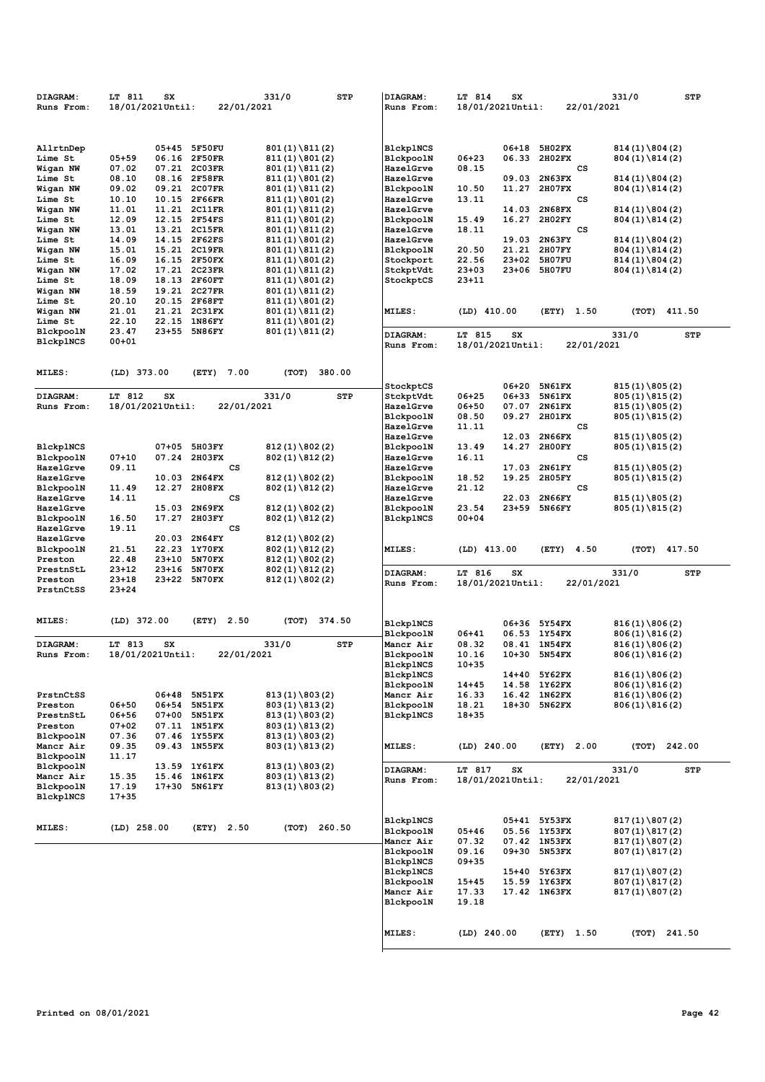| DIAGRAM:               | LT 811<br>SX                             |                                | 331/0                                    | <b>STP</b> | DIAGRAM:                             | LT 814<br>SX                     |                                  | 331/0                                 | <b>STP</b> |
|------------------------|------------------------------------------|--------------------------------|------------------------------------------|------------|--------------------------------------|----------------------------------|----------------------------------|---------------------------------------|------------|
| Runs From:             | 18/01/2021Until:                         | 22/01/2021                     |                                          |            | Runs From:                           | 18/01/2021Until:                 | 22/01/2021                       |                                       |            |
|                        |                                          |                                |                                          |            |                                      |                                  |                                  |                                       |            |
|                        |                                          |                                |                                          |            |                                      |                                  |                                  |                                       |            |
| AllrtnDep              |                                          | 05+45 5F50FU                   | $801(1)\ 811(2)$                         |            | <b>BlckplNCS</b>                     | 06+18                            | 5H02FX                           | $814(1)\ 804(2)$                      |            |
| Lime St<br>Wigan NW    | $05 + 59$<br>06.16<br>07.02              | 2F50FR<br>07.21 2C03FR         | $811(1)\ 801(2)$<br>$801(1)\ 811(2)$     |            | BlckpoolN<br>HazelGrve               | $06 + 23$<br>06.33<br>08.15      | 2H02FX<br>$\mathbf{c}\mathbf{s}$ | $804(1)\ 814(2)$                      |            |
| Lime St                | 08.10                                    | 08.16 2F58FR                   | $811(1)\ 801(2)$                         |            | HazelGrve                            |                                  | 09.03 2N63FX                     | $814(1)\ 804(2)$                      |            |
| Wigan NW               | 09.02<br>09.21                           | 2C07FR                         | $801(1)\ 811(2)$                         |            | BlckpoolN                            | 10.50                            | 11.27 2H07FX                     | $804(1)\ 814(2)$                      |            |
| Lime St                | 10.10                                    | 10.15 2F66FR                   | $811(1)\ 801(2)$                         |            | HazelGrve                            | 13.11                            | cs                               |                                       |            |
| Wigan NW<br>Lime St    | 11.01<br>12.09<br>12.15                  | 11.21 2C11FR<br>2F54FS         | $801(1)\ 811(2)$<br>$811(1)\ 801(2)$     |            | HazelGrve<br>BlckpoolN               | 15.49<br>16.27                   | 14.03 2N68FX<br><b>2H02FY</b>    | $814(1)\ 804(2)$<br>$804(1)\ 814(2)$  |            |
| Wigan NW               | 13.01                                    | 13.21 2C15FR                   | $801(1)\ 811(2)$                         |            | HazelGrve                            | 18.11                            | cs                               |                                       |            |
| Lime St                | 14.09                                    | 14.15 2F62FS                   | $811(1)\ 801(2)$                         |            | HazelGrve                            |                                  | 19.03 2N63FY                     | $814(1)\ 804(2)$                      |            |
| Wiqan NW               | 15.01<br>15.21                           | 2C19FR                         | $801(1)\ 811(2)$                         |            | BlckpoolN                            | 20.50                            | 21.21 2H07FY                     | $804(1)\$ $814(2)$                    |            |
| Lime St                | 16.09<br>17.02                           | 16.15 2F50FX<br>17.21 2C23FR   | $811(1)\ 801(2)$<br>$801(1)\ 811(2)$     |            | Stockport<br>StckptVdt               | 22.56<br>23+02<br>$23 + 03$      | 5H07FU<br>23+06 5H07FU           | $814(1)\ 804(2)$<br>$804(1)\ 814(2)$  |            |
| Wigan NW<br>Lime St    | 18.09<br>18.13                           | <b>2F60FT</b>                  | $811(1)\ 801(2)$                         |            | StockptCS                            | $23 + 11$                        |                                  |                                       |            |
| Wigan NW               | 18.59<br>19.21                           | 2C27FR                         | $801(1)\ 811(2)$                         |            |                                      |                                  |                                  |                                       |            |
| Lime St                | 20.10<br>20.15                           | 2F68FT                         | $811(1)\ 801(2)$                         |            |                                      |                                  |                                  |                                       |            |
| Wigan NW               | 21.01<br>21.21                           | <b>2C31FX</b>                  | $801(1)\$ (811(2)                        |            | <b>MILES:</b>                        | (LD) 410.00                      | (ETY) 1.50                       | (TOT)                                 | 411.50     |
| Lime St<br>BlckpoolN   | 22.10<br>22.15<br>23.47<br>$23 + 55$     | <b>1N86FY</b><br><b>5N86FY</b> | $811(1)\ 801(2)$<br>$801(1)\ 811(2)$     |            |                                      |                                  |                                  |                                       |            |
| BlckplNCS              | $00 + 01$                                |                                |                                          |            | DIAGRAM:                             | LT 815<br>SX<br>18/01/2021Until: |                                  | 331/0                                 | STP        |
|                        |                                          |                                |                                          |            | Runs From:                           |                                  | 22/01/2021                       |                                       |            |
|                        |                                          |                                |                                          |            |                                      |                                  |                                  |                                       |            |
| <b>MILES:</b>          | $(LD)$ 373.00                            | (ETY)<br>7.00                  | (TOT)                                    | 380.00     |                                      |                                  |                                  |                                       |            |
| DIAGRAM:               | LT 812<br>SX                             |                                | 331/0                                    | STP        | StockptCS<br>StckptVdt               | 06+20<br>$06 + 25$<br>06+33      | 5N61FX<br>5N61FX                 | $815(1)\$ 805(2)<br>$805(1)\ 815(2)$  |            |
| Runs From:             | 18/01/2021Until:                         | 22/01/2021                     |                                          |            | HazelGrve                            | $06 + 50$<br>07.07               | <b>2N61FX</b>                    | $815(1)\ 805(2)$                      |            |
|                        |                                          |                                |                                          |            | BlckpoolN                            | 08.50<br>09.27                   | <b>2H01FX</b>                    | $805(1)\$ \ $815(2)$                  |            |
|                        |                                          |                                |                                          |            | HazelGrve                            | 11.11                            | $\mathbf{c}\mathbf{s}$           |                                       |            |
|                        |                                          |                                |                                          |            | HazelGrve                            | 12.03                            | <b>2N66FX</b>                    | $815(1)\ 805(2)$                      |            |
| BlckplNCS<br>BlckpoolN | $07 + 05$<br>$07 + 10$                   | <b>5H03FY</b><br>07.24 2H03FX  | $812(1)\$ 802(2)<br>$802(1)\ 812(2)$     |            | BlckpoolN<br>HazelGrve               | 13.49<br>14.27<br>16.11          | <b>2H00FY</b><br>cs              | $805(1)\$ \ $815(2)$                  |            |
| HazelGrve              | 09.11                                    | cs                             |                                          |            | HazelGrve                            | 17.03                            | 2N61FY                           | $815(1)\ 805(2)$                      |            |
| HazelGrve              |                                          | 10.03 2N64FX                   | $812(1)\ 802(2)$                         |            | BlckpoolN                            | 18.52                            | 19.25 2H05FY                     | $805(1)\$ \ $815(2)$                  |            |
| BlckpoolN              | 11.49                                    | 12.27 2H08FX                   | $802(1)\ 812(2)$                         |            | HazelGrve                            | 21.12                            | cs                               |                                       |            |
| HazelGrve<br>HazelGrve | 14.11<br>15.03                           | cs<br><b>2N69FX</b>            | $812(1)\ 802(2)$                         |            | HazelGrve                            | 23.54<br>23+59                   | 22.03 2N66FY<br>5N66FY           | $815(1)\ 805(2)$                      |            |
| BlckpoolN              | 16.50                                    | 17.27 2H03FY                   | $802(1)\ 812(2)$                         |            | BlckpoolN<br>BlckplNCS               | $00 + 04$                        |                                  | $805(1)\$ \ $815(2)$                  |            |
| HazelGrve              | 19.11                                    | cs                             |                                          |            |                                      |                                  |                                  |                                       |            |
| HazelGrve              | 20.03                                    | 2N64FY                         | 812(1)\802(2)                            |            |                                      |                                  |                                  |                                       |            |
| BlckpoolN              | 21.51                                    | 22.23 1Y70FX                   | $802(1)\ 812(2)$                         |            | MILES:                               | $(LD)$ 413.00                    | 4.50<br>(ETY)                    | (TOT)                                 | 417.50     |
| Preston<br>PrestnStL   | 22.48<br>$23+10$<br>$23+12$<br>$23 + 16$ | 5N70FX<br>5N70FX               | $812(1)\ 802(2)$<br>$802(1)\$ \ $812(2)$ |            |                                      |                                  |                                  |                                       |            |
| Preston                | $23 + 18$<br>23+22                       | 5N70FX                         | $812(1)\ 802(2)$                         |            | DIAGRAM:<br>Runs From:               | LT 816<br>SX<br>18/01/2021Until: | 22/01/2021                       | 331/0                                 | <b>STP</b> |
| PrstnCtSS              | $23 + 24$                                |                                |                                          |            |                                      |                                  |                                  |                                       |            |
|                        |                                          |                                |                                          |            |                                      |                                  |                                  |                                       |            |
| MILES:                 | $(LD)$ 372.00                            | (ETY)<br>2.50                  | (TOT)                                    | 374.50     |                                      |                                  | 06+36 5Y54FX                     |                                       |            |
|                        |                                          |                                |                                          |            | <b>BlckplNCS</b><br>BlckpoolN        | $06 + 41$                        | 06.53 1Y54FX                     | $816(1)\ 806(2)$<br>$806(1)\ 816(2)$  |            |
| DIAGRAM:               | LT 813<br>SX                             |                                | 331/0                                    | <b>STP</b> | Mancr Air                            | 08.32                            | 08.41 1N54FX                     | $816(1)\$ 806(2)                      |            |
| Runs From:             | 18/01/2021Until:                         | 22/01/2021                     |                                          |            | BlckpoolN                            | 10.16                            | 10+30 5N54FX                     | $806(1)\$ \ $816(2)$                  |            |
|                        |                                          |                                |                                          |            | <b>BlckplNCS</b>                     | $10 + 35$                        |                                  |                                       |            |
|                        |                                          |                                |                                          |            | BlckplNCS<br>BlckpoolN               | $14 + 45$                        | 14+40 5Y62FX<br>14.58 1Y62FX     | $816(1)\ 806(2)$<br>$806(1)\$ \816(2) |            |
| PrstnCtSS              |                                          | 06+48 5N51FX                   | $813(1)\ 803(2)$                         |            | Mancr Air                            | 16.33                            | 16.42 1N62FX                     | $816(1)\ 806(2)$                      |            |
| Preston                | 06+50<br>06+54                           | 5N51FX                         | $803(1)\ 813(2)$                         |            | BlckpoolN                            | 18.21                            | 18+30 5N62FX                     | 806(1)\816(2)                         |            |
| PrestnStL              | 06+56                                    | 07+00 5N51FX                   | $813(1)\ 803(2)$                         |            | BlckplNCS                            | $18 + 35$                        |                                  |                                       |            |
| Preston                | $07 + 02$                                | 07.11 1N51FX                   | $803(1)\ 813(2)$                         |            |                                      |                                  |                                  |                                       |            |
| BlckpoolN<br>Mancr Air | 07.36<br>09.35                           | 07.46 1Y55FX<br>09.43 1N55FX   | $813(1)\ 803(2)$<br>$803(1)\ 813(2)$     |            | MILES:                               | $(LD)$ 240.00                    | (ETY) 2.00                       | (TOT)                                 | 242.00     |
| BlckpoolN              | 11.17                                    |                                |                                          |            |                                      |                                  |                                  |                                       |            |
| BlckpoolN              |                                          | 13.59 1Y61FX                   | $813(1)\ 803(2)$                         |            | DIAGRAM:                             | LT 817<br>SX                     |                                  | 331/0                                 | STP        |
| Mancr Air              | 15.35                                    | 15.46 1N61FX                   | $803(1)\ 813(2)$                         |            | Runs From:                           | 18/01/2021Until:                 | 22/01/2021                       |                                       |            |
| BlckpoolN<br>BlckplNCS | 17.19<br>$17 + 35$                       | 17+30 5N61FY                   | $813(1)\ 803(2)$                         |            |                                      |                                  |                                  |                                       |            |
|                        |                                          |                                |                                          |            |                                      |                                  |                                  |                                       |            |
|                        |                                          |                                |                                          |            | <b>BlckplNCS</b>                     |                                  | 05+41 5Y53FX                     | $817(1)\ 807(2)$                      |            |
| <b>MILES:</b>          | $(LD)$ 258.00                            | (ETY) 2.50                     | (ТОТ)                                    | 260.50     | BlckpoolN                            | $05 + 46$                        | 05.56 1Y53FX                     | 807(1)\817(2)                         |            |
|                        |                                          |                                |                                          |            | Mancr Air                            | 07.32                            | 07.42 1N53FX                     | 817(1)\807(2)                         |            |
|                        |                                          |                                |                                          |            | BlckpoolN                            | 09.16                            | 09+30 5N53FX                     | 807(1)\817(2)                         |            |
|                        |                                          |                                |                                          |            | <b>BlckplNCS</b><br><b>BlckplNCS</b> | 09+35                            | 15+40 5Y63FX                     | 817(1)\807(2)                         |            |
|                        |                                          |                                |                                          |            | BlckpoolN                            | $15 + 45$                        | 15.59 1Y63FX                     | 807(1)\817(2)                         |            |
|                        |                                          |                                |                                          |            | Mancr Air                            | 17.33                            | 17.42 1N63FX                     | 817(1)\807(2)                         |            |
|                        |                                          |                                |                                          |            | BlckpoolN                            | 19.18                            |                                  |                                       |            |
|                        |                                          |                                |                                          |            |                                      |                                  |                                  |                                       |            |
|                        |                                          |                                |                                          |            | MILES:                               | $(LD)$ 240.00                    | (ETY) 1.50                       | (TOT) 241.50                          |            |
|                        |                                          |                                |                                          |            |                                      |                                  |                                  |                                       |            |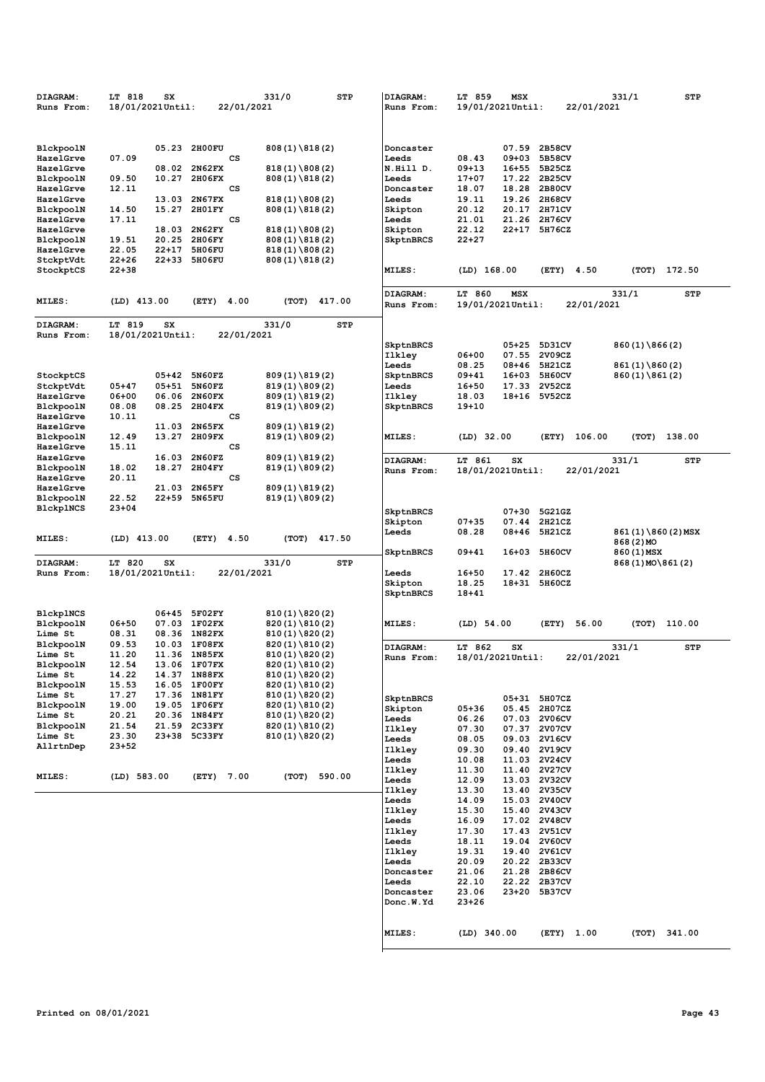| DIAGRAM:               | LT 818<br>SX                |                               | 331/0                                 | STP<br>DIAGRAM:      | LT 859<br><b>MSX</b>                 |                              | 331/1                | STP    |
|------------------------|-----------------------------|-------------------------------|---------------------------------------|----------------------|--------------------------------------|------------------------------|----------------------|--------|
| Runs From:             | 18/01/2021Until:            |                               | 22/01/2021                            | Runs From:           | 19/01/2021Until:                     | 22/01/2021                   |                      |        |
|                        |                             |                               |                                       |                      |                                      |                              |                      |        |
|                        |                             |                               |                                       |                      |                                      |                              |                      |        |
|                        |                             |                               |                                       |                      |                                      |                              |                      |        |
| BlckpoolN              |                             | 05.23 2H00FU                  | $808(1)\ 818(2)$                      | Doncaster            |                                      | 07.59 2B58CV                 |                      |        |
| HazelGrve              | 07.09                       | cs                            |                                       | Leeds                | 08.43<br>09+03                       | 5B58CV                       |                      |        |
| HazelGrve              | 08.02                       | 2N62FX                        | $818(1)\ 808(2)$                      | N.Hill D.            | $09 + 13$<br>$16 + 55$               | 5B25CZ                       |                      |        |
| BlckpoolN              | 09.50                       | 10.27 2H06FX                  | $808(1)\$ \ $818(2)$                  | Leeds                | $17+07$                              | 17.22 2B25CV                 |                      |        |
| HazelGrve              | 12.11                       | cs                            |                                       | Doncaster            | 18.07<br>18.28                       | <b>2B80CV</b>                |                      |        |
| HazelGrve              | 13.03                       | <b>2N67FX</b><br>15.27 2H01FY | $818(1)\ 808(2)$                      | Leeds                | 19.11<br>19.26<br>20.12              | 2H68CV                       |                      |        |
| BlckpoolN              | 14.50<br>17.11              | cs                            | $808(1)\ 818(2)$                      | Skipton              | 20.17<br>21.26                       | 2H71CV<br>2H76CV             |                      |        |
| HazelGrve<br>HazelGrve | 18.03                       | <b>2N62FY</b>                 | $818(1)\ 808(2)$                      | Leeds                | 21.01<br>22.12<br>22+17              | 5H76CZ                       |                      |        |
| BlckpoolN              | 19.51<br>20.25              | <b>2H06FY</b>                 | $808(1)\ 818(2)$                      | Skipton<br>SkptnBRCS | $22 + 27$                            |                              |                      |        |
| HazelGrve              | 22.05<br>22+17              | <b>5H06FU</b>                 | $818(1)\ 808(2)$                      |                      |                                      |                              |                      |        |
| StckptVdt              | $22+26$<br>22+33            | <b>5H06FU</b>                 | $808(1)\$ \ $818(2)$                  |                      |                                      |                              |                      |        |
| StockptCS              | $22 + 38$                   |                               |                                       | MILES:               | (LD) 168.00                          | (ETY) 4.50                   | (TOT)                | 172.50 |
|                        |                             |                               |                                       |                      |                                      |                              |                      |        |
|                        |                             |                               |                                       |                      |                                      |                              |                      |        |
| <b>MILES:</b>          | $(LD)$ 413.00               | (ETY)                         | 4.00<br>(TOT)<br>417.00               | DIAGRAM:             | LT 860<br>MSX                        |                              | 331/1                | STP    |
|                        |                             |                               |                                       | Runs From:           | 19/01/2021Until:                     | 22/01/2021                   |                      |        |
|                        |                             |                               |                                       |                      |                                      |                              |                      |        |
| DIAGRAM:               | LT 819<br>SX                |                               | 331/0                                 | STP                  |                                      |                              |                      |        |
| Runs From:             | 18/01/2021Until:            |                               | 22/01/2021                            |                      |                                      |                              |                      |        |
|                        |                             |                               |                                       | SkptnBRCS            | $05 + 25$                            | 5D31CV                       | $860(1)\$ 866(2)     |        |
|                        |                             |                               |                                       | Ilkley               | $06+00$<br>07.55                     | 2V09CZ                       |                      |        |
|                        | 05+42                       | 5N60FZ                        | $809(1)\ 819(2)$                      | Leeds<br>SkptnBRCS   | 08.25<br>08+46<br>$09 + 41$<br>16+03 | 5H21CZ<br>5H60CV             | $861(1)\$ 860(2)     |        |
| StockptCS<br>StckptVdt | $05 + 47$<br>$05 + 51$      | 5N60FZ                        | $819(1)\ 809(2)$                      | Leeds                | $16 + 50$<br>17.33                   | 2V52CZ                       | $860(1)\$ (861(2)    |        |
| HazelGrve              | $06+00$<br>06.06            | <b>2N60FX</b>                 | $809(1)\$ \ $819(2)$                  | Ilkley               | 18.03                                | 18+16 5V52CZ                 |                      |        |
|                        | 08.08<br>08.25              | <b>2H04FX</b>                 |                                       | SkptnBRCS            | $19 + 10$                            |                              |                      |        |
| BlckpoolN<br>HazelGrve | 10.11                       | cs                            | $819(1)\ 809(2)$                      |                      |                                      |                              |                      |        |
| HazelGrve              | 11.03                       | 2N65FX                        | $809(1)\ 819(2)$                      |                      |                                      |                              |                      |        |
| BlckpoolN              | 12.49                       | 13.27 2H09FX                  | $819(1)\ 809(2)$                      | <b>MILES:</b>        | $(LD)$ 32.00                         | (ETY)<br>106.00              | (TOT)                | 138.00 |
| HazelGrve              | 15.11                       | cs                            |                                       |                      |                                      |                              |                      |        |
| HazelGrve              |                             | 16.03 2N60FZ                  | $809(1)\ 819(2)$                      |                      |                                      |                              |                      |        |
| BlckpoolN              | 18.02                       | 18.27 2H04FY                  | $819(1)\ 809(2)$                      | DIAGRAM:             | LT 861<br>SX                         |                              | 331/1                | STP    |
| HazelGrve              | 20.11                       | $\mathbf{c}\mathbf{s}$        |                                       | Runs From:           | 18/01/2021Until:                     | 22/01/2021                   |                      |        |
| HazelGrve              | 21.03                       | <b>2N65FY</b>                 | $809(1)\ 819(2)$                      |                      |                                      |                              |                      |        |
| BlckpoolN              | 22.52<br>$22 + 59$          | <b>5N65FU</b>                 | $819(1)\ 809(2)$                      |                      |                                      |                              |                      |        |
| BlckplNCS              | $23 + 04$                   |                               |                                       |                      |                                      |                              |                      |        |
|                        |                             |                               |                                       | SkptnBRCS            | $07 + 30$<br>$07 + 35$<br>07.44      | 5G21GZ                       |                      |        |
|                        |                             |                               |                                       | Skipton              |                                      | 2H21CZ                       |                      |        |
|                        |                             |                               |                                       |                      |                                      |                              |                      |        |
| MILES:                 | $(LD)$ 413.00               | (ETY)                         | 4.50<br>(TOT)<br>417.50               | Leeds                | 08.28                                | 08+46 5H21CZ                 | $861(1)\$ 860(2) MSX |        |
|                        |                             |                               |                                       |                      |                                      |                              | 868 (2) MO           |        |
|                        |                             |                               |                                       | SkptnBRCS            | $09 + 41$<br>$16 + 03$               | 5H60CV                       | 860(1)MSX            |        |
| DIAGRAM:               | LT 820<br>SX                |                               | 331/0                                 | <b>STP</b>           |                                      |                              | 868(1)MO\861(2)      |        |
| Runs From:             | 18/01/2021Until:            |                               | 22/01/2021                            | Leeds                | $16 + 50$                            | 17.42 2H60CZ                 |                      |        |
|                        |                             |                               |                                       | Skipton              | 18.25<br>18+31                       | 5H60CZ                       |                      |        |
|                        |                             |                               |                                       | SkptnBRCS            | $18 + 41$                            |                              |                      |        |
|                        |                             |                               |                                       |                      |                                      |                              |                      |        |
| <b>BlckplNCS</b>       | 06+45                       | <b>5F02FY</b>                 | $810(1)\$ 820(2)                      |                      |                                      |                              |                      |        |
| BlckpoolN              | $06 + 50$<br>08.31<br>08.36 | 07.03 1F02FX<br><b>1N82FX</b> | $820(1)\$ 810(2)                      | MILES:               | (LD) 54.00                           | (ETY)<br>56.00               | (TOT)                | 110.00 |
| Lime St                | 09.53<br>10.03              | <b>1F08FX</b>                 | $810(1)\$ (820(2)                     |                      |                                      |                              |                      |        |
| BlckpoolN<br>Lime St   | 11.20                       | 11.36 1N85FX                  | $820(1)\$ (810(2)<br>$810(1)\$ 820(2) | DIAGRAM:             | LT 862<br>SX                         |                              | 331/1                | STP    |
| BlckpoolN              | 12.54                       | 13.06 1F07FX                  | $820(1)\ 810(2)$                      | Runs From:           | 18/01/2021Until:                     | 22/01/2021                   |                      |        |
| Lime St                | 14.22                       | 14.37 1N88FX                  | $810(1)\$ 820(2)                      |                      |                                      |                              |                      |        |
| BlckpoolN              | 15.53                       | 16.05 1F00FY                  | $820(1)\ 810(2)$                      |                      |                                      |                              |                      |        |
| Lime St                | 17.27                       | 17.36 1N81FY                  | $810(1)\$ 820(2)                      |                      |                                      |                              |                      |        |
| <b>BlckpoolN</b>       | 19.00                       | 19.05 1F06FY                  | $820(1)\$ (810(2)                     | SkptnBRCS            |                                      | 05+31 5H07CZ                 |                      |        |
| Lime St                | 20.21                       | 20.36 1N84FY                  | $810(1)\$ 820(2)                      | Skipton              | $05 + 36$                            | 05.45 2H07CZ                 |                      |        |
| BlckpoolN              | 21.54                       | 21.59 2C33FY                  | $820(1)\$ (810(2)                     | Leeds                | 06.26                                | 07.03 2V06CV                 |                      |        |
| Lime St                | 23.30                       | 23+38 5C33FY                  | $810(1)\$ 820(2)                      | Ilkley               | 07.30                                | 07.37 2V07CV                 |                      |        |
| AllrtnDep              | $23 + 52$                   |                               |                                       | Leeds                | 08.05                                | 09.03 2V16CV                 |                      |        |
|                        |                             |                               |                                       | Ilkley               | 09.30                                | 09.40 2V19CV                 |                      |        |
|                        |                             |                               |                                       | Leeds                | 10.08                                | 11.03 2V24CV                 |                      |        |
| <b>MILES:</b>          | $(LD)$ 583.00               | (ETY) 7.00                    | (TOT) 590.00                          | Ilkley               | 11.30                                | 11.40 2V27CV                 |                      |        |
|                        |                             |                               |                                       | Leeds<br>Ilkley      | 12.09<br>13.30                       | 13.03 2V32CV<br>13.40 2V35CV |                      |        |
|                        |                             |                               |                                       |                      |                                      |                              |                      |        |
|                        |                             |                               |                                       | Leeds<br>Ilkley      | 14.09<br>15.30                       | 15.03 2V40CV<br>15.40 2V43CV |                      |        |
|                        |                             |                               |                                       | Leeds                | 16.09                                | 17.02 2V48CV                 |                      |        |
|                        |                             |                               |                                       | Ilkley               | 17.30                                | 17.43 2V51CV                 |                      |        |
|                        |                             |                               |                                       | Leeds                | 18.11                                | 19.04 2V60CV                 |                      |        |
|                        |                             |                               |                                       | Ilkley               | 19.31                                | 19.40 2V61CV                 |                      |        |
|                        |                             |                               |                                       | Leeds                | 20.09                                | 20.22 2B33CV                 |                      |        |
|                        |                             |                               |                                       | Doncaster            | 21.06                                | 21.28 2B86CV                 |                      |        |
|                        |                             |                               |                                       | Leeds                | 22.10                                | 22.22 2B37CV                 |                      |        |
|                        |                             |                               |                                       | Doncaster            | 23.06                                | 23+20 5B37CV                 |                      |        |
|                        |                             |                               |                                       | Donc.W.Yd            | $23 + 26$                            |                              |                      |        |
|                        |                             |                               |                                       |                      |                                      |                              |                      |        |
|                        |                             |                               |                                       |                      |                                      |                              |                      |        |
|                        |                             |                               |                                       | MILES:               | (LD) 340.00                          | (ETY) 1.00                   | (TOT) 341.00         |        |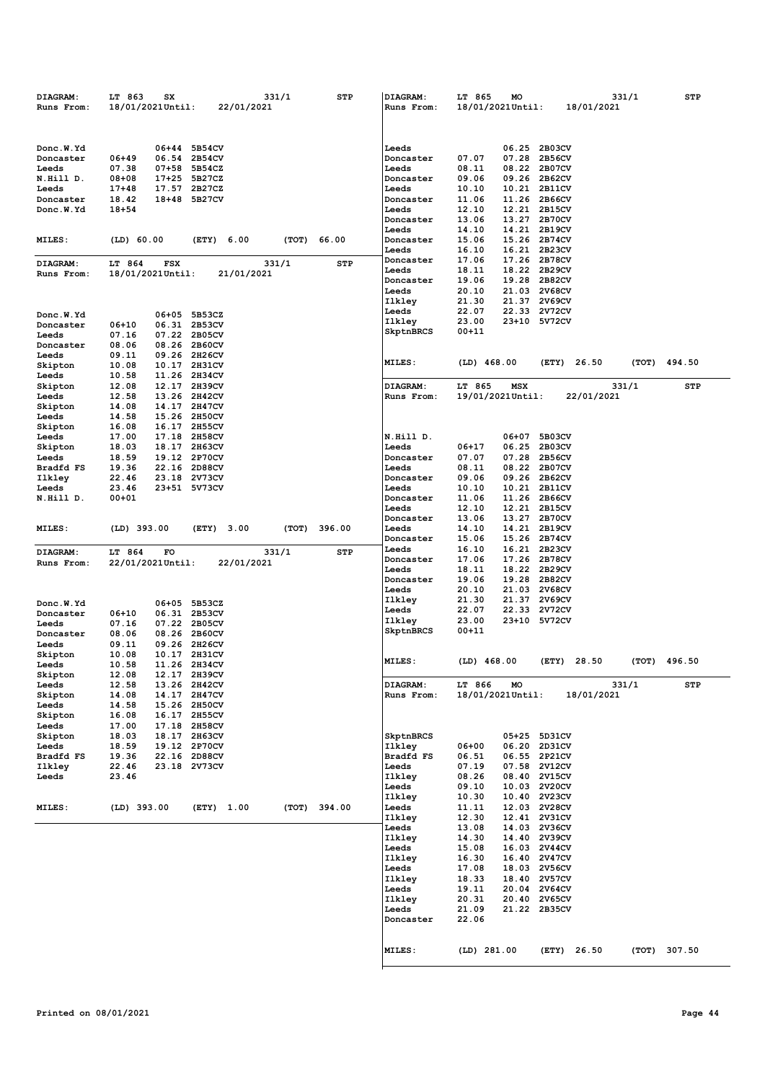| <b>DIAGRAM:</b>  | LT 863<br>SX            | 331/1                        |       | STP            | DIAGRAM:           | LT 865<br>MO            |                              | 331/1          | STP          |
|------------------|-------------------------|------------------------------|-------|----------------|--------------------|-------------------------|------------------------------|----------------|--------------|
| Runs From:       | 18/01/2021Until:        | 22/01/2021                   |       |                | Runs From:         | 18/01/2021Until:        |                              | 18/01/2021     |              |
|                  |                         |                              |       |                |                    |                         |                              |                |              |
|                  |                         |                              |       |                |                    |                         |                              |                |              |
| Donc.W.Yd        | 06+44                   | 5B54CV                       |       |                | Leeds              |                         | 06.25 2B03CV                 |                |              |
| Doncaster        | $06 + 49$<br>06.54      | 2B54CV                       |       |                | Doncaster          | 07.07                   | 07.28 2B56CV                 |                |              |
| Leeds            | 07.38<br>$07 + 58$      | 5B54CZ                       |       |                | Leeds              | 08.11                   | 08.22 2B07CV                 |                |              |
| N.Hill D.        | $08 + 08$<br>$17+25$    | 5B27CZ                       |       |                | Doncaster          | 09.06<br>09.26          | 2B62CV                       |                |              |
| Leeds            | $17 + 48$               | 17.57 2B27CZ                 |       |                | Leeds              | 10.10                   | 10.21 2B11CV                 |                |              |
| Doncaster        | 18.42                   | 18+48 5B27CV                 |       |                | Doncaster          | 11.06                   | 11.26 2B66CV                 |                |              |
| Donc.W.Yd        | $18 + 54$               |                              |       |                | Leeds              | 12.10<br>12.21          | 2B15CV                       |                |              |
|                  |                         |                              |       |                | Doncaster          | 13.06                   | 13.27 2B70CV                 |                |              |
|                  |                         |                              |       |                | Leeds              | 14.10                   | 14.21 2B19CV                 |                |              |
| <b>MILES:</b>    | (LD) 60.00              | (ETY)<br>6.00                | (TOT) | 66.00          | Doncaster<br>Leeds | 15.06<br>16.10<br>16.21 | 15.26 2B74CV<br>2B23CV       |                |              |
|                  |                         |                              |       |                | Doncaster          | 17.06                   | 17.26 2B78CV                 |                |              |
| DIAGRAM:         | LT 864<br><b>FSX</b>    | 331/1                        |       | STP            | Leeds              | 18.11                   | 18.22 2B29CV                 |                |              |
| Runs From:       | 18/01/2021Until:        | 21/01/2021                   |       |                | Doncaster          | 19.06<br>19.28          | 2B82CV                       |                |              |
|                  |                         |                              |       |                | Leeds              | 20.10<br>21.03          | <b>2V68CV</b>                |                |              |
|                  |                         |                              |       |                | Ilkley             | 21.30<br>21.37          | <b>2V69CV</b>                |                |              |
| Donc.W.Yd        | $06 + 05$               | 5B53CZ                       |       |                | Leeds              | 22.07<br>22.33          | 2V72CV                       |                |              |
| Doncaster        | $06 + 10$<br>06.31      | 2B53CV                       |       |                | Ilkley             | 23.00<br>23+10          | 5V72CV                       |                |              |
| Leeds            | 07.16<br>07.22          | 2B05CV                       |       |                | SkptnBRCS          | $00 + 11$               |                              |                |              |
| Doncaster        | 08.06<br>08.26          | 2B60CV                       |       |                |                    |                         |                              |                |              |
| Leeds            | 09.11<br>09.26          | <b>2H26CV</b>                |       |                |                    |                         |                              |                |              |
| Skipton          | 10.17<br>10.08          | 2H31CV                       |       |                | MILES:             | $(LD)$ 468.00           | (ETY)                        | 26.50<br>(ТОТ) | 494.50       |
| Leeds            | 10.58<br>11.26          | <b>2H34CV</b>                |       |                |                    |                         |                              |                |              |
| Skipton          | 12.08                   | 12.17 2H39CV                 |       |                | DIAGRAM:           | LT 865<br><b>MSX</b>    |                              | 331/1          | STP          |
| Leeds            | 12.58<br>13.26          | <b>2H42CV</b>                |       |                | Runs From:         | 19/01/2021Until:        |                              | 22/01/2021     |              |
| Skipton          | 14.08<br>14.17          | 2H47CV                       |       |                |                    |                         |                              |                |              |
| Leeds            | 14.58<br>15.26          | <b>2H50CV</b>                |       |                |                    |                         |                              |                |              |
| Skipton          | 16.08<br>16.17          | <b>2H55CV</b>                |       |                |                    |                         |                              |                |              |
| Leeds            | 17.00<br>17.18          | 2H58CV                       |       |                | N.Hill D.          | 06+07                   | 5B03CV                       |                |              |
| Skipton          | 18.03                   | 18.17 2H63CV                 |       |                | Leeds              | $06 + 17$               | 06.25 2B03CV                 |                |              |
| Leeds            | 18.59                   | 19.12 2P70CV                 |       |                | Doncaster          | 07.07                   | 07.28 2B56CV                 |                |              |
| Bradfd FS        | 19.36<br>22.16<br>22.46 | 2D88CV<br>2V73CV             |       |                | Leeds              | 08.11<br>08.22<br>09.06 | 2B07CV<br>09.26 2B62CV       |                |              |
| Ilkley<br>Leeds  | 23.18<br>23.46          | 23+51 5V73CV                 |       |                | Doncaster<br>Leeds | 10.10                   | 10.21 2B11CV                 |                |              |
| N.Hill D.        | $00 + 01$               |                              |       |                | Doncaster          | 11.06                   | 11.26 2B66CV                 |                |              |
|                  |                         |                              |       |                | Leeds              | 12.10<br>12.21          | 2B15CV                       |                |              |
|                  |                         |                              |       |                | Doncaster          | 13.06                   | 13.27 2B70CV                 |                |              |
| <b>MILES:</b>    | $(LD)$ 393.00           | 3.00<br>(ETY)                | (TOT) | 396.00         | Leeds              | 14.10                   | 14.21 2B19CV                 |                |              |
|                  |                         |                              |       |                | Doncaster          | 15.06                   | 15.26 2B74CV                 |                |              |
| <b>DIAGRAM:</b>  | LT 864<br>FO            | 331/1                        |       | STP            | Leeds              | 16.10                   | 16.21 2B23CV                 |                |              |
| Runs From:       | 22/01/2021Until:        | 22/01/2021                   |       |                | Doncaster          | 17.06                   | 17.26 2B78CV                 |                |              |
|                  |                         |                              |       |                | Leeds              | 18.11                   | 18.22 2B29CV                 |                |              |
|                  |                         |                              |       |                | Doncaster          | 19.06<br>19.28          | 2B82CV                       |                |              |
|                  |                         |                              |       |                | Leeds              | 20.10                   | 21.03 2V68CV                 |                |              |
| Donc.W.Yd        | $06 + 05$               | 5B53CZ                       |       |                | Ilkley             | 21.30<br>21.37          | <b>2V69CV</b>                |                |              |
| Doncaster        | $06 + 10$<br>06.31      | 2B53CV                       |       |                | Leeds              | 22.07<br>22.33          | 2V72CV                       |                |              |
| Leeds            | 07.16<br>07.22          | 2B05CV                       |       |                | Ilkley             | 23.00<br>23+10          | 5V72CV                       |                |              |
| Doncaster        | 08.26<br>08.06          | <b>2B60CV</b>                |       |                | SkptnBRCS          | $00 + 11$               |                              |                |              |
| Leeds            | 09.11<br>09.26          | <b>2H26CV</b>                |       |                |                    |                         |                              |                |              |
| Skipton          | 10.08                   | 10.17 2H31CV                 |       |                | MILES:             | (LD) 468.00             |                              | 28.50          | (TOT) 496.50 |
| Leeds            | 10.58<br>11.26          | 2H34CV                       |       |                |                    |                         | (ETY)                        |                |              |
| Skipton          | 12.08                   | 12.17 2H39CV                 |       |                |                    |                         |                              |                |              |
| Leeds            | 12.58                   | 13.26 2H42CV                 |       |                | <b>DIAGRAM:</b>    | LT 866<br>MO            |                              | 331/1          | STP          |
| Skipton          | 14.08                   | 14.17 2H47CV<br>15.26 2H50CV |       |                | Runs From:         | 18/01/2021Until:        |                              | 18/01/2021     |              |
| Leeds<br>Skipton | 14.58<br>16.08          | 16.17 2H55CV                 |       |                |                    |                         |                              |                |              |
| Leeds            | 17.00                   | 17.18 2H58CV                 |       |                |                    |                         |                              |                |              |
| Skipton          | 18.03                   | 18.17 2H63CV                 |       |                | SkptnBRCS          |                         | 05+25 5D31CV                 |                |              |
| Leeds            | 18.59                   | 19.12 2P70CV                 |       |                | Ilkley             | 06+00                   | 06.20 2D31CV                 |                |              |
| Bradfd FS        | 19.36                   | 22.16 2D88CV                 |       |                | Bradfd FS          | 06.51                   | 06.55 2P21CV                 |                |              |
| Ilkley           | 22.46                   | 23.18 2V73CV                 |       |                | Leeds              | 07.19                   | 07.58 2V12CV                 |                |              |
| Leeds            | 23.46                   |                              |       |                | Ilkley             | 08.26                   | 08.40 2V15CV                 |                |              |
|                  |                         |                              |       |                | Leeds              | 09.10                   | 10.03 2V20CV                 |                |              |
|                  |                         |                              |       |                | Ilkley             | 10.30                   | 10.40 2V23CV                 |                |              |
| <b>MILES:</b>    | $(LD)$ 393.00           | (ETY) 1.00                   |       | $(TOT)$ 394.00 | Leeds              | 11.11                   | 12.03 2V28CV                 |                |              |
|                  |                         |                              |       |                | Ilkley             | 12.30                   | 12.41 2V31CV                 |                |              |
|                  |                         |                              |       |                | Leeds              | 13.08                   | 14.03 2V36CV                 |                |              |
|                  |                         |                              |       |                | Ilkley             | 14.30                   | 14.40 2V39CV                 |                |              |
|                  |                         |                              |       |                | Leeds              | 15.08                   | 16.03 2V44CV                 |                |              |
|                  |                         |                              |       |                | Ilkley             | 16.30                   | 16.40 2V47CV                 |                |              |
|                  |                         |                              |       |                | Leeds              | 17.08<br>18.33          | 18.03 2V56CV<br>18.40 2V57CV |                |              |
|                  |                         |                              |       |                | Ilkley<br>Leeds    | 19.11                   | 20.04 2V64CV                 |                |              |
|                  |                         |                              |       |                | Ilkley             | 20.31                   | 20.40 2V65CV                 |                |              |
|                  |                         |                              |       |                | Leeds              | 21.09                   | 21.22 2B35CV                 |                |              |
|                  |                         |                              |       |                | Doncaster          | 22.06                   |                              |                |              |
|                  |                         |                              |       |                |                    |                         |                              |                |              |
|                  |                         |                              |       |                |                    |                         |                              |                |              |
|                  |                         |                              |       |                | <b>MILES:</b>      | (LD) 281.00             | (ETY) 26.50                  |                | (TOT) 307.50 |
|                  |                         |                              |       |                |                    |                         |                              |                |              |